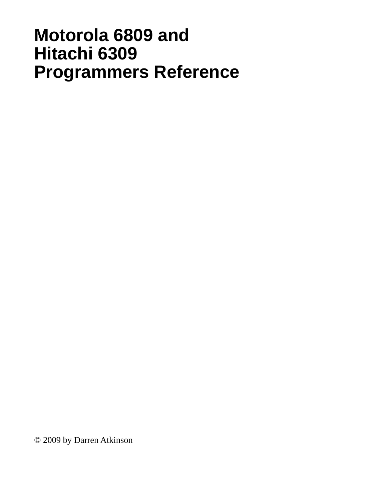## **Motorola 6809 and Hitachi 6309 ProgrammerÕs Reference**

© 2009 by Darren Atkinson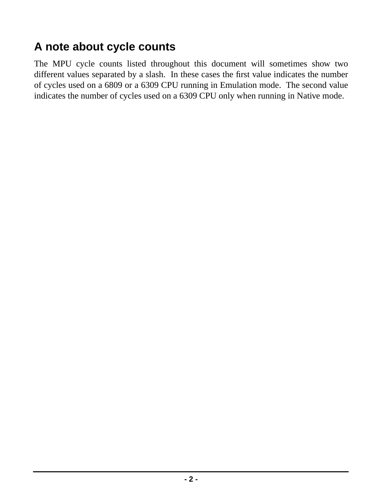### **A note about cycle counts**

The MPU cycle counts listed throughout this document will sometimes show two different values separated by a slash. In these cases the first value indicates the number of cycles used on a 6809 or a 6309 CPU running in Emulation mode. The second value indicates the number of cycles used on a 6309 CPU only when running in Native mode.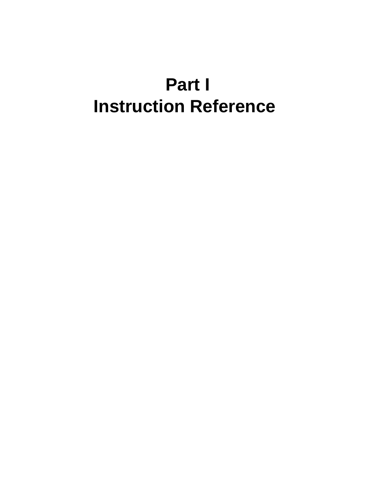# **Part I Instruction Reference**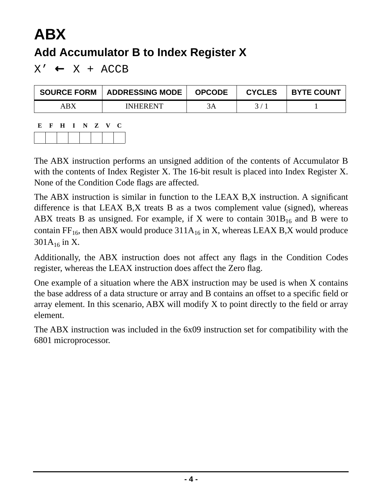## **ABX Add Accumulator B to Index Register X**

 $X' \leftarrow X + ACCB$ 

| <b>SOURCE FORM</b> | <b>ADDRESSING MODE</b> | <b>OPCODE</b> | <b>CYCLES</b> | <b>BYTE COUNT</b> |
|--------------------|------------------------|---------------|---------------|-------------------|
| ABX                | <b>INHERENT</b>        |               |               |                   |
|                    |                        |               |               |                   |

| E. | F | $\mathbf{H}$ | N Z | V. | U |
|----|---|--------------|-----|----|---|
|    |   |              |     |    |   |

The ABX instruction performs an unsigned addition of the contents of Accumulator B with the contents of Index Register X. The 16-bit result is placed into Index Register X. None of the Condition Code flags are affected.

The ABX instruction is similar in function to the LEAX B,X instruction. A significant difference is that LEAX B,X treats B as a twos complement value (signed), whereas ABX treats B as unsigned. For example, if X were to contain  $301B_{16}$  and B were to contain FF<sub>16</sub>, then ABX would produce  $311A_{16}$  in X, whereas LEAX B,X would produce  $301A_{16}$  in X.

Additionally, the ABX instruction does not affect any flags in the Condition Codes register, whereas the LEAX instruction does affect the Zero flag.

One example of a situation where the ABX instruction may be used is when X contains the base address of a data structure or array and B contains an offset to a specific field or array element. In this scenario, ABX will modify X to point directly to the field or array element.

The ABX instruction was included in the 6x09 instruction set for compatibility with the 6801 microprocessor.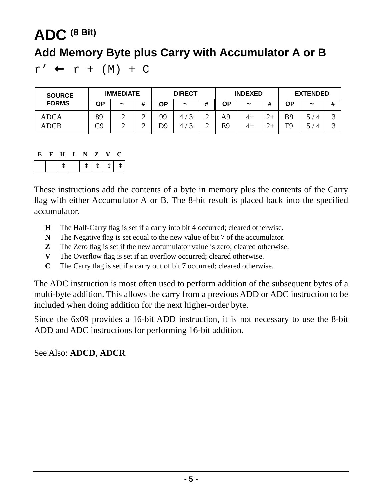# <span id="page-4-0"></span>**ADC (8 Bit) Add Memory Byte plus Carry with Accumulator A or B**

 $r' \leftarrow r + (M) + C$ 

| <b>SOURCE</b>       | <b>IMMEDIATE</b> |                       |                  | <b>DIRECT</b> |                               |                            | <b>INDEXED</b>       |                       |                  | <b>EXTENDED</b>              |                                           |                      |
|---------------------|------------------|-----------------------|------------------|---------------|-------------------------------|----------------------------|----------------------|-----------------------|------------------|------------------------------|-------------------------------------------|----------------------|
| <b>FORMS</b>        | ΟP               | $\tilde{\phantom{a}}$ | #                | ΟP            | $\tilde{}$                    | #                          | ΟP                   | $\tilde{\phantom{a}}$ |                  | ΟP                           | $\tilde{\phantom{a}}$                     | #                    |
| <b>ADCA</b><br>ADCB | 89<br>rρ         | ∸<br>∸                | ⌒<br>∸<br>⌒<br>∸ | 99<br>D9      | 4 <sub>1</sub><br>$\sim$<br>4 | $\sim$<br>∽<br>$\sim$<br>∠ | A <sup>9</sup><br>E9 | $4+$<br>4+            | ⌒<br>∼<br>$\sim$ | <b>B</b> 9<br>F <sub>9</sub> | ς<br>$\overline{\mathcal{A}}$<br>$\Delta$ | $\sqrt{2}$<br>ັ<br>ت |

|  | H I N Z V       |  | $\mathbf{C}$ |  |
|--|-----------------|--|--------------|--|
|  | 1 1 1 1 1 1 1 1 |  |              |  |

These instructions add the contents of a byte in memory plus the contents of the Carry flag with either Accumulator A or B. The 8-bit result is placed back into the specified accumulator.

- **H** The Half-Carry flag is set if a carry into bit 4 occurred; cleared otherwise.
- **N** The Negative flag is set equal to the new value of bit 7 of the accumulator.
- **Z** The Zero flag is set if the new accumulator value is zero; cleared otherwise.
- **V** The Overflow flag is set if an overflow occurred; cleared otherwise.
- **C** The Carry flag is set if a carry out of bit 7 occurred; cleared otherwise.

The ADC instruction is most often used to perform addition of the subsequent bytes of a multi-byte addition. This allows the carry from a previous ADD or ADC instruction to be included when doing addition for the next higher-order byte.

Since the 6x09 provides a 16-bit ADD instruction, it is not necessary to use the 8-bit ADD and ADC instructions for performing 16-bit addition.

See Also: **[ADCD](#page-5-0)**, **[ADCR](#page-6-0)**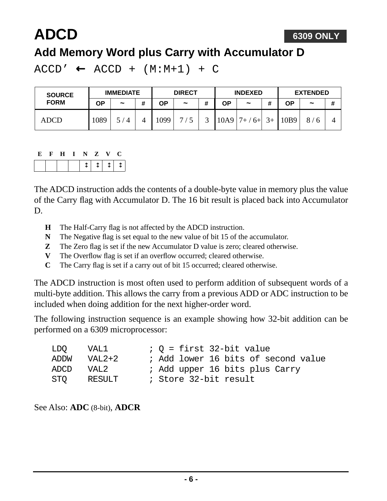# <span id="page-5-0"></span>**ADCD**

### **Add Memory Word plus Carry with Accumulator D**

 $ACCD' \leftarrow ACCD + (M:M+1) + C$ 

| <b>SOURCE</b> | <b>IMMEDIATE</b> |                     |   | <b>DIRECT</b> |            |   | <b>INDEXED</b> |                       |                | <b>EXTENDED</b> |            |   |
|---------------|------------------|---------------------|---|---------------|------------|---|----------------|-----------------------|----------------|-----------------|------------|---|
| <b>FORM</b>   | ΟP               | $\tilde{}$          | # | ОP            | $\tilde{}$ | # | <b>OP</b>      | $\tilde{\phantom{a}}$ | 4              | ΟP              | $\tilde{}$ | # |
| ADCD          | 1089             | 5<br>$\overline{4}$ |   | 1099          | ⇁          |   | 10A9           | $6+$                  | 2 <sub>1</sub> | 10B9            | 8          |   |

|  | . H . | V. | $\mathbf{Z}$ | $\mathbf{v}$ |  |
|--|-------|----|--------------|--------------|--|
|  |       |    | TITITIT      |              |  |

The ADCD instruction adds the contents of a double-byte value in memory plus the value of the Carry flag with Accumulator D. The 16 bit result is placed back into Accumulator D.

- **H** The Half-Carry flag is not affected by the ADCD instruction.
- **N** The Negative flag is set equal to the new value of bit 15 of the accumulator.
- **Z** The Zero flag is set if the new Accumulator D value is zero; cleared otherwise.
- **V** The Overflow flag is set if an overflow occurred; cleared otherwise.
- **C** The Carry flag is set if a carry out of bit 15 occurred; cleared otherwise.

The ADCD instruction is most often used to perform addition of subsequent words of a multi-byte addition. This allows the carry from a previous ADD or ADC instruction to be included when doing addition for the next higher-order word.

The following instruction sequence is an example showing how 32-bit addition can be performed on a 6309 microprocessor:

| LDO  | VAL1   | $: 0 =$ first 32-bit value          |
|------|--------|-------------------------------------|
| ADDW | VAL2+2 | ; Add lower 16 bits of second value |
| ADCD | VAL2   | ; Add upper 16 bits plus Carry      |
| STO  | RESULT | ; Store 32-bit result               |

See Also: **[ADC](#page-4-0)** (8-bit), **[ADCR](#page-6-0)**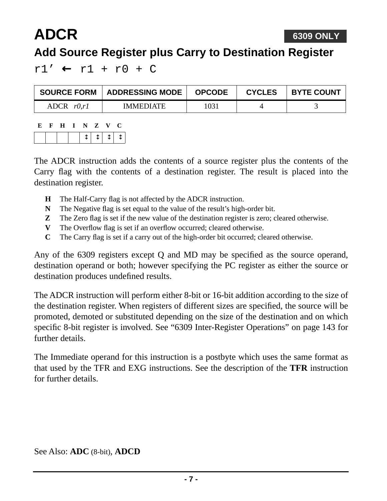#### **6309 ONLY**

### **Add Source Register plus Carry to Destination Register**

 $r1'$  ←  $r1$  +  $r0$  + C

| <b>SOURCE FORM</b> | <b>ADDRESSING MODE</b> | <b>OPCODE</b> | <b>CYCLES</b> | <b>BYTE COUNT</b> |
|--------------------|------------------------|---------------|---------------|-------------------|
| ADCR $r0,r1$       | <b>IMMEDIATE</b>       | 1031          |               |                   |

| E | н | N. | Z | N/        |  |
|---|---|----|---|-----------|--|
|   |   |    |   | $T$   $T$ |  |

<span id="page-6-0"></span>**ADCR**

The ADCR instruction adds the contents of a source register plus the contents of the Carry flag with the contents of a destination register. The result is placed into the destination register.

- **H** The Half-Carry flag is not affected by the ADCR instruction.
- **N** The Negative flag is set equal to the value of the result's high-order bit.
- **Z** The Zero flag is set if the new value of the destination register is zero; cleared otherwise.
- **V** The Overflow flag is set if an overflow occurred; cleared otherwise.
- **C** The Carry flag is set if a carry out of the high-order bit occurred; cleared otherwise.

Any of the 6309 registers except Q and MD may be specified as the source operand, destination operand or both; however specifying the PC register as either the source or destination produces undefined results.

The ADCR instruction will perform either 8-bit or 16-bit addition according to the size of the destination register. When registers of different sizes are specified, the source will be promoted, demoted or substituted depending on the size of the destination and on which specific 8-bit register is involved. See ["6309 Inter-Register Operations" on page 143](#page-142-0) for further details.

The Immediate operand for this instruction is a postbyte which uses the same format as that used by the TFR and EXG instructions. See the description of the **TFR** instruction for further details.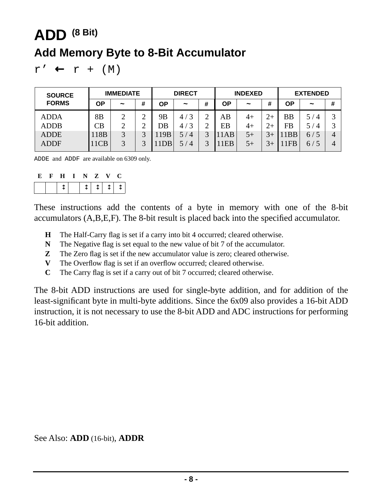## <span id="page-7-0"></span>**ADD (8 Bit) Add Memory Byte to 8-Bit Accumulator**

 $r' \leftarrow r + (M)$ 

| <b>SOURCE</b> | <b>IMMEDIATE</b> |            |        | <b>DIRECT</b> |                       |   | <b>INDEXED</b> |                       |       | <b>EXTENDED</b> |                       |                   |
|---------------|------------------|------------|--------|---------------|-----------------------|---|----------------|-----------------------|-------|-----------------|-----------------------|-------------------|
| <b>FORMS</b>  | ΟP               | $\tilde{}$ | #      | ΟP            | $\tilde{}$            | # | ΟP             | $\tilde{\phantom{a}}$ | #     | ΟP              | $\tilde{\phantom{a}}$ | #                 |
| <b>ADDA</b>   | 8 <sub>B</sub>   | ◠          | ◠<br>↩ | 9Β            | $\mathbf 3$<br>47     | ⌒ | AB             | 4+                    |       | <b>BB</b>       | 5.<br>$\overline{4}$  | $\mathbf{\Omega}$ |
| <b>ADDB</b>   | CВ               | ↑          | ⌒      | DB            | 3<br>4,               |   | EB             | $4+$                  | $2+$  | <b>FB</b>       | 5 /<br>$\overline{4}$ | 2                 |
| <b>ADDE</b>   | 118B             | 3          | ⌒      | 119B          | 5 /<br>$\overline{4}$ |   | 11AB           | $5+$                  |       | <b>BB</b>       | 6/5                   | 4                 |
| <b>ADDF</b>   | 11CB             | 3          | ⌒      | 1DB           | $\overline{4}$<br>5 / |   | 11EB           | $5+$                  | $-3+$ | <b>FB</b>       | 6/5                   | 4                 |

ADDE and ADDF are available on 6309 only.

|  | F H I N Z V                                                                                                                                                 |  |  |  |
|--|-------------------------------------------------------------------------------------------------------------------------------------------------------------|--|--|--|
|  | $\downarrow$ $\downarrow$ $\downarrow$ $\downarrow$ $\downarrow$ $\downarrow$ $\downarrow$ $\downarrow$ $\downarrow$ $\downarrow$ $\downarrow$ $\downarrow$ |  |  |  |

These instructions add the contents of a byte in memory with one of the 8-bit accumulators (A,B,E,F). The 8-bit result is placed back into the specified accumulator.

- **H** The Half-Carry flag is set if a carry into bit 4 occurred; cleared otherwise.
- **N** The Negative flag is set equal to the new value of bit 7 of the accumulator.
- **Z** The Zero flag is set if the new accumulator value is zero; cleared otherwise.
- **V** The Overflow flag is set if an overflow occurred; cleared otherwise.
- **C** The Carry flag is set if a carry out of bit 7 occurred; cleared otherwise.

The 8-bit ADD instructions are used for single-byte addition, and for addition of the least-significant byte in multi-byte additions. Since the 6x09 also provides a 16-bit ADD instruction, it is not necessary to use the 8-bit ADD and ADC instructions for performing 16-bit addition.

See Also: **[ADD](#page-8-0)** (16-bit), **[ADDR](#page-9-0)**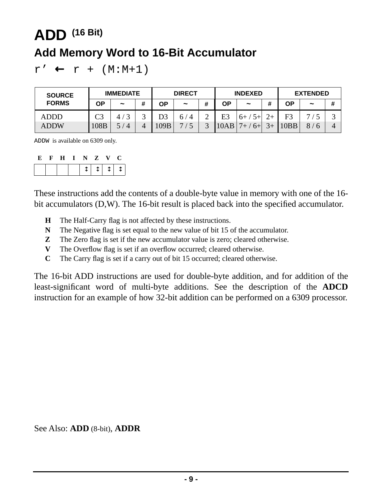## <span id="page-8-0"></span>**ADD (16 Bit) Add Memory Word to 16-Bit Accumulator**

 $r' \leftarrow r + (M:M+1)$ 

| <b>SOURCE</b> | <b>IMMEDIATE</b>   |                       |   | <b>DIRECT</b> |                     |   | <b>INDEXED</b> |               |                 | <b>EXTENDED</b> |            |   |
|---------------|--------------------|-----------------------|---|---------------|---------------------|---|----------------|---------------|-----------------|-----------------|------------|---|
| <b>FORMS</b>  | ΟP                 | $\tilde{\phantom{a}}$ | # | ΟP            | $\tilde{}$          | # | ΟP             | $\tilde{}$    | #               | ΟP              | $\tilde{}$ | # |
| ADDD          | $\mathsf{\Gamma}3$ |                       | ⌒ | D3            | 6/<br>$^{\prime}$ 4 | ∽ | E <sub>3</sub> | $5 +$<br>$6+$ |                 | F <sub>3</sub>  | −          |   |
| <b>ADDW</b>   | 108B               | $\overline{4}$        |   | 109B          | −                   |   | 10AB           | $6+$          | $\mathcal{R}_+$ | 10BB            | 8          |   |

ADDW is available on 6309 only.

| К. | F | $\mathbf{H}$ | I N Z | $\mathbf{V}$ | Œ         |
|----|---|--------------|-------|--------------|-----------|
|    |   |              |       |              | 1 1 1 1 1 |

These instructions add the contents of a double-byte value in memory with one of the 16 bit accumulators (D,W). The 16-bit result is placed back into the specified accumulator.

- **H** The Half-Carry flag is not affected by these instructions.
- **N** The Negative flag is set equal to the new value of bit 15 of the accumulator.
- **Z** The Zero flag is set if the new accumulator value is zero; cleared otherwise.
- **V** The Overflow flag is set if an overflow occurred; cleared otherwise.
- **C** The Carry flag is set if a carry out of bit 15 occurred; cleared otherwise.

The 16-bit ADD instructions are used for double-byte addition, and for addition of the least-significant word of multi-byte additions. See the description of the **[ADCD](#page-5-0)** instruction for an example of how 32-bit addition can be performed on a 6309 processor.

See Also: **[ADD](#page-7-0)** (8-bit), **[ADDR](#page-9-0)**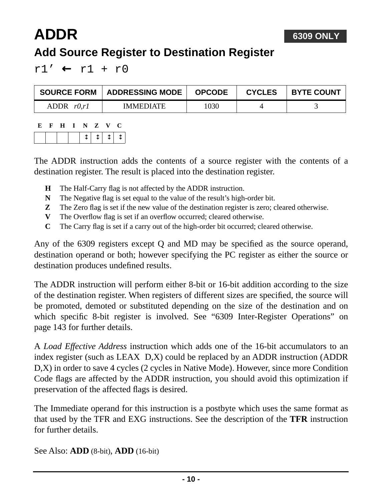### <span id="page-9-0"></span>**ADDR Add Source Register to Destination Register**

 $r1'$  ←  $r1 + r0$ 

| <b>SOURCE FORM</b> | <b>ADDRESSING MODE</b> | <b>OPCODE</b> | <b>CYCLES</b> | <b>BYTE COUNT</b> |
|--------------------|------------------------|---------------|---------------|-------------------|
| ADDR $r0,r1$       | <b>IMMEDIATE</b>       | 1030          |               |                   |

| E | $\mathbf{F}$ | $\mathbf{H}$ | $\mathbf{I}$ | Z       | N. | U |  |
|---|--------------|--------------|--------------|---------|----|---|--|
|   |              |              |              | 1 T 1 T |    |   |  |

The ADDR instruction adds the contents of a source register with the contents of a destination register. The result is placed into the destination register.

- **H** The Half-Carry flag is not affected by the ADDR instruction.
- **N** The Negative flag is set equal to the value of the result's high-order bit.
- **Z** The Zero flag is set if the new value of the destination register is zero; cleared otherwise.
- **V** The Overflow flag is set if an overflow occurred; cleared otherwise.
- **C** The Carry flag is set if a carry out of the high-order bit occurred; cleared otherwise.

Any of the 6309 registers except Q and MD may be specified as the source operand, destination operand or both; however specifying the PC register as either the source or destination produces undefined results.

The ADDR instruction will perform either 8-bit or 16-bit addition according to the size of the destination register. When registers of different sizes are specified, the source will be promoted, demoted or substituted depending on the size of the destination and on which specific 8-bit register is involved. See ["6309 Inter-Register Operations" on](#page-142-0) [page 143](#page-142-0) for further details.

A *Load Effective Address* instruction which adds one of the 16-bit accumulators to an index register (such as LEAX D,X) could be replaced by an ADDR instruction (ADDR D,X) in order to save 4 cycles (2 cycles in Native Mode). However, since more Condition Code flags are affected by the ADDR instruction, you should avoid this optimization if preservation of the affected flags is desired.

The Immediate operand for this instruction is a postbyte which uses the same format as that used by the TFR and EXG instructions. See the description of the **TFR** instruction for further details.

See Also: **[ADD](#page-7-0)** (8-bit), **[ADD](#page-8-0)** (16-bit)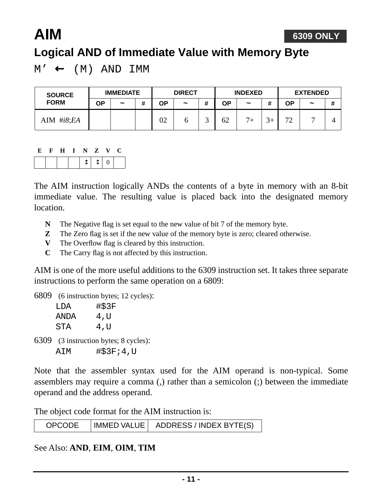#### **6309 ONLY**

### **Logical AND of Immediate Value with Memory Byte**

 $M' \leftarrow (M)$  AND IMM

<span id="page-10-0"></span>**AIM**

| <b>SOURCE</b>   |    | <b>IMMEDIATE</b> |   |    | <b>DIRECT</b> |   |    | <b>INDEXED</b> |        |                    | <b>EXTENDED</b> |   |
|-----------------|----|------------------|---|----|---------------|---|----|----------------|--------|--------------------|-----------------|---|
| <b>FORM</b>     | ΟP | $\tilde{}$       | # | ΟP | $\tilde{}$    | # | ΟP | $\tilde{}$     | π      | <b>OP</b>          | $\tilde{}$      | # |
| AIM $\#i8$ ; EA |    |                  |   | 02 |               |   | 62 | 7 <sub>1</sub> | $\sim$ | $\mathcal{L}$<br>∠ |                 |   |

| E | $\mathbf{F}$ | $\mathbf{H}$ | $\mathbf{I}$ | NZ     | $\mathbf{V}$ | C |
|---|--------------|--------------|--------------|--------|--------------|---|
|   |              |              |              | $1110$ |              |   |

The AIM instruction logically ANDs the contents of a byte in memory with an 8-bit immediate value. The resulting value is placed back into the designated memory location.

- **N** The Negative flag is set equal to the new value of bit 7 of the memory byte.
- **Z** The Zero flag is set if the new value of the memory byte is zero; cleared otherwise.
- **V** The Overflow flag is cleared by this instruction.
- **C** The Carry flag is not affected by this instruction.

AIM is one of the more useful additions to the 6309 instruction set. It takes three separate instructions to perform the same operation on a 6809:

6809 (6 instruction bytes; 12 cycles):

| T DA | #\$3F |
|------|-------|
| ANDA | 4,U   |
| STA  | 4,U   |

6309 (3 instruction bytes; 8 cycles): AIM #\$3F;4,U

Note that the assembler syntax used for the AIM operand is non-typical. Some assemblers may require a comma (,) rather than a semicolon (;) between the immediate operand and the address operand.

The object code format for the AIM instruction is:

| <b>OPCODE</b> | IMMED VALUE   ADDRESS / INDEX BYTE(S) |
|---------------|---------------------------------------|
|               |                                       |

See Also: **AND**, **EIM**, **OIM**, **TIM**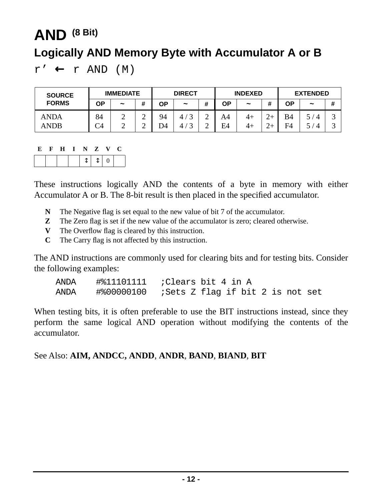## <span id="page-11-0"></span>**AND (8 Bit) Logically AND Memory Byte with Accumulator A or B**

 $r' \leftarrow r$  AND  $(M)$ 

| <b>IMMEDIATE</b><br><b>SOURCE</b> |          |                       | <b>DIRECT</b>    |          | <b>INDEXED</b>        |                     |          | <b>EXTENDED</b> |        |                 |            |        |
|-----------------------------------|----------|-----------------------|------------------|----------|-----------------------|---------------------|----------|-----------------|--------|-----------------|------------|--------|
| <b>FORMS</b>                      | ΟP       | $\tilde{\phantom{a}}$ | #                | ΟP       | $\tilde{\phantom{a}}$ | #                   | ΟP       | $\tilde{}$      | #      | ΟP              | $\tilde{}$ | #      |
| <b>ANDA</b><br><b>ANDB</b>        | 84<br>C4 | ∸<br>∸                | ⌒<br>∽<br>⌒<br>∽ | 94<br>D4 | 4.<br>4.              | $\bigcap$<br>∼<br>∸ | A4<br>E4 | $4+$<br>4+      | $\sim$ | <b>B4</b><br>F4 |            | ت<br>ت |

#### **E F H I N Z V C**

|--|

These instructions logically AND the contents of a byte in memory with either Accumulator A or B. The 8-bit result is then placed in the specified accumulator.

- **N** The Negative flag is set equal to the new value of bit 7 of the accumulator.
- **Z** The Zero flag is set if the new value of the accumulator is zero; cleared otherwise.
- **V** The Overflow flag is cleared by this instruction.
- **C** The Carry flag is not affected by this instruction.

The AND instructions are commonly used for clearing bits and for testing bits. Consider the following examples:

|  | ANDA #%11101111 ;Clears bit 4 in A               |  |
|--|--------------------------------------------------|--|
|  | ANDA #800000100 ;Sets Z flag if bit 2 is not set |  |

When testing bits, it is often preferable to use the BIT instructions instead, since they perform the same logical AND operation without modifying the contents of the accumulator.

#### See Also: **[AIM,](#page-10-0) [ANDCC,](#page-12-0) [ANDD](#page-13-0)**, **[ANDR](#page-14-0)**, **BAND**, **BIAND**, **BIT**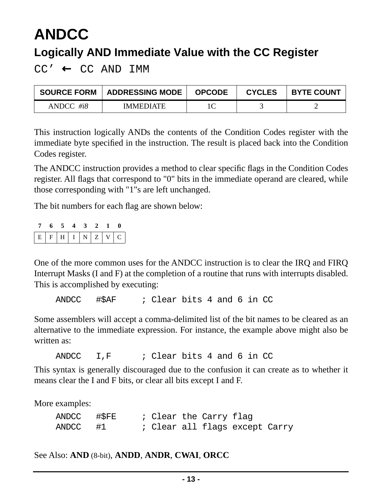## <span id="page-12-0"></span>**ANDCC Logically AND Immediate Value with the CC Register**

CC' ← CC AND IMM

| <b>SOURCE FORM</b> | <b>ADDRESSING MODE</b> | <b>OPCODE</b> | <b>CYCLES</b> | <b>BYTE COUNT</b> |
|--------------------|------------------------|---------------|---------------|-------------------|
| $ANDCC$ #i8        | <b>IMMEDIATE</b>       |               |               |                   |

This instruction logically ANDs the contents of the Condition Codes register with the immediate byte specified in the instruction. The result is placed back into the Condition Codes register.

The ANDCC instruction provides a method to clear specific flags in the Condition Codes register. All flags that correspond to "0" bits in the immediate operand are cleared, while those corresponding with "1"s are left unchanged.

The bit numbers for each flag are shown below:

|                   | 7 6 5 4 3 2 1 0 |  |  |  |
|-------------------|-----------------|--|--|--|
| $E F H I N Z V C$ |                 |  |  |  |

One of the more common uses for the ANDCC instruction is to clear the IRQ and FIRQ Interrupt Masks (I and F) at the completion of a routine that runs with interrupts disabled. This is accomplished by executing:

ANDCC #\$AF ; Clear bits 4 and 6 in CC

Some assemblers will accept a comma-delimited list of the bit names to be cleared as an alternative to the immediate expression. For instance, the example above might also be written as:

ANDCC I,F ; Clear bits 4 and 6 in CC

This syntax is generally discouraged due to the confusion it can create as to whether it means clear the I and F bits, or clear all bits except I and F.

More examples:

| ANDCC #\$FE |  |  | ; Clear the Carry flag |                                |  |
|-------------|--|--|------------------------|--------------------------------|--|
| ANDCC #1    |  |  |                        | : Clear all flags except Carry |  |

See Also: **[AND](#page-11-0)** (8-bit), **[ANDD](#page-13-0)**, **[ANDR](#page-14-0)**, **CWAI**, **ORCC**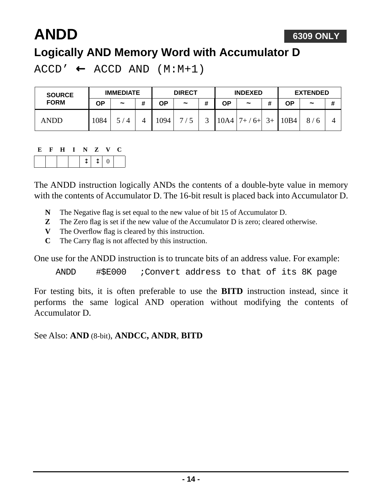#### **6309 ONLY**

### <span id="page-13-0"></span>**ANDD Logically AND Memory Word with Accumulator D**

 $ACCD' \leftarrow ACCD AND (M:M+1)$ 

| <b>SOURCE</b> | <b>IMMEDIATE</b> |                       |   | <b>DIRECT</b> |            |   | <b>INDEXED</b> |                       |      | <b>EXTENDED</b> |                       |   |
|---------------|------------------|-----------------------|---|---------------|------------|---|----------------|-----------------------|------|-----------------|-----------------------|---|
| <b>FORM</b>   | ΟP               | $\tilde{\phantom{a}}$ | # | ΟP            | $\tilde{}$ | # | ΟP             | $\tilde{\phantom{a}}$ |      | ΟP              | $\tilde{\phantom{a}}$ | # |
| <b>ANDD</b>   | 1084             | / 4                   | 4 | 1094          | <b>—</b>   |   | 10A4           | $7+$<br>$6+$          | $3+$ | 10B4            | 8                     |   |

#### **E F H I N Z V C**

The ANDD instruction logically ANDs the contents of a double-byte value in memory with the contents of Accumulator D. The 16-bit result is placed back into Accumulator D.

- **N** The Negative flag is set equal to the new value of bit 15 of Accumulator D.
- **Z** The Zero flag is set if the new value of the Accumulator D is zero; cleared otherwise.
- **V** The Overflow flag is cleared by this instruction.
- **C** The Carry flag is not affected by this instruction.

One use for the ANDD instruction is to truncate bits of an address value. For example:

ANDD #\$E000 ;Convert address to that of its 8K page

For testing bits, it is often preferable to use the **[BITD](#page-32-0)** instruction instead, since it performs the same logical AND operation without modifying the contents of Accumulator D.

See Also: **[AND](#page-11-0)** (8-bit), **[ANDCC,](#page-12-0) [ANDR](#page-14-0)**, **[BITD](#page-32-0)**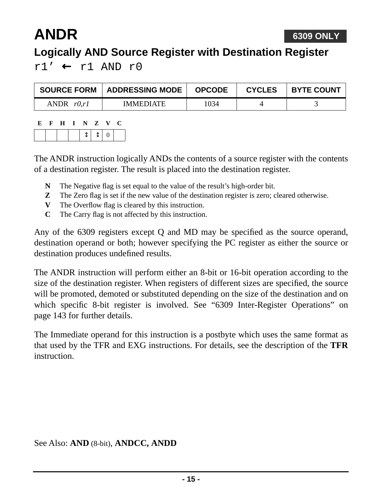# <span id="page-14-0"></span>**ANDR**

### **Logically AND Source Register with Destination Register**

 $r1'$  ←  $r1$  AND  $r0$ 

| <b>SOURCE FORM</b> | <b>ADDRESSING MODE</b> | <b>OPCODE</b> | <b>CYCLES</b> | <b>BYTE COUNT</b> |
|--------------------|------------------------|---------------|---------------|-------------------|
| r0.r1<br>ANDR      | <b>IMMEDIATE</b>       | 1034          |               |                   |

| E | ਾ ਦਿ |  | H I N Z |                  | N. | ι. |
|---|------|--|---------|------------------|----|----|
|   |      |  |         | $\mathbb{I}$   0 |    |    |

The ANDR instruction logically ANDs the contents of a source register with the contents of a destination register. The result is placed into the destination register.

- **N** The Negative flag is set equal to the value of the result's high-order bit.
- **Z** The Zero flag is set if the new value of the destination register is zero; cleared otherwise.
- **V** The Overflow flag is cleared by this instruction.
- **C** The Carry flag is not affected by this instruction.

Any of the 6309 registers except Q and MD may be specified as the source operand, destination operand or both; however specifying the PC register as either the source or destination produces undefined results.

The ANDR instruction will perform either an 8-bit or 16-bit operation according to the size of the destination register. When registers of different sizes are specified, the source will be promoted, demoted or substituted depending on the size of the destination and on which specific 8-bit register is involved. See ["6309 Inter-Register Operations" on](#page-142-0) [page 143](#page-142-0) for further details.

The Immediate operand for this instruction is a postbyte which uses the same format as that used by the TFR and EXG instructions. For details, see the description of the **TFR** instruction.

See Also: **[AND](#page-11-0)** (8-bit), **[ANDCC,](#page-12-0) [ANDD](#page-13-0)**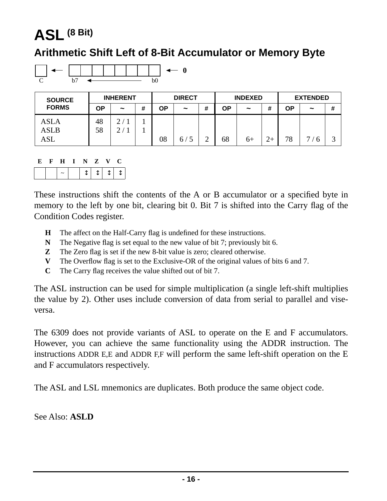## <span id="page-15-0"></span>**ASL (8 Bit)**

#### **Arithmetic Shift Left of 8-Bit Accumulator or Memory Byte**



| <b>SOURCE</b> | <b>INHERENT</b> |                       |   | <b>DIRECT</b> |                       |   | <b>INDEXED</b> |                       |  | <b>EXTENDED</b> |                       |   |
|---------------|-----------------|-----------------------|---|---------------|-----------------------|---|----------------|-----------------------|--|-----------------|-----------------------|---|
| <b>FORMS</b>  | ΟP              | $\tilde{\phantom{a}}$ | # | OΡ            | $\tilde{\phantom{a}}$ | # | ΟP             | $\tilde{\phantom{a}}$ |  | ΟP              | $\tilde{\phantom{a}}$ | # |
| <b>ASLA</b>   | 48              | $\mathcal{D}$         |   |               |                       |   |                |                       |  |                 |                       |   |
| <b>ASLB</b>   | 58              | $\bigcap$             |   |               |                       |   |                |                       |  |                 |                       |   |
| ASL           |                 |                       |   | 08            | 6/                    |   | 68             | $6+$                  |  | 78              | −<br>$\mathbf{r}$     | ⌒ |

| E | н | <b>N</b> | $\mathbf{Z}$ | $\mathbf{v}$ | U       |
|---|---|----------|--------------|--------------|---------|
|   |   |          |              |              | $T + T$ |

These instructions shift the contents of the A or B accumulator or a specified byte in memory to the left by one bit, clearing bit 0. Bit 7 is shifted into the Carry flag of the Condition Codes register.

- **H** The affect on the Half-Carry flag is undefined for these instructions.
- **N** The Negative flag is set equal to the new value of bit 7; previously bit 6.
- **Z** The Zero flag is set if the new 8-bit value is zero; cleared otherwise.
- **V** The Overflow flag is set to the Exclusive-OR of the original values of bits 6 and 7.
- **C** The Carry flag receives the value shifted out of bit 7.

The ASL instruction can be used for simple multiplication (a single left-shift multiplies the value by 2). Other uses include conversion of data from serial to parallel and viseversa.

The 6309 does not provide variants of ASL to operate on the E and F accumulators. However, you can achieve the same functionality using the ADDR instruction. The instructions ADDR E,E and ADDR F,F will perform the same left-shift operation on the E and F accumulators respectively.

The ASL and LSL mnemonics are duplicates. Both produce the same object code.

[See Also:](#page-16-0) **ASLD**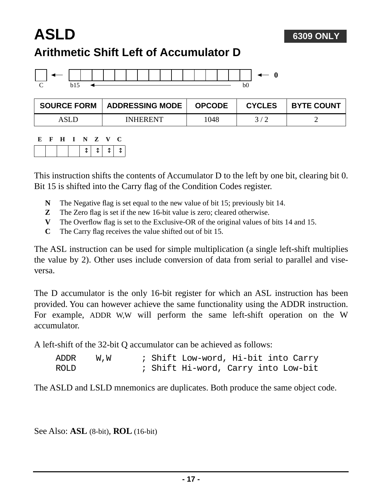### <span id="page-16-0"></span>**ASLD Arithmetic Shift Left of Accumulator D**



| <b>SOURCE FORM</b> | <b>ADDRESSING MODE</b> | <b>OPCODE</b> | <b>CYCLES</b> | <b>BYTE COUNT</b> |
|--------------------|------------------------|---------------|---------------|-------------------|
| ASLE               | <b>INHERENT</b>        | 1048          |               |                   |

**6309 ONLY**

| E | - F - | - H - | INZV |  | U.       |  |
|---|-------|-------|------|--|----------|--|
|   |       |       |      |  | $111111$ |  |

This instruction shifts the contents of Accumulator D to the left by one bit, clearing bit 0. Bit 15 is shifted into the Carry flag of the Condition Codes register.

- **N** The Negative flag is set equal to the new value of bit 15; previously bit 14.
- **Z** The Zero flag is set if the new 16-bit value is zero; cleared otherwise.
- **V** The Overflow flag is set to the Exclusive-OR of the original values of bits 14 and 15.
- **C** The Carry flag receives the value shifted out of bit 15.

The ASL instruction can be used for simple multiplication (a single left-shift multiplies the value by 2). Other uses include conversion of data from serial to parallel and viseversa.

The D accumulator is the only 16-bit register for which an ASL instruction has been provided. You can however achieve the same functionality using the ADDR instruction. For example, ADDR W,W will perform the same left-shift operation on the W accumulator.

A left-shift of the 32-bit Q accumulator can be achieved as follows:

| ADDR        | W.W |  | ; Shift Low-word, Hi-bit into Carry |  |  |
|-------------|-----|--|-------------------------------------|--|--|
| <b>ROLD</b> |     |  | ; Shift Hi-word, Carry into Low-bit |  |  |

The ASLD and LSLD mnemonics are duplicates. Both produce the same object code.

See Also: **[ASL](#page-15-0)** (8-bit), **ROL** (16-bit)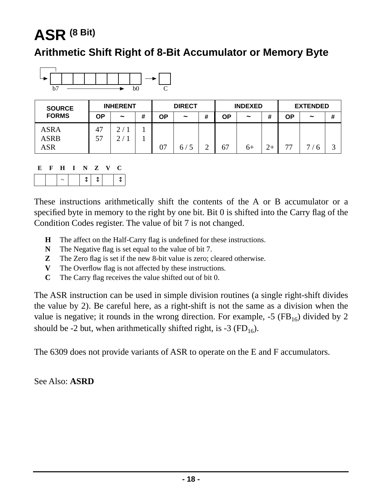## <span id="page-17-0"></span>**ASR (8 Bit)**

#### **Arithmetic Shift Right of 8-Bit Accumulator or Memory Byte**



| <b>SOURCE</b> | <b>INHERENT</b> |                       |   | <b>DIRECT</b> |            |   | <b>INDEXED</b> |                       |           | <b>EXTENDED</b> |            |   |
|---------------|-----------------|-----------------------|---|---------------|------------|---|----------------|-----------------------|-----------|-----------------|------------|---|
| <b>FORMS</b>  | OΡ              | $\tilde{\phantom{a}}$ | # | OΡ            | $\tilde{}$ | # | ΟP             | $\tilde{\phantom{a}}$ |           | ΟP              | $\tilde{}$ | # |
| <b>ASRA</b>   | 47              | ◠                     |   |               |            |   |                |                       |           |                 |            |   |
| <b>ASRB</b>   | 57              |                       |   |               |            |   |                |                       |           |                 |            |   |
| ASR           |                 |                       |   | ∩⊓<br>UΙ      | 6/         |   | 67             | $6+$                  | $\bigcap$ | 77              | −          | ⌒ |

| E | F. | $\mathbf{H}$ | I N Z V         |  | U |  |
|---|----|--------------|-----------------|--|---|--|
|   |    |              | $1$ î $1$ î $1$ |  |   |  |

These instructions arithmetically shift the contents of the A or B accumulator or a specified byte in memory to the right by one bit. Bit 0 is shifted into the Carry flag of the Condition Codes register. The value of bit 7 is not changed.

- **H** The affect on the Half-Carry flag is undefined for these instructions.
- **N** The Negative flag is set equal to the value of bit 7.
- **Z** The Zero flag is set if the new 8-bit value is zero; cleared otherwise.
- **V** The Overflow flag is not affected by these instructions.
- **C** The Carry flag receives the value shifted out of bit 0.

The ASR instruction can be used in simple division routines (a single right-shift divides the value by 2). Be careful here, as a right-shift is not the same as a division when the value is negative; it rounds in the wrong direction. For example,  $-5$  (FB<sub>16</sub>) divided by 2 should be -2 but, when arithmetically shifted right, is -3 ( $FD_{16}$ ).

The 6309 does not provide variants of ASR to operate on the E and F accumulators.

See Also: **[ASRD](#page-18-0)**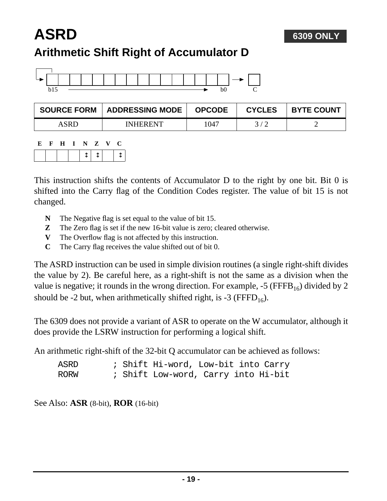#### **6309 ONLY**

## <span id="page-18-0"></span>**ASRD Arithmetic Shift Right of Accumulator D**



| <b>SOURCE FORM</b> | <b>ADDRESSING MODE</b> | <b>OPCODE</b> | <b>CYCLES</b> | <b>BYTE COUNT</b> |
|--------------------|------------------------|---------------|---------------|-------------------|
| ASRD.              | <b>INHERENT</b>        | 1047          |               |                   |

| E | <b>H</b> | $\blacksquare$ | $\mathbf{N}$ | $\mathbf{Z}$ | $\mathbf{V}$ |  |
|---|----------|----------------|--------------|--------------|--------------|--|
|   |          |                |              | $\uparrow$   |              |  |

This instruction shifts the contents of Accumulator D to the right by one bit. Bit 0 is shifted into the Carry flag of the Condition Codes register. The value of bit 15 is not changed.

- **N** The Negative flag is set equal to the value of bit 15.
- **Z** The Zero flag is set if the new 16-bit value is zero; cleared otherwise.
- **V** The Overflow flag is not affected by this instruction.
- **C** The Carry flag receives the value shifted out of bit 0.

The ASRD instruction can be used in simple division routines (a single right-shift divides the value by 2). Be careful here, as a right-shift is not the same as a division when the value is negative; it rounds in the wrong direction. For example,  $-5$  (FFFB<sub>16</sub>) divided by 2 should be -2 but, when arithmetically shifted right, is -3 ( $\text{FFFD}_{16}$ ).

The 6309 does not provide a variant of ASR to operate on the W accumulator, although it does provide the LSRW instruction for performing a logical shift.

An arithmetic right-shift of the 32-bit Q accumulator can be achieved as follows:

| ASRD |  | ; Shift Hi-word, Low-bit into Carry |  |  |
|------|--|-------------------------------------|--|--|
| RORW |  | ; Shift Low-word, Carry into Hi-bit |  |  |

See Also: **[ASR](#page-17-0)** (8-bit), **ROR** (16-bit)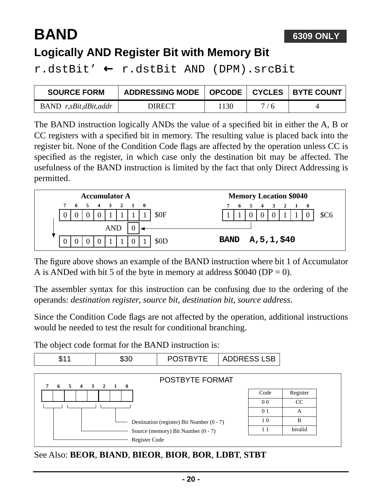# <span id="page-19-1"></span>**BAND**

### **Logically AND Register Bit with Memory Bit**

r.dstBit' ← r.dstBit AND (DPM).srcBit

| <b>SOURCE FORM</b>    | ADDRESSING MODE   OPCODE   CYCLES   BYTE COUNT |      |     |  |
|-----------------------|------------------------------------------------|------|-----|--|
| BAND r,sBit,dBit,addr | <b>DIRECT</b>                                  | .130 | 7/6 |  |

The BAND instruction logically ANDs the value of a specified bit in either the A, B or CC registers with a specified bit in memory. The resulting value is placed back into the register bit. None of the Condition Code flags are affected by the operation unless CC is specified as the register, in which case only the destination bit may be affected. The usefulness of the BAND instruction is limited by the fact that only Direct Addressing is permitted.



The figure above shows an example of the BAND instruction where bit 1 of Accumulator A is ANDed with bit 5 of the byte in memory at address  $$0040$  (DP = 0).

The assembler syntax for this instruction can be confusing due to the ordering of the operands: *destination register*, *source bit*, *destination bit*, *source address*.

Since the Condition Code flags are not affected by the operation, additional instructions would be needed to test the result for conditional branching.

The object code format for the BAND instruction is:

<span id="page-19-0"></span>

See Also: **BEOR**, **BIAND**, **BIEOR**, **BIOR**, **BOR**, **LDBT**, **STBT**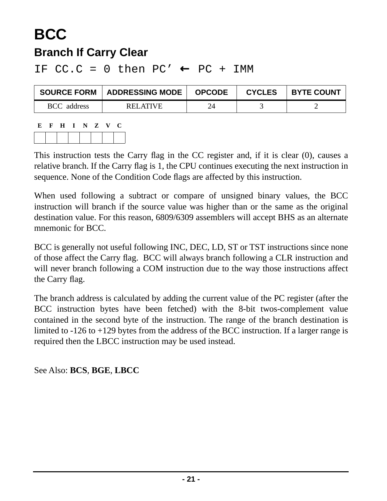### **BCC Branch If Carry Clear**

IF  $CC.C = 0$  then  $PC' \leftarrow PC + IMM$ 

| <b>SOURCE FORM</b> | <b>ADDRESSING MODE</b> | <b>OPCODE</b> | <b>CYCLES</b> | <b>BYTE COUNT</b> |
|--------------------|------------------------|---------------|---------------|-------------------|
| <b>BCC</b> address | RELATIVE               | 24            |               |                   |

**E F H I N Z V C**

This instruction tests the Carry flag in the CC register and, if it is clear (0), causes a relative branch. If the Carry flag is 1, the CPU continues executing the next instruction in sequence. None of the Condition Code flags are affected by this instruction.

When used following a subtract or compare of unsigned binary values, the BCC instruction will branch if the source value was higher than or the same as the original destination value. For this reason, 6809/6309 assemblers will accept BHS as an alternate mnemonic for BCC.

BCC is generally not useful following INC, DEC, LD, ST or TST instructions since none of those affect the Carry flag. BCC will always branch following a CLR instruction and will never branch following a COM instruction due to the way those instructions affect the Carry flag.

The branch address is calculated by adding the current value of the PC register (after the BCC instruction bytes have been fetched) with the 8-bit twos-complement value contained in the second byte of the instruction. The range of the branch destination is limited to -126 to +129 bytes from the address of the BCC instruction. If a larger range is required then the LBCC instruction may be used instead.

See Also: **BCS**, **BGE**, **LBCC**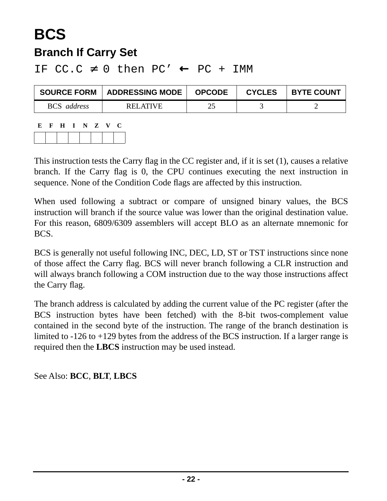### **BCS Branch If Carry Set**

IF  $CC.C \neq 0$  then  $PC' \leftarrow PC + IMM$ 

| <b>SOURCE FORM</b> | <b>ADDRESSING MODE</b> | <b>OPCODE</b> | <b>CYCLES</b> | <b>BYTE COUNT</b> |
|--------------------|------------------------|---------------|---------------|-------------------|
| <b>BCS</b> address | REI ATIVE              | າະ            |               |                   |

| Е | FHINZV |  |  | - C - |
|---|--------|--|--|-------|
|   |        |  |  |       |

This instruction tests the Carry flag in the CC register and, if it is set (1), causes a relative branch. If the Carry flag is 0, the CPU continues executing the next instruction in sequence. None of the Condition Code flags are affected by this instruction.

When used following a subtract or compare of unsigned binary values, the BCS instruction will branch if the source value was lower than the original destination value. For this reason, 6809/6309 assemblers will accept BLO as an alternate mnemonic for BCS.

BCS is generally not useful following INC, DEC, LD, ST or TST instructions since none of those affect the Carry flag. BCS will never branch following a CLR instruction and will always branch following a COM instruction due to the way those instructions affect the Carry flag.

The branch address is calculated by adding the current value of the PC register (after the BCS instruction bytes have been fetched) with the 8-bit twos-complement value contained in the second byte of the instruction. The range of the branch destination is limited to -126 to +129 bytes from the address of the BCS instruction. If a larger range is required then the **LBCS** instruction may be used instead.

See Also: **BCC**, **BLT**, **LBCS**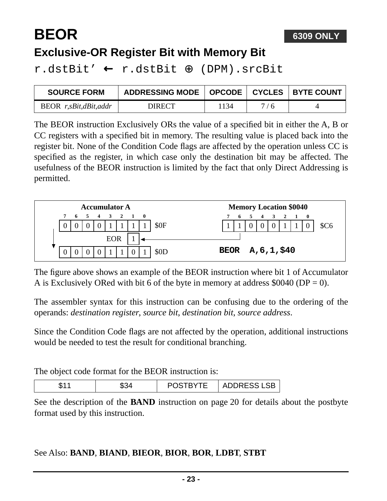# **BEOR**

### **Exclusive-OR Register Bit with Memory Bit**

r.dstBit' ← r.dstBit ⊕ (DPM).srcBit

| <b>SOURCE FORM</b>      | ADDRESSING MODE   OPCODE   CYCLES   BYTE COUNT |     |     |  |
|-------------------------|------------------------------------------------|-----|-----|--|
| $BEOR$ r,sBit,dBit,addr | DIRECT                                         | 134 | 7/6 |  |

The BEOR instruction Exclusively ORs the value of a specified bit in either the A, B or CC registers with a specified bit in memory. The resulting value is placed back into the register bit. None of the Condition Code flags are affected by the operation unless CC is specified as the register, in which case only the destination bit may be affected. The usefulness of the BEOR instruction is limited by the fact that only Direct Addressing is permitted.



The figure above shows an example of the BEOR instruction where bit 1 of Accumulator A is Exclusively ORed with bit 6 of the byte in memory at address  $$0040$  (DP = 0).

The assembler syntax for this instruction can be confusing due to the ordering of the operands: *destination register*, *source bit*, *destination bit*, *source address*.

Since the Condition Code flags are not affected by the operation, additional instructions would be needed to test the result for conditional branching.

The object code format for the BEOR instruction is:

| w | __<br>$\sim$ $\sim$ | . <i>.</i><br><u></u> |
|---|---------------------|-----------------------|
|---|---------------------|-----------------------|

See the description of the **[BAND](#page-19-1)** instruction on [page 20](#page-19-0) for details about the postbyte format used by this instruction.

#### See Also: **BAND**, **BIAND**, **BIEOR**, **BIOR**, **BOR**, **LDBT**, **STBT**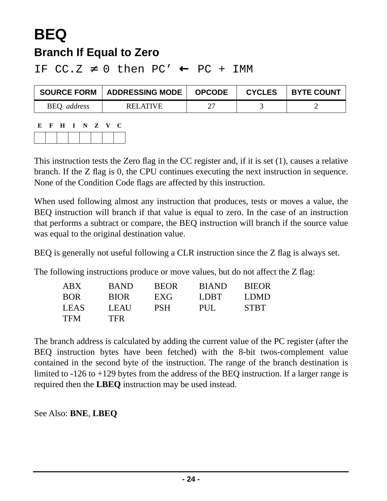### **BEQ Branch If Equal to Zero**

IF  $CC.Z \neq 0$  then  $PC' \leftarrow PC + IMM$ 

| <b>SOURCE FORM</b> | <b>ADDRESSING MODE</b> | <b>OPCODE</b> | <b>CYCLES</b> | <b>BYTE COUNT</b> |
|--------------------|------------------------|---------------|---------------|-------------------|
| <b>BEQ</b> address | RELATIVE               |               |               |                   |

| E. |  | F H I N Z V |  | 1. J . |
|----|--|-------------|--|--------|
|    |  |             |  |        |

This instruction tests the Zero flag in the CC register and, if it is set (1), causes a relative branch. If the Z flag is 0, the CPU continues executing the next instruction in sequence. None of the Condition Code flags are affected by this instruction.

When used following almost any instruction that produces, tests or moves a value, the BEQ instruction will branch if that value is equal to zero. In the case of an instruction that performs a subtract or compare, the BEQ instruction will branch if the source value was equal to the original destination value.

BEQ is generally not useful following a CLR instruction since the Z flag is always set.

The following instructions produce or move values, but do not affect the Z flag:

| ABX         | <b>BAND</b> | <b>BEOR</b> | <b>BIAND</b> | <b>BIEOR</b> |
|-------------|-------------|-------------|--------------|--------------|
| <b>BOR</b>  | <b>BIOR</b> | EXG         | LDBT         | LDMD         |
| <b>LEAS</b> | LEAU        | <b>PSH</b>  | PUL.         | <b>STBT</b>  |
| <b>TFM</b>  | <b>TFR</b>  |             |              |              |

The branch address is calculated by adding the current value of the PC register (after the BEQ instruction bytes have been fetched) with the 8-bit twos-complement value contained in the second byte of the instruction. The range of the branch destination is limited to -126 to +129 bytes from the address of the BEQ instruction. If a larger range is required then the **LBEQ** instruction may be used instead.

See Also: **BNE**, **LBEQ**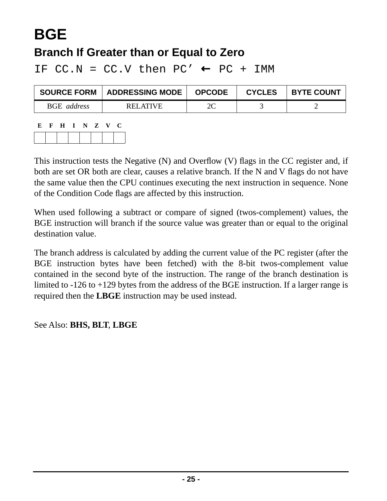# **BGE**

### **Branch If Greater than or Equal to Zero**

IF  $CC.N = CC.V$  then  $PC' \leftarrow PC + IMM$ 

| <b>SOURCE FORM</b>        | <b>ADDRESSING MODE</b> | <b>OPCODE</b> | <b>CYCLES</b> | <b>BYTE COUNT</b> |
|---------------------------|------------------------|---------------|---------------|-------------------|
| <b>BGE</b> <i>address</i> | RELATIVE               | 2C            |               |                   |

| E. | H I N Z |  | $\mathbf{V}$ | U |
|----|---------|--|--------------|---|
|    |         |  |              |   |

This instruction tests the Negative (N) and Overflow (V) flags in the CC register and, if both are set OR both are clear, causes a relative branch. If the N and V flags do not have the same value then the CPU continues executing the next instruction in sequence. None of the Condition Code flags are affected by this instruction.

When used following a subtract or compare of signed (twos-complement) values, the BGE instruction will branch if the source value was greater than or equal to the original destination value.

The branch address is calculated by adding the current value of the PC register (after the BGE instruction bytes have been fetched) with the 8-bit twos-complement value contained in the second byte of the instruction. The range of the branch destination is limited to -126 to +129 bytes from the address of the BGE instruction. If a larger range is required then the **LBGE** instruction may be used instead.

See Also: **BHS, BLT**, **LBGE**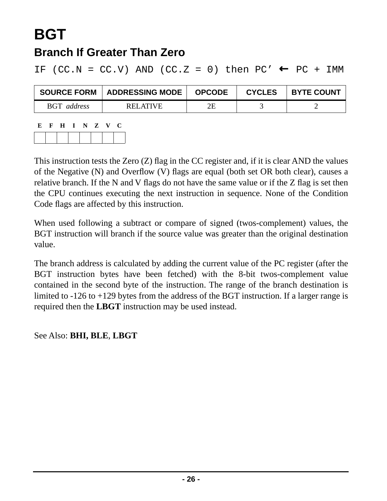# **BGT**

### **Branch If Greater Than Zero**

IF (CC.N = CC.V) AND (CC.Z = 0) then PC'  $\leftarrow$  PC + IMM

| <b>SOURCE FORM</b> | ADDRESSING MODE | <b>OPCODE</b> | <b>CYCLES</b> | <b>BYTE COUNT</b> |
|--------------------|-----------------|---------------|---------------|-------------------|
| BGT address        | RELATIVE        | 2Ε            |               |                   |

| E. | $\mathbf{F}$ | $- H$ | $\blacksquare$ | NZ V | U |
|----|--------------|-------|----------------|------|---|
|    |              |       |                |      |   |

This instruction tests the Zero (Z) flag in the CC register and, if it is clear AND the values of the Negative (N) and Overflow (V) flags are equal (both set OR both clear), causes a relative branch. If the N and V flags do not have the same value or if the Z flag is set then the CPU continues executing the next instruction in sequence. None of the Condition Code flags are affected by this instruction.

When used following a subtract or compare of signed (twos-complement) values, the BGT instruction will branch if the source value was greater than the original destination value.

The branch address is calculated by adding the current value of the PC register (after the BGT instruction bytes have been fetched) with the 8-bit twos-complement value contained in the second byte of the instruction. The range of the branch destination is limited to -126 to +129 bytes from the address of the BGT instruction. If a larger range is required then the **LBGT** instruction may be used instead.

See Also: **BHI, BLE**, **LBGT**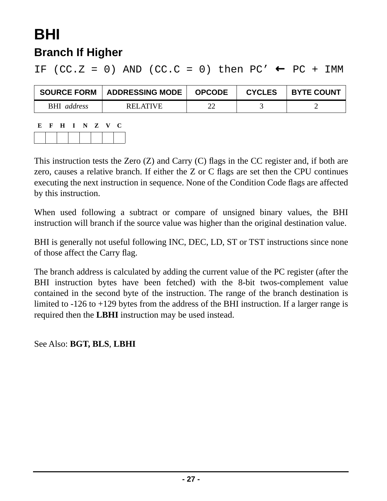## **BHI Branch If Higher**

IF (CC.Z = 0) AND (CC.C = 0) then PC'  $\leftarrow$  PC + IMM

| <b>SOURCE FORM</b> | ADDRESSING MODE | <b>OPCODE</b> | <b>CYCLES</b> | <b>BYTE COUNT</b> |
|--------------------|-----------------|---------------|---------------|-------------------|
| <b>BHI</b> address | RELATIVE        | ີ             |               |                   |

| E | $\mathbf{F}$ | H I N Z V |  |  | C |
|---|--------------|-----------|--|--|---|
|   |              |           |  |  |   |

This instruction tests the Zero (Z) and Carry (C) flags in the CC register and, if both are zero, causes a relative branch. If either the Z or C flags are set then the CPU continues executing the next instruction in sequence. None of the Condition Code flags are affected by this instruction.

When used following a subtract or compare of unsigned binary values, the BHI instruction will branch if the source value was higher than the original destination value.

BHI is generally not useful following INC, DEC, LD, ST or TST instructions since none of those affect the Carry flag.

The branch address is calculated by adding the current value of the PC register (after the BHI instruction bytes have been fetched) with the 8-bit twos-complement value contained in the second byte of the instruction. The range of the branch destination is limited to -126 to +129 bytes from the address of the BHI instruction. If a larger range is required then the **LBHI** instruction may be used instead.

See Also: **BGT, BLS**, **LBHI**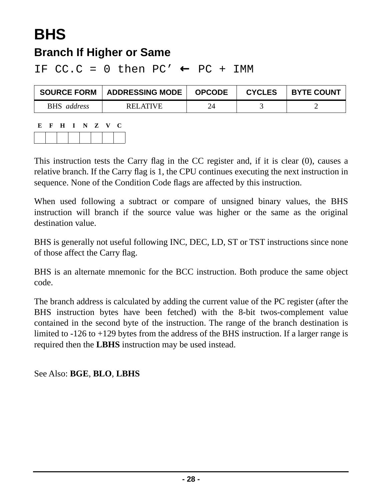# **BHS**

### **Branch If Higher or Same**

IF  $CC.C = 0$  then  $PC' \leftarrow PC + IMM$ 

| <b>SOURCE FORM</b> | <b>ADDRESSING MODE</b> | <b>OPCODE</b> | <b>CYCLES</b> | <b>BYTE COUNT</b> |
|--------------------|------------------------|---------------|---------------|-------------------|
| <b>BHS</b> address | RELATIVE               | 24            |               |                   |

| Е. | $\mathbf{F}$ | H I N Z V |  | U |
|----|--------------|-----------|--|---|
|    |              |           |  |   |

This instruction tests the Carry flag in the CC register and, if it is clear (0), causes a relative branch. If the Carry flag is 1, the CPU continues executing the next instruction in sequence. None of the Condition Code flags are affected by this instruction.

When used following a subtract or compare of unsigned binary values, the BHS instruction will branch if the source value was higher or the same as the original destination value.

BHS is generally not useful following INC, DEC, LD, ST or TST instructions since none of those affect the Carry flag.

BHS is an alternate mnemonic for the BCC instruction. Both produce the same object code.

The branch address is calculated by adding the current value of the PC register (after the BHS instruction bytes have been fetched) with the 8-bit twos-complement value contained in the second byte of the instruction. The range of the branch destination is limited to -126 to +129 bytes from the address of the BHS instruction. If a larger range is required then the **LBHS** instruction may be used instead.

See Also: **BGE**, **BLO**, **LBHS**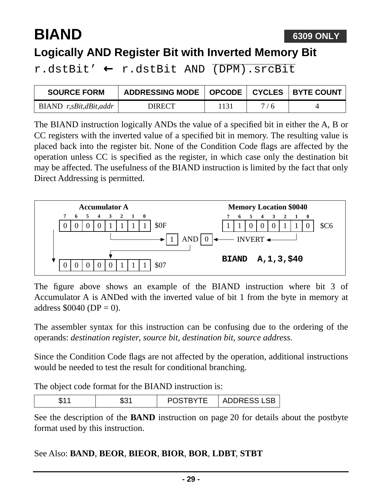## **BIAND**

### **Logically AND Register Bit with Inverted Memory Bit**

r.dstBit' ← r.dstBit AND (DPM).srcBit

| <b>SOURCE FORM</b>     | ADDRESSING MODE   OPCODE   CYCLES   BYTE COUNT |     |     |  |
|------------------------|------------------------------------------------|-----|-----|--|
| BIAND r,sBit,dBit,addr | DIRECT                                         | 131 | 7/6 |  |

The BIAND instruction logically ANDs the value of a specified bit in either the A, B or CC registers with the inverted value of a specified bit in memory. The resulting value is placed back into the register bit. None of the Condition Code flags are affected by the operation unless CC is specified as the register, in which case only the destination bit may be affected. The usefulness of the BIAND instruction is limited by the fact that only Direct Addressing is permitted.



The figure above shows an example of the BIAND instruction where bit 3 of Accumulator A is ANDed with the inverted value of bit 1 from the byte in memory at address  $$0040 (DP = 0).$ 

The assembler syntax for this instruction can be confusing due to the ordering of the operands: *destination register*, *source bit*, *destination bit*, *source address*.

Since the Condition Code flags are not affected by the operation, additional instructions would be needed to test the result for conditional branching.

The object code format for the BIAND instruction is:

| ጡጣ⊿<br>ن 70<br>ъ.<br>u | TBYTE<br>. | RESS<br>$\cdot$ CD.<br>ADDRESJ |
|------------------------|------------|--------------------------------|
|------------------------|------------|--------------------------------|

See the description of the **[BAND](#page-19-1)** instruction on [page 20](#page-19-0) for details about the postbyte format used by this instruction.

#### See Also: **BAND**, **BEOR**, **BIEOR**, **BIOR**, **BOR**, **LDBT**, **STBT**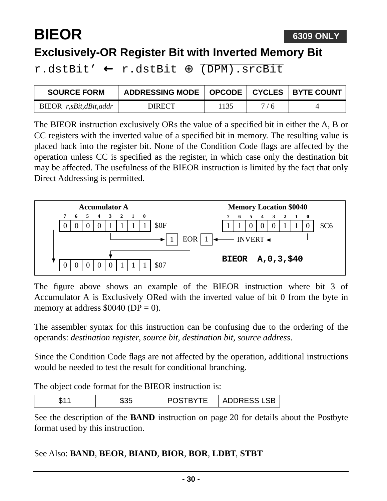## **BIEOR**

### **Exclusively-OR Register Bit with Inverted Memory Bit**

r.dstBit' ← r.dstBit ⊕ (DPM).srcBit

| <b>SOURCE FORM</b>     | ADDRESSING MODE   OPCODE   CYCLES   BYTE COUNT |      |     |  |
|------------------------|------------------------------------------------|------|-----|--|
| BIEOR r,sBit,dBit,addr | DIRECT                                         | 1135 | 7/6 |  |

The BIEOR instruction exclusively ORs the value of a specified bit in either the A, B or CC registers with the inverted value of a specified bit in memory. The resulting value is placed back into the register bit. None of the Condition Code flags are affected by the operation unless CC is specified as the register, in which case only the destination bit may be affected. The usefulness of the BIEOR instruction is limited by the fact that only Direct Addressing is permitted.



The figure above shows an example of the BIEOR instruction where bit 3 of Accumulator A is Exclusively ORed with the inverted value of bit 0 from the byte in memory at address  $$0040$  (DP = 0).

The assembler syntax for this instruction can be confusing due to the ordering of the operands: *destination register*, *source bit*, *destination bit*, *source address*.

Since the Condition Code flags are not affected by the operation, additional instructions would be needed to test the result for conditional branching.

The object code format for the BIEOR instruction is:

| ъ.<br>u | $\sim$ $\sim$<br>-35<br>Ψ∪ພ | T<br>$\blacksquare$<br>.<br>ั | $CCC$ $1$ $CD$<br>ADDRESS<br>LOD |
|---------|-----------------------------|-------------------------------|----------------------------------|
|---------|-----------------------------|-------------------------------|----------------------------------|

See the description of the **[BAND](#page-19-1)** instruction on [page 20](#page-19-0) for details about the Postbyte format used by this instruction.

#### See Also: **BAND**, **BEOR**, **BIAND**, **BIOR**, **BOR**, **LDBT**, **STBT**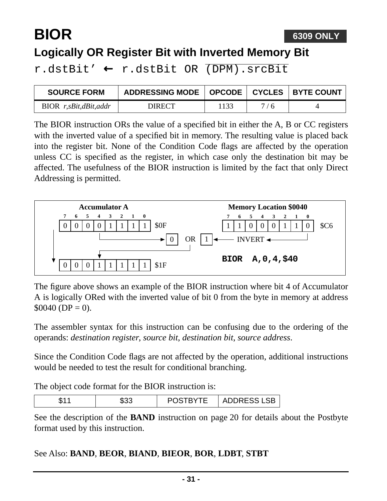# **BIOR**

#### **Logically OR Register Bit with Inverted Memory Bit**

r.dstBit' ← r.dstBit OR (DPM).srcBit

| <b>SOURCE FORM</b>      | ADDRESSING MODE   OPCODE   CYCLES   BYTE COUNT |      |     |  |
|-------------------------|------------------------------------------------|------|-----|--|
| $BIOR$ r,sBit,dBit,addr | <b>DIRECT</b>                                  | 1133 | 7/6 |  |

The BIOR instruction ORs the value of a specified bit in either the A, B or CC registers with the inverted value of a specified bit in memory. The resulting value is placed back into the register bit. None of the Condition Code flags are affected by the operation unless CC is specified as the register, in which case only the destination bit may be affected. The usefulness of the BIOR instruction is limited by the fact that only Direct Addressing is permitted.



The figure above shows an example of the BIOR instruction where bit 4 of Accumulator A is logically ORed with the inverted value of bit 0 from the byte in memory at address  $$0040 (DP = 0).$ 

The assembler syntax for this instruction can be confusing due to the ordering of the operands: *destination register*, *source bit*, *destination bit*, *source address*.

Since the Condition Code flags are not affected by the operation, additional instructions would be needed to test the result for conditional branching.

The object code format for the BIOR instruction is:

| u | ጦጣጦ | ΊE<br>$\sim$<br>- | ADDRESC<br>◡◡ |
|---|-----|-------------------|---------------|
|---|-----|-------------------|---------------|

See the description of the **[BAND](#page-19-1)** instruction on [page 20](#page-19-0) for details about the Postbyte format used by this instruction.

#### See Also: **BAND**, **BEOR**, **BIAND**, **BIEOR**, **BOR**, **LDBT**, **STBT**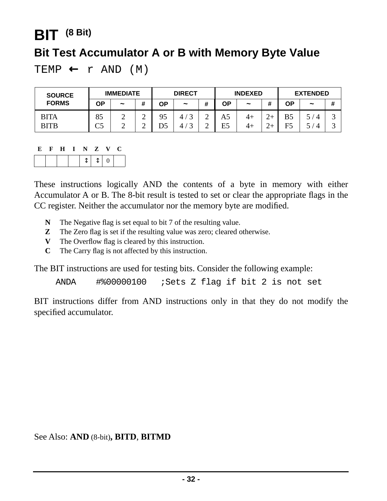### **BIT (8 Bit)**

#### **Bit Test Accumulator A or B with Memory Byte Value**

TEMP  $\leftarrow$  r AND (M)

| <b>SOURCE</b>              | <b>IMMEDIATE</b> |                       | <b>DIRECT</b>    |    | <b>INDEXED</b>                     |                  |          | <b>EXTENDED</b> |        |          |            |        |
|----------------------------|------------------|-----------------------|------------------|----|------------------------------------|------------------|----------|-----------------|--------|----------|------------|--------|
| <b>FORMS</b>               | ΟP               | $\tilde{\phantom{a}}$ | #                | ΟP | $\tilde{}$                         | #                | ΟP       | $\tilde{}$      | 4<br>π | ΟP       | $\tilde{}$ | #      |
| <b>BITA</b><br><b>BITB</b> | 85<br>∼<<br>ري   | ∸<br>∸                | ◠<br>∽<br>⌒<br>∽ | 95 | 4,<br>$\sqrt{2}$<br>4 <sup>1</sup> | ⌒<br>↩<br>⌒<br>∸ | A5<br>E5 | 4+<br>4+        | $\sim$ | B5<br>F5 |            | ت<br>ت |

| К. | н | L | $\mathbf{z}$                                                                                                                                                                                                                                                                                                                                                                                                                                                            | v |  |
|----|---|---|-------------------------------------------------------------------------------------------------------------------------------------------------------------------------------------------------------------------------------------------------------------------------------------------------------------------------------------------------------------------------------------------------------------------------------------------------------------------------|---|--|
|    |   |   | $\begin{array}{c c c c c c c c c} \hline \multicolumn{3}{c }{\uparrow} & \multicolumn{3}{c }{\uparrow} & \multicolumn{3}{c }{\uparrow} & \multicolumn{3}{c }{\uparrow} & \multicolumn{3}{c }{\uparrow} & \multicolumn{3}{c }{\uparrow} & \multicolumn{3}{c }{\uparrow} & \multicolumn{3}{c }{\uparrow} & \multicolumn{3}{c }{\uparrow} & \multicolumn{3}{c }{\uparrow} & \multicolumn{3}{c }{\uparrow} & \multicolumn{3}{c }{\uparrow} & \multicolumn{3}{c }{\uparrow}$ |   |  |

These instructions logically AND the contents of a byte in memory with either Accumulator A or B. The 8-bit result is tested to set or clear the appropriate flags in the CC register. Neither the accumulator nor the memory byte are modified.

- **N** The Negative flag is set equal to bit 7 of the resulting value.
- **Z** The Zero flag is set if the resulting value was zero; cleared otherwise.
- **V** The Overflow flag is cleared by this instruction.
- **C** The Carry flag is not affected by this instruction.

The BIT instructions are used for testing bits. Consider the following example:

ANDA #%00000100 ;Sets Z flag if bit 2 is not set

BIT instructions differ from AND instructions only in that they do not modify the specified accumulator.

See Also: **[AND](#page-11-0)** (8-bit)**[, BITD](#page-32-0)**, **[BITMD](#page-33-0)**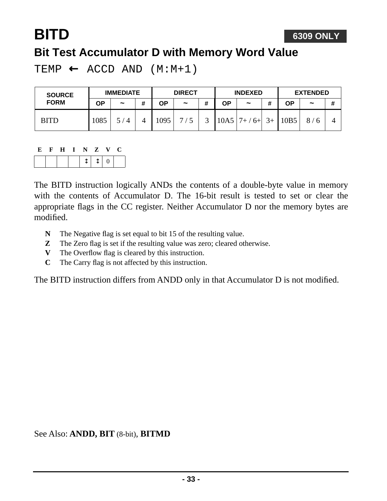## <span id="page-32-0"></span>**BITD Bit Test Accumulator D with Memory Word Value**

TEMP  $\leftarrow$  ACCD AND  $(M:M+1)$ 

| <b>SOURCE</b> | <b>IMMEDIATE</b> |                              | <b>DIRECT</b> |      | <b>INDEXED</b>        |   |      | <b>EXTENDED</b>       |      |      |                       |   |
|---------------|------------------|------------------------------|---------------|------|-----------------------|---|------|-----------------------|------|------|-----------------------|---|
| <b>FORM</b>   | ΟP               | $\tilde{\phantom{a}}$        | #             | ΟP   | $\tilde{\phantom{a}}$ | # | ΟP   | $\tilde{\phantom{a}}$ |      | ΟP   | $\tilde{\phantom{a}}$ | # |
| <b>BITD</b>   | 1085             | $\epsilon$<br>$\overline{4}$ |               | 1095 | 7/                    |   | 10A5 | $7+$<br>$6+$          | $3+$ | 10B5 | 8/                    |   |

The BITD instruction logically ANDs the contents of a double-byte value in memory with the contents of Accumulator D. The 16-bit result is tested to set or clear the appropriate flags in the CC register. Neither Accumulator D nor the memory bytes are modified.

- **N** The Negative flag is set equal to bit 15 of the resulting value.
- **Z** The Zero flag is set if the resulting value was zero; cleared otherwise.
- **V** The Overflow flag is cleared by this instruction.
- **C** The Carry flag is not affected by this instruction.

The BITD instruction differs from ANDD only in that Accumulator D is not modified.

See Also: **ANDD, BIT** (8-bit), **BITMD**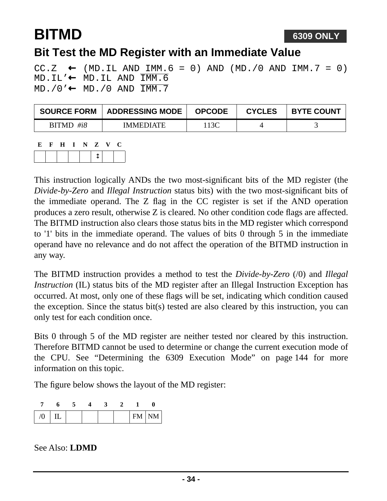## <span id="page-33-0"></span>**BITMD**

### **Bit Test the MD Register with an Immediate Value**

CC.Z  $\leftarrow$  (MD.IL AND IMM.6 = 0) AND (MD./0 AND IMM.7 = 0)  $MD.IL' \leftarrow MD.IL AND Tim.G$  $MD.70' \leftarrow MD.70$  AND  $TMM.7$ 

| <b>SOURCE FORM</b> | ADDRESSING MODE  | <b>OPCODE</b> | <b>CYCLES</b> | <b>BYTE COUNT</b> |
|--------------------|------------------|---------------|---------------|-------------------|
| $BITMD$ #i8        | <b>IMMEDIATE</b> | '13C          |               |                   |

| E | H | N | Z | V | U. |
|---|---|---|---|---|----|
|   |   |   |   |   |    |

This instruction logically ANDs the two most-significant bits of the MD register (the *Divide-by-Zero* and *Illegal Instruction* status bits) with the two most-significant bits of the immediate operand. The Z flag in the CC register is set if the AND operation produces a zero result, otherwise Z is cleared. No other condition code flags are affected. The BITMD instruction also clears those status bits in the MD register which correspond to '1' bits in the immediate operand. The values of bits 0 through 5 in the immediate operand have no relevance and do not affect the operation of the BITMD instruction in any way.

The BITMD instruction provides a method to test the *Divide-by-Zero* (/0) and *Illegal Instruction* (IL) status bits of the MD register after an Illegal Instruction Exception has occurred. At most, only one of these flags will be set, indicating which condition caused the exception. Since the status bit(s) tested are also cleared by this instruction, you can only test for each condition once.

Bits 0 through 5 of the MD register are neither tested nor cleared by this instruction. Therefore BITMD cannot be used to determine or change the current execution mode of the CPU. See ["Determining the 6309 Execution Mode" on page 144](#page-143-0) for more information on this topic.

The figure below shows the layout of the MD register:

| U |  |  |  | $FM$   NM |
|---|--|--|--|-----------|

See Also: **LDMD**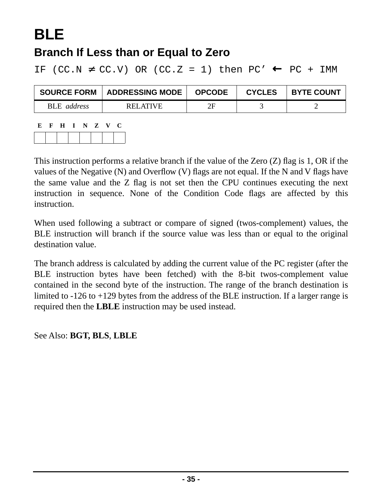# **BLE**

### **Branch If Less than or Equal to Zero**

IF (CC.N  $\neq$  CC.V) OR (CC.Z = 1) then PC'  $\leftarrow$  PC + IMM

| <b>SOURCE FORM</b> | ADDRESSING MODE | <b>OPCODE</b> | <b>CYCLES</b> | <b>BYTE COUNT</b> |
|--------------------|-----------------|---------------|---------------|-------------------|
| BLE address        | <b>RELATIVE</b> | 2Ε            |               |                   |

| E. | - F - | - H | INZV |  | U |
|----|-------|-----|------|--|---|
|    |       |     |      |  |   |

This instruction performs a relative branch if the value of the Zero (Z) flag is 1, OR if the values of the Negative (N) and Overflow (V) flags are not equal. If the N and V flags have the same value and the Z flag is not set then the CPU continues executing the next instruction in sequence. None of the Condition Code flags are affected by this **instruction** 

When used following a subtract or compare of signed (twos-complement) values, the BLE instruction will branch if the source value was less than or equal to the original destination value.

The branch address is calculated by adding the current value of the PC register (after the BLE instruction bytes have been fetched) with the 8-bit twos-complement value contained in the second byte of the instruction. The range of the branch destination is limited to -126 to +129 bytes from the address of the BLE instruction. If a larger range is required then the **LBLE** instruction may be used instead.

See Also: **BGT, BLS**, **LBLE**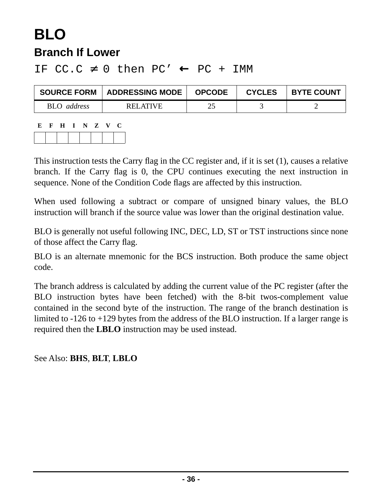### **BLO Branch If Lower**

#### IF  $CC.C \neq 0$  then  $PC' \leftarrow PC + IMM$

| <b>SOURCE FORM</b> | <b>ADDRESSING MODE</b> | <b>OPCODE</b> | <b>CYCLES</b> | <b>BYTE COUNT</b> |
|--------------------|------------------------|---------------|---------------|-------------------|
| <b>BLO</b> address | RELATIVE               | 25            |               |                   |

| К. | $\mathbf{F}$ | H I N Z V |  |  | U |
|----|--------------|-----------|--|--|---|
|    |              |           |  |  |   |

This instruction tests the Carry flag in the CC register and, if it is set (1), causes a relative branch. If the Carry flag is 0, the CPU continues executing the next instruction in sequence. None of the Condition Code flags are affected by this instruction.

When used following a subtract or compare of unsigned binary values, the BLO instruction will branch if the source value was lower than the original destination value.

BLO is generally not useful following INC, DEC, LD, ST or TST instructions since none of those affect the Carry flag.

BLO is an alternate mnemonic for the BCS instruction. Both produce the same object code.

The branch address is calculated by adding the current value of the PC register (after the BLO instruction bytes have been fetched) with the 8-bit twos-complement value contained in the second byte of the instruction. The range of the branch destination is limited to -126 to +129 bytes from the address of the BLO instruction. If a larger range is required then the **LBLO** instruction may be used instead.

See Also: **BHS**, **BLT**, **LBLO**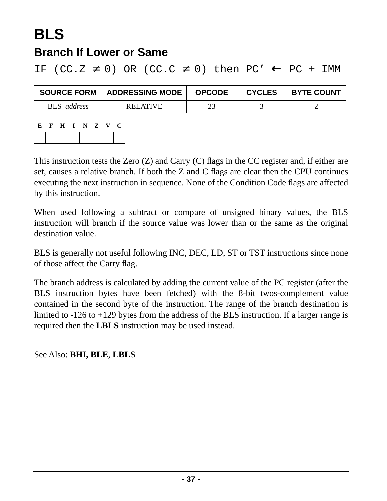# **BLS**

### **Branch If Lower or Same**

IF (CC.Z  $\neq$  0) OR (CC.C  $\neq$  0) then PC'  $\leftarrow$  PC + IMM

| <b>SOURCE FORM</b> | <b>ADDRESSING MODE</b> | <b>OPCODE</b> | <b>CYCLES</b> | <b>BYTE COUNT</b> |  |
|--------------------|------------------------|---------------|---------------|-------------------|--|
| <b>BLS</b> address | RELATIVE               | າເ            |               |                   |  |

| Е | $\mathbf{H}$ | IN Z | V. | U |
|---|--------------|------|----|---|
|   |              |      |    |   |

This instruction tests the Zero (Z) and Carry (C) flags in the CC register and, if either are set, causes a relative branch. If both the Z and C flags are clear then the CPU continues executing the next instruction in sequence. None of the Condition Code flags are affected by this instruction.

When used following a subtract or compare of unsigned binary values, the BLS instruction will branch if the source value was lower than or the same as the original destination value.

BLS is generally not useful following INC, DEC, LD, ST or TST instructions since none of those affect the Carry flag.

The branch address is calculated by adding the current value of the PC register (after the BLS instruction bytes have been fetched) with the 8-bit twos-complement value contained in the second byte of the instruction. The range of the branch destination is limited to -126 to +129 bytes from the address of the BLS instruction. If a larger range is required then the **LBLS** instruction may be used instead.

See Also: **BHI, BLE**, **LBLS**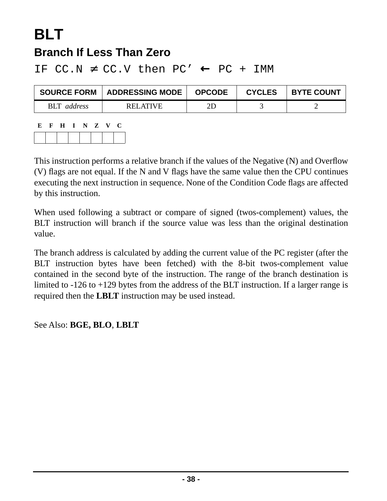## **BLT Branch If Less Than Zero**

**SOURCE FORM ADDRESSING MODE OPCODE CYCLES BYTE COUNT** BLT address RELATIVE 2D 3 2

IF CC.N  $\neq$  CC.V then PC'  $\leftarrow$  PC + IMM

| E |  | F H I N Z V |  | C |
|---|--|-------------|--|---|
|   |  |             |  |   |

This instruction performs a relative branch if the values of the Negative (N) and Overflow (V) flags are not equal. If the N and V flags have the same value then the CPU continues executing the next instruction in sequence. None of the Condition Code flags are affected by this instruction.

When used following a subtract or compare of signed (twos-complement) values, the BLT instruction will branch if the source value was less than the original destination value.

The branch address is calculated by adding the current value of the PC register (after the BLT instruction bytes have been fetched) with the 8-bit twos-complement value contained in the second byte of the instruction. The range of the branch destination is limited to -126 to +129 bytes from the address of the BLT instruction. If a larger range is required then the **LBLT** instruction may be used instead.

#### See Also: **BGE, BLO**, **LBLT**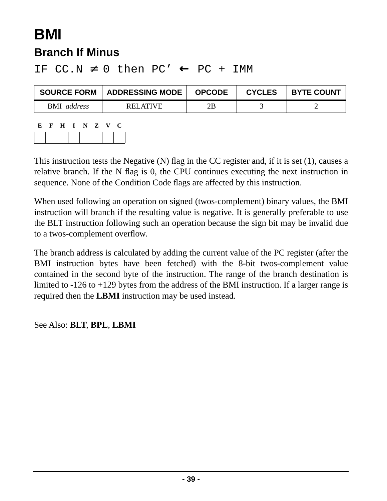## **BMI Branch If Minus**

| <b>SOURCE FORM</b>        | ADDRESSING MODE | <b>OPCODE</b> | <b>CYCLES</b> | <b>BYTE COUNT</b> |
|---------------------------|-----------------|---------------|---------------|-------------------|
| <b>BMI</b> <i>address</i> | <b>RELATIVE</b> | 2R            |               |                   |

IF  $CC.N \neq 0$  then  $PC' \leftarrow PC + IMM$ 

| E |  | F H I N Z V |  | - 0 |
|---|--|-------------|--|-----|
|   |  |             |  |     |

This instruction tests the Negative (N) flag in the CC register and, if it is set (1), causes a relative branch. If the N flag is 0, the CPU continues executing the next instruction in sequence. None of the Condition Code flags are affected by this instruction.

When used following an operation on signed (twos-complement) binary values, the BMI instruction will branch if the resulting value is negative. It is generally preferable to use the BLT instruction following such an operation because the sign bit may be invalid due to a twos-complement overflow.

The branch address is calculated by adding the current value of the PC register (after the BMI instruction bytes have been fetched) with the 8-bit twos-complement value contained in the second byte of the instruction. The range of the branch destination is limited to -126 to +129 bytes from the address of the BMI instruction. If a larger range is required then the **LBMI** instruction may be used instead.

#### See Also: **BLT**, **BPL**, **LBMI**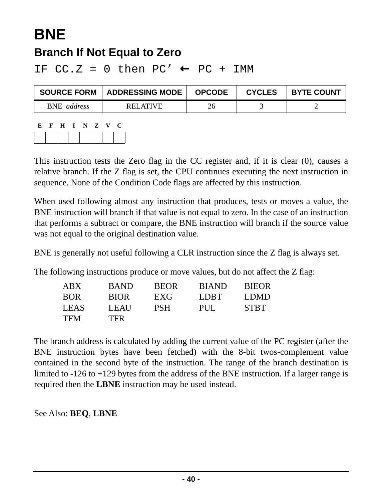# **BNE**

## **Branch If Not Equal to Zero**

IF  $CC.Z = 0$  then  $PC' \leftarrow PC + IMM$ 

| <b>SOURCE FORM</b> | <b>ADDRESSING MODE</b> | <b>OPCODE</b> | <b>CYCLES</b> | <b>BYTE COUNT</b> |
|--------------------|------------------------|---------------|---------------|-------------------|
| <b>BNE</b> address | RELATIVE               | 26            |               |                   |

| Е | $\mathbf{F}$ | $\mathbf{H}$ | I N Z V |  | € |
|---|--------------|--------------|---------|--|---|
|   |              |              |         |  |   |

This instruction tests the Zero flag in the CC register and, if it is clear (0), causes a relative branch. If the Z flag is set, the CPU continues executing the next instruction in sequence. None of the Condition Code flags are affected by this instruction.

When used following almost any instruction that produces, tests or moves a value, the BNE instruction will branch if that value is not equal to zero. In the case of an instruction that performs a subtract or compare, the BNE instruction will branch if the source value was not equal to the original destination value.

BNE is generally not useful following a CLR instruction since the Z flag is always set.

The following instructions produce or move values, but do not affect the Z flag:

| <b>ABX</b>  | <b>BAND</b> | <b>BEOR</b> | <b>BIAND</b> | <b>BIEOR</b> |
|-------------|-------------|-------------|--------------|--------------|
| <b>BOR</b>  | <b>BIOR</b> | EXG         | LDBT.        | LDMD         |
| <b>LEAS</b> | LEAU        | <b>PSH</b>  | PUL.         | <b>STBT</b>  |
| TFM         | <b>TFR</b>  |             |              |              |

The branch address is calculated by adding the current value of the PC register (after the BNE instruction bytes have been fetched) with the 8-bit twos-complement value contained in the second byte of the instruction. The range of the branch destination is limited to -126 to +129 bytes from the address of the BNE instruction. If a larger range is required then the **LBNE** instruction may be used instead.

See Also: **BEQ**, **LBNE**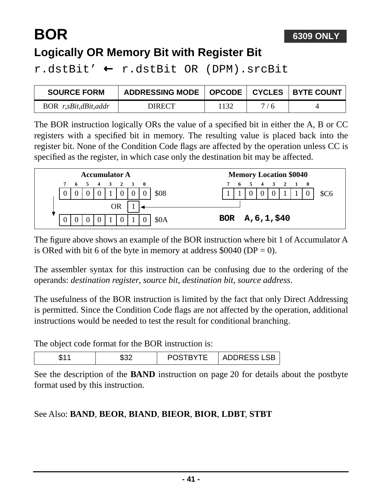# **BOR**

## **Logically OR Memory Bit with Register Bit**

r.dstBit' ← r.dstBit OR (DPM).srcBit

| <b>SOURCE FORM</b>   | ADDRESSING MODE   OPCODE   CYCLES   BYTE COUNT |      |     |  |
|----------------------|------------------------------------------------|------|-----|--|
| BOR r,sBit,dBit,addr | DIRECT                                         | 1132 | 7/6 |  |

The BOR instruction logically ORs the value of a specified bit in either the A, B or CC registers with a specified bit in memory. The resulting value is placed back into the register bit. None of the Condition Code flags are affected by the operation unless CC is specified as the register, in which case only the destination bit may be affected.

| <b>Accumulator A</b> |           |    |            |  |  |                   |  | <b>Memory Location \$0040</b> |      |  |    |                    |                |  |         |      |
|----------------------|-----------|----|------------|--|--|-------------------|--|-------------------------------|------|--|----|--------------------|----------------|--|---------|------|
|                      | 7         | -6 | $\sqrt{5}$ |  |  | 4   3   2   1   0 |  |                               |      |  | -6 | 5.                 | $\overline{4}$ |  | 3 2 1 0 |      |
|                      |           |    |            |  |  |                   |  |                               | \$08 |  |    |                    |                |  |         | \$C6 |
|                      | <b>OR</b> |    |            |  |  |                   |  |                               |      |  |    |                    |                |  |         |      |
|                      |           |    |            |  |  |                   |  |                               | \$0A |  |    | BOR $A, 6, 1, 540$ |                |  |         |      |

The figure above shows an example of the BOR instruction where bit 1 of Accumulator A is ORed with bit 6 of the byte in memory at address  $$0040$  (DP = 0).

The assembler syntax for this instruction can be confusing due to the ordering of the operands: *destination register*, *source bit*, *destination bit*, *source address*.

The usefulness of the BOR instruction is limited by the fact that only Direct Addressing is permitted. Since the Condition Code flags are not affected by the operation, additional instructions would be needed to test the result for conditional branching.

The object code format for the BOR instruction is:

| л.<br>۰D. | <b>*TDVTF</b> | <u>д</u><br>∟ப<br>ъ.<br>-------- |
|-----------|---------------|----------------------------------|
|-----------|---------------|----------------------------------|

See the description of the **[BAND](#page-19-1)** instruction on [page 20](#page-19-0) for details about the postbyte format used by this instruction.

#### See Also: **BAND**, **BEOR**, **BIAND**, **BIEOR**, **BIOR**, **LDBT**, **STBT**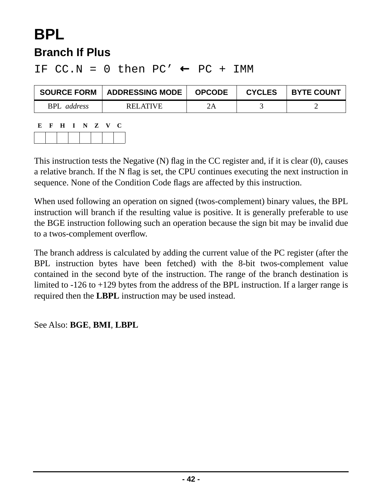# **BPL Branch If Plus**

#### IF  $CC.N = 0$  then  $PC' \leftarrow PC + IMM$

| <b>SOURCE FORM</b> | ADDRESSING MODE | <b>OPCODE</b> | <b>CYCLES</b> | <b>BYTE COUNT</b> |
|--------------------|-----------------|---------------|---------------|-------------------|
| <b>BPL</b> address | RELATIVE        |               |               |                   |
|                    |                 |               |               |                   |

| К. | . н. | . н. | $\blacksquare$ | N Z |  |  |
|----|------|------|----------------|-----|--|--|
|    |      |      |                |     |  |  |

This instruction tests the Negative (N) flag in the CC register and, if it is clear (0), causes a relative branch. If the N flag is set, the CPU continues executing the next instruction in sequence. None of the Condition Code flags are affected by this instruction.

When used following an operation on signed (twos-complement) binary values, the BPL instruction will branch if the resulting value is positive. It is generally preferable to use the BGE instruction following such an operation because the sign bit may be invalid due to a twos-complement overflow.

The branch address is calculated by adding the current value of the PC register (after the BPL instruction bytes have been fetched) with the 8-bit twos-complement value contained in the second byte of the instruction. The range of the branch destination is limited to -126 to +129 bytes from the address of the BPL instruction. If a larger range is required then the **LBPL** instruction may be used instead.

See Also: **BGE**, **BMI**, **LBPL**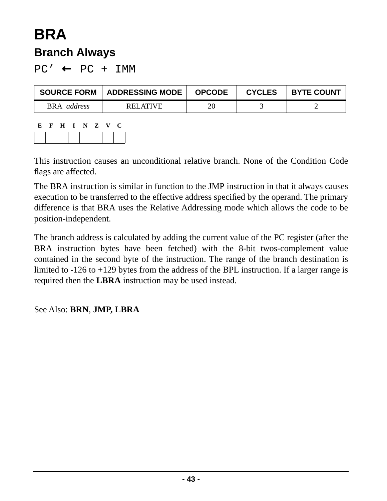## **BRA Branch Always**

 $PC' \leftarrow PC + IMM$ 

| <b>SOURCE FORM</b> | <b>ADDRESSING MODE</b> | <b>OPCODE</b> | <b>CYCLES</b> | <b>BYTE COUNT</b> |
|--------------------|------------------------|---------------|---------------|-------------------|
| BRA <i>address</i> | RELATIVE               | 20            |               |                   |

| Ľ. | F | $\mathbf{H}$ | $I \tN Z$ | $\mathbf{V}$ | U |
|----|---|--------------|-----------|--------------|---|
|    |   |              |           |              |   |

This instruction causes an unconditional relative branch. None of the Condition Code flags are affected.

The BRA instruction is similar in function to the JMP instruction in that it always causes execution to be transferred to the effective address specified by the operand. The primary difference is that BRA uses the Relative Addressing mode which allows the code to be position-independent.

The branch address is calculated by adding the current value of the PC register (after the BRA instruction bytes have been fetched) with the 8-bit twos-complement value contained in the second byte of the instruction. The range of the branch destination is limited to -126 to +129 bytes from the address of the BPL instruction. If a larger range is required then the **LBRA** instruction may be used instead.

See Also: **BRN**, **JMP, LBRA**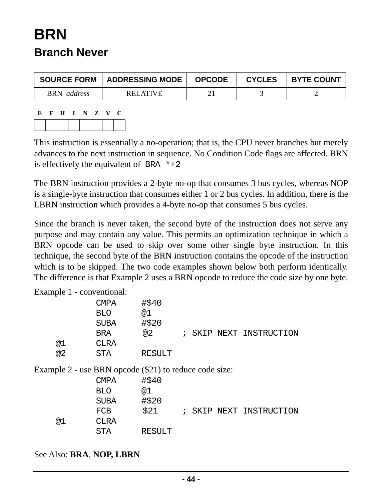# **BRN Branch Never**

| <b>SOURCE FORM</b>    | <b>ADDRESSING MODE</b> | <b>OPCODE</b> | <b>CYCLES</b> | <b>BYTE COUNT</b> |
|-----------------------|------------------------|---------------|---------------|-------------------|
| <b>BRN</b><br>address | RELATIVE               |               |               |                   |

**E F H I N Z V C**

This instruction is essentially a no-operation; that is, the CPU never branches but merely advances to the next instruction in sequence. No Condition Code flags are affected. BRN is effectively the equivalent of BRA  $*+2$ 

The BRN instruction provides a 2-byte no-op that consumes 3 bus cycles, whereas NOP is a single-byte instruction that consumes either 1 or 2 bus cycles. In addition, there is the LBRN instruction which provides a 4-byte no-op that consumes 5 bus cycles.

Since the branch is never taken, the second byte of the instruction does not serve any purpose and may contain any value. This permits an optimization technique in which a BRN opcode can be used to skip over some other single byte instruction. In this technique, the second byte of the BRN instruction contains the opcode of the instruction which is to be skipped. The two code examples shown below both perform identically. The difference is that Example 2 uses a BRN opcode to reduce the code size by one byte.

Example 1 - conventional:

|                                                        | CMPA        | #\$40         |   |      |                         |
|--------------------------------------------------------|-------------|---------------|---|------|-------------------------|
|                                                        | <b>BLO</b>  | @1            |   |      |                         |
|                                                        | <b>SUBA</b> | #\$20         |   |      |                         |
|                                                        | BRA         | @2            |   |      | ; SKIP NEXT INSTRUCTION |
| @1                                                     | <b>CLRA</b> |               |   |      |                         |
| @2                                                     | STA         | <b>RESULT</b> |   |      |                         |
| Example 2 - use BRN opcode (\$21) to reduce code size: |             |               |   |      |                         |
|                                                        | CMPA        | #\$40         |   |      |                         |
|                                                        | <b>BLO</b>  | @1            |   |      |                         |
|                                                        | <b>SUBA</b> | #\$20         |   |      |                         |
|                                                        | FCB         | \$21          | ÷ | SKIP | NEXT INSTRUCTION        |

STA RESULT

See Also: **BRA**, **NOP, LBRN**

@1 CLRA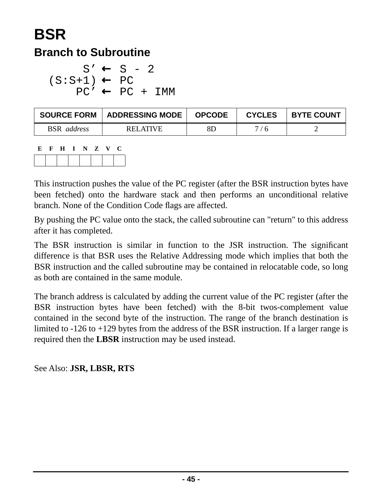# **BSR**

### **Branch to Subroutine**

 $S' \leftarrow S - 2$  $(S: S+1) \leftarrow PC$  $PC' \leftarrow PC + DM$ 

| <b>SOURCE FORM</b> | <b>ADDRESSING MODE</b> | <b>OPCODE</b> | <b>CYCLES</b> | <b>BYTE COUNT</b> |
|--------------------|------------------------|---------------|---------------|-------------------|
| <b>BSR</b> address | <b>RELATIVE</b>        | 8D            | 7/6           |                   |

```
E F H I N Z V C
```
This instruction pushes the value of the PC register (after the BSR instruction bytes have been fetched) onto the hardware stack and then performs an unconditional relative branch. None of the Condition Code flags are affected.

By pushing the PC value onto the stack, the called subroutine can "return" to this address after it has completed.

The BSR instruction is similar in function to the JSR instruction. The significant difference is that BSR uses the Relative Addressing mode which implies that both the BSR instruction and the called subroutine may be contained in relocatable code, so long as both are contained in the same module.

The branch address is calculated by adding the current value of the PC register (after the BSR instruction bytes have been fetched) with the 8-bit twos-complement value contained in the second byte of the instruction. The range of the branch destination is limited to -126 to +129 bytes from the address of the BSR instruction. If a larger range is required then the **LBSR** instruction may be used instead.

See Also: **JSR, LBSR, RTS**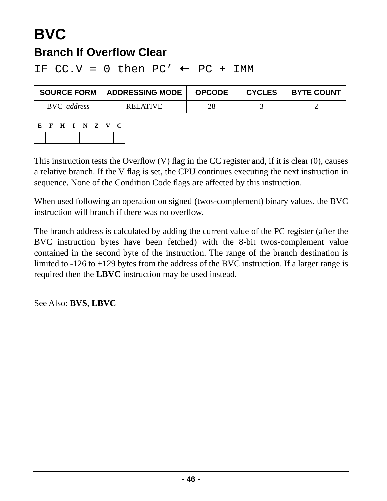## **BVC Branch If Overflow Clear**

IF  $CC.V = 0$  then  $PC' \leftarrow PC + IMM$ 

| <b>SOURCE FORM</b> | <b>ADDRESSING MODE</b> | <b>OPCODE</b> | <b>CYCLES</b> | <b>BYTE COUNT</b> |
|--------------------|------------------------|---------------|---------------|-------------------|
| BVC address        | RELATIVE               | 28            |               |                   |

| E | $\mathbf{F}$ | H I N Z V |  | U |
|---|--------------|-----------|--|---|
|   |              |           |  |   |

This instruction tests the Overflow (V) flag in the CC register and, if it is clear (0), causes a relative branch. If the V flag is set, the CPU continues executing the next instruction in sequence. None of the Condition Code flags are affected by this instruction.

When used following an operation on signed (twos-complement) binary values, the BVC instruction will branch if there was no overflow.

The branch address is calculated by adding the current value of the PC register (after the BVC instruction bytes have been fetched) with the 8-bit twos-complement value contained in the second byte of the instruction. The range of the branch destination is limited to -126 to +129 bytes from the address of the BVC instruction. If a larger range is required then the **LBVC** instruction may be used instead.

See Also: **BVS**, **LBVC**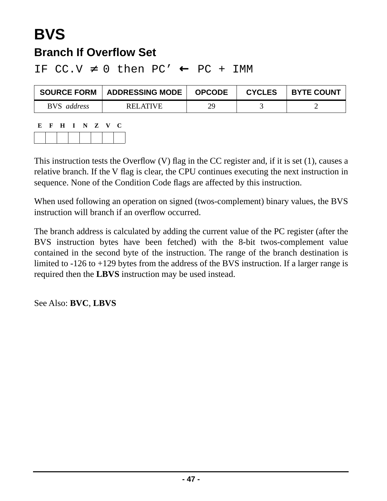## **BVS Branch If Overflow Set**

IF  $CC.V \neq 0$  then  $PC' \leftarrow PC + IMM$ 

| <b>SOURCE FORM</b> | <b>ADDRESSING MODE</b> | <b>OPCODE</b> | <b>CYCLES</b> | <b>BYTE COUNT</b> |
|--------------------|------------------------|---------------|---------------|-------------------|
| BVS address        | RELATIVE               | 29            |               |                   |

| E F | H I N Z V |  |  | U |
|-----|-----------|--|--|---|
|     |           |  |  |   |

This instruction tests the Overflow (V) flag in the CC register and, if it is set (1), causes a relative branch. If the V flag is clear, the CPU continues executing the next instruction in sequence. None of the Condition Code flags are affected by this instruction.

When used following an operation on signed (twos-complement) binary values, the BVS instruction will branch if an overflow occurred.

The branch address is calculated by adding the current value of the PC register (after the BVS instruction bytes have been fetched) with the 8-bit twos-complement value contained in the second byte of the instruction. The range of the branch destination is limited to -126 to +129 bytes from the address of the BVS instruction. If a larger range is required then the **LBVS** instruction may be used instead.

See Also: **BVC**, **LBVS**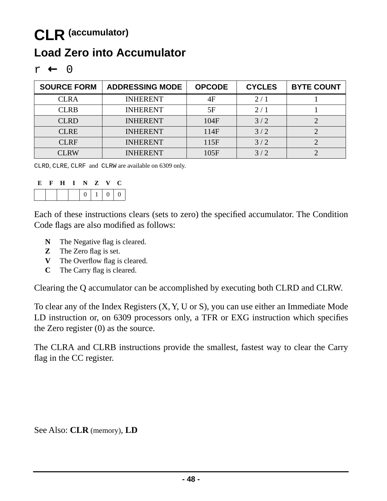## **CLR (accumulator) Load Zero into Accumulator**

|--|--|--|

| <b>SOURCE FORM</b> | <b>ADDRESSING MODE</b> | <b>OPCODE</b> | <b>CYCLES</b> | <b>BYTE COUNT</b> |
|--------------------|------------------------|---------------|---------------|-------------------|
| <b>CLRA</b>        | <b>INHERENT</b>        | 4F            | 2/1           |                   |
| <b>CLRB</b>        | <b>INHERENT</b>        | 5F            | 2/1           |                   |
| <b>CLRD</b>        | <b>INHERENT</b>        | 104F          | 3/2           |                   |
| <b>CLRE</b>        | <b>INHERENT</b>        | 114F          | 3/2           |                   |
| <b>CLRF</b>        | <b>INHERENT</b>        | 115F          | 3/2           |                   |
| <b>CLRW</b>        | INHERENT               | 105F          | 3/2           |                   |

CLRD, CLRE, CLRF and CLRW are available on 6309 only.

| E | $\mathbf{F}$ | H I N Z V |  |                          | $\cdot$ $\cdot$ |
|---|--------------|-----------|--|--------------------------|-----------------|
|   |              |           |  | $0 \mid 1 \mid 0 \mid 0$ |                 |

Each of these instructions clears (sets to zero) the specified accumulator. The Condition Code flags are also modified as follows:

- **N** The Negative flag is cleared.
- **Z** The Zero flag is set.
- **V** The Overflow flag is cleared.
- **C** The Carry flag is cleared.

Clearing the Q accumulator can be accomplished by executing both CLRD and CLRW.

To clear any of the Index Registers (X, Y, U or S), you can use either an Immediate Mode LD instruction or, on 6309 processors only, a TFR or EXG instruction which specifies the Zero register (0) as the source.

The CLRA and CLRB instructions provide the smallest, fastest way to clear the Carry flag in the CC register.

See Also: **CLR** (memory), **LD**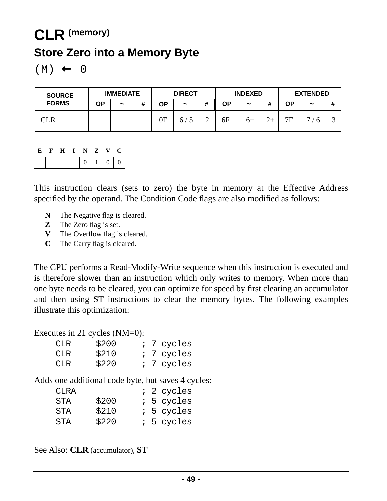# **CLR (memory) Store Zero into a Memory Byte**

 $(M) \leftarrow 0$ 

| <b>SOURCE</b> | <b>IMMEDIATE</b> |                       | <b>DIRECT</b> |               | <b>INDEXED</b> |   |    | <b>EXTENDED</b>       |      |    |            |   |
|---------------|------------------|-----------------------|---------------|---------------|----------------|---|----|-----------------------|------|----|------------|---|
| <b>FORMS</b>  | ОP               | $\tilde{\phantom{a}}$ | #             | OΡ            | $\tilde{}$     | # | ΟP | $\tilde{\phantom{a}}$ |      | ΟP | $\tilde{}$ | # |
| CLR           |                  |                       |               | $0\mathrm{F}$ | 6/             | ∸ | 6F | $6+$                  | $2+$ | 7F | −          |   |

#### **E F H I N Z V C**  $0 | 1 | 0 | 0$

This instruction clears (sets to zero) the byte in memory at the Effective Address specified by the operand. The Condition Code flags are also modified as follows:

- **N** The Negative flag is cleared.
- **Z** The Zero flag is set.
- **V** The Overflow flag is cleared.
- **C** The Carry flag is cleared.

The CPU performs a Read-Modify-Write sequence when this instruction is executed and is therefore slower than an instruction which only writes to memory. When more than one byte needs to be cleared, you can optimize for speed by first clearing an accumulator and then using ST instructions to clear the memory bytes. The following examples illustrate this optimization:

Executes in 21 cycles (NM=0):

| CLR  | \$200 |  | ; 7 cycles |
|------|-------|--|------------|
| CLR. | \$210 |  | ; 7 cycles |
| CLR  | \$220 |  | ; 7 cycles |

Adds one additional code byte, but saves 4 cycles:

| CLRA |       |  | ; 2 cycles   |
|------|-------|--|--------------|
| STA  | \$200 |  | $: 5$ cycles |
| STA  | \$210 |  | $: 5$ cycles |
| STA  | \$220 |  | : 5 cycles   |

See Also: **CLR** (accumulator), **ST**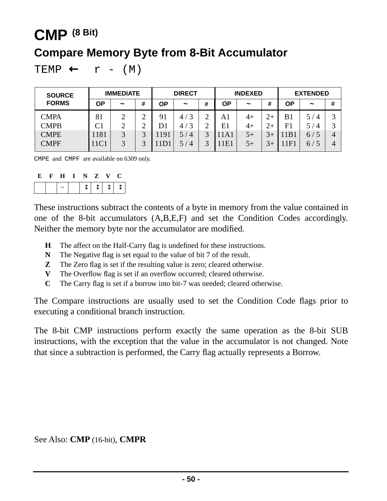## **CMP (8 Bit)**

## **Compare Memory Byte from 8-Bit Accumulator**

TEMP  $\leftarrow$  r - (M)

| <b>SOURCE</b> | <b>IMMEDIATE</b> |                       |           | <b>DIRECT</b> |                       | <b>INDEXED</b> |           |            | <b>EXTENDED</b> |                |                       |   |
|---------------|------------------|-----------------------|-----------|---------------|-----------------------|----------------|-----------|------------|-----------------|----------------|-----------------------|---|
| <b>FORMS</b>  | OΡ               | $\tilde{\phantom{a}}$ | #         | ΟP            | $\tilde{}$            | #              | <b>OP</b> | $\tilde{}$ | #               | ΟP             | $\tilde{\phantom{a}}$ | # |
| <b>CMPA</b>   | 81               | ◠                     | ◠<br>∽    | 91            | 3<br>4/               | ⌒<br>∠         | A1        | 4+         | $2+$            | B <sub>1</sub> | 5 /<br>$\overline{4}$ | 2 |
| <b>CMPB</b>   |                  | ◠                     | ⌒         | D1            | 3<br>4,               |                | E1        | $4+$       | $2+$            | F <sub>1</sub> | 5 /<br>$\overline{4}$ | 2 |
| <b>CMPE</b>   | 1181             | 3                     | $\bigcap$ | 1191          | 5 /<br>$\overline{4}$ | 3              | 11A1      | $5+$       | $3+$            | 1B             | 6/5                   | 4 |
| <b>CMPF</b>   | 11C1             | $\mathbf{z}$          | ⌒         | $1D^{\circ}$  | $\overline{4}$<br>57  | $\mathbf{R}$   | 1E        | $5+$       | $3+$            | 1F1            | 6/5                   | 4 |

CMPE and CMPF are available on 6309 only.

|  | . н. | - 11 | ⊾⊺. | $\mathbf{z}$ | A.Z                     |  |
|--|------|------|-----|--------------|-------------------------|--|
|  |      |      |     |              | $\uparrow$   $\uparrow$ |  |

These instructions subtract the contents of a byte in memory from the value contained in one of the 8-bit accumulators (A,B,E,F) and set the Condition Codes accordingly. Neither the memory byte nor the accumulator are modified.

- **H** The affect on the Half-Carry flag is undefined for these instructions.
- **N** The Negative flag is set equal to the value of bit 7 of the result.
- **Z** The Zero flag is set if the resulting value is zero; cleared otherwise.
- **V** The Overflow flag is set if an overflow occurred; cleared otherwise.
- **C** The Carry flag is set if a borrow into bit-7 was needed; cleared otherwise.

The Compare instructions are usually used to set the Condition Code flags prior to executing a conditional branch instruction.

The 8-bit CMP instructions perform exactly the same operation as the 8-bit SUB instructions, with the exception that the value in the accumulator is not changed. Note that since a subtraction is performed, the Carry flag actually represents a Borrow.

See Also: **CMP** (16-bit), **CMPR**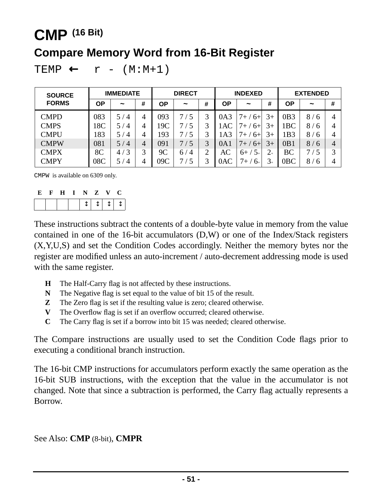## **CMP (16 Bit)**

## **Compare Memory Word from 16-Bit Register**

```
TEMP ← r - (M:M+1)
```

| <b>SOURCE</b> | <b>IMMEDIATE</b> |            |                | <b>DIRECT</b> |                       | <b>INDEXED</b> |                 |                       | <b>EXTENDED</b>                    |                 |            |   |
|---------------|------------------|------------|----------------|---------------|-----------------------|----------------|-----------------|-----------------------|------------------------------------|-----------------|------------|---|
| <b>FORMS</b>  | ΟP               | $\tilde{}$ | #              | ΟP            | $\tilde{\phantom{a}}$ | #              | ΟP              | $\tilde{\phantom{a}}$ | #                                  | <b>OP</b>       | $\tilde{}$ | # |
| <b>CMPD</b>   | 083              | 5/4        | 4              | 093           | 5<br>7/               |                | 0A3             | $7+7$<br>$6+$         | 3+                                 | 0B3             | 8/6        | 4 |
| <b>CMPS</b>   | 18C              | 5/4        | 4              | 19C           | 5<br>//               |                | 1AC             | $6+$<br>7+            | 3+                                 | 1 <sub>BC</sub> | 8<br>-6    | 4 |
| <b>CMPU</b>   | 183              | 5/4        | 4              | 193           | 5<br>7/               | 3              | 1A <sub>3</sub> | $7+7$<br>$6+$         | 3+                                 | 1B3             | 8/6        | 4 |
| <b>CMPW</b>   | 081              | 5/4        | $\overline{4}$ | 091           | 7/5                   | 3              | 0A1             | $7+7$<br>$6+$         | 3+                                 | 0B1             | 8/6        | 4 |
| <b>CMPX</b>   | 8C               | 4/3        | 3              | 9C            | 6/<br>$\overline{4}$  | $\gamma$       | AC              | $5^{+}$<br>$6+$ /     | $2\hskip-2.6pt\scriptscriptstyle+$ | BC              | 7 / 5      | 2 |
| <b>CMPY</b>   | 08C              | 5/4        | $\overline{4}$ | 09C           | 5                     | 3              | 0AC             | $7+$<br>$6+$          | $3_{+}$                            | 0 <sub>BC</sub> | 8/<br>6    | 4 |

CMPW is available on 6309 only.

| E | H | $\blacksquare$ | NZ |                            | $\mathbf{V}$ | - C - |
|---|---|----------------|----|----------------------------|--------------|-------|
|   |   |                |    | 1   1   1   1 <sub> </sub> |              |       |

These instructions subtract the contents of a double-byte value in memory from the value contained in one of the 16-bit accumulators (D,W) or one of the Index/Stack registers (X,Y,U,S) and set the Condition Codes accordingly. Neither the memory bytes nor the register are modified unless an auto-increment / auto-decrement addressing mode is used with the same register.

- **H** The Half-Carry flag is not affected by these instructions.
- **N** The Negative flag is set equal to the value of bit 15 of the result.
- **Z** The Zero flag is set if the resulting value is zero; cleared otherwise.
- **V** The Overflow flag is set if an overflow occurred; cleared otherwise.
- **C** The Carry flag is set if a borrow into bit 15 was needed; cleared otherwise.

The Compare instructions are usually used to set the Condition Code flags prior to executing a conditional branch instruction.

The 16-bit CMP instructions for accumulators perform exactly the same operation as the 16-bit SUB instructions, with the exception that the value in the accumulator is not changed. Note that since a subtraction is performed, the Carry flag actually represents a Borrow.

See Also: **CMP** (8-bit), **CMPR**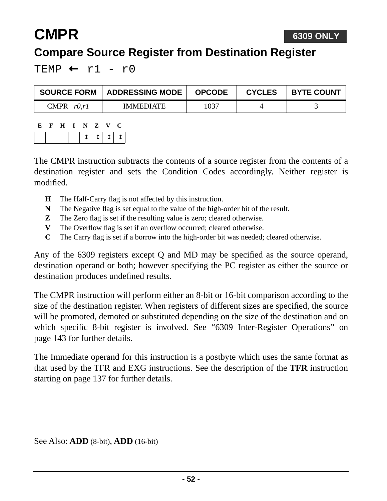# **CMPR**

## **Compare Source Register from Destination Register**

TEMP  $\leftarrow$  r1 - r0

| <b>SOURCE FORM</b> | <b>ADDRESSING MODE</b> | <b>OPCODE</b> | <b>CYCLES</b> | <b>BYTE COUNT</b> |
|--------------------|------------------------|---------------|---------------|-------------------|
| CMPR $r0.r1$       | <b>IMMEDIATE</b>       | 1037          |               |                   |

| E | н | н | NT. | Z | $\mathbf{V}$ |  |
|---|---|---|-----|---|--------------|--|
|   |   |   |     |   | $T + T$      |  |

The CMPR instruction subtracts the contents of a source register from the contents of a destination register and sets the Condition Codes accordingly. Neither register is modified.

- **H** The Half-Carry flag is not affected by this instruction.
- **N** The Negative flag is set equal to the value of the high-order bit of the result.
- **Z** The Zero flag is set if the resulting value is zero; cleared otherwise.
- **V** The Overflow flag is set if an overflow occurred; cleared otherwise.
- **C** The Carry flag is set if a borrow into the high-order bit was needed; cleared otherwise.

Any of the 6309 registers except Q and MD may be specified as the source operand, destination operand or both; however specifying the PC register as either the source or destination produces undefined results.

The CMPR instruction will perform either an 8-bit or 16-bit comparison according to the size of the destination register. When registers of different sizes are specified, the source will be promoted, demoted or substituted depending on the size of the destination and on which specific 8-bit register is involved. See ["6309 Inter-Register Operations" on](#page-142-0) [page 143](#page-142-0) for further details.

The Immediate operand for this instruction is a postbyte which uses the same format as that used by the TFR and EXG instructions. See the description of the **TFR** instruction starting on [page 137](#page-136-0) for further details.

See Also: **ADD** (8-bit), **ADD** (16-bit)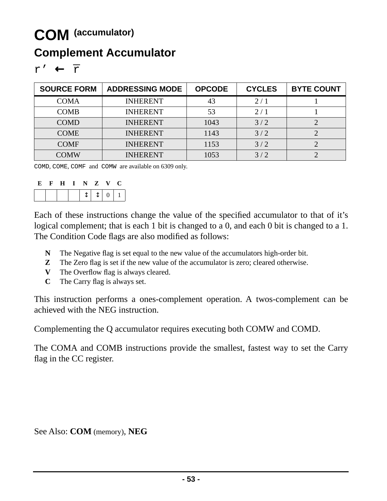## **COM (accumulator)**

## **Complement Accumulator**

| <b>SOURCE FORM</b> | <b>ADDRESSING MODE</b> | <b>OPCODE</b> | <b>CYCLES</b> | <b>BYTE COUNT</b> |
|--------------------|------------------------|---------------|---------------|-------------------|
| <b>COMA</b>        | <b>INHERENT</b>        | 43            | 2/1           |                   |
| <b>COMB</b>        | <b>INHERENT</b>        | 53            | 2/1           |                   |
| <b>COMD</b>        | <b>INHERENT</b>        | 1043          | 3/2           |                   |
| <b>COME</b>        | <b>INHERENT</b>        | 1143          | 3/2           |                   |
| <b>COMF</b>        | <b>INHERENT</b>        | 1153          | 3/2           |                   |
| <b>COMW</b>        | <b>INHERENT</b>        | 1053          | 3/2           |                   |

COMD, COME, COMF and COMW are available on 6309 only.

| - FC - | $\mathbf{F}$ | HINZV |  |  |  |
|--------|--------------|-------|--|--|--|
|        |              |       |  |  |  |

Each of these instructions change the value of the specified accumulator to that of it's logical complement; that is each 1 bit is changed to a 0, and each 0 bit is changed to a 1. The Condition Code flags are also modified as follows:

- **N** The Negative flag is set equal to the new value of the accumulators high-order bit.
- **Z** The Zero flag is set if the new value of the accumulator is zero; cleared otherwise.
- **V** The Overflow flag is always cleared.
- **C** The Carry flag is always set.

This instruction performs a ones-complement operation. A twos-complement can be achieved with the NEG instruction.

Complementing the Q accumulator requires executing both COMW and COMD.

The COMA and COMB instructions provide the smallest, fastest way to set the Carry flag in the CC register.

See Also: **COM** (memory), **NEG**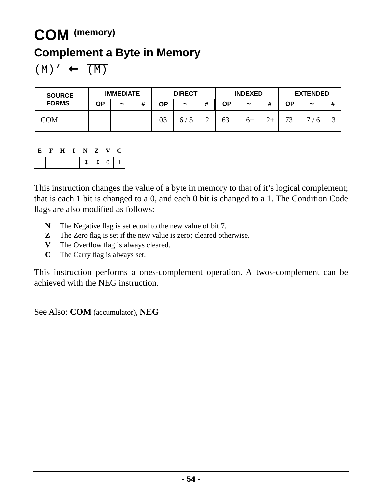## **COM (memory)**

## **Complement a Byte in Memory**

 $(M)' \leftarrow \overline{(M)}$ 

| <b>SOURCE</b> | <b>IMMEDIATE</b> |                       |   | <b>DIRECT</b> |            |        | <b>INDEXED</b> |                       |                        | <b>EXTENDED</b> |                     |   |
|---------------|------------------|-----------------------|---|---------------|------------|--------|----------------|-----------------------|------------------------|-----------------|---------------------|---|
| <b>FORMS</b>  | ΟP               | $\tilde{\phantom{a}}$ | # | ΟP            | $\tilde{}$ | #      | ΟP             | $\tilde{\phantom{a}}$ | $^{\prime\prime}$<br>π | ΟP              | $\tilde{}$          | # |
| COM           |                  |                       |   | 03            | 67         | ◠<br>∸ | 63             | $6+$                  |                        | 73              | ┍┓<br>$\mathfrak h$ | ت |

|  | E F H I N Z V C |  |                                                               |
|--|-----------------|--|---------------------------------------------------------------|
|  |                 |  | $\left  \updownarrow \updownarrow \updownarrow \right $ 0   1 |

This instruction changes the value of a byte in memory to that of it's logical complement; that is each 1 bit is changed to a 0, and each 0 bit is changed to a 1. The Condition Code flags are also modified as follows:

- **N** The Negative flag is set equal to the new value of bit 7.
- **Z** The Zero flag is set if the new value is zero; cleared otherwise.
- **V** The Overflow flag is always cleared.
- **C** The Carry flag is always set.

This instruction performs a ones-complement operation. A twos-complement can be achieved with the NEG instruction.

See Also: **COM** (accumulator), **NEG**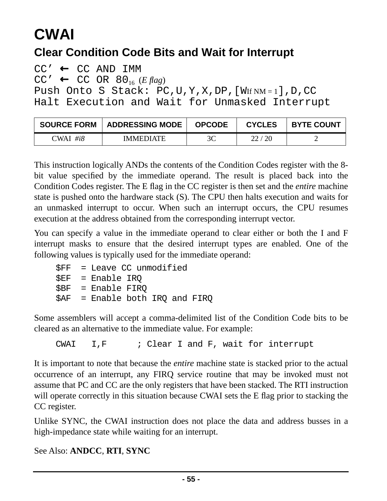# **CWAI**

## **Clear Condition Code Bits and Wait for Interrupt**

 $CC' \leftarrow CC AND IMM$  $CC' \leftarrow CC OR 80_{16} (E \text{ flag})$ Push Onto S Stack: PC, U, Y, X, DP, [WIf NM = 1], D, CC Halt Execution and Wait for Unmasked Interrupt

| <b>SOURCE FORM</b> | <b>ADDRESSING MODE</b> | <b>OPCODE</b> | <b>CYCLES</b> | <b>BYTE COUNT</b> |
|--------------------|------------------------|---------------|---------------|-------------------|
| #i8<br>CWAI        | <b>IMMEDIATE</b>       | 3C            |               |                   |

This instruction logically ANDs the contents of the Condition Codes register with the 8 bit value specified by the immediate operand. The result is placed back into the Condition Codes register. The E flag in the CC register is then set and the *entire* machine state is pushed onto the hardware stack (S). The CPU then halts execution and waits for an unmasked interrupt to occur. When such an interrupt occurs, the CPU resumes execution at the address obtained from the corresponding interrupt vector.

You can specify a value in the immediate operand to clear either or both the I and F interrupt masks to ensure that the desired interrupt types are enabled. One of the following values is typically used for the immediate operand:

```
$FF = Leave CC unmodified
$EF = Enable IRQ
$BF = Enable FIRQ
$AF = Enable both IRQ and FIRQ
```
Some assemblers will accept a comma-delimited list of the Condition Code bits to be cleared as an alternative to the immediate value. For example:

CWAI  $I, F$  ; Clear I and F, wait for interrupt

It is important to note that because the *entire* machine state is stacked prior to the actual occurrence of an interrupt, any FIRQ service routine that may be invoked must not assume that PC and CC are the only registers that have been stacked. The RTI instruction will operate correctly in this situation because CWAI sets the E flag prior to stacking the CC register.

Unlike SYNC, the CWAI instruction does not place the data and address busses in a high-impedance state while waiting for an interrupt.

See Also: **[ANDCC](#page-11-0)**, **RTI**, **SYNC**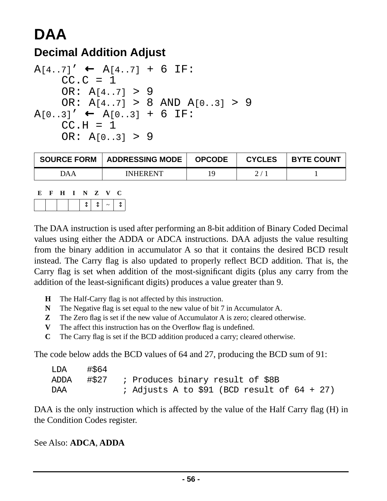# **DAA**

## **Decimal Addition Adjust**

```
A[4..7]' \leftarrow A[4..7] + 6 IF:CC.C = 1OR: A[4..7] > 9 OR: A[4..7] > 8 AND A[0..3] > 9
A[0..3]' ← A[0..3] + 6 IF:
    CC.H = 1 OR: A[0..3] > 9
```

| <b>SOURCE FORM</b> | <b>ADDRESSING MODE</b> | <b>OPCODE</b> | <b>CYCLES</b> | <b>BYTE COUNT</b> |
|--------------------|------------------------|---------------|---------------|-------------------|
| JAA                | <b>INHERENT</b>        |               |               |                   |

| E. | ਾ ਜ | I N Z V           |  |  |
|----|-----|-------------------|--|--|
|    |     | $ t $ $ t $ $ t $ |  |  |

The DAA instruction is used after performing an 8-bit addition of Binary Coded Decimal values using either the ADDA or ADCA instructions. DAA adjusts the value resulting from the binary addition in accumulator A so that it contains the desired BCD result instead. The Carry flag is also updated to properly reflect BCD addition. That is, the Carry flag is set when addition of the most-significant digits (plus any carry from the addition of the least-significant digits) produces a value greater than 9.

- **H** The Half-Carry flag is not affected by this instruction.
- **N** The Negative flag is set equal to the new value of bit 7 in Accumulator A.
- **Z** The Zero flag is set if the new value of Accumulator A is zero; cleared otherwise.
- **V** The affect this instruction has on the Overflow flag is undefined.
- **C** The Carry flag is set if the BCD addition produced a carry; cleared otherwise.

The code below adds the BCD values of 64 and 27, producing the BCD sum of 91:

| LDA  | #S64 |                                                |  |  |  |  |
|------|------|------------------------------------------------|--|--|--|--|
| ADDA |      | $\sharp$ \$27 ; Produces binary result of \$8B |  |  |  |  |
| DAA  |      | ; Adjusts A to \$91 (BCD result of $64 + 27$ ) |  |  |  |  |

DAA is the only instruction which is affected by the value of the Half Carry flag (H) in the Condition Codes register.

#### See Also: **[ADCA](#page-11-0)**, **ADDA**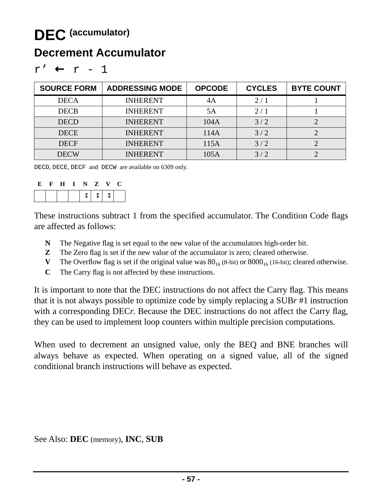## **DEC (accumulator)**

### **Decrement Accumulator**

| <b>SOURCE FORM</b> | <b>ADDRESSING MODE</b> | <b>OPCODE</b> | <b>CYCLES</b> | <b>BYTE COUNT</b> |
|--------------------|------------------------|---------------|---------------|-------------------|
| <b>DECA</b>        | <b>INHERENT</b>        | 4Α            | 2/1           |                   |
| <b>DECB</b>        | <b>INHERENT</b>        | 5Α            | 2/1           |                   |
| <b>DECD</b>        | <b>INHERENT</b>        | 104A          | 3/2           |                   |
| <b>DECE</b>        | <b>INHERENT</b>        | 114A          | 3/2           |                   |
| <b>DECF</b>        | <b>INHERENT</b>        | 115A          | 3/2           |                   |
| <b>DECW</b>        | <b>INHERENT</b>        | 105A          | 3/2           |                   |

| п. |  |  |  |  |
|----|--|--|--|--|
|----|--|--|--|--|

DECD, DECE, DECF and DECW are available on 6309 only.

| Е | $\mathbf{F}$ | – H− | I N Z V |  |  |
|---|--------------|------|---------|--|--|
|   |              |      |         |  |  |

These instructions subtract 1 from the specified accumulator. The Condition Code flags are affected as follows:

- **N** The Negative flag is set equal to the new value of the accumulators high-order bit.
- **Z** The Zero flag is set if the new value of the accumulator is zero; cleared otherwise.
- **V** The Overflow flag is set if the original value was  $80_{16}$  (8-bit) or  $8000_{16}$  (16-bit); cleared otherwise.
- **C** The Carry flag is not affected by these instructions.

It is important to note that the DEC instructions do not affect the Carry flag. This means that it is not always possible to optimize code by simply replacing a SUB*r* #1 instruction with a corresponding DEC*r*. Because the DEC instructions do not affect the Carry flag, they can be used to implement loop counters within multiple precision computations.

When used to decrement an unsigned value, only the BEQ and BNE branches will always behave as expected. When operating on a signed value, all of the signed conditional branch instructions will behave as expected.

See Also: **DEC** (memory), **INC**, **SUB**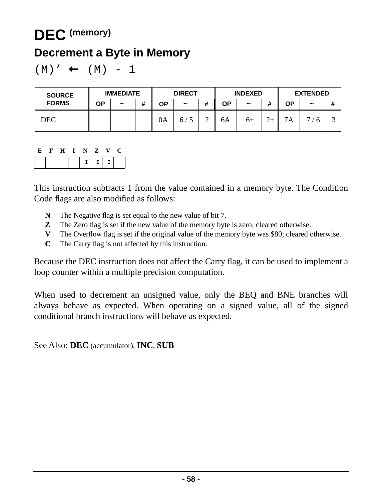## **DEC (memory)**

### **Decrement a Byte in Memory**

$$
(M) ' \leftarrow (M) - 1
$$

| <b>SOURCE</b> | <b>IMMEDIATE</b> |                       |   | <b>DIRECT</b> |                       |        | <b>INDEXED</b> |                       |       | <b>EXTENDED</b> |            |   |
|---------------|------------------|-----------------------|---|---------------|-----------------------|--------|----------------|-----------------------|-------|-----------------|------------|---|
| <b>FORMS</b>  | ΟP               | $\tilde{\phantom{a}}$ | # | ΟP            | $\tilde{\phantom{a}}$ | #      | ΟP             | $\tilde{\phantom{a}}$ | <br>π | ΟP              | $\tilde{}$ | # |
| DEC           |                  |                       |   | 0A            | $\sigma/$             | $\sim$ | 6A             | $6+$                  |       | 7A              | −<br>h     | ت |

### **E F H I N Z V C**

This instruction subtracts 1 from the value contained in a memory byte. The Condition Code flags are also modified as follows:

- **N** The Negative flag is set equal to the new value of bit 7.
- **Z** The Zero flag is set if the new value of the memory byte is zero; cleared otherwise.
- **V** The Overflow flag is set if the original value of the memory byte was \$80; cleared otherwise.
- **C** The Carry flag is not affected by this instruction.

Because the DEC instruction does not affect the Carry flag, it can be used to implement a loop counter within a multiple precision computation.

When used to decrement an unsigned value, only the BEQ and BNE branches will always behave as expected. When operating on a signed value, all of the signed conditional branch instructions will behave as expected.

See Also: **DEC** (accumulator), **INC**, **SUB**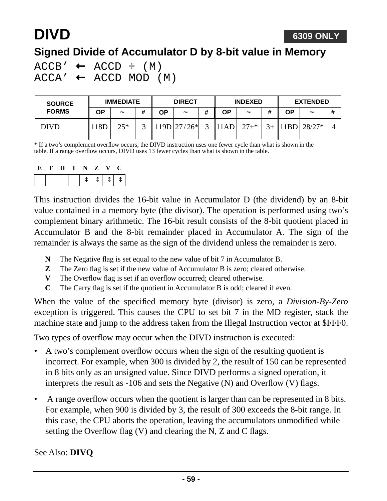# **DIVD**

### **Signed Divide of Accumulator D by 8-bit value in Memory**

 $ACCB' \leftarrow ACCD \div (M)$  $ACCA' \leftarrow ACCD MOD (M)$ 

| <b>SOURCE</b> | <b>IMMEDIATE</b> |            |   | <b>DIRECT</b> |                       |   | <b>INDEXED</b> |            |    | <b>EXTENDED</b> |                       |   |
|---------------|------------------|------------|---|---------------|-----------------------|---|----------------|------------|----|-----------------|-----------------------|---|
| <b>FORMS</b>  | OΡ               | $\tilde{}$ | # | ΟP            | $\tilde{\phantom{a}}$ | # | ΟP             | $\tilde{}$ | 11 | <b>OP</b>       | $\tilde{\phantom{a}}$ | # |
| DIVD          | 8D               | $25*$      | ັ |               | $119D$   $27/26*$     | ⌒ | 11AD           | $27 +$ *   |    | 11BD            | $128/27$ * $^{\circ}$ |   |

\* If a two's complement overflow occurs, the DIVD instruction uses one fewer cycle than what is shown in the table. If a range overflow occurs, DIVD uses 13 fewer cycles than what is shown in the table.

| E | F H I N Z |  |           | V. | U |
|---|-----------|--|-----------|----|---|
|   |           |  | $1111111$ |    |   |

This instruction divides the 16-bit value in Accumulator D (the dividend) by an 8-bit value contained in a memory byte (the divisor). The operation is performed using two's complement binary arithmetic. The 16-bit result consists of the 8-bit quotient placed in Accumulator B and the 8-bit remainder placed in Accumulator A. The sign of the remainder is always the same as the sign of the dividend unless the remainder is zero.

- **N** The Negative flag is set equal to the new value of bit 7 in Accumulator B.
- **Z** The Zero flag is set if the new value of Accumulator B is zero; cleared otherwise.
- **V** The Overflow flag is set if an overflow occurred; cleared otherwise.
- **C** The Carry flag is set if the quotient in Accumulator B is odd; cleared if even.

When the value of the specified memory byte (divisor) is zero, a *Division-By-Zero* exception is triggered. This causes the CPU to set bit 7 in the MD register, stack the machine state and jump to the address taken from the Illegal Instruction vector at \$FFF0.

Two types of overflow may occur when the DIVD instruction is executed:

- A two's complement overflow occurs when the sign of the resulting quotient is incorrect. For example, when 300 is divided by 2, the result of 150 can be represented in 8 bits only as an unsigned value. Since DIVD performs a signed operation, it interprets the result as -106 and sets the Negative (N) and Overflow (V) flags.
- A range overflow occurs when the quotient is larger than can be represented in 8 bits. For example, when 900 is divided by 3, the result of 300 exceeds the 8-bit range. In this case, the CPU aborts the operation, leaving the accumulators unmodified while setting the Overflow flag (V) and clearing the N, Z and C flags.

See Also: **DIVQ**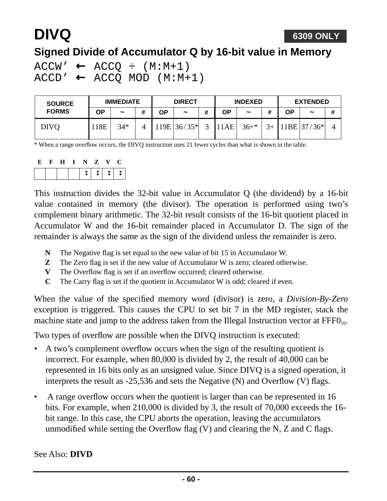# **DIVQ**

### **Signed Divide of Accumulator Q by 16-bit value in Memory**

 $ACCW' \leftarrow ACCQ \div (M:M+1)$  $ACCD' \leftarrow ACCQ MOD (M:M+1)$ 

| <b>SOURCE</b> | <b>IMMEDIATE</b> |            |   | <b>DIRECT</b> |               |   | <b>INDEXED</b> |                       |         | <b>EXTENDED</b> |                       |   |
|---------------|------------------|------------|---|---------------|---------------|---|----------------|-----------------------|---------|-----------------|-----------------------|---|
| <b>FORMS</b>  | OΡ               | $\tilde{}$ | # | OΡ            | $\tilde{}$    | # | ΟP             | $\tilde{\phantom{a}}$ | #       | ΟP              | $\tilde{\phantom{a}}$ | # |
| <b>DIVO</b>   | 18E              | $34*$      |   |               | $119E$ 36/35* | ⌒ | 11AE           | $36+*$                | $3_{+}$ |                 | $11BE$ 37/36*         |   |

\* When a range overflow occurs, the DIVQ instruction uses 21 fewer cycles than what is shown in the table.

| E | $\mathbf{F}$ | H I N Z V |  | $\mathbf{C}$ |
|---|--------------|-----------|--|--------------|
|   |              |           |  | $11111111$   |

This instruction divides the 32-bit value in Accumulator Q (the dividend) by a 16-bit value contained in memory (the divisor). The operation is performed using two's complement binary arithmetic. The 32-bit result consists of the 16-bit quotient placed in Accumulator W and the 16-bit remainder placed in Accumulator D. The sign of the remainder is always the same as the sign of the dividend unless the remainder is zero.

- **N** The Negative flag is set equal to the new value of bit 15 in Accumulator W.
- **Z** The Zero flag is set if the new value of Accumulator W is zero; cleared otherwise.
- **V** The Overflow flag is set if an overflow occurred; cleared otherwise.
- **C** The Carry flag is set if the quotient in Accumulator W is odd; cleared if even.

When the value of the specified memory word (divisor) is zero, a *Division-By-Zero* exception is triggered. This causes the CPU to set bit 7 in the MD register, stack the machine state and jump to the address taken from the Illegal Instruction vector at  $\text{FFF0}_{16}$ .

Two types of overflow are possible when the DIVQ instruction is executed:

- A two's complement overflow occurs when the sign of the resulting quotient is incorrect. For example, when 80,000 is divided by 2, the result of 40,000 can be represented in 16 bits only as an unsigned value. Since DIVQ is a signed operation, it interprets the result as -25,536 and sets the Negative (N) and Overflow (V) flags.
- A range overflow occurs when the quotient is larger than can be represented in 16 bits. For example, when 210,000 is divided by 3, the result of 70,000 exceeds the 16 bit range. In this case, the CPU aborts the operation, leaving the accumulators unmodified while setting the Overflow flag (V) and clearing the N, Z and C flags.

See Also: **DIVD**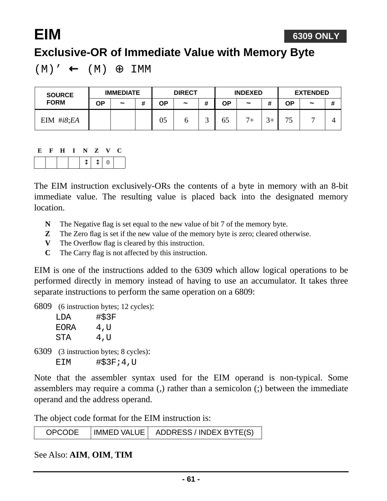**EIM**

## **Exclusive-OR of Immediate Value with Memory Byte**

 $(M)' \leftarrow (M) \oplus \text{IMM}$ 

| <b>SOURCE</b><br><b>FORM</b> | <b>IMMEDIATE</b> |                       |   |    | <b>DIRECT</b>         |   |    | <b>INDEXED</b>        |            |           | <b>EXTENDED</b> |   |  |
|------------------------------|------------------|-----------------------|---|----|-----------------------|---|----|-----------------------|------------|-----------|-----------------|---|--|
|                              | ΟP               | $\tilde{\phantom{a}}$ | # | ΟP | $\tilde{\phantom{a}}$ | # | ΟP | $\tilde{\phantom{a}}$ | π          | <b>OP</b> | $\tilde{}$      | # |  |
| EIM $\#i8; EA$               |                  |                       |   | 05 |                       |   | 65 | $7+$                  | $\gamma$ . | 75        | -               |   |  |

 $|\updownarrow| \updownarrow | o |$ 

The EIM instruction exclusively-ORs the contents of a byte in memory with an 8-bit immediate value. The resulting value is placed back into the designated memory location.

- **N** The Negative flag is set equal to the new value of bit 7 of the memory byte.
- **Z** The Zero flag is set if the new value of the memory byte is zero; cleared otherwise.
- **V** The Overflow flag is cleared by this instruction.
- **C** The Carry flag is not affected by this instruction.

EIM is one of the instructions added to the 6309 which allow logical operations to be performed directly in memory instead of having to use an accumulator. It takes three separate instructions to perform the same operation on a 6809:

6809 (6 instruction bytes; 12 cycles):

| T DA        | #\$3F |
|-------------|-------|
| <b>FORA</b> | 4,U   |
| STA         | 4,U   |

6309 (3 instruction bytes; 8 cycles): EIM #\$3F;4,U

Note that the assembler syntax used for the EIM operand is non-typical. Some assemblers may require a comma (,) rather than a semicolon (;) between the immediate operand and the address operand.

The object code format for the EIM instruction is:

| <b>OPCODE</b> |  | IMMED VALUE   ADDRESS / INDEX BYTE(S) |
|---------------|--|---------------------------------------|
|---------------|--|---------------------------------------|

See Also: **AIM**, **OIM**, **TIM**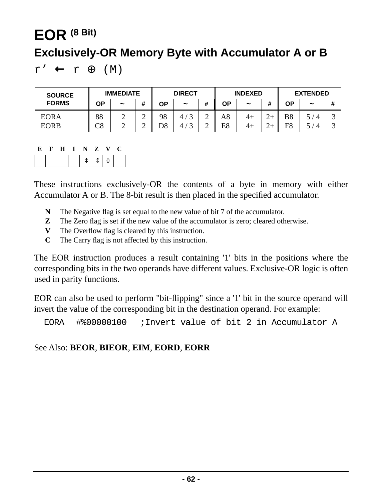# **EOR (8 Bit) Exclusively-OR Memory Byte with Accumulator A or B**

 $r'$  ←  $r \oplus (M)$ 

| <b>SOURCE</b> | <b>IMMEDIATE</b>           |                       |        | <b>DIRECT</b> |                |             | <b>INDEXED</b> |                       |   | <b>EXTENDED</b> |            |   |
|---------------|----------------------------|-----------------------|--------|---------------|----------------|-------------|----------------|-----------------------|---|-----------------|------------|---|
| <b>FORMS</b>  | ΟP                         | $\tilde{\phantom{a}}$ | #      | ΟP            | $\tilde{}$     | Ŧ           | ΟP             | $\tilde{\phantom{a}}$ |   | ΟP              | $\tilde{}$ | # |
| <b>EORA</b>   | 88                         | ∸                     | ⌒<br>∸ | 98            | $\overline{4}$ | $\sim$<br>⌒ | A8             | 4+                    | ⌒ | B <sub>8</sub>  |            | ت |
| <b>EORB</b>   | $\mathop{\rm C8}\nolimits$ | ∸                     | ⌒<br>↩ | D8            | 4              | ↩           | E8             | 4+                    | ⌒ | F8              | $\Delta$   | ت |

#### **E F H I N Z V C**

These instructions exclusively-OR the contents of a byte in memory with either Accumulator A or B. The 8-bit result is then placed in the specified accumulator.

- **N** The Negative flag is set equal to the new value of bit 7 of the accumulator.
- **Z** The Zero flag is set if the new value of the accumulator is zero; cleared otherwise.
- **V** The Overflow flag is cleared by this instruction.
- **C** The Carry flag is not affected by this instruction.

The EOR instruction produces a result containing '1' bits in the positions where the corresponding bits in the two operands have different values. Exclusive-OR logic is often used in parity functions.

EOR can also be used to perform "bit-flipping" since a '1' bit in the source operand will invert the value of the corresponding bit in the destination operand. For example:

EORA #%00000100 ;Invert value of bit 2 in Accumulator A

#### See Also: **BEOR**, **BIEOR**, **EIM**, **EORD**, **EORR**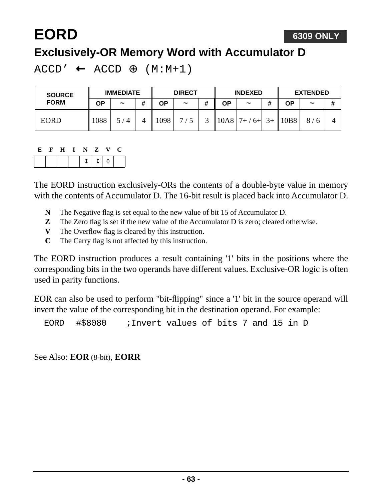#### **6309 ONLY**

## **Exclusively-OR Memory Word with Accumulator D**

 $ACCD' \leftarrow ACCD \oplus (M:M+1)$ 

| <b>SOURCE</b> | <b>IMMEDIATE</b> |                       |   | <b>DIRECT</b> |            |   | <b>INDEXED</b> |                       |      | <b>EXTENDED</b> |                       |   |
|---------------|------------------|-----------------------|---|---------------|------------|---|----------------|-----------------------|------|-----------------|-----------------------|---|
| <b>FORM</b>   | ΟP               | $\tilde{\phantom{a}}$ | # | ΟP            | $\tilde{}$ | # | ΟP             | $\tilde{\phantom{a}}$ |      | ΟP              | $\tilde{\phantom{a}}$ | # |
| <b>EORD</b>   | 1088             | 4 /                   |   | 1098          | –          |   | 10A8           | $7+$<br>$6+$          | $3+$ | 10B8            | 8/                    |   |

#### **E F H I N Z V C**

**EORD**

The EORD instruction exclusively-ORs the contents of a double-byte value in memory with the contents of Accumulator D. The 16-bit result is placed back into Accumulator D.

- **N** The Negative flag is set equal to the new value of bit 15 of Accumulator D.
- **Z** The Zero flag is set if the new value of the Accumulator D is zero; cleared otherwise.
- **V** The Overflow flag is cleared by this instruction.
- **C** The Carry flag is not affected by this instruction.

The EORD instruction produces a result containing '1' bits in the positions where the corresponding bits in the two operands have different values. Exclusive-OR logic is often used in parity functions.

EOR can also be used to perform "bit-flipping" since a '1' bit in the source operand will invert the value of the corresponding bit in the destination operand. For example:

EORD #\$8080 ;Invert values of bits 7 and 15 in D

See Also: **EOR** (8-bit), **EORR**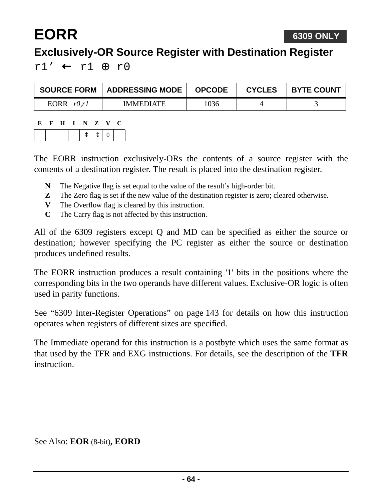# **EORR**

## **Exclusively-OR Source Register with Destination Register**

r1' ← r1 ⊕ r0

| <b>SOURCE FORM</b> | ADDRESSING MODE  | <b>OPCODE</b> | <b>CYCLES</b> | <b>BYTE COUNT</b> |
|--------------------|------------------|---------------|---------------|-------------------|
| EORR $r0,r1$       | <b>IMMEDIATE</b> | 1036          |               |                   |

| E |  | FHINZV |      | L÷ |
|---|--|--------|------|----|
|   |  |        | 1110 |    |

The EORR instruction exclusively-ORs the contents of a source register with the contents of a destination register. The result is placed into the destination register.

- **N** The Negative flag is set equal to the value of the result's high-order bit.
- **Z** The Zero flag is set if the new value of the destination register is zero; cleared otherwise.
- **V** The Overflow flag is cleared by this instruction.
- **C** The Carry flag is not affected by this instruction.

All of the 6309 registers except Q and MD can be specified as either the source or destination; however specifying the PC register as either the source or destination produces undefined results.

The EORR instruction produces a result containing '1' bits in the positions where the corresponding bits in the two operands have different values. Exclusive-OR logic is often used in parity functions.

See ["6309 Inter-Register Operations" on page 143](#page-142-0) for details on how this instruction operates when registers of different sizes are specified.

The Immediate operand for this instruction is a postbyte which uses the same format as that used by the TFR and EXG instructions. For details, see the description of the **TFR instruction** 

See Also: **EOR** (8-bit)**, EORD**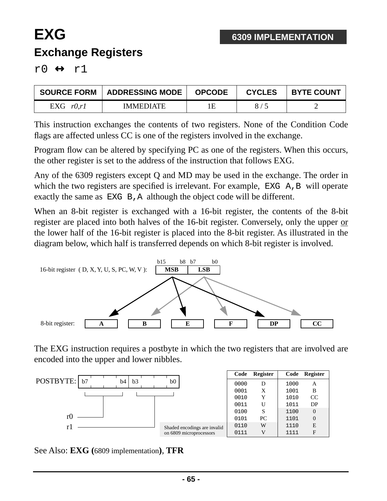## **EXG Exchange Registers**

 $r0 \leftrightarrow r1$ 

| <b>SOURCE FORM</b> | <b>ADDRESSING MODE</b> | <b>OPCODE</b> | <b>CYCLES</b> | <b>BYTE COUNT</b> |
|--------------------|------------------------|---------------|---------------|-------------------|
| EXG $r0,r1$        | <b>IMMEDIATE</b>       | 1E            |               |                   |

This instruction exchanges the contents of two registers. None of the Condition Code flags are affected unless CC is one of the registers involved in the exchange.

Program flow can be altered by specifying PC as one of the registers. When this occurs, the other register is set to the address of the instruction that follows EXG.

Any of the 6309 registers except Q and MD may be used in the exchange. The order in which the two registers are specified is irrelevant. For example, EXG A, B will operate exactly the same as EXG B, A although the object code will be different.

When an 8-bit register is exchanged with a 16-bit register, the contents of the 8-bit register are placed into both halves of the 16-bit register. Conversely, only the upper or the lower half of the 16-bit register is placed into the 8-bit register. As illustrated in the diagram below, which half is transferred depends on which 8-bit register is involved.



The EXG instruction requires a postbyte in which the two registers that are involved are encoded into the upper and lower nibbles.



See Also: **EXG (**6809 implementation**)**, **TFR**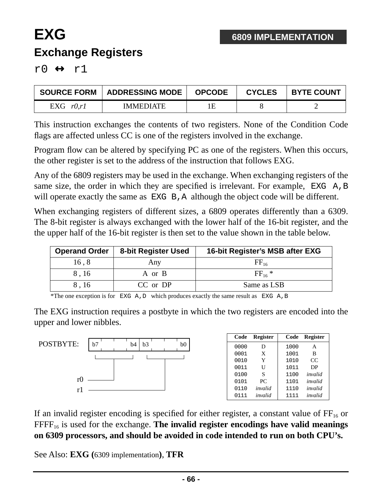## **EXG Exchange Registers**

r $0 \leftrightarrow r1$ 

| <b>SOURCE FORM</b> | ADDRESSING MODE  | <b>OPCODE</b> | <b>CYCLES</b> | <b>BYTE COUNT</b> |
|--------------------|------------------|---------------|---------------|-------------------|
| EXG $r0,r1$        | <b>IMMEDIATE</b> | 1Ε            |               |                   |

This instruction exchanges the contents of two registers. None of the Condition Code flags are affected unless CC is one of the registers involved in the exchange.

Program flow can be altered by specifying PC as one of the registers. When this occurs, the other register is set to the address of the instruction that follows EXG.

Any of the 6809 registers may be used in the exchange. When exchanging registers of the same size, the order in which they are specified is irrelevant. For example, EXG A, B will operate exactly the same as EXG B, A although the object code will be different.

When exchanging registers of different sizes, a 6809 operates differently than a 6309. The 8-bit register is always exchanged with the lower half of the 16-bit register, and the the upper half of the 16-bit register is then set to the value shown in the table below.

| <b>Operand Order</b> | 8-bit Register Used | 16-bit Register's MSB after EXG |
|----------------------|---------------------|---------------------------------|
| 16,8                 | Any                 | $\rm FF_{16}$                   |
| 8,16                 | A or B              | $FF_{16}$ *                     |
| 8.16                 | CC or DP            | Same as LSB                     |

\*The one exception is for EXG A, D which produces exactly the same result as EXG A, B

The EXG instruction requires a postbyte in which the two registers are encoded into the upper and lower nibbles.



If an invalid register encoding is specified for either register, a constant value of  $FF<sub>16</sub>$  or FFFF16 is used for the exchange. **The invalid register encodings have valid meanings on 6309 processors, and should be avoided in code intended to run on both CPU's.**

See Also: **EXG (**6309 implementation**)**, **TFR**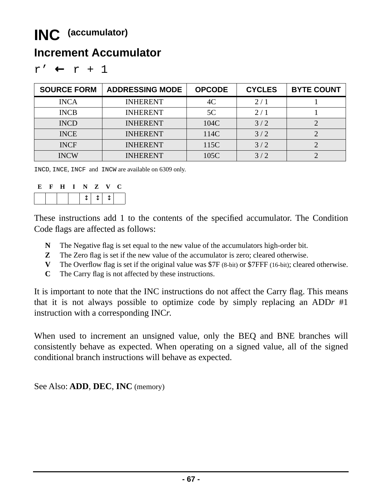### **Increment Accumulator**

| ۰.<br>ᅲ |  |
|---------|--|
|---------|--|

| <b>SOURCE FORM</b> | <b>ADDRESSING MODE</b> | <b>OPCODE</b> | <b>CYCLES</b> | <b>BYTE COUNT</b> |
|--------------------|------------------------|---------------|---------------|-------------------|
| <b>INCA</b>        | <b>INHERENT</b>        | 4C            | 2/1           |                   |
| <b>INCB</b>        | <b>INHERENT</b>        | 5C            | 2/1           |                   |
| <b>INCD</b>        | <b>INHERENT</b>        | 104C          | 3/2           |                   |
| <b>INCE</b>        | <b>INHERENT</b>        | 114C          | 3/2           |                   |
| <b>INCF</b>        | <b>INHERENT</b>        | 115C          | 3/2           |                   |
| <b>INCW</b>        | <b>INHERENT</b>        | 105C          | 3/2           |                   |

INCD, INCE, INCF and INCW are available on 6309 only.

| E | $\mathbf{F}$ | $\mathbf{H}$ | I N Z |             | V |  |
|---|--------------|--------------|-------|-------------|---|--|
|   |              |              |       | $+ + + + +$ |   |  |

These instructions add 1 to the contents of the specified accumulator. The Condition Code flags are affected as follows:

- **N** The Negative flag is set equal to the new value of the accumulators high-order bit.
- **Z** The Zero flag is set if the new value of the accumulator is zero; cleared otherwise.
- **V** The Overflow flag is set if the original value was \$7F (8-bit) or \$7FFF (16-bit); cleared otherwise.
- **C** The Carry flag is not affected by these instructions.

It is important to note that the INC instructions do not affect the Carry flag. This means that it is not always possible to optimize code by simply replacing an ADD*r* #1 instruction with a corresponding INC*r*.

When used to increment an unsigned value, only the BEQ and BNE branches will consistently behave as expected. When operating on a signed value, all of the signed conditional branch instructions will behave as expected.

See Also: **ADD**, **DEC**, **INC** (memory)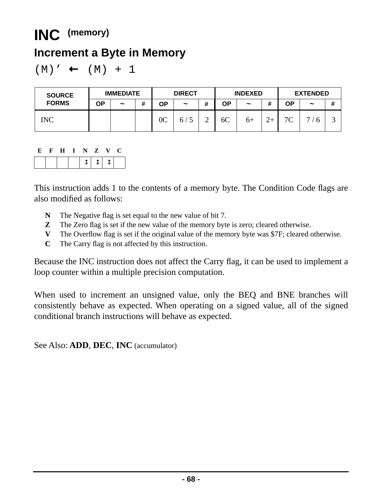## **INC (memory)**

### **Increment a Byte in Memory**

$$
(M) ' \leftarrow (M) + 1
$$

| <b>SOURCE</b> | <b>IMMEDIATE</b> |            |   | <b>DIRECT</b>  |                       |   | <b>INDEXED</b> |            |   | <b>EXTENDED</b> |            |        |
|---------------|------------------|------------|---|----------------|-----------------------|---|----------------|------------|---|-----------------|------------|--------|
| <b>FORMS</b>  | ΟP               | $\tilde{}$ | # | ΟP             | $\tilde{\phantom{a}}$ | Ŧ | ΟP             | $\tilde{}$ |   | ΟP              | $\tilde{}$ | #      |
| INC           |                  |            |   | 0 <sup>C</sup> | n,                    | ∠ | 6C             | $6+$       | ∼ | 7 <sup>C</sup>  | −          | ⌒<br>ت |

#### **E F H I N Z V C**

This instruction adds 1 to the contents of a memory byte. The Condition Code flags are also modified as follows:

- **N** The Negative flag is set equal to the new value of bit 7.
- **Z** The Zero flag is set if the new value of the memory byte is zero; cleared otherwise.
- **V** The Overflow flag is set if the original value of the memory byte was \$7F; cleared otherwise.
- **C** The Carry flag is not affected by this instruction.

Because the INC instruction does not affect the Carry flag, it can be used to implement a loop counter within a multiple precision computation.

When used to increment an unsigned value, only the BEQ and BNE branches will consistently behave as expected. When operating on a signed value, all of the signed conditional branch instructions will behave as expected.

See Also: **ADD**, **DEC**, **INC** (accumulator)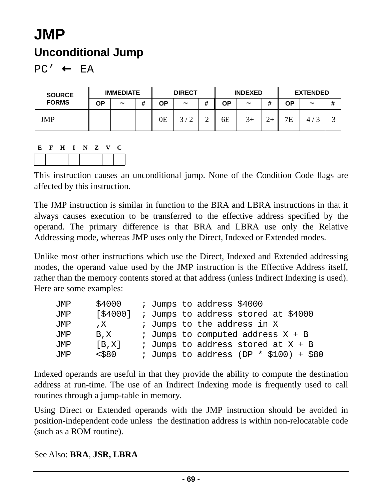# **JMP Unconditional Jump**

 $PC' \leftarrow EA$ 

| <b>SOURCE</b> |    | <b>IMMEDIATE</b> |   | <b>DIRECT</b> |                       | <b>INDEXED</b> |    |                       | <b>EXTENDED</b> |           |            |        |
|---------------|----|------------------|---|---------------|-----------------------|----------------|----|-----------------------|-----------------|-----------|------------|--------|
| <b>FORMS</b>  | ΟP | $\tilde{}$       | # | ΟP            | $\tilde{\phantom{a}}$ | #              | ΟP | $\tilde{\phantom{a}}$ | <br>π           | <b>OP</b> | $\tilde{}$ | #      |
| JMP           |    |                  |   | 0Ε            | $\sim$                | ∽              | 6E | $3+$                  |                 | 7Ε        | 4          | ⌒<br>ت |



This instruction causes an unconditional jump. None of the Condition Code flags are affected by this instruction.

The JMP instruction is similar in function to the BRA and LBRA instructions in that it always causes execution to be transferred to the effective address specified by the operand. The primary difference is that BRA and LBRA use only the Relative Addressing mode, whereas JMP uses only the Direct, Indexed or Extended modes.

Unlike most other instructions which use the Direct, Indexed and Extended addressing modes, the operand value used by the JMP instruction is the Effective Address itself, rather than the memory contents stored at that address (unless Indirect Indexing is used). Here are some examples:

| JMP | \$4000    |  | ; Jumps to address \$4000                  |
|-----|-----------|--|--------------------------------------------|
| JMP | [\$4000]  |  | ; Jumps to address stored at \$4000        |
| JMP | , X       |  | ; Jumps to the address in X                |
| JMP | $B$ , $X$ |  | <i>i</i> Jumps to computed address $X + B$ |
| JMP | [B,X]     |  | ; Jumps to address stored at X + B         |
| JMP | $<$ \$80  |  | ; Jumps to address (DP $*$ \$100) + \$80   |

Indexed operands are useful in that they provide the ability to compute the destination address at run-time. The use of an Indirect Indexing mode is frequently used to call routines through a jump-table in memory.

Using Direct or Extended operands with the JMP instruction should be avoided in position-independent code unless the destination address is within non-relocatable code (such as a ROM routine).

#### See Also: **BRA**, **JSR, LBRA**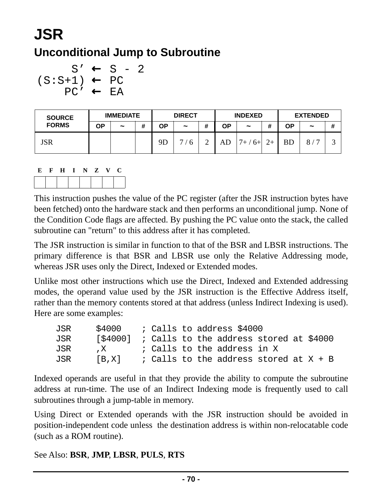# **JSR Unconditional Jump to Subroutine**

```
S' \leftarrow S - 2(S: S+1) \leftarrow PCPC' ← EA
```

| <b>SOURCE</b><br><b>FORMS</b> | <b>IMMEDIATE</b> |                       |   | <b>DIRECT</b> |                       |   | <b>INDEXED</b> |                       |       | <b>EXTENDED</b> |                       |   |
|-------------------------------|------------------|-----------------------|---|---------------|-----------------------|---|----------------|-----------------------|-------|-----------------|-----------------------|---|
|                               | ΟP               | $\tilde{\phantom{a}}$ | # | ΟP            | $\tilde{\phantom{a}}$ | # | ΟP             | $\tilde{\phantom{a}}$ | <br>π | ΟP              | $\tilde{\phantom{a}}$ | # |
| <b>JSR</b>                    |                  |                       |   | 9Γ            | 6                     |   | AD             | $7+ / 6+$             | $2+$  | <b>BD</b>       | 8<br>$\overline{ }$   | ت |

$$
\begin{array}{c|cccc}\nE & F & H & I & N & Z & V & C \\
\hline\n\hline\n\end{array}
$$

This instruction pushes the value of the PC register (after the JSR instruction bytes have been fetched) onto the hardware stack and then performs an unconditional jump. None of the Condition Code flags are affected. By pushing the PC value onto the stack, the called subroutine can "return" to this address after it has completed.

The JSR instruction is similar in function to that of the BSR and LBSR instructions. The primary difference is that BSR and LBSR use only the Relative Addressing mode, whereas JSR uses only the Direct, Indexed or Extended modes.

Unlike most other instructions which use the Direct, Indexed and Extended addressing modes, the operand value used by the JSR instruction is the Effective Address itself, rather than the memory contents stored at that address (unless Indirect Indexing is used). Here are some examples:

| JSR | \$4000                                            |  |  | ; Calls to address \$4000                |  |  |  |
|-----|---------------------------------------------------|--|--|------------------------------------------|--|--|--|
| JSR | $[$4000]$ ; Calls to the address stored at \$4000 |  |  |                                          |  |  |  |
| JSR | $\mathbf{X}$                                      |  |  | ; Calls to the address in X              |  |  |  |
| JSR | [B,X]                                             |  |  | ; Calls to the address stored at $X + B$ |  |  |  |

Indexed operands are useful in that they provide the ability to compute the subroutine address at run-time. The use of an Indirect Indexing mode is frequently used to call subroutines through a jump-table in memory.

Using Direct or Extended operands with the JSR instruction should be avoided in position-independent code unless the destination address is within non-relocatable code (such as a ROM routine).

#### See Also: **BSR**, **JMP**, **LBSR**, **PULS**, **RTS**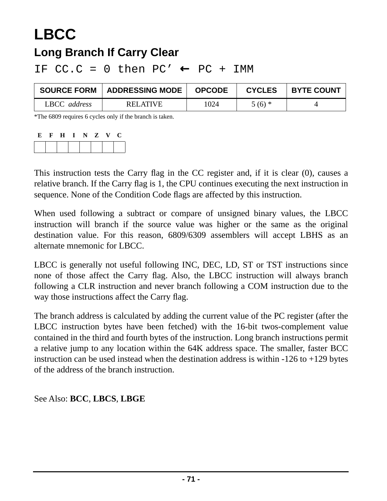## **LBCC Long Branch If Carry Clear**

IF  $CC.C = 0$  then  $PC' \leftarrow PC + IMM$ 

| <b>SOURCE FORM</b> | <b>ADDRESSING MODE</b> | <b>OPCODE</b> | <b>CYCLES</b> | <b>BYTE COUNT</b> |
|--------------------|------------------------|---------------|---------------|-------------------|
| LBCC address       | RELATIVE               | 1024          | $5(6)$ *      |                   |

\*The 6809 requires 6 cycles only if the branch is taken.

| E. | $\mathbf{F}$ | $\mathbf{H}$ | I N Z V |  | U |
|----|--------------|--------------|---------|--|---|
|    |              |              |         |  |   |

This instruction tests the Carry flag in the CC register and, if it is clear (0), causes a relative branch. If the Carry flag is 1, the CPU continues executing the next instruction in sequence. None of the Condition Code flags are affected by this instruction.

When used following a subtract or compare of unsigned binary values, the LBCC instruction will branch if the source value was higher or the same as the original destination value. For this reason, 6809/6309 assemblers will accept LBHS as an alternate mnemonic for LBCC.

LBCC is generally not useful following INC, DEC, LD, ST or TST instructions since none of those affect the Carry flag. Also, the LBCC instruction will always branch following a CLR instruction and never branch following a COM instruction due to the way those instructions affect the Carry flag.

The branch address is calculated by adding the current value of the PC register (after the LBCC instruction bytes have been fetched) with the 16-bit twos-complement value contained in the third and fourth bytes of the instruction. Long branch instructions permit a relative jump to any location within the 64K address space. The smaller, faster BCC instruction can be used instead when the destination address is within -126 to +129 bytes of the address of the branch instruction.

See Also: **BCC**, **LBCS**, **LBGE**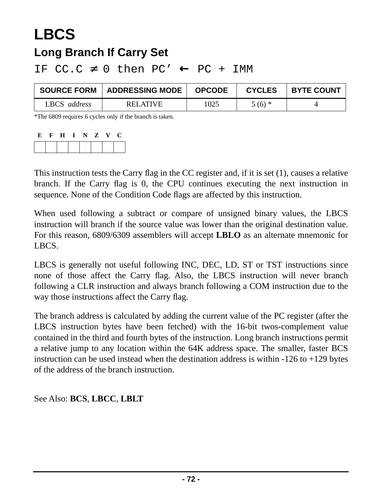## **LBCS Long Branch If Carry Set**

IF  $CC.C \neq 0$  then  $PC' \leftarrow PC + IMM$ 

| <b>SOURCE FORM</b> | ADDRESSING MODE | <b>OPCODE</b> | <b>CYCLES</b> | <b>BYTE COUNT</b> |
|--------------------|-----------------|---------------|---------------|-------------------|
| LBCS address       | RELATIVE        | 1025          | $5(6)$ *      |                   |

\*The 6809 requires 6 cycles only if the branch is taken.

| E. | $\mathbf{F}$ | $\bf{H}$ | I N Z V |  | C. |
|----|--------------|----------|---------|--|----|
|    |              |          |         |  |    |

This instruction tests the Carry flag in the CC register and, if it is set (1), causes a relative branch. If the Carry flag is 0, the CPU continues executing the next instruction in sequence. None of the Condition Code flags are affected by this instruction.

When used following a subtract or compare of unsigned binary values, the LBCS instruction will branch if the source value was lower than the original destination value. For this reason, 6809/6309 assemblers will accept **LBLO** as an alternate mnemonic for LBCS.

LBCS is generally not useful following INC, DEC, LD, ST or TST instructions since none of those affect the Carry flag. Also, the LBCS instruction will never branch following a CLR instruction and always branch following a COM instruction due to the way those instructions affect the Carry flag.

The branch address is calculated by adding the current value of the PC register (after the LBCS instruction bytes have been fetched) with the 16-bit twos-complement value contained in the third and fourth bytes of the instruction. Long branch instructions permit a relative jump to any location within the 64K address space. The smaller, faster BCS instruction can be used instead when the destination address is within  $-126$  to  $+129$  bytes of the address of the branch instruction.

See Also: **BCS**, **LBCC**, **LBLT**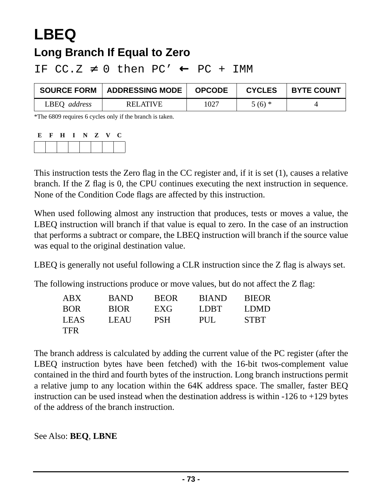# **LBEQ**

#### **Long Branch If Equal to Zero**

IF  $CC.Z \neq 0$  then  $PC' \leftarrow PC + IMM$ 

| <b>SOURCE FORM</b> | <b>ADDRESSING MODE</b> | <b>OPCODE</b> | <b>CYCLES</b> | <b>BYTE COUNT</b> |
|--------------------|------------------------|---------------|---------------|-------------------|
| LBEQ address       | <b>RELATIVE</b>        | 1027          | $5(6)$ *      |                   |

\*The 6809 requires 6 cycles only if the branch is taken.

| E. | F | $\mathbf H$ |  | N Z | V. | U |
|----|---|-------------|--|-----|----|---|
|    |   |             |  |     |    |   |

This instruction tests the Zero flag in the CC register and, if it is set (1), causes a relative branch. If the Z flag is 0, the CPU continues executing the next instruction in sequence. None of the Condition Code flags are affected by this instruction.

When used following almost any instruction that produces, tests or moves a value, the LBEQ instruction will branch if that value is equal to zero. In the case of an instruction that performs a subtract or compare, the LBEQ instruction will branch if the source value was equal to the original destination value.

LBEQ is generally not useful following a CLR instruction since the Z flag is always set.

The following instructions produce or move values, but do not affect the Z flag:

| ABX         | <b>BAND</b> | <b>BEOR</b> | <b>BIAND</b> | <b>BIEOR</b> |
|-------------|-------------|-------------|--------------|--------------|
| <b>BOR</b>  | <b>BIOR</b> | EXG         | LDBT.        | LDMD         |
| <b>LEAS</b> | LEAU        | <b>PSH</b>  | PUL.         | <b>STBT</b>  |
| <b>TFR</b>  |             |             |              |              |

The branch address is calculated by adding the current value of the PC register (after the LBEQ instruction bytes have been fetched) with the 16-bit twos-complement value contained in the third and fourth bytes of the instruction. Long branch instructions permit a relative jump to any location within the 64K address space. The smaller, faster BEQ instruction can be used instead when the destination address is within  $-126$  to  $+129$  bytes of the address of the branch instruction.

See Also: **BEQ**, **LBNE**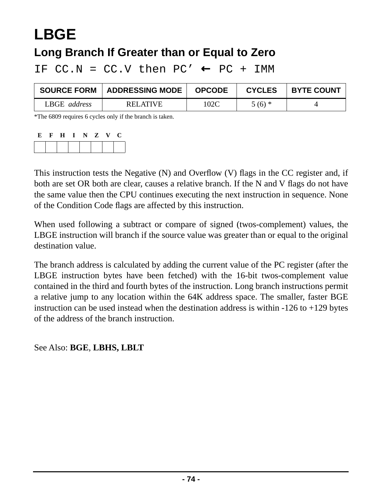# **LBGE**

### **Long Branch If Greater than or Equal to Zero**

IF  $CC.N = CC.V$  then  $PC' \leftarrow PC + IMM$ 

| <b>SOURCE FORM</b> | <b>ADDRESSING MODE</b> | <b>OPCODE</b> | <b>CYCLES</b> | <b>BYTE COUNT</b> |
|--------------------|------------------------|---------------|---------------|-------------------|
| LBGE address       | <b>RELATIVE</b>        | 102C          | $5(6)$ *      |                   |

\*The 6809 requires 6 cycles only if the branch is taken.

| E | $\mathbf{F}$ | H | NZ | $\mathbf{V}$ | U |
|---|--------------|---|----|--------------|---|
|   |              |   |    |              |   |

This instruction tests the Negative (N) and Overflow (V) flags in the CC register and, if both are set OR both are clear, causes a relative branch. If the N and V flags do not have the same value then the CPU continues executing the next instruction in sequence. None of the Condition Code flags are affected by this instruction.

When used following a subtract or compare of signed (twos-complement) values, the LBGE instruction will branch if the source value was greater than or equal to the original destination value.

The branch address is calculated by adding the current value of the PC register (after the LBGE instruction bytes have been fetched) with the 16-bit twos-complement value contained in the third and fourth bytes of the instruction. Long branch instructions permit a relative jump to any location within the 64K address space. The smaller, faster BGE instruction can be used instead when the destination address is within -126 to +129 bytes of the address of the branch instruction.

See Also: **BGE**, **LBHS, LBLT**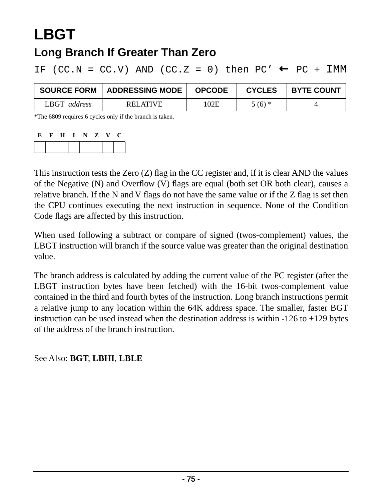## **LBGT**

#### **Long Branch If Greater Than Zero**

IF (CC.N = CC.V) AND (CC.Z = 0) then PC'  $\leftarrow$  PC + IMM

| <b>SOURCE FORM</b> | <b>ADDRESSING MODE</b> | <b>OPCODE</b> | <b>CYCLES</b> | <b>BYTE COUNT</b> |
|--------------------|------------------------|---------------|---------------|-------------------|
| LBGT<br>address    | RELATIVE               | 102E          | $5(6)$ *      |                   |

\*The 6809 requires 6 cycles only if the branch is taken.

| E | $\mathbf{F}$ | H | I N Z | $\mathbf{V}$ | C |
|---|--------------|---|-------|--------------|---|
|   |              |   |       |              |   |

This instruction tests the Zero (Z) flag in the CC register and, if it is clear AND the values of the Negative (N) and Overflow (V) flags are equal (both set OR both clear), causes a relative branch. If the N and V flags do not have the same value or if the Z flag is set then the CPU continues executing the next instruction in sequence. None of the Condition Code flags are affected by this instruction.

When used following a subtract or compare of signed (twos-complement) values, the LBGT instruction will branch if the source value was greater than the original destination value.

The branch address is calculated by adding the current value of the PC register (after the LBGT instruction bytes have been fetched) with the 16-bit twos-complement value contained in the third and fourth bytes of the instruction. Long branch instructions permit a relative jump to any location within the 64K address space. The smaller, faster BGT instruction can be used instead when the destination address is within  $-126$  to  $+129$  bytes of the address of the branch instruction.

See Also: **BGT**, **LBHI**, **LBLE**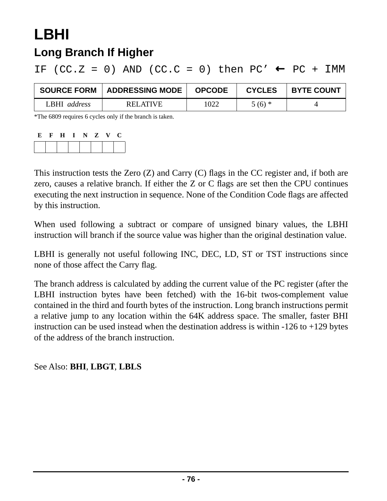## **LBHI Long Branch If Higher**

IF (CC.Z = 0) AND (CC.C = 0) then PC'  $\leftarrow$  PC + IMM

| <b>SOURCE FORM</b> | <b>ADDRESSING MODE</b> | <b>OPCODE</b> | <b>CYCLES</b> | <b>BYTE COUNT</b> |
|--------------------|------------------------|---------------|---------------|-------------------|
| LBHI address       | RELATIVE               | 1022          | $5(6)$ *      |                   |

\*The 6809 requires 6 cycles only if the branch is taken.

| Ľ | $\mathbf H$ | N. | Z | V. | U |
|---|-------------|----|---|----|---|
|   |             |    |   |    |   |

This instruction tests the Zero (Z) and Carry (C) flags in the CC register and, if both are zero, causes a relative branch. If either the Z or C flags are set then the CPU continues executing the next instruction in sequence. None of the Condition Code flags are affected by this instruction.

When used following a subtract or compare of unsigned binary values, the LBHI instruction will branch if the source value was higher than the original destination value.

LBHI is generally not useful following INC, DEC, LD, ST or TST instructions since none of those affect the Carry flag.

The branch address is calculated by adding the current value of the PC register (after the LBHI instruction bytes have been fetched) with the 16-bit twos-complement value contained in the third and fourth bytes of the instruction. Long branch instructions permit a relative jump to any location within the 64K address space. The smaller, faster BHI instruction can be used instead when the destination address is within -126 to +129 bytes of the address of the branch instruction.

See Also: **BHI**, **LBGT**, **LBLS**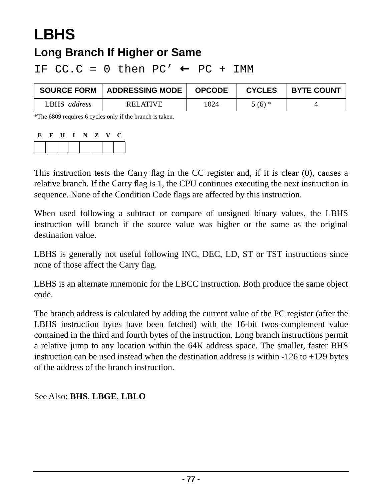# **LBHS**

#### **Long Branch If Higher or Same**

IF  $CC.C = 0$  then  $PC' \leftarrow PC + IMM$ 

| <b>SOURCE FORM</b> | <b>∣ ADDRESSING MODE ∣</b> | <b>OPCODE</b> | <b>CYCLES</b> | <b>BYTE COUNT</b> |
|--------------------|----------------------------|---------------|---------------|-------------------|
| LBHS address       | <b>RELATIVE</b>            | 1024          | $5(6)$ *      |                   |

\*The 6809 requires 6 cycles only if the branch is taken.

| E. | $\mathbf{F}$ | $\bf{H}$ | I N Z V |  | C. |
|----|--------------|----------|---------|--|----|
|    |              |          |         |  |    |

This instruction tests the Carry flag in the CC register and, if it is clear (0), causes a relative branch. If the Carry flag is 1, the CPU continues executing the next instruction in sequence. None of the Condition Code flags are affected by this instruction.

When used following a subtract or compare of unsigned binary values, the LBHS instruction will branch if the source value was higher or the same as the original destination value.

LBHS is generally not useful following INC, DEC, LD, ST or TST instructions since none of those affect the Carry flag.

LBHS is an alternate mnemonic for the LBCC instruction. Both produce the same object code.

The branch address is calculated by adding the current value of the PC register (after the LBHS instruction bytes have been fetched) with the 16-bit twos-complement value contained in the third and fourth bytes of the instruction. Long branch instructions permit a relative jump to any location within the 64K address space. The smaller, faster BHS instruction can be used instead when the destination address is within  $-126$  to  $+129$  bytes of the address of the branch instruction.

See Also: **BHS**, **LBGE**, **LBLO**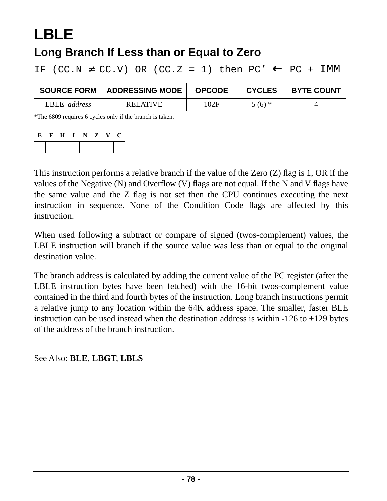## **LBLE**

#### **Long Branch If Less than or Equal to Zero**

IF (CC.N  $\neq$  CC.V) OR (CC.Z = 1) then PC'  $\leftarrow$  PC + IMM

| <b>SOURCE FORM</b> | <b>ADDRESSING MODE</b> | <b>OPCODE</b> | <b>CYCLES</b> | <b>BYTE COUNT</b> |
|--------------------|------------------------|---------------|---------------|-------------------|
| LBLE address       | <b>RELATIVE</b>        | 102F          | $5(6)$ *      |                   |

\*The 6809 requires 6 cycles only if the branch is taken.

| Е | H |  | N Z | $\mathbf{V}$ | U. |
|---|---|--|-----|--------------|----|
|   |   |  |     |              |    |

This instruction performs a relative branch if the value of the Zero (Z) flag is 1, OR if the values of the Negative (N) and Overflow (V) flags are not equal. If the N and V flags have the same value and the Z flag is not set then the CPU continues executing the next instruction in sequence. None of the Condition Code flags are affected by this instruction.

When used following a subtract or compare of signed (twos-complement) values, the LBLE instruction will branch if the source value was less than or equal to the original destination value.

The branch address is calculated by adding the current value of the PC register (after the LBLE instruction bytes have been fetched) with the 16-bit twos-complement value contained in the third and fourth bytes of the instruction. Long branch instructions permit a relative jump to any location within the 64K address space. The smaller, faster BLE instruction can be used instead when the destination address is within  $-126$  to  $+129$  bytes of the address of the branch instruction.

See Also: **BLE**, **LBGT**, **LBLS**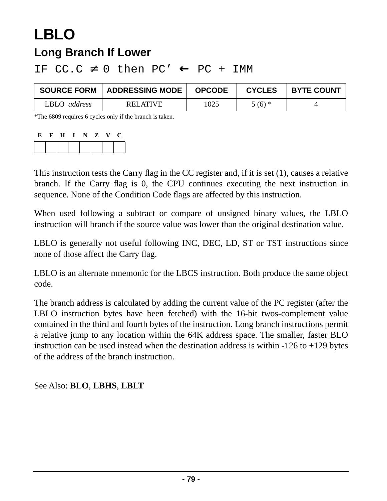## **LBLO Long Branch If Lower**

| <b>SOURCE FORM</b>  | <b>ADDRESSING MODE</b> | <b>OPCODE</b> | <b>CYCLES</b> | <b>BYTE COUNT</b> |
|---------------------|------------------------|---------------|---------------|-------------------|
| LBLO <i>address</i> | <b>RELATIVE</b>        | 1025          | $5(6)$ *      |                   |

IF  $CC.C \neq 0$  then  $PC' \leftarrow PC + IMM$ 

\*The 6809 requires 6 cycles only if the branch is taken.

| E | H | $I \tN Z$ | $\mathbf{V}$ | U |
|---|---|-----------|--------------|---|
|   |   |           |              |   |

This instruction tests the Carry flag in the CC register and, if it is set (1), causes a relative branch. If the Carry flag is 0, the CPU continues executing the next instruction in sequence. None of the Condition Code flags are affected by this instruction.

When used following a subtract or compare of unsigned binary values, the LBLO instruction will branch if the source value was lower than the original destination value.

LBLO is generally not useful following INC, DEC, LD, ST or TST instructions since none of those affect the Carry flag.

LBLO is an alternate mnemonic for the LBCS instruction. Both produce the same object code.

The branch address is calculated by adding the current value of the PC register (after the LBLO instruction bytes have been fetched) with the 16-bit twos-complement value contained in the third and fourth bytes of the instruction. Long branch instructions permit a relative jump to any location within the 64K address space. The smaller, faster BLO instruction can be used instead when the destination address is within  $-126$  to  $+129$  bytes of the address of the branch instruction.

#### See Also: **BLO**, **LBHS**, **LBLT**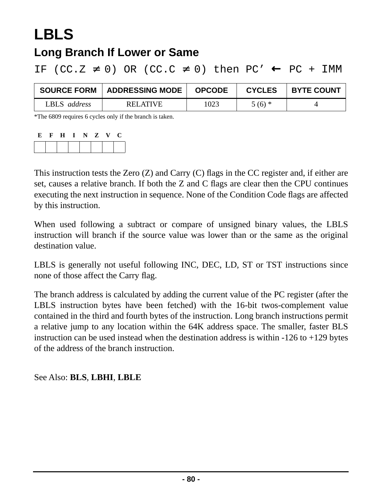## **LBLS**

#### **Long Branch If Lower or Same**

IF (CC.Z  $\neq$  0) OR (CC.C  $\neq$  0) then PC'  $\leftarrow$  PC + IMM

| <b>SOURCE FORM</b> | <b>ADDRESSING MODE</b> | <b>OPCODE</b> | <b>CYCLES</b> | <b>BYTE COUNT</b> |
|--------------------|------------------------|---------------|---------------|-------------------|
| LBLS address       | <b>RELATIVE</b>        | 1023          | $5(6)$ *      |                   |

\*The 6809 requires 6 cycles only if the branch is taken.

| Е | H | $\mathbf N$ | Z | $\mathbf{V}$ | U |
|---|---|-------------|---|--------------|---|
|   |   |             |   |              |   |

This instruction tests the Zero (Z) and Carry (C) flags in the CC register and, if either are set, causes a relative branch. If both the Z and C flags are clear then the CPU continues executing the next instruction in sequence. None of the Condition Code flags are affected by this instruction.

When used following a subtract or compare of unsigned binary values, the LBLS instruction will branch if the source value was lower than or the same as the original destination value.

LBLS is generally not useful following INC, DEC, LD, ST or TST instructions since none of those affect the Carry flag.

The branch address is calculated by adding the current value of the PC register (after the LBLS instruction bytes have been fetched) with the 16-bit twos-complement value contained in the third and fourth bytes of the instruction. Long branch instructions permit a relative jump to any location within the 64K address space. The smaller, faster BLS instruction can be used instead when the destination address is within -126 to +129 bytes of the address of the branch instruction.

#### See Also: **BLS**, **LBHI**, **LBLE**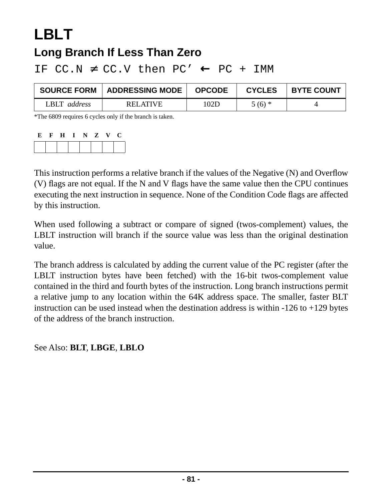## **LBLT Long Branch If Less Than Zero**

| <b>SOURCE FORM</b> | <b>ADDRESSING MODE</b> | <b>OPCODE</b> | <b>CYCLES</b> | <b>BYTE COUNT</b> |
|--------------------|------------------------|---------------|---------------|-------------------|
| LBLT address       | <b>RELATIVE</b>        | 102D          | $5(6)$ *      |                   |

IF  $CC.N \neq CC.V$  then  $PC' \leftarrow PC + IMM$ 

\*The 6809 requires 6 cycles only if the branch is taken.

| E. | $\mathbf{F}$ | H | I N Z V |  | U |
|----|--------------|---|---------|--|---|
|    |              |   |         |  |   |

This instruction performs a relative branch if the values of the Negative (N) and Overflow (V) flags are not equal. If the N and V flags have the same value then the CPU continues executing the next instruction in sequence. None of the Condition Code flags are affected by this instruction.

When used following a subtract or compare of signed (twos-complement) values, the LBLT instruction will branch if the source value was less than the original destination value.

The branch address is calculated by adding the current value of the PC register (after the LBLT instruction bytes have been fetched) with the 16-bit twos-complement value contained in the third and fourth bytes of the instruction. Long branch instructions permit a relative jump to any location within the 64K address space. The smaller, faster BLT instruction can be used instead when the destination address is within  $-126$  to  $+129$  bytes of the address of the branch instruction.

See Also: **BLT**, **LBGE**, **LBLO**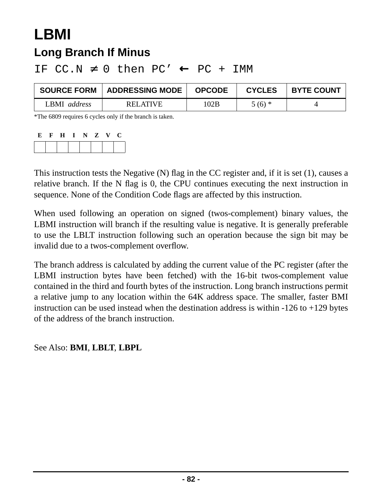## **LBMI Long Branch If Minus**

| <b>SOURCE FORM</b> | <b>ADDRESSING MODE</b> | <b>OPCODE</b> | <b>CYCLES</b> | <b>BYTE COUNT</b> |
|--------------------|------------------------|---------------|---------------|-------------------|
| BMI address        | <b>RELATIVE</b>        | 102B          | $5(6)$ *      |                   |

IF  $CC.N \neq 0$  then  $PC' \leftarrow PC + IMM$ 

\*The 6809 requires 6 cycles only if the branch is taken.

| E | H | NZ | $\mathbf{V}$ | U |
|---|---|----|--------------|---|
|   |   |    |              |   |

This instruction tests the Negative (N) flag in the CC register and, if it is set (1), causes a relative branch. If the N flag is 0, the CPU continues executing the next instruction in sequence. None of the Condition Code flags are affected by this instruction.

When used following an operation on signed (twos-complement) binary values, the LBMI instruction will branch if the resulting value is negative. It is generally preferable to use the LBLT instruction following such an operation because the sign bit may be invalid due to a twos-complement overflow.

The branch address is calculated by adding the current value of the PC register (after the LBMI instruction bytes have been fetched) with the 16-bit twos-complement value contained in the third and fourth bytes of the instruction. Long branch instructions permit a relative jump to any location within the 64K address space. The smaller, faster BMI instruction can be used instead when the destination address is within -126 to +129 bytes of the address of the branch instruction.

See Also: **BMI**, **LBLT**, **LBPL**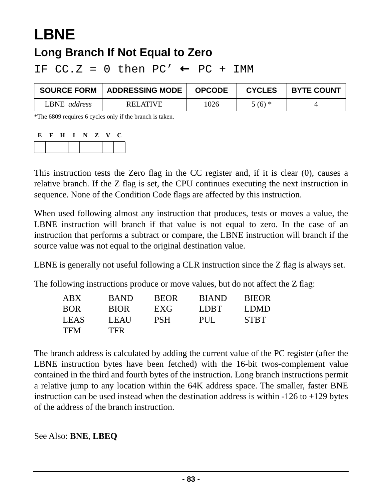# **LBNE**

### **Long Branch If Not Equal to Zero**

IF  $CC.Z = 0$  then  $PC' \leftarrow PC + IMM$ 

| <b>SOURCE FORM</b>  | ADDRESSING MODE | <b>OPCODE</b> | <b>CYCLES</b> | <b>BYTE COUNT</b> |
|---------------------|-----------------|---------------|---------------|-------------------|
| LBNE <i>address</i> | <b>RELATIVE</b> | 1026          | $5(6)$ *      |                   |

\*The 6809 requires 6 cycles only if the branch is taken.

| F, | $\mathbf H$ | N | $\mathbf{z}$ | $\sqrt{ }$ | L. |
|----|-------------|---|--------------|------------|----|
|    |             |   |              |            |    |

This instruction tests the Zero flag in the CC register and, if it is clear (0), causes a relative branch. If the Z flag is set, the CPU continues executing the next instruction in sequence. None of the Condition Code flags are affected by this instruction.

When used following almost any instruction that produces, tests or moves a value, the LBNE instruction will branch if that value is not equal to zero. In the case of an instruction that performs a subtract or compare, the LBNE instruction will branch if the source value was not equal to the original destination value.

LBNE is generally not useful following a CLR instruction since the Z flag is always set.

The following instructions produce or move values, but do not affect the Z flag:

| ${\rm ABX}$ | <b>BAND</b> | <b>BEOR</b> | <b>BIAND</b> | <b>BIEOR</b> |
|-------------|-------------|-------------|--------------|--------------|
| BOR         | <b>BIOR</b> | EXG         | LDBT.        | LDMD.        |
| LEAS        | LEAU        | <b>PSH</b>  | PUL.         | <b>STBT</b>  |
| TFM         | <b>TFR</b>  |             |              |              |

The branch address is calculated by adding the current value of the PC register (after the LBNE instruction bytes have been fetched) with the 16-bit twos-complement value contained in the third and fourth bytes of the instruction. Long branch instructions permit a relative jump to any location within the 64K address space. The smaller, faster BNE instruction can be used instead when the destination address is within  $-126$  to  $+129$  bytes of the address of the branch instruction.

See Also: **BNE**, **LBEQ**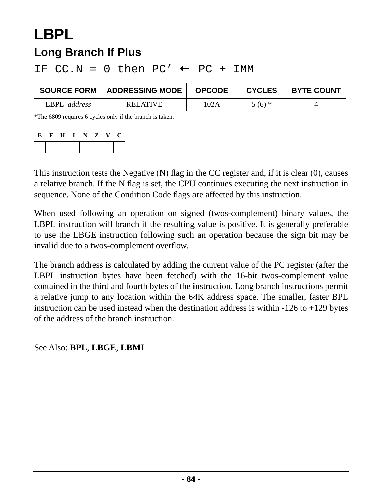## **LBPL Long Branch If Plus**

| <b>SOURCE FORM</b> | ADDRESSING MODE | <b>OPCODE</b> | <b>CYCLES</b> | <b>BYTE COUNT</b> |
|--------------------|-----------------|---------------|---------------|-------------------|
| LBPL address       | <b>RELATIVE</b> | 102A          | $5(6)$ *      |                   |

IF  $CC.N = 0$  then  $PC' \leftarrow PC + IMM$ 

\*The 6809 requires 6 cycles only if the branch is taken.

| E | H |  | N Z | V. | U |
|---|---|--|-----|----|---|
|   |   |  |     |    |   |

This instruction tests the Negative (N) flag in the CC register and, if it is clear (0), causes a relative branch. If the N flag is set, the CPU continues executing the next instruction in sequence. None of the Condition Code flags are affected by this instruction.

When used following an operation on signed (twos-complement) binary values, the LBPL instruction will branch if the resulting value is positive. It is generally preferable to use the LBGE instruction following such an operation because the sign bit may be invalid due to a twos-complement overflow.

The branch address is calculated by adding the current value of the PC register (after the LBPL instruction bytes have been fetched) with the 16-bit twos-complement value contained in the third and fourth bytes of the instruction. Long branch instructions permit a relative jump to any location within the 64K address space. The smaller, faster BPL instruction can be used instead when the destination address is within  $-126$  to  $+129$  bytes of the address of the branch instruction.

See Also: **BPL**, **LBGE**, **LBMI**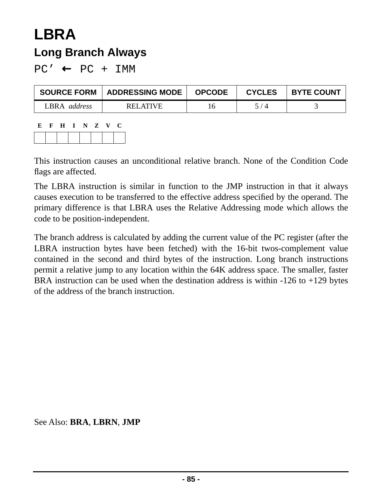## **LBRA Long Branch Always**

 $PC' \leftarrow PC + IMM$ 

| <b>SOURCE FORM</b>  | <b>ADDRESSING MODE</b> | <b>OPCODE</b> | <b>CYCLES</b> | <b>BYTE COUNT</b> |
|---------------------|------------------------|---------------|---------------|-------------------|
| LBRA <i>address</i> | RELATIVE               | 16            | 5 / 4         |                   |

**E F H I N Z V C**

This instruction causes an unconditional relative branch. None of the Condition Code flags are affected.

The LBRA instruction is similar in function to the JMP instruction in that it always causes execution to be transferred to the effective address specified by the operand. The primary difference is that LBRA uses the Relative Addressing mode which allows the code to be position-independent.

The branch address is calculated by adding the current value of the PC register (after the LBRA instruction bytes have been fetched) with the 16-bit twos-complement value contained in the second and third bytes of the instruction. Long branch instructions permit a relative jump to any location within the 64K address space. The smaller, faster BRA instruction can be used when the destination address is within  $-126$  to  $+129$  bytes of the address of the branch instruction.

See Also: **BRA**, **LBRN**, **JMP**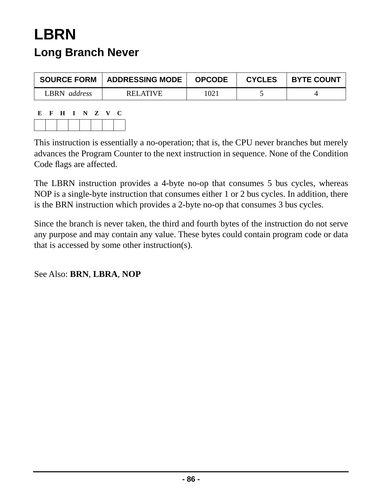## **LBRN Long Branch Never**

| <b>SOURCE FORM</b> | <b>ADDRESSING MODE</b> | <b>OPCODE</b> | <b>CYCLES</b> | <b>BYTE COUNT</b> |
|--------------------|------------------------|---------------|---------------|-------------------|
| LBRN address       | <b>RELATIVE</b>        | 1021          |               |                   |

**E F H I N Z V C**

This instruction is essentially a no-operation; that is, the CPU never branches but merely advances the Program Counter to the next instruction in sequence. None of the Condition Code flags are affected.

The LBRN instruction provides a 4-byte no-op that consumes 5 bus cycles, whereas NOP is a single-byte instruction that consumes either 1 or 2 bus cycles. In addition, there is the BRN instruction which provides a 2-byte no-op that consumes 3 bus cycles.

Since the branch is never taken, the third and fourth bytes of the instruction do not serve any purpose and may contain any value. These bytes could contain program code or data that is accessed by some other instruction(s).

See Also: **BRN**, **LBRA**, **NOP**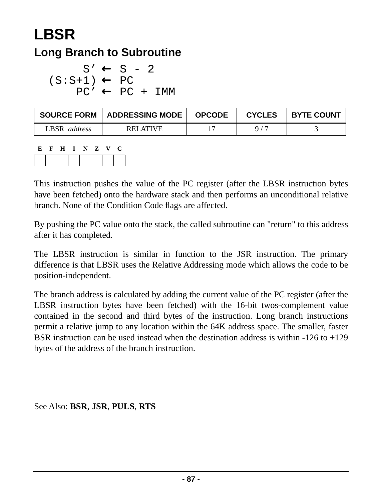## **LBSR Long Branch to Subroutine**

$$
S' \leftarrow S - 2
$$
  
(S:S+1)  $\leftarrow$  PC  
PC'  $\leftarrow$  PC + IMM

| <b>SOURCE FORM</b>  | <b>ADDRESSING MODE</b> | <b>OPCODE</b> | <b>CYCLES</b> | <b>BYTE COUNT</b> |
|---------------------|------------------------|---------------|---------------|-------------------|
| LBSR <i>address</i> | RELATIVE               |               | Q/7           |                   |

**E F H I N Z V C**

This instruction pushes the value of the PC register (after the LBSR instruction bytes have been fetched) onto the hardware stack and then performs an unconditional relative branch. None of the Condition Code flags are affected.

By pushing the PC value onto the stack, the called subroutine can "return" to this address after it has completed.

The LBSR instruction is similar in function to the JSR instruction. The primary difference is that LBSR uses the Relative Addressing mode which allows the code to be position-independent.

The branch address is calculated by adding the current value of the PC register (after the LBSR instruction bytes have been fetched) with the 16-bit twos-complement value contained in the second and third bytes of the instruction. Long branch instructions permit a relative jump to any location within the 64K address space. The smaller, faster BSR instruction can be used instead when the destination address is within  $-126$  to  $+129$ bytes of the address of the branch instruction.

See Also: **BSR**, **JSR**, **PULS**, **RTS**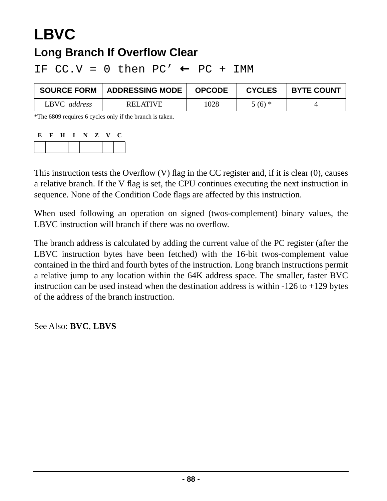# **LBVC**

#### **Long Branch If Overflow Clear**

IF  $CC.V = 0$  then  $PC' \leftarrow PC + IMM$ 

| <b>SOURCE FORM</b> | <b>ADDRESSING MODE</b> | <b>OPCODE</b> | <b>CYCLES</b> | <b>BYTE COUNT</b> |
|--------------------|------------------------|---------------|---------------|-------------------|
| LBVC address       | RELATIVE               | 1028          | $5(6)$ *      |                   |

\*The 6809 requires 6 cycles only if the branch is taken.

| E. | $\mathbf{F}$ | H | $\mathbf{I}$ | NZ | $\mathbf{V}$ | C. |
|----|--------------|---|--------------|----|--------------|----|
|    |              |   |              |    |              |    |

This instruction tests the Overflow (V) flag in the CC register and, if it is clear (0), causes a relative branch. If the V flag is set, the CPU continues executing the next instruction in sequence. None of the Condition Code flags are affected by this instruction.

When used following an operation on signed (twos-complement) binary values, the LBVC instruction will branch if there was no overflow.

The branch address is calculated by adding the current value of the PC register (after the LBVC instruction bytes have been fetched) with the 16-bit twos-complement value contained in the third and fourth bytes of the instruction. Long branch instructions permit a relative jump to any location within the 64K address space. The smaller, faster BVC instruction can be used instead when the destination address is within  $-126$  to  $+129$  bytes of the address of the branch instruction.

See Also: **BVC**, **LBVS**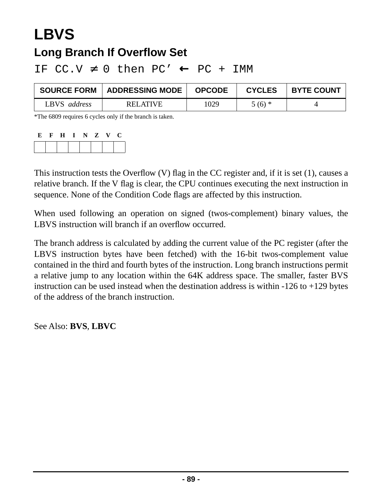## **LBVS Long Branch If Overflow Set**

IF  $CC.V \neq 0$  then  $PC' \leftarrow PC + IMM$ 

| <b>SOURCE FORM</b> | ADDRESSING MODE | <b>OPCODE</b> | <b>CYCLES</b> | <b>BYTE COUNT</b> |
|--------------------|-----------------|---------------|---------------|-------------------|
| LBVS address       | <b>RELATIVE</b> | 1029          | $5(6)$ *      |                   |

\*The 6809 requires 6 cycles only if the branch is taken.

| E. | $\mathbf{F}$ | H | $\mathbf{I}$ | NZ | $\mathbf{V}$ | C. |
|----|--------------|---|--------------|----|--------------|----|
|    |              |   |              |    |              |    |

This instruction tests the Overflow (V) flag in the CC register and, if it is set (1), causes a relative branch. If the V flag is clear, the CPU continues executing the next instruction in sequence. None of the Condition Code flags are affected by this instruction.

When used following an operation on signed (twos-complement) binary values, the LBVS instruction will branch if an overflow occurred.

The branch address is calculated by adding the current value of the PC register (after the LBVS instruction bytes have been fetched) with the 16-bit twos-complement value contained in the third and fourth bytes of the instruction. Long branch instructions permit a relative jump to any location within the 64K address space. The smaller, faster BVS instruction can be used instead when the destination address is within  $-126$  to  $+129$  bytes of the address of the branch instruction.

See Also: **BVS**, **LBVC**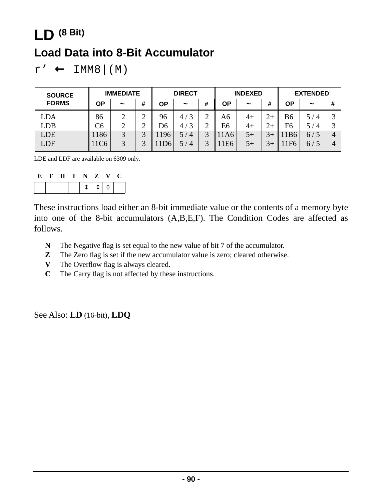## **LD (8 Bit) Load Data into 8-Bit Accumulator**

 $r' \leftarrow \text{IMM8} | (M)$ 

| <b>SOURCE</b> | <b>IMMEDIATE</b> |            |        |      | <b>DIRECT</b>         |              | <b>INDEXED</b> |                       |      | <b>EXTENDED</b> |                       |                   |
|---------------|------------------|------------|--------|------|-----------------------|--------------|----------------|-----------------------|------|-----------------|-----------------------|-------------------|
| <b>FORMS</b>  | ΟP               | $\tilde{}$ | #      | ΟP   | $\tilde{}$            | #            | ΟP             | $\tilde{\phantom{a}}$ | #    | ΟP              | $\tilde{\phantom{a}}$ | #                 |
| LDA           | 86               | ∍          | ◠<br>∽ | 96   | 3<br>4/               | ↑            | A6             | $4+$                  | $2+$ | <b>B6</b>       | 5 /<br>$\overline{4}$ | ⌒                 |
| <b>LDB</b>    | C <sub>6</sub>   | $\gamma$   | ⌒<br>∠ | D6   | 3<br>4,               | ⌒            | E6             | $4+$                  |      | F <sub>6</sub>  | 5 <sub>1</sub>        | $\mathbf{\Omega}$ |
| <b>LDE</b>    | 186              | 3          | ⌒      | 1196 | 5 /<br>$\overline{4}$ | 3            | 11A6           | $5+$                  |      | 1 <sub>B6</sub> | 6/5                   | 4                 |
| LDF           | 11C <sub>6</sub> | 3          | ⌒      | 1D6  | $\overline{4}$<br>5 / | $\mathbf{R}$ | E <sub>6</sub> | $5+$                  |      | 1F <sub>6</sub> | 6/5                   | 4                 |

LDE and LDF are available on 6309 only.

| . н. | $\bf H$ |  | I N Z V | U |
|------|---------|--|---------|---|
|      |         |  | $1110$  |   |

These instructions load either an 8-bit immediate value or the contents of a memory byte into one of the 8-bit accumulators (A,B,E,F). The Condition Codes are affected as follows.

- **N** The Negative flag is set equal to the new value of bit 7 of the accumulator.
- **Z** The Zero flag is set if the new accumulator value is zero; cleared otherwise.
- **V** The Overflow flag is always cleared.
- **C** The Carry flag is not affected by these instructions.

See Also: **LD** (16-bit), **LDQ**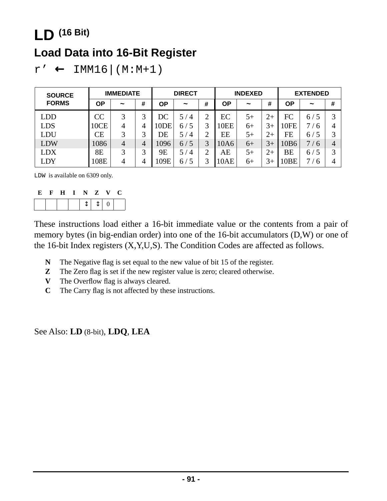## **LD (16 Bit)**

#### **Load Data into 16-Bit Register**

 $r' \leftarrow \text{IMM16} | (M:M+1)$ 

| <b>SOURCE</b> | <b>IMMEDIATE</b> |            |   | <b>DIRECT</b>    |                       | <b>INDEXED</b> |      |            | <b>EXTENDED</b> |      |            |                   |
|---------------|------------------|------------|---|------------------|-----------------------|----------------|------|------------|-----------------|------|------------|-------------------|
| <b>FORMS</b>  | ΟP               | $\tilde{}$ | # | ΟP               | $\tilde{}$            | #              | ΟP   | $\tilde{}$ | #               | ΟP   | $\tilde{}$ | #                 |
| LDD           | CC               | 3          | 2 | DC               | $\overline{4}$        | ⌒              | EC   | $5+$       | $2+$            | FC   | 6/5        | $\mathbf{\Omega}$ |
| <b>LDS</b>    | 10CE             | 4          | 4 | 10 <sub>DE</sub> | ′ 5<br>6/             | 3              | 10EE | $6+$       | 3+              | 10FE | -6         | 4                 |
| LDU           | CЕ               | 3          |   | DE               | $\overline{4}$<br>5,  | ◠              | EE   | $5+$       | $2+$            | FE   | 6/5        |                   |
| <b>LDW</b>    | 1086             | 4          | 4 | 1096             | 6/5                   | 3              | 10A6 | $6+$       | 3+              | 10B6 | 7/6        | 4                 |
| <b>LDX</b>    | 8E               | 3          | 3 | 9E               | 5 /<br>$\overline{4}$ | $\bigcap$      | AE   | $5+$       | $2+$            | BE   | 6/5        | 2                 |
| LDY           | 108E             | 4          | 4 | 109E             | ′ 5<br>6/             | 3              | 10AE | $6+$       | 3+              | 10BE | /6         | 4                 |

LDW is available on 6309 only.

| E | $\mathbf{F}$ |  | H I N Z V |        | C |
|---|--------------|--|-----------|--------|---|
|   |              |  |           | $1110$ |   |

These instructions load either a 16-bit immediate value or the contents from a pair of memory bytes (in big-endian order) into one of the 16-bit accumulators (D,W) or one of the 16-bit Index registers (X,Y,U,S). The Condition Codes are affected as follows.

- **N** The Negative flag is set equal to the new value of bit 15 of the register.
- **Z** The Zero flag is set if the new register value is zero; cleared otherwise.
- **V** The Overflow flag is always cleared.
- **C** The Carry flag is not affected by these instructions.

See Also: **LD** (8-bit), **LDQ**, **LEA**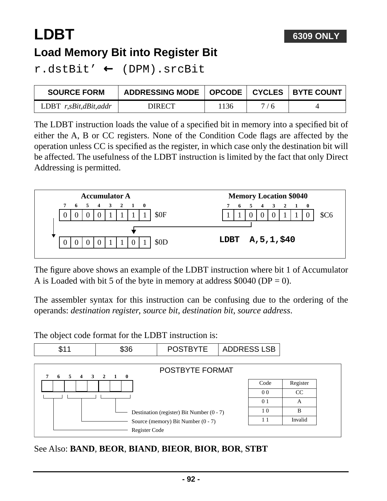## **LDBT Load Memory Bit into Register Bit**

r.dstBit' ← (DPM).srcBit

| <b>SOURCE FORM</b>      | ADDRESSING MODE   OPCODE   CYCLES   BYTE COUNT |      |     |  |
|-------------------------|------------------------------------------------|------|-----|--|
| LDBT $r,sBit,dBit,addr$ | DIRECT                                         | 1136 | 7/6 |  |

The LDBT instruction loads the value of a specified bit in memory into a specified bit of either the A, B or CC registers. None of the Condition Code flags are affected by the operation unless CC is specified as the register, in which case only the destination bit will be affected. The usefulness of the LDBT instruction is limited by the fact that only Direct Addressing is permitted.



The figure above shows an example of the LDBT instruction where bit 1 of Accumulator A is Loaded with bit 5 of the byte in memory at address  $$0040$  (DP = 0).

The assembler syntax for this instruction can be confusing due to the ordering of the operands: *destination register*, *source bit*, *destination bit*, *source address*.

The object code format for the LDBT instruction is:



See Also: **BAND**, **BEOR**, **BIAND**, **BIEOR**, **BIOR**, **BOR**, **STBT**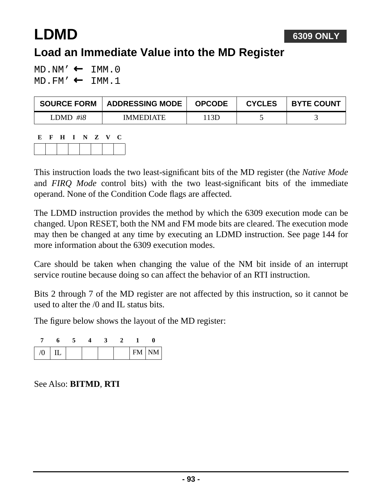# **LDMD**

#### **Load an Immediate Value into the MD Register**

 $MD.NM' \leftarrow IMM.0$ MD.FM' ← IMM.1

| <b>SOURCE FORM</b> | <b>ADDRESSING MODE</b> | <b>OPCODE</b> | <b>CYCLES</b> | <b>BYTE COUNT</b> |
|--------------------|------------------------|---------------|---------------|-------------------|
| LDMD #i8           | <b>IMMEDIATE</b>       | 13D           |               |                   |

| E | $\mathbf{F}$ | H I N Z V |  |  | - 0 |
|---|--------------|-----------|--|--|-----|
|   |              |           |  |  |     |

This instruction loads the two least-significant bits of the MD register (the *Native Mode* and *FIRQ Mode* control bits) with the two least-significant bits of the immediate operand. None of the Condition Code flags are affected.

The LDMD instruction provides the method by which the 6309 execution mode can be changed. Upon RESET, both the NM and FM mode bits are cleared. The execution mode may then be changed at any time by executing an LDMD instruction. See [page 144](#page-143-0) for more information about the 6309 execution modes.

Care should be taken when changing the value of the NM bit inside of an interrupt service routine because doing so can affect the behavior of an RTI instruction.

Bits 2 through 7 of the MD register are not affected by this instruction, so it cannot be used to alter the /0 and IL status bits.

The figure below shows the layout of the MD register:

| $\sqrt{0}$ | IΠ. |  |  | FM NM |
|------------|-----|--|--|-------|

See Also: **BITMD**, **RTI**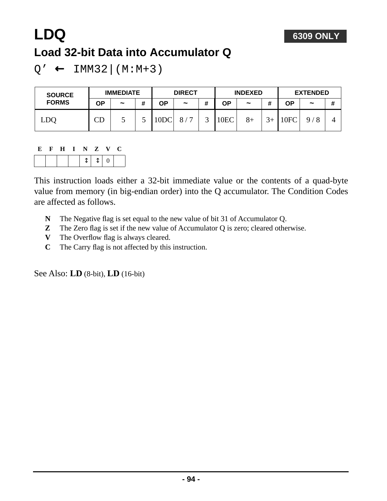

## **LDQ Load 32-bit Data into Accumulator Q**

 $Q' \leftarrow \text{IMM32} | (M:M+3)$ 

| <b>SOURCE</b><br><b>FORMS</b> | <b>IMMEDIATE</b> |                       | <b>DIRECT</b> |                  | <b>INDEXED</b>        |   |      | <b>EXTENDED</b> |                |      |                       |   |
|-------------------------------|------------------|-----------------------|---------------|------------------|-----------------------|---|------|-----------------|----------------|------|-----------------------|---|
|                               | ΟP               | $\tilde{\phantom{a}}$ | #             | ΟP               | $\tilde{\phantom{a}}$ | # | ΟP   | $\tilde{}$      | ш              | ΟP   | $\tilde{\phantom{a}}$ | # |
| LDC                           | CD               | ັ                     | ັ             | 10D <sub>C</sub> | $\mathbf{r}$<br>8/    |   | 10EC | $8+$            | 2 <sub>1</sub> | 10FC | 8<br>Q                |   |

### **E F H I N Z V C**

|--|

This instruction loads either a 32-bit immediate value or the contents of a quad-byte value from memory (in big-endian order) into the Q accumulator. The Condition Codes are affected as follows.

- **N** The Negative flag is set equal to the new value of bit 31 of Accumulator Q.
- **Z** The Zero flag is set if the new value of Accumulator Q is zero; cleared otherwise.
- **V** The Overflow flag is always cleared.
- **C** The Carry flag is not affected by this instruction.

See Also: **LD** (8-bit), **LD** (16-bit)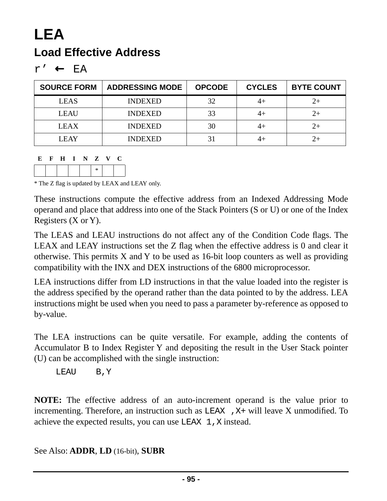## **LEA Load Effective Address**

r' ← EA

| <b>SOURCE FORM</b> | <b>ADDRESSING MODE</b> | <b>OPCODE</b> | <b>CYCLES</b> | <b>BYTE COUNT</b> |
|--------------------|------------------------|---------------|---------------|-------------------|
| <b>LEAS</b>        | <b>INDEXED</b>         | 32            | 44            |                   |
| <b>LEAU</b>        | <b>INDEXED</b>         | 33            | 4+            |                   |
| <b>LEAX</b>        | <b>INDEXED</b>         | 30            | 4+            |                   |
| <b>LEAY</b>        | <b>INDEXED</b>         | 31            | 44            |                   |

**E F H I N Z V C**



\* The Z flag is updated by LEAX and LEAY only.

These instructions compute the effective address from an Indexed Addressing Mode operand and place that address into one of the Stack Pointers (S or U) or one of the Index Registers (X or Y).

The LEAS and LEAU instructions do not affect any of the Condition Code flags. The LEAX and LEAY instructions set the Z flag when the effective address is 0 and clear it otherwise. This permits X and Y to be used as 16-bit loop counters as well as providing compatibility with the INX and DEX instructions of the 6800 microprocessor.

LEA instructions differ from LD instructions in that the value loaded into the register is the address specified by the operand rather than the data pointed to by the address. LEA instructions might be used when you need to pass a parameter by-reference as opposed to by-value.

The LEA instructions can be quite versatile. For example, adding the contents of Accumulator B to Index Register Y and depositing the result in the User Stack pointer (U) can be accomplished with the single instruction:

LEAU B,Y

**NOTE:** The effective address of an auto-increment operand is the value prior to incrementing. Therefore, an instruction such as  $LEAX$ ,  $X+$  will leave X unmodified. To achieve the expected results, you can use  $LEAX \, 1$ , X instead.

See Also: **ADDR**, **LD** (16-bit), **SUBR**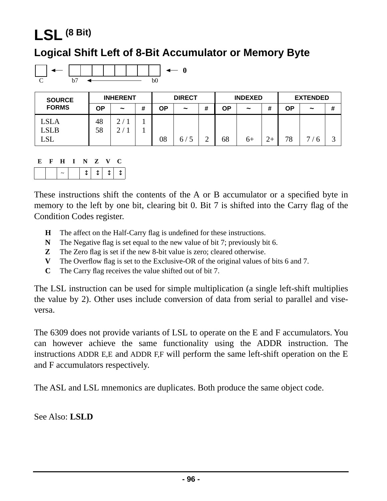## **LSL (8 Bit)**

#### **Logical Shift Left of 8-Bit Accumulator or Memory Byte**



| <b>SOURCE</b> | <b>INHERENT</b> |                       | <b>DIRECT</b> |    | <b>INDEXED</b> |   |    | <b>EXTENDED</b> |  |    |                       |   |
|---------------|-----------------|-----------------------|---------------|----|----------------|---|----|-----------------|--|----|-----------------------|---|
| <b>FORMS</b>  | OΡ              | $\tilde{\phantom{a}}$ | #             | OΡ | $\tilde{}$     | # | ΟP | $\tilde{}$      |  | ΟP | $\tilde{\phantom{a}}$ | # |
| <b>LSLA</b>   | 48              | $\gamma$              |               |    |                |   |    |                 |  |    |                       |   |
| <b>LSLB</b>   | 58              | ⌒                     |               |    |                |   |    |                 |  |    |                       |   |
| LSL           |                 |                       |               | 08 | 6 /            |   | 68 | $6+$            |  | 78 | −                     | ⌒ |

| E | - H |  | I N Z V | - 0                                                                                    |
|---|-----|--|---------|----------------------------------------------------------------------------------------|
|   |     |  |         | $\downarrow \uparrow \downarrow \uparrow \uparrow \uparrow \uparrow \uparrow \uparrow$ |

These instructions shift the contents of the A or B accumulator or a specified byte in memory to the left by one bit, clearing bit 0. Bit 7 is shifted into the Carry flag of the Condition Codes register.

- **H** The affect on the Half-Carry flag is undefined for these instructions.
- **N** The Negative flag is set equal to the new value of bit 7; previously bit 6.
- **Z** The Zero flag is set if the new 8-bit value is zero; cleared otherwise.
- **V** The Overflow flag is set to the Exclusive-OR of the original values of bits 6 and 7.
- **C** The Carry flag receives the value shifted out of bit 7.

The LSL instruction can be used for simple multiplication (a single left-shift multiplies the value by 2). Other uses include conversion of data from serial to parallel and viseversa.

The 6309 does not provide variants of LSL to operate on the E and F accumulators. You can however achieve the same functionality using the ADDR instruction. The instructions ADDR E,E and ADDR F,F will perform the same left-shift operation on the E and F accumulators respectively.

The ASL and LSL mnemonics are duplicates. Both produce the same object code.

See Also: **LSLD**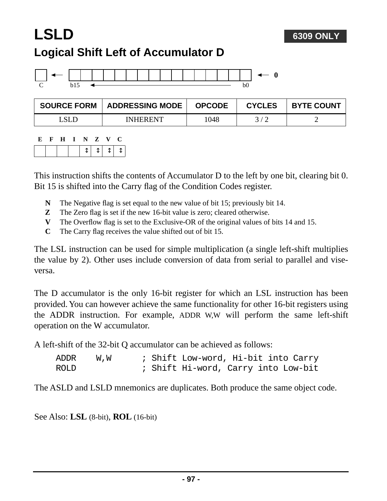#### **6309 ONLY**

## **LSLD Logical Shift Left of Accumulator D**



| <b>SOURCE FORM</b> | <b>ADDRESSING MODE</b> | <b>OPCODE</b> | <b>CYCLES</b> | <b>BYTE COUNT</b> |
|--------------------|------------------------|---------------|---------------|-------------------|
| LSLE               | <b>INHERENT</b>        | 1048          |               | -                 |

| E. | ਾ ਸ | $\blacksquare$ | N | Z V | U.        |  |
|----|-----|----------------|---|-----|-----------|--|
|    |     |                |   |     | $1111111$ |  |

This instruction shifts the contents of Accumulator D to the left by one bit, clearing bit 0. Bit 15 is shifted into the Carry flag of the Condition Codes register.

- **N** The Negative flag is set equal to the new value of bit 15; previously bit 14.
- **Z** The Zero flag is set if the new 16-bit value is zero; cleared otherwise.
- **V** The Overflow flag is set to the Exclusive-OR of the original values of bits 14 and 15.
- **C** The Carry flag receives the value shifted out of bit 15.

The LSL instruction can be used for simple multiplication (a single left-shift multiplies the value by 2). Other uses include conversion of data from serial to parallel and viseversa.

The D accumulator is the only 16-bit register for which an LSL instruction has been provided. You can however achieve the same functionality for other 16-bit registers using the ADDR instruction. For example, ADDR W,W will perform the same left-shift operation on the W accumulator.

A left-shift of the 32-bit Q accumulator can be achieved as follows:

| ADDR | W.W |  | ; Shift Low-word, Hi-bit into Carry |  |  |
|------|-----|--|-------------------------------------|--|--|
| ROLD |     |  | ; Shift Hi-word, Carry into Low-bit |  |  |

The ASLD and LSLD mnemonics are duplicates. Both produce the same object code.

See Also: **LSL** (8-bit), **ROL** (16-bit)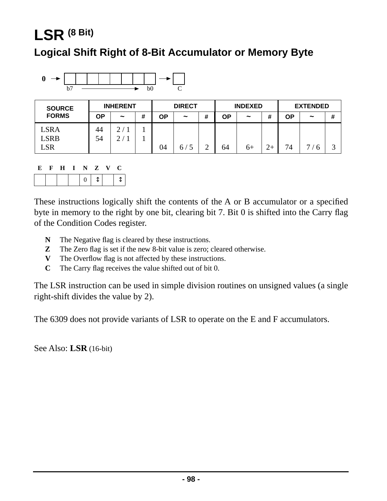## **LSR (8 Bit)**

#### **Logical Shift Right of 8-Bit Accumulator or Memory Byte**



| <b>SOURCE</b> |    | <b>INHERENT</b> |   | <b>DIRECT</b> |            |   | <b>INDEXED</b> |                       |              | <b>EXTENDED</b> |                       |   |
|---------------|----|-----------------|---|---------------|------------|---|----------------|-----------------------|--------------|-----------------|-----------------------|---|
| <b>FORMS</b>  | ΟP | $\tilde{}$      | # | ΟP            | $\tilde{}$ | # | ΟP             | $\tilde{\phantom{a}}$ | π            | ΟP              | $\tilde{\phantom{a}}$ | # |
| <b>LSRA</b>   | 44 | ◠               |   |               |            |   |                |                       |              |                 |                       |   |
| <b>LSRB</b>   | 54 |                 |   |               |            |   |                |                       |              |                 |                       |   |
| LSR           |    |                 |   | 04            | b,         |   | 64             | $6+$                  | $\gamma_{+}$ | 74              | ┍                     | ⌒ |

| E. | $\bf H$ | INZV     |   | 1 J . |  |
|----|---------|----------|---|-------|--|
|    |         | $\Omega$ | T |       |  |

These instructions logically shift the contents of the A or B accumulator or a specified byte in memory to the right by one bit, clearing bit 7. Bit 0 is shifted into the Carry flag of the Condition Codes register.

- **N** The Negative flag is cleared by these instructions.
- **Z** The Zero flag is set if the new 8-bit value is zero; cleared otherwise.
- **V** The Overflow flag is not affected by these instructions.
- **C** The Carry flag receives the value shifted out of bit 0.

The LSR instruction can be used in simple division routines on unsigned values (a single right-shift divides the value by 2).

The 6309 does not provide variants of LSR to operate on the E and F accumulators.

See Also: **LSR** (16-bit)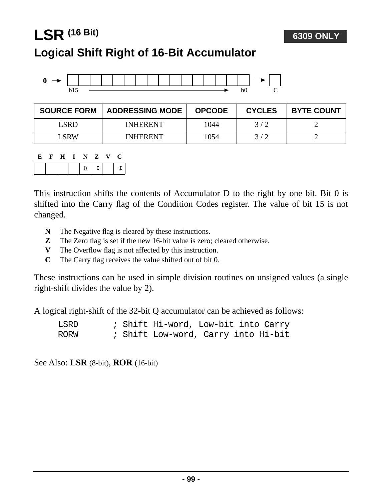## **LSR (16 Bit) Logical Shift Right of 16-Bit Accumulator**



| <b>SOURCE FORM</b> | <b>ADDRESSING MODE</b> | <b>OPCODE</b> | <b>CYCLES</b> | <b>BYTE COUNT</b> |
|--------------------|------------------------|---------------|---------------|-------------------|
| LSRD               | <b>INHERENT</b>        | 1044          | 3/2           |                   |
| L SRW              | <b>INHERENT</b>        | 1054          | 3/2           |                   |

**6309 ONLY**

| E | $\mathbf{F}$ | $\mathbf{H}$ | I N Z V |  | - 0 |
|---|--------------|--------------|---------|--|-----|
|   |              |              | 0       |  |     |

This instruction shifts the contents of Accumulator D to the right by one bit. Bit 0 is shifted into the Carry flag of the Condition Codes register. The value of bit 15 is not changed.

- **N** The Negative flag is cleared by these instructions.
- **Z** The Zero flag is set if the new 16-bit value is zero; cleared otherwise.
- **V** The Overflow flag is not affected by this instruction.
- **C** The Carry flag receives the value shifted out of bit 0.

These instructions can be used in simple division routines on unsigned values (a single right-shift divides the value by 2).

A logical right-shift of the 32-bit Q accumulator can be achieved as follows:

| LSRD |  | ; Shift Hi-word, Low-bit into Carry |  |  |
|------|--|-------------------------------------|--|--|
| RORW |  | ; Shift Low-word, Carry into Hi-bit |  |  |

See Also: **LSR** (8-bit), **ROR** (16-bit)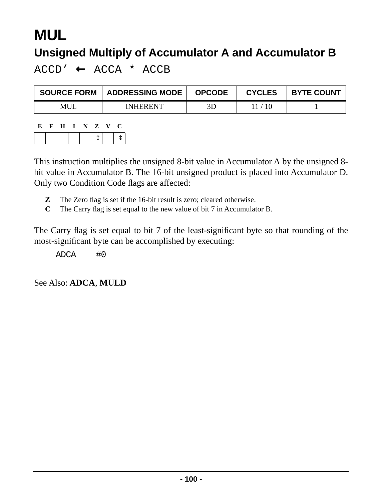# **MUL**

### **Unsigned Multiply of Accumulator A and Accumulator B**

 $ACCD' \leftarrow ACCA * ACCB$ 

| <b>SOURCE FORM</b> | <b>ADDRESSING MODE</b> | <b>OPCODE</b> | <b>CYCLES</b> | <b>BYTE COUNT</b> |
|--------------------|------------------------|---------------|---------------|-------------------|
| MUL                | <b>INHERENT</b>        | 3D            | 11 / 10       |                   |

| E | $\mathbf{F}$ | $\mathbf{H}$ | $I \tN Z$ |  | $\mathbf{V}$ | $\mathbf{C}$ |
|---|--------------|--------------|-----------|--|--------------|--------------|
|   |              |              |           |  |              |              |

This instruction multiplies the unsigned 8-bit value in Accumulator A by the unsigned 8 bit value in Accumulator B. The 16-bit unsigned product is placed into Accumulator D. Only two Condition Code flags are affected:

- **Z** The Zero flag is set if the 16-bit result is zero; cleared otherwise.
- **C** The Carry flag is set equal to the new value of bit 7 in Accumulator B.

The Carry flag is set equal to bit 7 of the least-significant byte so that rounding of the most-significant byte can be accomplished by executing:

ADCA #0

See Also: **ADCA**, **MULD**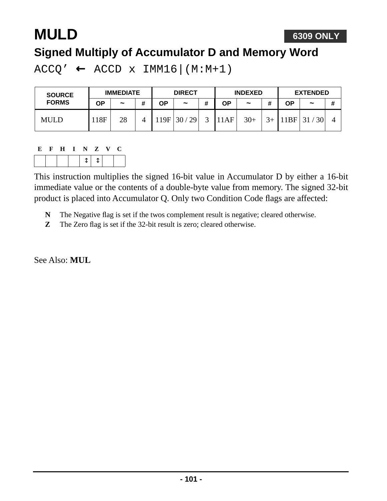# **MULD**

#### **Signed Multiply of Accumulator D and Memory Word**

 $ACCQ' \leftarrow ACCD \times IMM16|(M:M+1)$ 

| <b>SOURCE</b> | <b>IMMEDIATE</b> |                       |   | <b>DIRECT</b> |            |   | <b>INDEXED</b> |                       |      | <b>EXTENDED</b> |            |   |
|---------------|------------------|-----------------------|---|---------------|------------|---|----------------|-----------------------|------|-----------------|------------|---|
| <b>FORMS</b>  | ΟP               | $\tilde{\phantom{a}}$ | # | OΡ            | $\tilde{}$ | # | ΟP             | $\tilde{\phantom{a}}$ |      | ΟP              | $\tilde{}$ | # |
| <b>MULD</b>   | 18F              | 28                    |   | 19F           | 29<br>30/  |   | 11AF           | $30+$                 | $3+$ | 1BF             | 30<br>31   |   |

#### **E F H I N Z V C**  $\updownarrow$   $\downarrow$

This instruction multiplies the signed 16-bit value in Accumulator D by either a 16-bit immediate value or the contents of a double-byte value from memory. The signed 32-bit product is placed into Accumulator Q. Only two Condition Code flags are affected:

- **N** The Negative flag is set if the twos complement result is negative; cleared otherwise.
- **Z** The Zero flag is set if the 32-bit result is zero; cleared otherwise.

See Also: **MUL**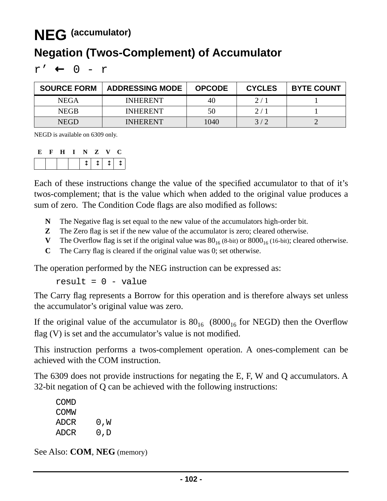## **NEG (accumulator)**

#### **Negation (Twos-Complement) of Accumulator**

 $r'$  ← 0 -  $r$ 

| <b>SOURCE FORM</b> | <b>ADDRESSING MODE</b> | <b>OPCODE</b> | <b>CYCLES</b> | <b>BYTE COUNT</b> |
|--------------------|------------------------|---------------|---------------|-------------------|
| <b>NEGA</b>        | <b>INHERENT</b>        | 40            | 2/1           |                   |
| <b>NEGB</b>        | <b>INHERENT</b>        | 50            | 2/1           |                   |
| <b>NEGD</b>        | <b>INHERENT</b>        | 1040          | 3/2           |                   |

NEGD is available on 6309 only.

| .Е. | $\mathbf{H}$ | - 11 | $\blacksquare$ | $\mathbf{Z}$ | $\mathbf{v}$            |  |
|-----|--------------|------|----------------|--------------|-------------------------|--|
|     |              |      |                |              | $\uparrow + \uparrow +$ |  |

Each of these instructions change the value of the specified accumulator to that of it's twos-complement; that is the value which when added to the original value produces a sum of zero. The Condition Code flags are also modified as follows:

- **N** The Negative flag is set equal to the new value of the accumulators high-order bit.
- **Z** The Zero flag is set if the new value of the accumulator is zero; cleared otherwise.
- **V** The Overflow flag is set if the original value was  $80_{16}$  (8-bit) or  $8000_{16}$  (16-bit); cleared otherwise.
- **C** The Carry flag is cleared if the original value was 0; set otherwise.

The operation performed by the NEG instruction can be expressed as:

result =  $0 - value$ 

The Carry flag represents a Borrow for this operation and is therefore always set unless the accumulator's original value was zero.

If the original value of the accumulator is  $80_{16}$  (8000<sub>16</sub> for NEGD) then the Overflow flag  $(V)$  is set and the accumulator's value is not modified.

This instruction performs a twos-complement operation. A ones-complement can be achieved with the COM instruction.

The 6309 does not provide instructions for negating the E, F, W and Q accumulators. A 32-bit negation of Q can be achieved with the following instructions:

| COMD  |     |
|-------|-----|
| COMM  |     |
| ADCR. | 0,W |
| ADCR  | 0,D |

See Also: **COM**, **NEG** (memory)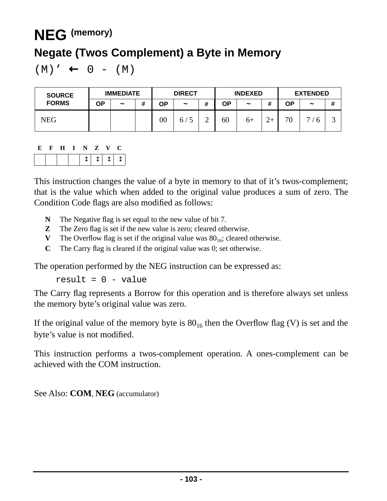## **NEG (memory)**

#### **Negate (Twos Complement) a Byte in Memory**

 $(M)' \leftarrow 0 - (M)$ 

| <b>SOURCE</b> | <b>IMMEDIATE</b> |                       |   | <b>DIRECT</b> |            |   | <b>INDEXED</b> |                       |       | <b>EXTENDED</b> |                     |   |
|---------------|------------------|-----------------------|---|---------------|------------|---|----------------|-----------------------|-------|-----------------|---------------------|---|
| <b>FORMS</b>  | ΟP               | $\tilde{\phantom{a}}$ | # | ОP            | $\tilde{}$ | # | <b>OP</b>      | $\tilde{\phantom{a}}$ | <br>π | ΟP              | $\tilde{}$          | # |
| NEG           |                  |                       |   | $00\,$        | 6/         | ↩ | 60             | $6+$                  |       | 70              | $\overline{ }$<br>r | ت |

|  | . H |  |                          |        | . . |
|--|-----|--|--------------------------|--------|-----|
|  |     |  | $\overline{\phantom{a}}$ | $\sim$ |     |

This instruction changes the value of a byte in memory to that of it's twos-complement; that is the value which when added to the original value produces a sum of zero. The Condition Code flags are also modified as follows:

- **N** The Negative flag is set equal to the new value of bit 7.
- **Z** The Zero flag is set if the new value is zero; cleared otherwise.
- **V** The Overflow flag is set if the original value was  $80_{16}$ ; cleared otherwise.
- **C** The Carry flag is cleared if the original value was 0; set otherwise.

The operation performed by the NEG instruction can be expressed as:

result =  $0 - value$ 

The Carry flag represents a Borrow for this operation and is therefore always set unless the memory byte's original value was zero.

If the original value of the memory byte is  $80_{16}$  then the Overflow flag (V) is set and the byte's value is not modified.

This instruction performs a twos-complement operation. A ones-complement can be achieved with the COM instruction.

See Also: **COM**, **NEG** (accumulator)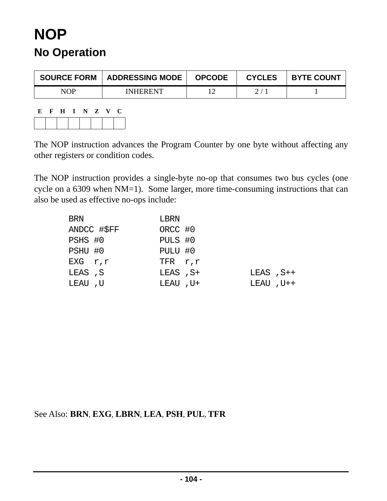## **NOP No Operation**

| <b>SOURCE FORM</b> | <b>ADDRESSING MODE</b> | <b>OPCODE</b> | <b>CYCLES</b> | <b>BYTE COUNT</b> |
|--------------------|------------------------|---------------|---------------|-------------------|
| NOP                | <b>INHERENT</b>        |               |               |                   |

**E F H I N Z V C**

The NOP instruction advances the Program Counter by one byte without affecting any other registers or condition codes.

The NOP instruction provides a single-byte no-op that consumes two bus cycles (one cycle on a 6309 when NM=1). Some larger, more time-consuming instructions that can also be used as effective no-ops include:

| BRN         | LBRN         |                |  |
|-------------|--------------|----------------|--|
| ANDCC #\$FF | ORCC #0      |                |  |
| PSHS #0     | PULS #0      |                |  |
| PSHU #0     | PULU #0      |                |  |
| EXG r,r     | $TFR$ $r, r$ |                |  |
| LEAS ,S     | LEAS, S+     | $LEAS$ , $S++$ |  |
| LEAU ,U     | LEAU, U+     | $LEAU$ , $U++$ |  |

See Also: **BRN**, **EXG**, **LBRN**, **LEA**, **PSH**, **PUL**, **TFR**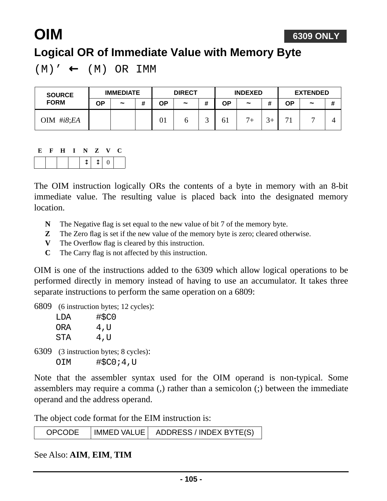#### **6309 ONLY**

## **Logical OR of Immediate Value with Memory Byte**

 $(M)' \leftarrow (M) OR IMM$ 

| <b>SOURCE</b><br><b>FORM</b> | <b>IMMEDIATE</b> |                       |   | <b>DIRECT</b> |                       |  | <b>INDEXED</b> |                       |      | <b>EXTENDED</b> |            |   |
|------------------------------|------------------|-----------------------|---|---------------|-----------------------|--|----------------|-----------------------|------|-----------------|------------|---|
|                              | ΟP               | $\tilde{\phantom{a}}$ | # | ΟP            | $\tilde{\phantom{a}}$ |  | ΟP             | $\tilde{\phantom{a}}$ |      | ΟP              | $\tilde{}$ | # |
| OIM #i8;EA                   |                  |                       |   | UΙ            |                       |  | 61             | $7+$                  | $3+$ | $\mathbf{r}$    |            |   |

#### **E F H I N Z V C**

**OIM**

The OIM instruction logically ORs the contents of a byte in memory with an 8-bit immediate value. The resulting value is placed back into the designated memory location.

- **N** The Negative flag is set equal to the new value of bit 7 of the memory byte.
- **Z** The Zero flag is set if the new value of the memory byte is zero; cleared otherwise.
- **V** The Overflow flag is cleared by this instruction.
- **C** The Carry flag is not affected by this instruction.

OIM is one of the instructions added to the 6309 which allow logical operations to be performed directly in memory instead of having to use an accumulator. It takes three separate instructions to perform the same operation on a 6809:

6809 (6 instruction bytes; 12 cycles):

| T DA | #\$C0 |
|------|-------|
| ORA  | 4,U   |
| STA  | 4,U   |
|      |       |

6309 (3 instruction bytes; 8 cycles): OIM #\$C0;4,U

Note that the assembler syntax used for the OIM operand is non-typical. Some assemblers may require a comma (,) rather than a semicolon (;) between the immediate operand and the address operand.

The object code format for the EIM instruction is:

| <b>OPCODE</b><br>  IMMED VALUE | ADDRESS / INDEX BYTE(S) |
|--------------------------------|-------------------------|
|--------------------------------|-------------------------|

#### See Also: **AIM**, **EIM**, **TIM**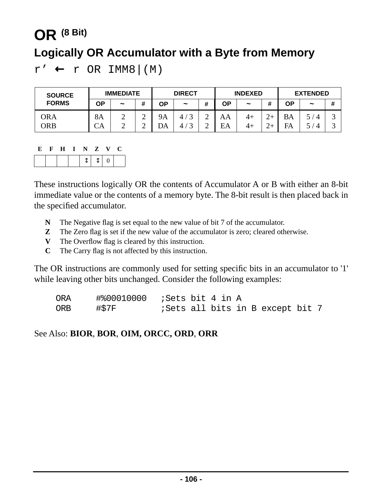# **OR (8 Bit) Logically OR Accumulator with a Byte from Memory**

 $r' \leftarrow r$  OR IMM8  $|(M)$ 

| <b>SOURCE</b> | <b>IMMEDIATE</b> |            |                  | <b>DIRECT</b>   |            |        | <b>INDEXED</b> |                       |   | <b>EXTENDED</b> |                       |        |
|---------------|------------------|------------|------------------|-----------------|------------|--------|----------------|-----------------------|---|-----------------|-----------------------|--------|
| <b>FORMS</b>  | ΟP               | $\tilde{}$ | #                | ΟP              | $\tilde{}$ | #      | ΟP             | $\tilde{\phantom{a}}$ | # | ΟP              | $\tilde{\phantom{a}}$ | #      |
| ORA<br>ORB    | <b>8A</b><br>СA  | ∽<br>∽     | ⌒<br>∽<br>⌒<br>∽ | <b>9A</b><br>DA |            | ∸<br>∽ | AA<br>EA       | $4+$<br>4+            |   | <b>BA</b><br>FA |                       | ت<br>ت |

|  | E F H I N Z V |  |                                               | - 0 |
|--|---------------|--|-----------------------------------------------|-----|
|  |               |  | $\sqrt{\updownarrow \uparrow \updownarrow}$ 0 |     |

These instructions logically OR the contents of Accumulator A or B with either an 8-bit immediate value or the contents of a memory byte. The 8-bit result is then placed back in the specified accumulator.

- **N** The Negative flag is set equal to the new value of bit 7 of the accumulator.
- **Z** The Zero flag is set if the new value of the accumulator is zero; cleared otherwise.
- **V** The Overflow flag is cleared by this instruction.
- **C** The Carry flag is not affected by this instruction.

The OR instructions are commonly used for setting specific bits in an accumulator to '1' while leaving other bits unchanged. Consider the following examples:

| <b>ORA</b> | $\texttt{\#800010000}$ ; Sets bit 4 in A |  |  |                                          |  |
|------------|------------------------------------------|--|--|------------------------------------------|--|
| ORB        | #\$7F                                    |  |  | <i>i</i> Sets all bits in B except bit 7 |  |

See Also: **BIOR**, **BOR**, **OIM, ORCC, ORD**, **ORR**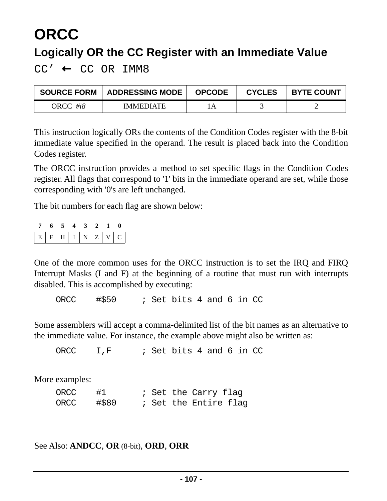## **ORCC Logically OR the CC Register with an Immediate Value**

 $CC' \leftarrow CC OR IMMS$ 

| <b>SOURCE FORM</b> | <b>ADDRESSING MODE</b> | <b>OPCODE</b> | <b>CYCLES</b> | <b>BYTE COUNT</b> |
|--------------------|------------------------|---------------|---------------|-------------------|
| ORCC #i8           | <b>IMMEDIATE</b>       |               |               |                   |

This instruction logically ORs the contents of the Condition Codes register with the 8-bit immediate value specified in the operand. The result is placed back into the Condition Codes register.

The ORCC instruction provides a method to set specific flags in the Condition Codes register. All flags that correspond to '1' bits in the immediate operand are set, while those corresponding with '0's are left unchanged.

The bit numbers for each flag are shown below:

|                   | 7 6 5 4 3 2 1 0 |  |  |  |
|-------------------|-----------------|--|--|--|
| $E F H I N Z V C$ |                 |  |  |  |

One of the more common uses for the ORCC instruction is to set the IRQ and FIRQ Interrupt Masks (I and F) at the beginning of a routine that must run with interrupts disabled. This is accomplished by executing:

ORCC #\$50 ; Set bits 4 and 6 in CC

Some assemblers will accept a comma-delimited list of the bit names as an alternative to the immediate value. For instance, the example above might also be written as:

ORCC  $I.F$  ; Set bits 4 and 6 in CC

More examples:

| ORCC | #1    |  | ; Set the Carry flag  |  |
|------|-------|--|-----------------------|--|
| ORCC | #\$80 |  | ; Set the Entire flag |  |

See Also: **ANDCC**, **OR** (8-bit), **ORD**, **ORR**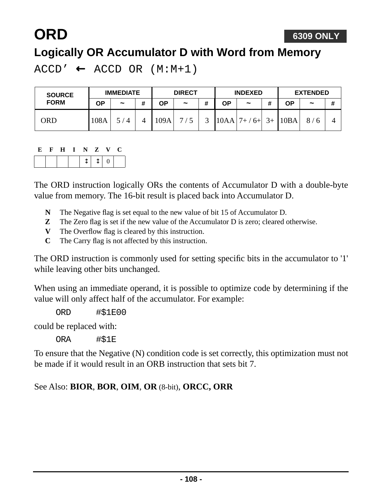# **ORD**

#### **Logically OR Accumulator D with Word from Memory**

 $ACCD' \leftarrow ACCD OR (M:M+1)$ 

| <b>SOURCE</b><br><b>FORM</b> | <b>IMMEDIATE</b> |                       |   | <b>DIRECT</b> |            |   | <b>INDEXED</b> |              |         | <b>EXTENDED</b> |            |   |
|------------------------------|------------------|-----------------------|---|---------------|------------|---|----------------|--------------|---------|-----------------|------------|---|
|                              | ΟP               | $\tilde{\phantom{a}}$ | # | ΟP            | $\tilde{}$ | # | ΟP             | $\tilde{}$   | 11<br>π | ΟP              | $\tilde{}$ | # |
| ORD                          | 108A             | $^{\prime}$ 4         |   | 109A          | ⇁          |   | 10AA           | $6+$<br>$7+$ | $3+$    | 10BA            | 8/         |   |

#### **E F H I N Z V C**

The ORD instruction logically ORs the contents of Accumulator D with a double-byte value from memory. The 16-bit result is placed back into Accumulator D.

- **N** The Negative flag is set equal to the new value of bit 15 of Accumulator D.
- **Z** The Zero flag is set if the new value of the Accumulator D is zero; cleared otherwise.
- **V** The Overflow flag is cleared by this instruction.
- **C** The Carry flag is not affected by this instruction.

The ORD instruction is commonly used for setting specific bits in the accumulator to '1' while leaving other bits unchanged.

When using an immediate operand, it is possible to optimize code by determining if the value will only affect half of the accumulator. For example:

ORD #\$1E00

could be replaced with:

ORA #\$1E

To ensure that the Negative (N) condition code is set correctly, this optimization must not be made if it would result in an ORB instruction that sets bit 7.

#### See Also: **BIOR**, **BOR**, **OIM**, **OR** (8-bit), **ORCC, ORR**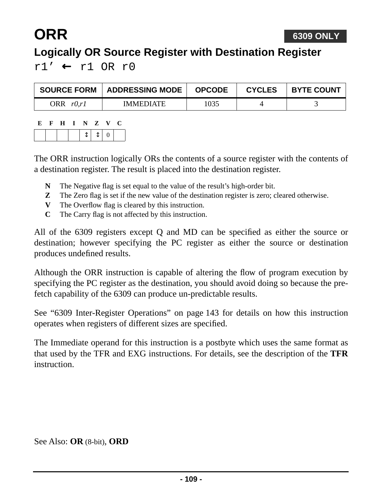## **ORR**

### **Logically OR Source Register with Destination Register**

 $r1'$  ←  $r1$  OR  $r0$ 

| <b>SOURCE FORM</b> | ADDRESSING MODE  | <b>OPCODE</b> | <b>CYCLES</b> | <b>BYTE COUNT</b> |
|--------------------|------------------|---------------|---------------|-------------------|
| ORR $r0,r1$        | <b>IMMEDIATE</b> | 1035          |               |                   |

| К. | - 15 | H I N Z |  |         | $\mathbf{V}$ | 1 L. |
|----|------|---------|--|---------|--------------|------|
|    |      |         |  | $T + 0$ |              |      |

The ORR instruction logically ORs the contents of a source register with the contents of a destination register. The result is placed into the destination register.

- **N** The Negative flag is set equal to the value of the result's high-order bit.
- **Z** The Zero flag is set if the new value of the destination register is zero; cleared otherwise.
- **V** The Overflow flag is cleared by this instruction.
- **C** The Carry flag is not affected by this instruction.

All of the 6309 registers except Q and MD can be specified as either the source or destination; however specifying the PC register as either the source or destination produces undefined results.

Although the ORR instruction is capable of altering the flow of program execution by specifying the PC register as the destination, you should avoid doing so because the prefetch capability of the 6309 can produce un-predictable results.

See ["6309 Inter-Register Operations" on page 143](#page-142-0) for details on how this instruction operates when registers of different sizes are specified.

The Immediate operand for this instruction is a postbyte which uses the same format as that used by the TFR and EXG instructions. For details, see the description of the **TFR** instruction.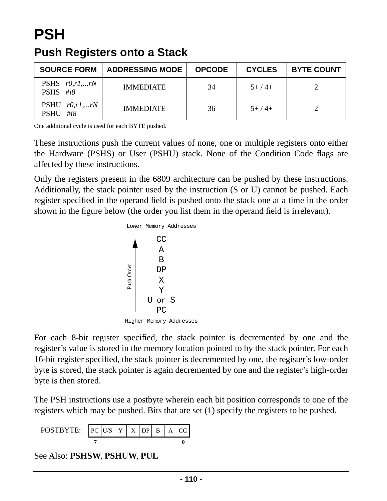## **PSH**

### **Push Registers onto a Stack**

| <b>SOURCE FORM</b>                        | <b>ADDRESSING MODE</b> | <b>OPCODE</b> | <b>CYCLES</b> | <b>BYTE COUNT</b> |
|-------------------------------------------|------------------------|---------------|---------------|-------------------|
| PSHS $r0, r1,rN$<br>PSHS $\#i8$           | <b>IMMEDIATE</b>       | 34            | $5+/4+$       |                   |
| PSHU $r0, r1,rN$<br># $i8$<br><b>PSHU</b> | <b>IMMEDIATE</b>       | 36            | $5+/4+$       |                   |

One additional cycle is used for each BYTE pushed.

These instructions push the current values of none, one or multiple registers onto either the Hardware (PSHS) or User (PSHU) stack. None of the Condition Code flags are affected by these instructions.

Only the registers present in the 6809 architecture can be pushed by these instructions. Additionally, the stack pointer used by the instruction (S or U) cannot be pushed. Each register specified in the operand field is pushed onto the stack one at a time in the order shown in the figure below (the order you list them in the operand field is irrelevant).



For each 8-bit register specified, the stack pointer is decremented by one and the register's value is stored in the memory location pointed to by the stack pointer. For each 16-bit register specified, the stack pointer is decremented by one, the register's low-order byte is stored, the stack pointer is again decremented by one and the register's high-order byte is then stored.

The PSH instructions use a postbyte wherein each bit position corresponds to one of the registers which may be pushed. Bits that are set (1) specify the registers to be pushed.



See Also: **PSHSW**, **PSHUW**, **PUL**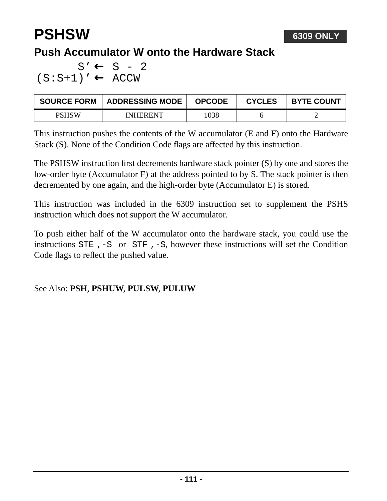## **PSHSW**

### **Push Accumulator W onto the Hardware Stack**

 $S' \leftarrow S - 2$  $(S: S+1)' \leftarrow ACCW$ 

| <b>SOURCE FORM</b> | <b>ADDRESSING MODE</b> | <b>OPCODE</b> | <b>CYCLES</b> | <b>BYTE COUNT</b> |
|--------------------|------------------------|---------------|---------------|-------------------|
| PSHSW              | <b>INHERENT</b>        | 1038          |               |                   |

This instruction pushes the contents of the W accumulator (E and F) onto the Hardware Stack (S). None of the Condition Code flags are affected by this instruction.

The PSHSW instruction first decrements hardware stack pointer (S) by one and stores the low-order byte (Accumulator F) at the address pointed to by S. The stack pointer is then decremented by one again, and the high-order byte (Accumulator E) is stored.

This instruction was included in the 6309 instruction set to supplement the PSHS instruction which does not support the W accumulator.

To push either half of the W accumulator onto the hardware stack, you could use the instructions STE ,-S or STF ,-S, however these instructions will set the Condition Code flags to reflect the pushed value.

#### See Also: **PSH**, **PSHUW**, **PULSW**, **PULUW**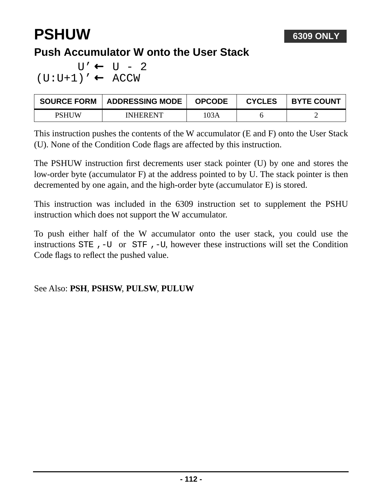## **PSHUW**

### **Push Accumulator W onto the User Stack**

 $U' \leftarrow U - 2$  $(U:U+1)' \leftarrow ACCW$ 

| <b>SOURCE FORM</b> | ADDRESSING MODE | <b>OPCODE</b> | <b>CYCLES</b> | <b>BYTE COUNT</b> |
|--------------------|-----------------|---------------|---------------|-------------------|
| PSHUW              | <b>INHERENT</b> | 103A          |               |                   |

This instruction pushes the contents of the W accumulator (E and F) onto the User Stack (U). None of the Condition Code flags are affected by this instruction.

The PSHUW instruction first decrements user stack pointer (U) by one and stores the low-order byte (accumulator F) at the address pointed to by U. The stack pointer is then decremented by one again, and the high-order byte (accumulator E) is stored.

This instruction was included in the 6309 instruction set to supplement the PSHU instruction which does not support the W accumulator.

To push either half of the W accumulator onto the user stack, you could use the instructions STE ,-U or STF ,-U, however these instructions will set the Condition Code flags to reflect the pushed value.

#### See Also: **PSH**, **PSHSW**, **PULSW**, **PULUW**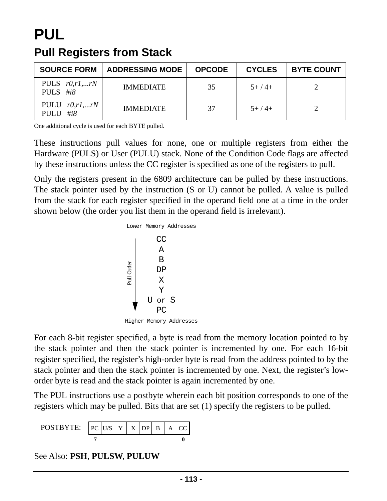## **PUL Pull Registers from Stack**

| <b>SOURCE FORM</b>                 | <b>ADDRESSING MODE</b> | <b>OPCODE</b> | <b>CYCLES</b> | <b>BYTE COUNT</b> |
|------------------------------------|------------------------|---------------|---------------|-------------------|
| PULS $r0, r1,rN$<br>PULS $\#i8$    | <b>IMMEDIATE</b>       | 35            | $5+/4+$       |                   |
| PULU $r0, r1,rN$<br>#i $8$<br>PULU | <b>IMMEDIATE</b>       | 37            | $5+/4+$       |                   |

One additional cycle is used for each BYTE pulled.

These instructions pull values for none, one or multiple registers from either the Hardware (PULS) or User (PULU) stack. None of the Condition Code flags are affected by these instructions unless the CC register is specified as one of the registers to pull.

Only the registers present in the 6809 architecture can be pulled by these instructions. The stack pointer used by the instruction (S or U) cannot be pulled. A value is pulled from the stack for each register specified in the operand field one at a time in the order shown below (the order you list them in the operand field is irrelevant).



For each 8-bit register specified, a byte is read from the memory location pointed to by the stack pointer and then the stack pointer is incremented by one. For each 16-bit register specified, the register's high-order byte is read from the address pointed to by the stack pointer and then the stack pointer is incremented by one. Next, the register's loworder byte is read and the stack pointer is again incremented by one.

The PUL instructions use a postbyte wherein each bit position corresponds to one of the registers which may be pulled. Bits that are set (1) specify the registers to be pulled.



See Also: **PSH**, **PULSW**, **PULUW**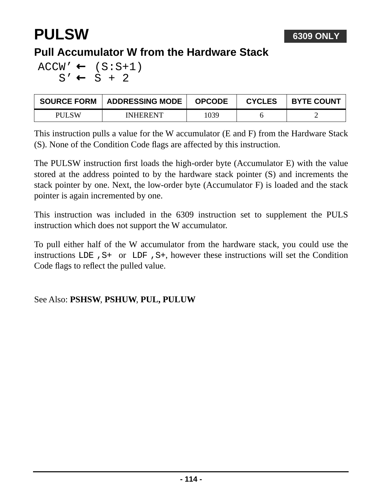## **PULSW**

### **Pull Accumulator W from the Hardware Stack**

 $ACCW' \leftarrow (S:S+1)$  $S' \leftarrow S + 2$ 

| <b>SOURCE FORM</b> | <b>ADDRESSING MODE</b> | <b>OPCODE</b> | <b>CYCLES</b> | <b>BYTE COUNT</b> |
|--------------------|------------------------|---------------|---------------|-------------------|
| PH SW              | <b>INHERENT</b>        | 1039          |               |                   |

This instruction pulls a value for the W accumulator (E and F) from the Hardware Stack (S). None of the Condition Code flags are affected by this instruction.

The PULSW instruction first loads the high-order byte (Accumulator E) with the value stored at the address pointed to by the hardware stack pointer (S) and increments the stack pointer by one. Next, the low-order byte (Accumulator F) is loaded and the stack pointer is again incremented by one.

This instruction was included in the 6309 instruction set to supplement the PULS instruction which does not support the W accumulator.

To pull either half of the W accumulator from the hardware stack, you could use the instructions LDE ,S+ or LDF ,S+, however these instructions will set the Condition Code flags to reflect the pulled value.

#### See Also: **PSHSW**, **PSHUW**, **PUL, PULUW**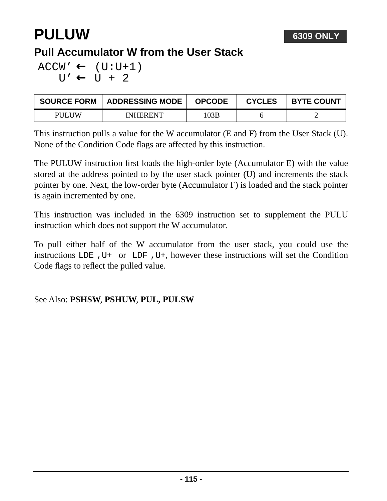## **PULUW**

### **Pull Accumulator W from the User Stack**

 $ACCW' \leftarrow (U:U+1)$  $U' \leftarrow U + 2$ 

| <b>SOURCE FORM</b> | <b>ADDRESSING MODE</b> | <b>OPCODE</b> | <b>CYCLES</b> | <b>BYTE COUNT</b> |
|--------------------|------------------------|---------------|---------------|-------------------|
| PULUW              | <b>INHERENT</b>        | 03B           |               |                   |

This instruction pulls a value for the W accumulator (E and F) from the User Stack (U). None of the Condition Code flags are affected by this instruction.

The PULUW instruction first loads the high-order byte (Accumulator E) with the value stored at the address pointed to by the user stack pointer (U) and increments the stack pointer by one. Next, the low-order byte (Accumulator F) is loaded and the stack pointer is again incremented by one.

This instruction was included in the 6309 instruction set to supplement the PULU instruction which does not support the W accumulator.

To pull either half of the W accumulator from the user stack, you could use the instructions LDE ,U+ or LDF ,U+, however these instructions will set the Condition Code flags to reflect the pulled value.

#### See Also: **PSHSW**, **PSHUW**, **PUL, PULSW**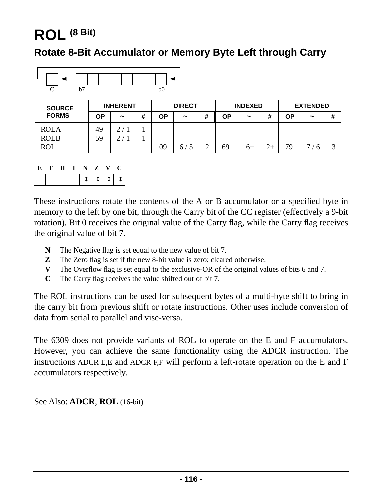## **ROL (8 Bit)**

#### **Rotate 8-Bit Accumulator or Memory Byte Left through Carry**



| <b>SOURCE</b> | <b>INHERENT</b> |                       |   |    | <b>DIRECT</b>         | <b>INDEXED</b> |                       |  | <b>EXTENDED</b> |                       |   |
|---------------|-----------------|-----------------------|---|----|-----------------------|----------------|-----------------------|--|-----------------|-----------------------|---|
| <b>FORMS</b>  | ΟP              | $\tilde{\phantom{a}}$ | # | OΡ | $\tilde{\phantom{a}}$ | ΟP             | $\tilde{\phantom{a}}$ |  | ΟP              | $\tilde{\phantom{a}}$ | # |
| <b>ROLA</b>   | 49              | $\mathcal{D}$         |   |    |                       |                |                       |  |                 |                       |   |
| <b>ROLB</b>   | 59              | ⌒                     |   |    |                       |                |                       |  |                 |                       |   |
| <b>ROL</b>    |                 |                       |   | 09 | 67                    | 69             | $6+$                  |  | 79              | ⇁<br>h                | ⌒ |

|  |  | E F H I N Z V C |  |  |
|--|--|-----------------|--|--|
|  |  |                 |  |  |

These instructions rotate the contents of the A or B accumulator or a specified byte in memory to the left by one bit, through the Carry bit of the CC register (effectively a 9-bit rotation). Bit 0 receives the original value of the Carry flag, while the Carry flag receives the original value of bit 7.

- **N** The Negative flag is set equal to the new value of bit 7.
- **Z** The Zero flag is set if the new 8-bit value is zero; cleared otherwise.
- **V** The Overflow flag is set equal to the exclusive-OR of the original values of bits 6 and 7.
- **C** The Carry flag receives the value shifted out of bit 7.

The ROL instructions can be used for subsequent bytes of a multi-byte shift to bring in the carry bit from previous shift or rotate instructions. Other uses include conversion of data from serial to parallel and vise-versa.

The 6309 does not provide variants of ROL to operate on the E and F accumulators. However, you can achieve the same functionality using the ADCR instruction. The instructions ADCR E,E and ADCR F,F will perform a left-rotate operation on the E and F accumulators respectively.

See Also: **ADCR**, **ROL** (16-bit)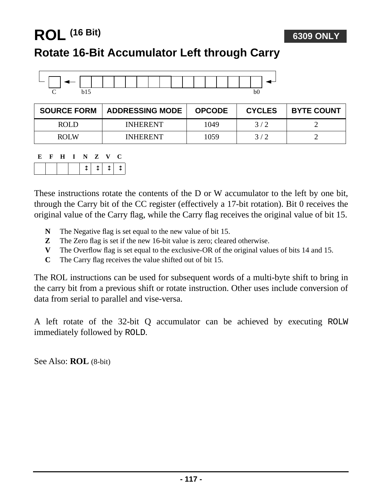### **ROL (16 Bit)**

### **Rotate 16-Bit Accumulator Left through Carry**



| <b>SOURCE FORM</b> | <b>ADDRESSING MODE</b> | <b>OPCODE</b> | <b>CYCLES</b> | <b>BYTE COUNT</b> |
|--------------------|------------------------|---------------|---------------|-------------------|
| ROLD               | <b>INHERENT</b>        | 1049          | 3/2           |                   |
| ROL W              | <b>INHERENT</b>        | 1059          | 3/2           |                   |

|  | E F H I N Z V C |  |  |  |
|--|-----------------|--|--|--|
|  |                 |  |  |  |

These instructions rotate the contents of the D or W accumulator to the left by one bit, through the Carry bit of the CC register (effectively a 17-bit rotation). Bit 0 receives the original value of the Carry flag, while the Carry flag receives the original value of bit 15.

- **N** The Negative flag is set equal to the new value of bit 15.
- **Z** The Zero flag is set if the new 16-bit value is zero; cleared otherwise.
- **V** The Overflow flag is set equal to the exclusive-OR of the original values of bits 14 and 15.
- **C** The Carry flag receives the value shifted out of bit 15.

The ROL instructions can be used for subsequent words of a multi-byte shift to bring in the carry bit from a previous shift or rotate instruction. Other uses include conversion of data from serial to parallel and vise-versa.

A left rotate of the 32-bit Q accumulator can be achieved by executing ROLW immediately followed by ROLD.

See Also: **ROL** (8-bit)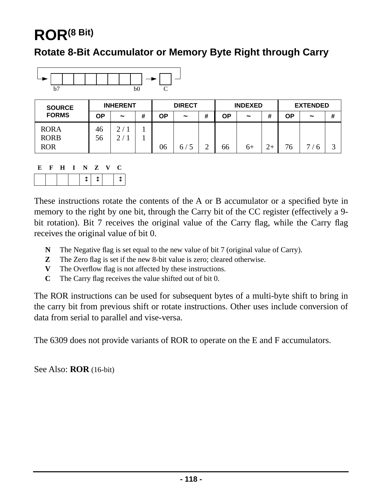## **ROR(8 Bit)**

#### **Rotate 8-Bit Accumulator or Memory Byte Right through Carry**



| <b>SOURCE</b> | <b>INHERENT</b> |            |   | <b>DIRECT</b> |            |   | <b>INDEXED</b> |            |   | <b>EXTENDED</b> |            |   |
|---------------|-----------------|------------|---|---------------|------------|---|----------------|------------|---|-----------------|------------|---|
| <b>FORMS</b>  | OΡ              | $\tilde{}$ | # | ΟP            | $\tilde{}$ | # | ΟP             | $\tilde{}$ | " | ΟP              | $\tilde{}$ | # |
| <b>RORA</b>   | 46              |            |   |               |            |   |                |            |   |                 |            |   |
| <b>RORB</b>   | 56              |            |   |               |            |   |                |            |   |                 |            |   |
| <b>ROR</b>    |                 |            |   | 06            | 6/5        |   | 66             | 6+         |   | 76              | −          | ⌒ |

| Е | - F - | $\bf H$ | I N Z V |                | U |  |
|---|-------|---------|---------|----------------|---|--|
|   |       |         |         | $\mathbb{T}$ . |   |  |

These instructions rotate the contents of the A or B accumulator or a specified byte in memory to the right by one bit, through the Carry bit of the CC register (effectively a 9 bit rotation). Bit 7 receives the original value of the Carry flag, while the Carry flag receives the original value of bit 0.

- **N** The Negative flag is set equal to the new value of bit 7 (original value of Carry).
- **Z** The Zero flag is set if the new 8-bit value is zero; cleared otherwise.
- **V** The Overflow flag is not affected by these instructions.
- **C** The Carry flag receives the value shifted out of bit 0.

The ROR instructions can be used for subsequent bytes of a multi-byte shift to bring in the carry bit from previous shift or rotate instructions. Other uses include conversion of data from serial to parallel and vise-versa.

The 6309 does not provide variants of ROR to operate on the E and F accumulators.

See Also: **ROR** (16-bit)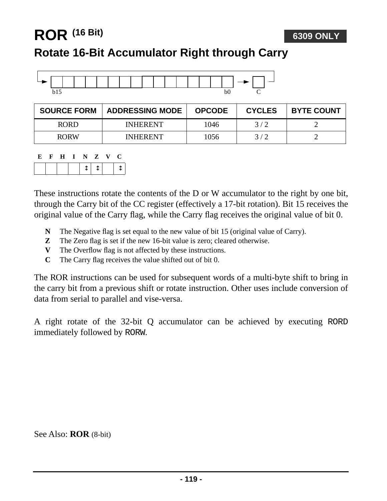### **ROR (16 Bit)**

### **Rotate 16-Bit Accumulator Right through Carry**



| <b>SOURCE FORM</b> | <b>ADDRESSING MODE</b> | <b>OPCODE</b> | <b>CYCLES</b> | <b>BYTE COUNT</b> |
|--------------------|------------------------|---------------|---------------|-------------------|
| <b>RORD</b>        | <b>INHERENT</b>        | 1046          | 3/2           |                   |
| <b>RORW</b>        | <b>INHERENT</b>        | 1056          | 3/2           |                   |

| E. | - F - | $\mathbf{H}$ | I N Z | V. | - 02 |
|----|-------|--------------|-------|----|------|
|    |       |              |       |    |      |

These instructions rotate the contents of the D or W accumulator to the right by one bit, through the Carry bit of the CC register (effectively a 17-bit rotation). Bit 15 receives the original value of the Carry flag, while the Carry flag receives the original value of bit 0.

- **N** The Negative flag is set equal to the new value of bit 15 (original value of Carry).
- **Z** The Zero flag is set if the new 16-bit value is zero; cleared otherwise.
- **V** The Overflow flag is not affected by these instructions.
- **C** The Carry flag receives the value shifted out of bit 0.

The ROR instructions can be used for subsequent words of a multi-byte shift to bring in the carry bit from a previous shift or rotate instruction. Other uses include conversion of data from serial to parallel and vise-versa.

A right rotate of the 32-bit Q accumulator can be achieved by executing RORD immediately followed by RORW.

See Also: **ROR** (8-bit)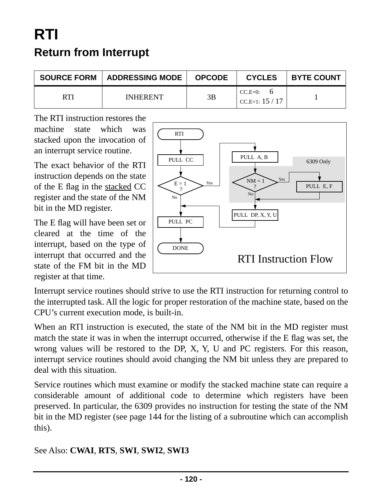## **RTI Return from Interrupt**

| <b>SOURCE FORM   ADDRESSING MODE</b> | <b>OPCODE</b> | <b>CYCLES</b>                 | <b>BYTE COUNT</b> |
|--------------------------------------|---------------|-------------------------------|-------------------|
| <b>INHERENT</b>                      | 3B            | $CC.E=0$ :<br>CC.E=1: $15/17$ |                   |

The RTI instruction restores the machine state which was stacked upon the invocation of an interrupt service routine.

The exact behavior of the RTI instruction depends on the state of the E flag in the stacked CC register and the state of the NM bit in the MD register.

The E flag will have been set or cleared at the time of the interrupt, based on the type of interrupt that occurred and the state of the FM bit in the MD register at that time.



Interrupt service routines should strive to use the RTI instruction for returning control to the interrupted task. All the logic for proper restoration of the machine state, based on the CPU's current execution mode, is built-in.

When an RTI instruction is executed, the state of the NM bit in the MD register must match the state it was in when the interrupt occurred, otherwise if the E flag was set, the wrong values will be restored to the DP, X, Y, U and PC registers. For this reason, interrupt service routines should avoid changing the NM bit unless they are prepared to deal with this situation.

Service routines which must examine or modify the stacked machine state can require a considerable amount of additional code to determine which registers have been preserved. In particular, the 6309 provides no instruction for testing the state of the NM bit in the MD register (see [page 144](#page-143-0) for the listing of a subroutine which can accomplish this).

#### See Also: **CWAI**, **RTS**, **SWI**, **SWI2**, **SWI3**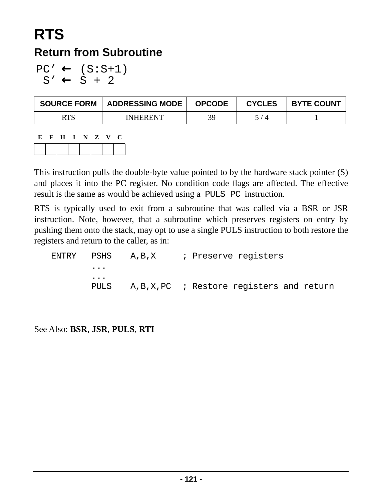## **RTS Return from Subroutine**

 $PC' \leftarrow (S:S+1)$  $S' \leftarrow S + 2$ 

| <b>SOURCE FORM</b> | <b>ADDRESSING MODE</b> | <b>OPCODE</b> | <b>CYCLES</b>  | <b>BYTE COUNT</b> |
|--------------------|------------------------|---------------|----------------|-------------------|
|                    | <b>INHERENT</b>        | 30            | $\overline{A}$ |                   |

| E | $F$ H | I N Z V |  | ₹÷ |
|---|-------|---------|--|----|
|   |       |         |  |    |

This instruction pulls the double-byte value pointed to by the hardware stack pointer (S) and places it into the PC register. No condition code flags are affected. The effective result is the same as would be achieved using a PULS PC instruction.

RTS is typically used to exit from a subroutine that was called via a BSR or JSR instruction. Note, however, that a subroutine which preserves registers on entry by pushing them onto the stack, may opt to use a single PULS instruction to both restore the registers and return to the caller, as in:

| $\ddot{\phantom{a}}$ |                                                 |  |  |  |
|----------------------|-------------------------------------------------|--|--|--|
| $\cdots$             |                                                 |  |  |  |
|                      | PULS A, B, X, PC ; Restore registers and return |  |  |  |

See Also: **BSR**, **JSR**, **PULS**, **RTI**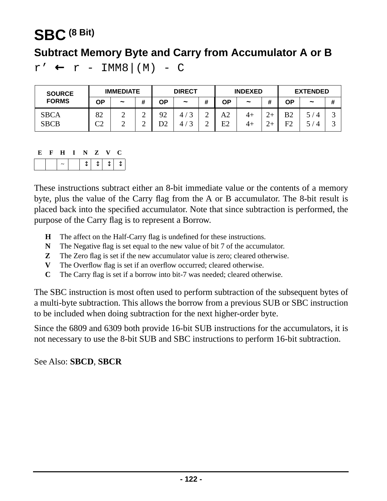### **SBC (8 Bit)**

### **Subtract Memory Byte and Carry from Accumulator A or B**

 $r' \leftarrow r - \text{IMM8} \mid (M) - C$ 

| <b>SOURCE</b>              | <b>IMMEDIATE</b> |                       |                  | <b>DIRECT</b> |                       |        | <b>INDEXED</b> |                       |   | <b>EXTENDED</b>                  |                       |        |
|----------------------------|------------------|-----------------------|------------------|---------------|-----------------------|--------|----------------|-----------------------|---|----------------------------------|-----------------------|--------|
| <b>FORMS</b>               | OΡ               | $\tilde{\phantom{a}}$ | #                | ΟP            | $\tilde{\phantom{a}}$ |        | ΟP             | $\tilde{\phantom{a}}$ | # | ΟP                               | $\tilde{\phantom{a}}$ | #      |
| <b>SBCA</b><br><b>SBCB</b> | 82<br>rη<br>◡▵   | ∸<br>∸                | ⌒<br>∽<br>⌒<br>∽ | 92            |                       | ∠<br>↩ | A2<br>Ε2       | 4+<br>4+              |   | B <sub>2</sub><br>F <sub>2</sub> |                       | ت<br>ت |

|  | н. | N. | $\mathbf{Z}$   | $\mathbf{v}$ |  |
|--|----|----|----------------|--------------|--|
|  |    |    | $\blacksquare$ |              |  |

These instructions subtract either an 8-bit immediate value or the contents of a memory byte, plus the value of the Carry flag from the A or B accumulator. The 8-bit result is placed back into the specified accumulator. Note that since subtraction is performed, the purpose of the Carry flag is to represent a Borrow.

- **H** The affect on the Half-Carry flag is undefined for these instructions.
- **N** The Negative flag is set equal to the new value of bit 7 of the accumulator.
- **Z** The Zero flag is set if the new accumulator value is zero; cleared otherwise.
- **V** The Overflow flag is set if an overflow occurred; cleared otherwise.
- **C** The Carry flag is set if a borrow into bit-7 was needed; cleared otherwise.

The SBC instruction is most often used to perform subtraction of the subsequent bytes of a multi-byte subtraction. This allows the borrow from a previous SUB or SBC instruction to be included when doing subtraction for the next higher-order byte.

Since the 6809 and 6309 both provide 16-bit SUB instructions for the accumulators, it is not necessary to use the 8-bit SUB and SBC instructions to perform 16-bit subtraction.

See Also: **SBCD**, **SBCR**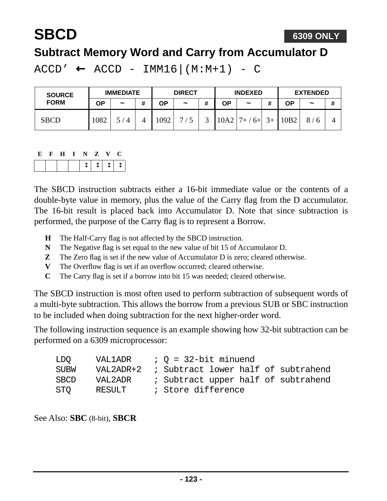## **SBCD**

### **Subtract Memory Word and Carry from Accumulator D**

 $ACCD' \leftarrow ACCD - IMM16|(M:M+1) - C$ 

| <b>SOURCE</b> | <b>IMMEDIATE</b> |               |   | <b>DIRECT</b> |                       |   | <b>INDEXED</b> |                       |      | <b>EXTENDED</b> |            |   |
|---------------|------------------|---------------|---|---------------|-----------------------|---|----------------|-----------------------|------|-----------------|------------|---|
| <b>FORM</b>   | ΟP               | $\tilde{}$    | # | ΟP            | $\tilde{\phantom{a}}$ | # | ΟP             | $\tilde{\phantom{a}}$ |      | <b>OP</b>       | $\tilde{}$ | # |
| <b>SBCD</b>   | 1082             | $^{\prime}$ 4 | 4 | .092          | $\mathbf{r}$          |   | 10A2           | $7+ / 6+$             | $3+$ | 10B2            |            |   |

The SBCD instruction subtracts either a 16-bit immediate value or the contents of a double-byte value in memory, plus the value of the Carry flag from the D accumulator. The 16-bit result is placed back into Accumulator D. Note that since subtraction is performed, the purpose of the Carry flag is to represent a Borrow.

- **H** The Half-Carry flag is not affected by the SBCD instruction.
- **N** The Negative flag is set equal to the new value of bit 15 of Accumulator D.
- **Z** The Zero flag is set if the new value of Accumulator D is zero; cleared otherwise.
- **V** The Overflow flag is set if an overflow occurred; cleared otherwise.
- **C** The Carry flag is set if a borrow into bit 15 was needed; cleared otherwise.

The SBCD instruction is most often used to perform subtraction of subsequent words of a multi-byte subtraction. This allows the borrow from a previous SUB or SBC instruction to be included when doing subtraction for the next higher-order word.

The following instruction sequence is an example showing how 32-bit subtraction can be performed on a 6309 microprocessor:

| LDO.        | VAL1ADR | $;$ $Q = 32$ -bit minuend                     |  |  |
|-------------|---------|-----------------------------------------------|--|--|
| <b>SUBW</b> |         | VAL2ADR+2 ; Subtract lower half of subtrahend |  |  |
| <b>SBCD</b> | VAL2ADR | ; Subtract upper half of subtrahend           |  |  |
| STO         | RESULT  | ; Store difference                            |  |  |

See Also: **SBC** (8-bit), **SBCR**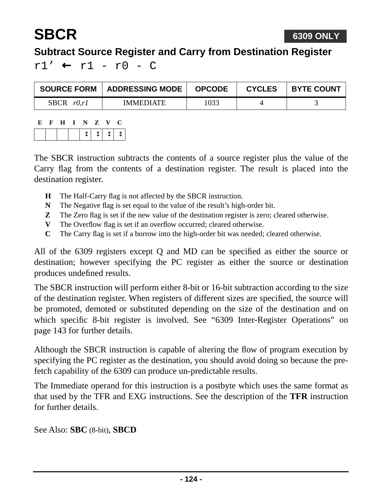

### **Subtract Source Register and Carry from Destination Register**

 $r1'$  ←  $r1 - r0 - C$ 

| <b>SOURCE FORM</b> | ADDRESSING MODE  | <b>OPCODE</b> | <b>CYCLES</b> | <b>BYTE COUNT</b> |
|--------------------|------------------|---------------|---------------|-------------------|
| SBCR $r0,r1$       | <b>IMMEDIATE</b> | 1033          |               |                   |

| E. | H. | $\sim$ | $\mathbf{Z}$ | K7.   |  |
|----|----|--------|--------------|-------|--|
|    |    |        |              | T   1 |  |

The SBCR instruction subtracts the contents of a source register plus the value of the Carry flag from the contents of a destination register. The result is placed into the destination register.

- **H** The Half-Carry flag is not affected by the SBCR instruction.
- **N** The Negative flag is set equal to the value of the result's high-order bit.
- **Z** The Zero flag is set if the new value of the destination register is zero; cleared otherwise.
- **V** The Overflow flag is set if an overflow occurred; cleared otherwise.
- **C** The Carry flag is set if a borrow into the high-order bit was needed; cleared otherwise.

All of the 6309 registers except Q and MD can be specified as either the source or destination; however specifying the PC register as either the source or destination produces undefined results.

The SBCR instruction will perform either 8-bit or 16-bit subtraction according to the size of the destination register. When registers of different sizes are specified, the source will be promoted, demoted or substituted depending on the size of the destination and on which specific 8-bit register is involved. See ["6309 Inter-Register Operations" on](#page-142-0) [page 143](#page-142-0) for further details.

Although the SBCR instruction is capable of altering the flow of program execution by specifying the PC register as the destination, you should avoid doing so because the prefetch capability of the 6309 can produce un-predictable results.

The Immediate operand for this instruction is a postbyte which uses the same format as that used by the TFR and EXG instructions. See the description of the **TFR** instruction for further details.

See Also: **SBC** (8-bit), **SBCD**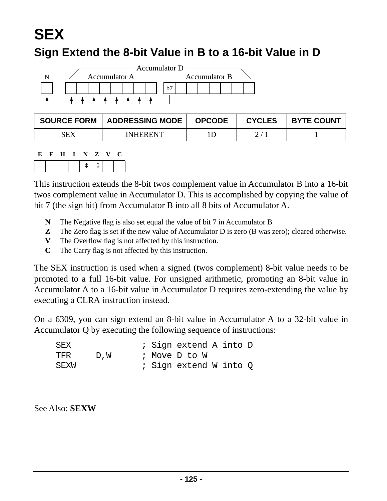# **SEX**

### **Sign Extend the 8-bit Value in B to a 16-bit Value in D**



| <b>SOURCE FORM</b> | <b>ADDRESSING MODE</b> | <b>OPCODE</b> | <b>CYCLES</b> | <b>BYTE COUNT</b> |
|--------------------|------------------------|---------------|---------------|-------------------|
| SEX                | <b>INHERENT</b>        |               |               |                   |

| Е. | H | - 11 | $\blacksquare$ | $\mathbf{Z}$ | $\mathbf{V}$ | U |  |
|----|---|------|----------------|--------------|--------------|---|--|
|    |   |      |                | - T          |              |   |  |

This instruction extends the 8-bit twos complement value in Accumulator B into a 16-bit twos complement value in Accumulator D. This is accomplished by copying the value of bit 7 (the sign bit) from Accumulator B into all 8 bits of Accumulator A.

- **N** The Negative flag is also set equal the value of bit 7 in Accumulator B
- **Z** The Zero flag is set if the new value of Accumulator D is zero (B was zero); cleared otherwise.
- **V** The Overflow flag is not affected by this instruction.
- **C** The Carry flag is not affected by this instruction.

The SEX instruction is used when a signed (twos complement) 8-bit value needs to be promoted to a full 16-bit value. For unsigned arithmetic, promoting an 8-bit value in Accumulator A to a 16-bit value in Accumulator D requires zero-extending the value by executing a CLRA instruction instead.

On a 6309, you can sign extend an 8-bit value in Accumulator A to a 32-bit value in Accumulator Q by executing the following sequence of instructions:

| SEX  |     |  | ; Sign extend A into D |  |  |
|------|-----|--|------------------------|--|--|
| TFR  | D.W |  | ; Move D to W          |  |  |
| SEXW |     |  | ; Sign extend W into O |  |  |

See Also: **SEXW**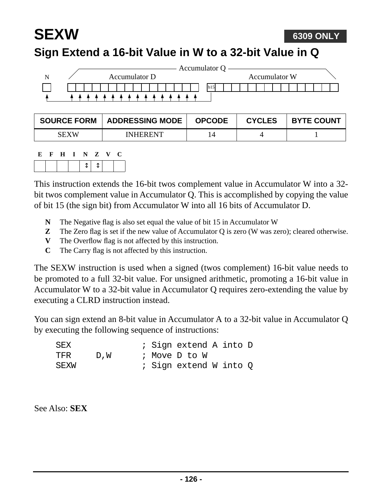#### **SEXW Sign Extend a 16-bit Value in W to a 32-bit Value in Q 6309 ONLY**

|  |  |  |               |  |  |  |  |  | Accumulator Q |  |  |  |  |               |  |  |  |
|--|--|--|---------------|--|--|--|--|--|---------------|--|--|--|--|---------------|--|--|--|
|  |  |  | Accumulator D |  |  |  |  |  |               |  |  |  |  | Accumulator W |  |  |  |
|  |  |  |               |  |  |  |  |  | b15           |  |  |  |  |               |  |  |  |
|  |  |  |               |  |  |  |  |  |               |  |  |  |  |               |  |  |  |

| <b>SOURCE FORM</b> | <b>ADDRESSING MODE</b> | <b>OPCODE</b> | <b>CYCLES</b> | <b>BYTE COUNT</b> |
|--------------------|------------------------|---------------|---------------|-------------------|
| <b>SEXW</b>        | <b>INHERENT</b>        |               |               |                   |

| к. | - H | I N Z | $\mathbf{V}$ |  |
|----|-----|-------|--------------|--|
|    |     |       |              |  |

This instruction extends the 16-bit twos complement value in Accumulator W into a 32 bit twos complement value in Accumulator Q. This is accomplished by copying the value of bit 15 (the sign bit) from Accumulator W into all 16 bits of Accumulator D.

- **N** The Negative flag is also set equal the value of bit 15 in Accumulator W
- **Z** The Zero flag is set if the new value of Accumulator Q is zero (W was zero); cleared otherwise.
- **V** The Overflow flag is not affected by this instruction.
- **C** The Carry flag is not affected by this instruction.

The SEXW instruction is used when a signed (twos complement) 16-bit value needs to be promoted to a full 32-bit value. For unsigned arithmetic, promoting a 16-bit value in Accumulator W to a 32-bit value in Accumulator Q requires zero-extending the value by executing a CLRD instruction instead.

You can sign extend an 8-bit value in Accumulator A to a 32-bit value in Accumulator Q by executing the following sequence of instructions:

| SEX  |      |  | ; Sign extend A into D |  |  |
|------|------|--|------------------------|--|--|
| TFR  | D, W |  | ; Move D to W          |  |  |
| SEXW |      |  | ; Sign extend W into O |  |  |

See Also: **SEX**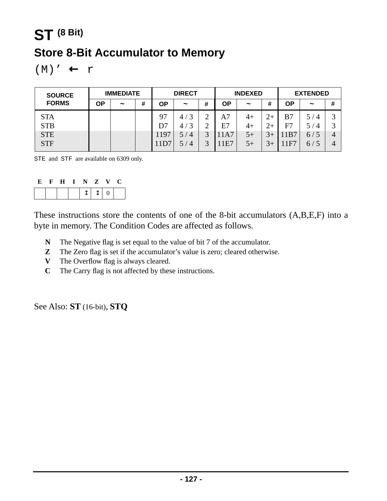## **ST (8 Bit) Store 8-Bit Accumulator to Memory**

 $(M)' \leftarrow r$ 

| <b>SOURCE</b> |    | <b>IMMEDIATE</b>      |   |      | <b>DIRECT</b>         |        |     | <b>INDEXED</b> |      | <b>EXTENDED</b> |                       |                   |  |
|---------------|----|-----------------------|---|------|-----------------------|--------|-----|----------------|------|-----------------|-----------------------|-------------------|--|
| <b>FORMS</b>  | ΟP | $\tilde{\phantom{a}}$ | # | ΟP   | $\tilde{}$            | #      | ΟP  | $\tilde{}$     | #    | ΟP              | $\tilde{\phantom{a}}$ | #                 |  |
| <b>STA</b>    |    |                       |   | 97   | 3<br>4/               | ◠      | A7  | $4+$           | $2+$ | B7              | 5/4                   | $\mathbf{\Omega}$ |  |
| <b>STB</b>    |    |                       |   | D7   | $\mathbf 3$<br>4,     | ◠<br>∠ | E7  | $4+$           | $2+$ | F7              | 5.<br>$\overline{4}$  | 2                 |  |
| <b>STE</b>    |    |                       |   | 1197 | $\overline{4}$<br>5 / | 3      | 1A7 | $5+$           |      | 11B7            | 6/5                   | 4                 |  |
| <b>STF</b>    |    |                       |   | 11D' | $\overline{4}$<br>5 / | ⌒      | 1E7 | $5+$           |      | 1F7             | 6/5                   | 4                 |  |

STE and STF are available on 6309 only.

| K) | $H$ $I$ | N Z V |                                                            |  |
|----|---------|-------|------------------------------------------------------------|--|
|    |         |       | $\uparrow \qquad \uparrow \qquad \uparrow \qquad \uparrow$ |  |

These instructions store the contents of one of the 8-bit accumulators (A,B,E,F) into a byte in memory. The Condition Codes are affected as follows.

- **N** The Negative flag is set equal to the value of bit 7 of the accumulator.
- **Z** The Zero flag is set if the accumulator's value is zero; cleared otherwise.
- **V** The Overflow flag is always cleared.
- **C** The Carry flag is not affected by these instructions.

See Also: **ST** (16-bit), **STQ**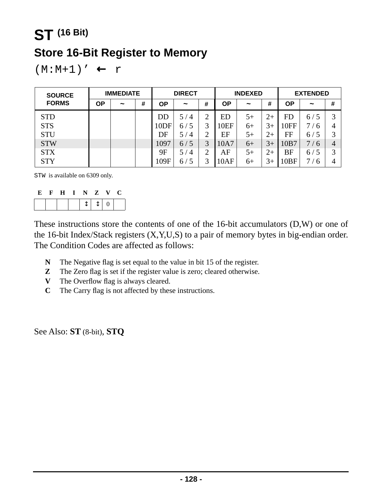## **ST (16 Bit) Store 16-Bit Register to Memory**

 $(M:M+1)' \leftarrow r$ 

| <b>SOURCE</b> | <b>IMMEDIATE</b> |            |   | <b>DIRECT</b>    |                       | <b>INDEXED</b> |           |                       | <b>EXTENDED</b> |           |            |             |
|---------------|------------------|------------|---|------------------|-----------------------|----------------|-----------|-----------------------|-----------------|-----------|------------|-------------|
| <b>FORMS</b>  | ΟP               | $\tilde{}$ | # | ΟP               | $\tilde{}$            | #              | <b>OP</b> | $\tilde{\phantom{a}}$ | #               | <b>OP</b> | $\tilde{}$ | #           |
| <b>STD</b>    |                  |            |   | DD               | $\overline{A}$<br>57  | ↑              | ED        | $5+$                  | $2+$            | <b>FD</b> | 6/5        | $\mathbf 3$ |
| <b>STS</b>    |                  |            |   | 10 <sub>DF</sub> | 6/                    | 3              | 10EF      | $6+$                  | $3+$            | 10FF      | 7/6        | 4           |
| <b>STU</b>    |                  |            |   | DF               | $\overline{4}$<br>5 / | ◠              | EF        | $5+$                  | $2+$            | FF        | 6/5        | 2           |
| <b>STW</b>    |                  |            |   | 1097             | 6/5                   | 3              | 10A7      | $6+$                  | $3+$            | 10B7      | 7/6        | 4           |
| <b>STX</b>    |                  |            |   | 9Ε               | $\overline{A}$<br>5 / | $\mathcal{D}$  | AF        | $5+$                  | $2+$            | BF        | 6/5        | $\mathbf 3$ |
| <b>STY</b>    |                  |            |   | 109F             | 6/                    | 3              | 10AF      | $6+$                  | 3+              | 10BF      | -6         | 4           |

STW is available on 6309 only.

| E | $\mathbf{F}$ | H | $\blacksquare$ | NZ |        | $\mathbf{V}$ | - C - |
|---|--------------|---|----------------|----|--------|--------------|-------|
|   |              |   |                |    | $1110$ |              |       |

These instructions store the contents of one of the 16-bit accumulators (D,W) or one of the 16-bit Index/Stack registers (X,Y,U,S) to a pair of memory bytes in big-endian order. The Condition Codes are affected as follows:

- **N** The Negative flag is set equal to the value in bit 15 of the register.
- **Z** The Zero flag is set if the register value is zero; cleared otherwise.
- **V** The Overflow flag is always cleared.
- **C** The Carry flag is not affected by these instructions.

See Also: **ST** (8-bit), **STQ**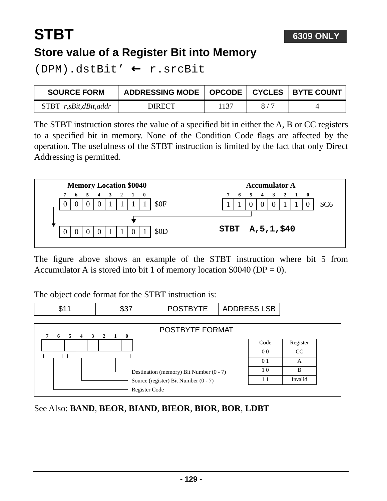#### **6309 ONLY**

# **STBT**

### **Store value of a Register Bit into Memory**

(DPM).dstBit' ← r.srcBit

| <b>SOURCE FORM</b>      | ADDRESSING MODE   OPCODE   CYCLES   BYTE COUNT |      |        |  |
|-------------------------|------------------------------------------------|------|--------|--|
| $STBT$ r,sBit,dBit,addr | DIRECT                                         | 1137 | $-8/7$ |  |

The STBT instruction stores the value of a specified bit in either the A, B or CC registers to a specified bit in memory. None of the Condition Code flags are affected by the operation. The usefulness of the STBT instruction is limited by the fact that only Direct Addressing is permitted.



The figure above shows an example of the STBT instruction where bit 5 from Accumulator A is stored into bit 1 of memory location  $$0040$  (DP = 0).

The object code format for the STBT instruction is:



See Also: **BAND**, **BEOR**, **BIAND**, **BIEOR**, **BIOR**, **BOR**, **LDBT**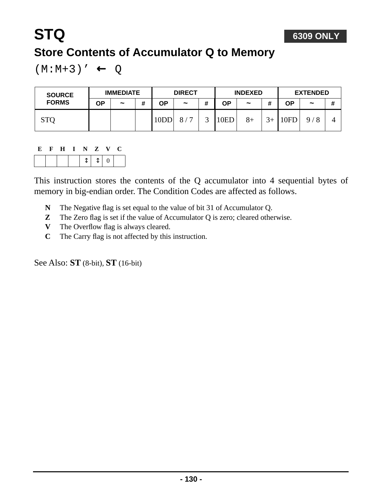#### $(M:M+3)' \leftarrow Q$

| <b>SOURCE</b><br><b>FORMS</b> | <b>IMMEDIATE</b> |                       | <b>DIRECT</b> |      | <b>INDEXED</b>        |   |      | <b>EXTENDED</b>       |                |      |                       |   |
|-------------------------------|------------------|-----------------------|---------------|------|-----------------------|---|------|-----------------------|----------------|------|-----------------------|---|
|                               | ΟP               | $\tilde{\phantom{a}}$ | #             | OΡ   | $\tilde{\phantom{a}}$ | # | ΟP   | $\tilde{\phantom{a}}$ |                | ΟP   | $\tilde{\phantom{a}}$ | # |
| <b>STO</b>                    |                  |                       |               | 10DI | $\mathbf{r}$<br>8/    |   | 10ED | $8+$                  | 2 <sub>1</sub> | 10FD | 9/8                   |   |

### **E F H I N Z V C**

This instruction stores the contents of the Q accumulator into 4 sequential bytes of memory in big-endian order. The Condition Codes are affected as follows.

- **N** The Negative flag is set equal to the value of bit 31 of Accumulator Q.
- **Z** The Zero flag is set if the value of Accumulator Q is zero; cleared otherwise.
- **V** The Overflow flag is always cleared.
- **C** The Carry flag is not affected by this instruction.

See Also: **ST** (8-bit), **ST** (16-bit)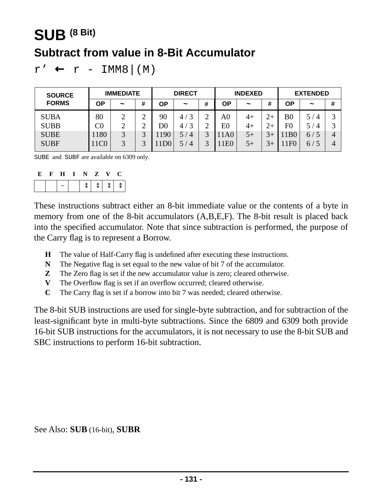## **SUB (8 Bit) Subtract from value in 8-Bit Accumulator**

```
r' \leftarrow r - \text{IMM8} \mid (M)
```

| <b>SOURCE</b> | <b>IMMEDIATE</b> |                       | <b>DIRECT</b> |     | <b>INDEXED</b>       |              |                | <b>EXTENDED</b> |      |                 |                       |   |
|---------------|------------------|-----------------------|---------------|-----|----------------------|--------------|----------------|-----------------|------|-----------------|-----------------------|---|
| <b>FORMS</b>  | ΟP               | $\tilde{\phantom{a}}$ | #             | ΟP  | $\tilde{}$           | #            | ΟP             | $\tilde{}$      | #    | ΟP              | $\tilde{\phantom{a}}$ | # |
| <b>SUBA</b>   | 80               | ◠                     | ◠<br>∽        | 90  | $\mathbf 3$<br>4,    | ⌒<br>∠       | A <sub>0</sub> | 4+              | $2+$ | B <sub>0</sub>  | 5<br>$^{\circ}$ 4     | ⌒ |
| <b>SUBB</b>   | $\rm{C0}$        | ↑                     | ⌒             | D0  | ◠<br>4,              |              | E0             | $4+$            | $2+$ | $_{\rm F0}$     | 5<br>$\overline{4}$   | 2 |
| <b>SUBE</b>   | 180              | 3                     | ⌒             | 190 | 5/<br>$\overline{4}$ | $\mathbf{R}$ | 1A0            | $5+$            |      | 1B <sub>0</sub> | 6/5                   | 4 |
| <b>SUBF</b>   | 11C0             | $\mathbf{z}$          | ⌒             | DO. | 5,<br>$\overline{4}$ |              | E <sub>0</sub> | $5+$            | $3+$ | 1F <sub>0</sub> | 6/5                   | 4 |

SUBE and SUBF are available on 6309 only.

| . н. | $H$ $I$ | N. | $\mathbf{Z}$ |                            |  |
|------|---------|----|--------------|----------------------------|--|
|      |         |    |              | $T + \uparrow \rightarrow$ |  |

These instructions subtract either an 8-bit immediate value or the contents of a byte in memory from one of the 8-bit accumulators (A,B,E,F). The 8-bit result is placed back into the specified accumulator. Note that since subtraction is performed, the purpose of the Carry flag is to represent a Borrow.

- **H** The value of Half-Carry flag is undefined after executing these instructions.
- **N** The Negative flag is set equal to the new value of bit 7 of the accumulator.
- **Z** The Zero flag is set if the new accumulator value is zero; cleared otherwise.
- **V** The Overflow flag is set if an overflow occurred; cleared otherwise.
- **C** The Carry flag is set if a borrow into bit 7 was needed; cleared otherwise.

The 8-bit SUB instructions are used for single-byte subtraction, and for subtraction of the least-significant byte in multi-byte subtractions. Since the 6809 and 6309 both provide 16-bit SUB instructions for the accumulators, it is not necessary to use the 8-bit SUB and SBC instructions to perform 16-bit subtraction.

See Also: **SUB** (16-bit), **SUBR**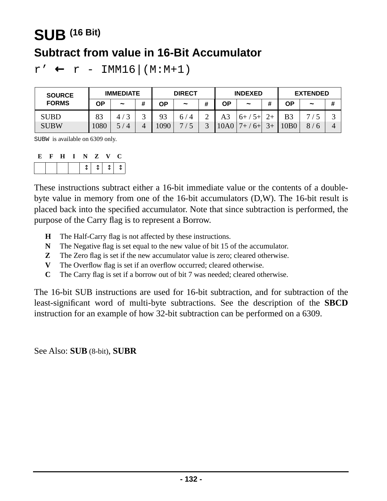## **SUB (16 Bit) Subtract from value in 16-Bit Accumulator**

 $r' \leftarrow r - \text{IMM16} | (M:M+1)$ 

| <b>SOURCE</b> | <b>IMMEDIATE</b> |                   | <b>DIRECT</b> |      | <b>INDEXED</b>       |                |      | <b>EXTENDED</b> |         |                |               |   |
|---------------|------------------|-------------------|---------------|------|----------------------|----------------|------|-----------------|---------|----------------|---------------|---|
| <b>FORMS</b>  | OΡ               | $\tilde{}$        | #             | ΟP   | $\tilde{}$           | #              | ΟP   | $\tilde{}$      | #       | ΟP             | $\tilde{}$    | # |
| <b>SUBD</b>   | 83               | $\mathbf{c}$<br>4 | ⌒<br>ັ        | 93   | $\overline{4}$<br>6/ | $\bigcap$<br>↩ | A3   | $5+$<br>$6+$    |         | B <sub>3</sub> | −             | ت |
| <b>SUBW</b>   | 1080             | $\overline{4}$    | 4             | 1090 | −                    |                | 10A0 | $6+$            | $3_{+}$ | 10B0           | 8<br>$\theta$ | 4 |

SUBW is available on 6309 only.

| E | F. | $\bf H$ | I N Z |           | $\mathbf{V}$ |  |
|---|----|---------|-------|-----------|--------------|--|
|   |    |         |       | $1111111$ |              |  |

These instructions subtract either a 16-bit immediate value or the contents of a doublebyte value in memory from one of the 16-bit accumulators (D,W). The 16-bit result is placed back into the specified accumulator. Note that since subtraction is performed, the purpose of the Carry flag is to represent a Borrow.

- **H** The Half-Carry flag is not affected by these instructions.
- **N** The Negative flag is set equal to the new value of bit 15 of the accumulator.
- **Z** The Zero flag is set if the new accumulator value is zero; cleared otherwise.
- **V** The Overflow flag is set if an overflow occurred; cleared otherwise.
- **C** The Carry flag is set if a borrow out of bit 7 was needed; cleared otherwise.

The 16-bit SUB instructions are used for 16-bit subtraction, and for subtraction of the least-significant word of multi-byte subtractions. See the description of the **SBCD** instruction for an example of how 32-bit subtraction can be performed on a 6309.

See Also: **SUB** (8-bit), **SUBR**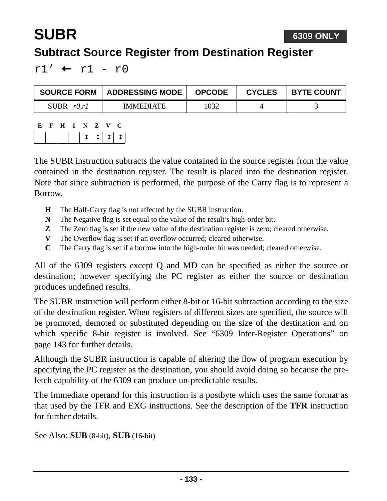#### **6309 ONLY**

### **Subtract Source Register from Destination Register**

 $r1'$  ←  $r1 - r0$ 

**SUBR**

| <b>SOURCE FORM</b>    | <b>ADDRESSING MODE</b> | <b>OPCODE</b> | <b>CYCLES</b> | <b>BYTE COUNT</b> |
|-----------------------|------------------------|---------------|---------------|-------------------|
| r(0,r)<br><b>SUBR</b> | <b>IMMEDIATE</b>       | 1032          |               |                   |

| Е. | H | - 1 - | N. | $\mathbf{Z}$    | $\mathbf{v}$ |        |  |
|----|---|-------|----|-----------------|--------------|--------|--|
|    |   |       |    | $\cdot$   1   1 |              | - 11 - |  |

The SUBR instruction subtracts the value contained in the source register from the value contained in the destination register. The result is placed into the destination register. Note that since subtraction is performed, the purpose of the Carry flag is to represent a Borrow.

- **H** The Half-Carry flag is not affected by the SUBR instruction.
- **N** The Negative flag is set equal to the value of the result's high-order bit.
- **Z** The Zero flag is set if the new value of the destination register is zero; cleared otherwise.
- **V** The Overflow flag is set if an overflow occurred; cleared otherwise.
- **C** The Carry flag is set if a borrow into the high-order bit was needed; cleared otherwise.

All of the 6309 registers except Q and MD can be specified as either the source or destination; however specifying the PC register as either the source or destination produces undefined results.

The SUBR instruction will perform either 8-bit or 16-bit subtraction according to the size of the destination register. When registers of different sizes are specified, the source will be promoted, demoted or substituted depending on the size of the destination and on which specific 8-bit register is involved. See ["6309 Inter-Register Operations" on](#page-142-0) [page 143](#page-142-0) for further details.

Although the SUBR instruction is capable of altering the flow of program execution by specifying the PC register as the destination, you should avoid doing so because the prefetch capability of the 6309 can produce un-predictable results.

The Immediate operand for this instruction is a postbyte which uses the same format as that used by the TFR and EXG instructions. See the description of the **TFR** instruction for further details.

See Also: **SUB** (8-bit), **SUB** (16-bit)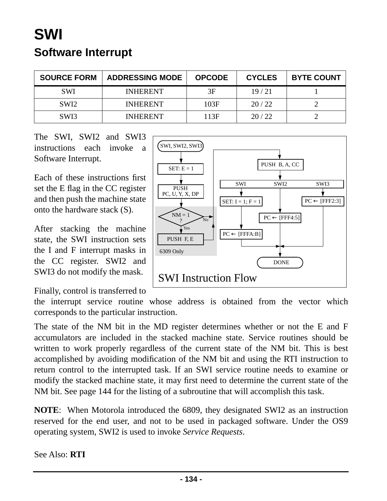## **SWI Software Interrupt**

| <b>SOURCE FORM</b> | <b>ADDRESSING MODE</b> | <b>OPCODE</b> | <b>CYCLES</b> | <b>BYTE COUNT</b> |
|--------------------|------------------------|---------------|---------------|-------------------|
| <b>SWI</b>         | <b>INHERENT</b>        | 3F            | 19/21         |                   |
| SWI <sub>2</sub>   | <b>INHERENT</b>        | 103F          | 20/22         |                   |
| SW <sub>I3</sub>   | <b>INHERENT</b>        | 113F          | 20/22         |                   |

The SWI, SWI2 and SWI3 instructions each invoke a Software Interrupt.

Each of these instructions first set the E flag in the CC register and then push the machine state onto the hardware stack (S).

After stacking the machine state, the SWI instruction sets the I and F interrupt masks in the CC register. SWI2 and SWI3 do not modify the mask.

SWI, SWI2, SWI3 PUSH B, A, CC SET:  $E = 1$ SWI SWI2 SWI3PUSH PC, U, Y, X, DP ÷  $PC \leftarrow [FFF2:3]$ SET:  $I = 1; F = 1$  $NM = 1$  $PC \leftarrow [FFF4:5]$ No ? Yes  $\overline{PC} \leftarrow [\text{FFFA:B}]$ PUSH F, E 6309 Only DONE SWI Instruction Flow

Finally, control is transferred to

the interrupt service routine whose address is obtained from the vector which corresponds to the particular instruction.

The state of the NM bit in the MD register determines whether or not the E and F accumulators are included in the stacked machine state. Service routines should be written to work properly regardless of the current state of the NM bit. This is best accomplished by avoiding modification of the NM bit and using the RTI instruction to return control to the interrupted task. If an SWI service routine needs to examine or modify the stacked machine state, it may first need to determine the current state of the NM bit. See [page 144](#page-143-0) for the listing of a subroutine that will accomplish this task.

**NOTE**: When Motorola introduced the 6809, they designated SWI2 as an instruction reserved for the end user, and not to be used in packaged software. Under the OS9 operating system, SWI2 is used to invoke *Service Requests*.

See Also: **RTI**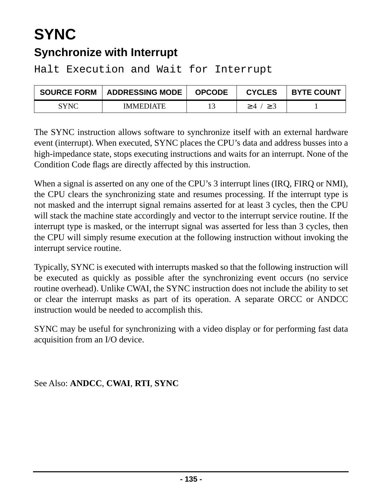## **SYNC Synchronize with Interrupt**

Halt Execution and Wait for Interrupt

| <b>SOURCE FORM</b> | <b>ADDRESSING MODE</b> | <b>OPCODE</b> | <b>CYCLES</b> | <b>BYTE COUNT</b> |
|--------------------|------------------------|---------------|---------------|-------------------|
| <b>SYNC</b>        | <b>IMMEDIATE</b>       |               | $>4$ /        |                   |

The SYNC instruction allows software to synchronize itself with an external hardware event (interrupt). When executed, SYNC places the CPU's data and address busses into a high-impedance state, stops executing instructions and waits for an interrupt. None of the Condition Code flags are directly affected by this instruction.

When a signal is asserted on any one of the CPU's 3 interrupt lines (IRQ, FIRQ or NMI), the CPU clears the synchronizing state and resumes processing. If the interrupt type is not masked and the interrupt signal remains asserted for at least 3 cycles, then the CPU will stack the machine state accordingly and vector to the interrupt service routine. If the interrupt type is masked, or the interrupt signal was asserted for less than 3 cycles, then the CPU will simply resume execution at the following instruction without invoking the interrupt service routine.

Typically, SYNC is executed with interrupts masked so that the following instruction will be executed as quickly as possible after the synchronizing event occurs (no service routine overhead). Unlike CWAI, the SYNC instruction does not include the ability to set or clear the interrupt masks as part of its operation. A separate ORCC or ANDCC instruction would be needed to accomplish this.

SYNC may be useful for synchronizing with a video display or for performing fast data acquisition from an I/O device.

See Also: **[ANDCC](#page-11-0)**, **CWAI**, **RTI**, **SYNC**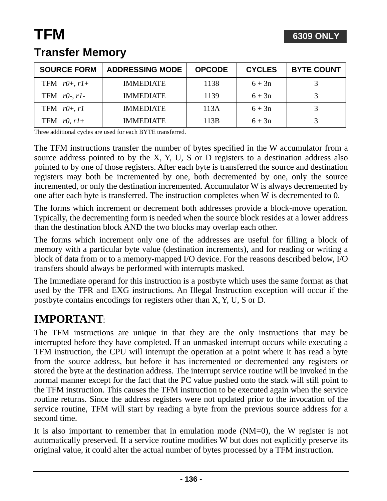| <b>SOURCE FORM</b>           | <b>ADDRESSING MODE</b> | <b>OPCODE</b> | <b>CYCLES</b> | <b>BYTE COUNT</b> |
|------------------------------|------------------------|---------------|---------------|-------------------|
| TFM $r\theta$ +, $r\theta$ + | <b>IMMEDIATE</b>       | 1138          | $6 + 3n$      |                   |
| TFM $r0$ -, $r1$ -           | <b>IMMEDIATE</b>       | 1139          | $6 + 3n$      |                   |
| TFM $r\theta$ +, r1          | <b>IMMEDIATE</b>       | 113A          | $6 + 3n$      |                   |
| TFM $r0, r1+$                | <b>IMMEDIATE</b>       | 113B          | $6 + 3n$      |                   |

### **Transfer Memory**

Three additional cycles are used for each BYTE transferred.

The TFM instructions transfer the number of bytes specified in the W accumulator from a source address pointed to by the X, Y, U, S or D registers to a destination address also pointed to by one of those registers. After each byte is transferred the source and destination registers may both be incremented by one, both decremented by one, only the source incremented, or only the destination incremented. Accumulator W is always decremented by one after each byte is transferred. The instruction completes when W is decremented to 0.

The forms which increment or decrement both addresses provide a block-move operation. Typically, the decrementing form is needed when the source block resides at a lower address than the destination block AND the two blocks may overlap each other.

The forms which increment only one of the addresses are useful for filling a block of memory with a particular byte value (destination increments), and for reading or writing a block of data from or to a memory-mapped I/O device. For the reasons described below, I/O transfers should always be performed with interrupts masked.

The Immediate operand for this instruction is a postbyte which uses the same format as that used by the TFR and EXG instructions. An Illegal Instruction exception will occur if the postbyte contains encodings for registers other than X, Y, U, S or D.

### **IMPORTANT**:

The TFM instructions are unique in that they are the only instructions that may be interrupted before they have completed. If an unmasked interrupt occurs while executing a TFM instruction, the CPU will interrupt the operation at a point where it has read a byte from the source address, but before it has incremented or decremented any registers or stored the byte at the destination address. The interrupt service routine will be invoked in the normal manner except for the fact that the PC value pushed onto the stack will still point to the TFM instruction. This causes the TFM instruction to be executed again when the service routine returns. Since the address registers were not updated prior to the invocation of the service routine, TFM will start by reading a byte from the previous source address for a second time.

It is also important to remember that in emulation mode (NM=0), the W register is not automatically preserved. If a service routine modifies W but does not explicitly preserve its original value, it could alter the actual number of bytes processed by a TFM instruction.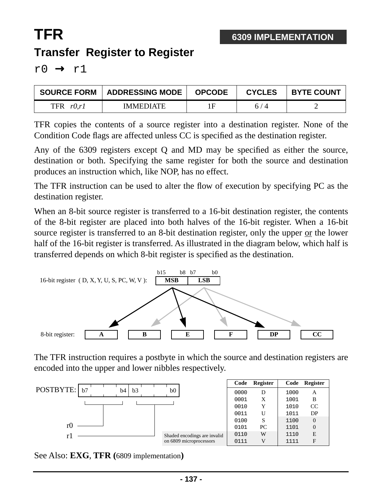## **TFR Transfer Register to Register**

 $r0 \rightarrow r1$ 

| <b>SOURCE FORM</b> | ADDRESSING MODE  | <b>OPCODE</b> | <b>CYCLES</b> | <b>BYTE COUNT</b> |
|--------------------|------------------|---------------|---------------|-------------------|
| TFR<br>r0.r1       | <b>IMMEDIATE</b> | 1F            | 6/4           |                   |

TFR copies the contents of a source register into a destination register. None of the Condition Code flags are affected unless CC is specified as the destination register.

Any of the 6309 registers except Q and MD may be specified as either the source, destination or both. Specifying the same register for both the source and destination produces an instruction which, like NOP, has no effect.

The TFR instruction can be used to alter the flow of execution by specifying PC as the destination register.

When an 8-bit source register is transferred to a 16-bit destination register, the contents of the 8-bit register are placed into both halves of the 16-bit register. When a 16-bit source register is transferred to an 8-bit destination register, only the upper or the lower half of the 16-bit register is transferred. As illustrated in the diagram below, which half is transferred depends on which 8-bit register is specified as the destination.



The TFR instruction requires a postbyte in which the source and destination registers are encoded into the upper and lower nibbles respectively.

|                |  |    |                |  |                |                         |                              | Code | Register | Code | Register |
|----------------|--|----|----------------|--|----------------|-------------------------|------------------------------|------|----------|------|----------|
| POSTBYTE:   b7 |  | b4 | b <sub>3</sub> |  | b <sub>0</sub> |                         |                              | 0000 | D        | 1000 | A        |
|                |  |    |                |  |                |                         |                              | 0001 | X        | 1001 | B        |
|                |  |    |                |  |                |                         |                              | 0010 | Y        | 1010 | CC       |
|                |  |    |                |  |                |                         |                              | 0011 | U        | 1011 | DP       |
|                |  |    |                |  |                |                         |                              | 0100 | S        | 1100 | $\Omega$ |
| rÜ             |  |    |                |  |                |                         |                              | 0101 | PC       | 1101 |          |
|                |  |    |                |  |                |                         | Shaded encodings are invalid | 0110 | W        | 1110 | E        |
|                |  |    |                |  |                | on 6809 microprocessors |                              | 0111 | V        | 1111 | F        |

See Also: **EXG**, **TFR (**6809 implementation**)**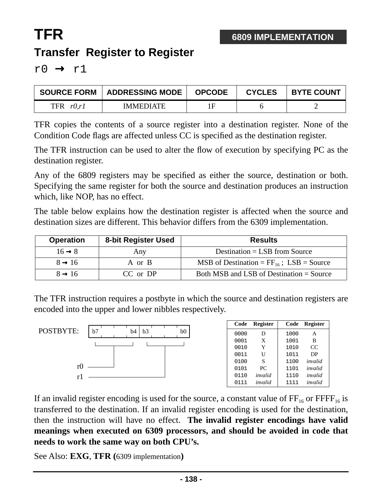## **TFR Transfer Register to Register**

 $r0 \rightarrow r1$ 

| <b>SOURCE FORM</b>  | ADDRESSING MODE  | <b>OPCODE</b> | <b>CYCLES</b> | <b>BYTE COUNT</b> |
|---------------------|------------------|---------------|---------------|-------------------|
| <b>TFR</b><br>r0.r1 | <b>IMMEDIATE</b> | 1F            |               |                   |

TFR copies the contents of a source register into a destination register. None of the Condition Code flags are affected unless CC is specified as the destination register.

The TFR instruction can be used to alter the flow of execution by specifying PC as the destination register.

Any of the 6809 registers may be specified as either the source, destination or both. Specifying the same register for both the source and destination produces an instruction which, like NOP, has no effect.

The table below explains how the destination register is affected when the source and destination sizes are different. This behavior differs from the 6309 implementation.

| <b>Operation</b>   | 8-bit Register Used | <b>Results</b>                                |
|--------------------|---------------------|-----------------------------------------------|
| $16 \rightarrow 8$ | Any                 | Destination $=$ LSB from Source               |
| $8 \rightarrow 16$ | A or B              | MSB of Destination = $FF_{16}$ ; LSB = Source |
| $8 \rightarrow 16$ | CC or DP            | Both MSB and LSB of Destination = Source      |

The TFR instruction requires a postbyte in which the source and destination registers are encoded into the upper and lower nibbles respectively.



If an invalid register encoding is used for the source, a constant value of  $FF_{16}$  or  $FFFF_{16}$  is transferred to the destination. If an invalid register encoding is used for the destination, then the instruction will have no effect. **The invalid register encodings have valid meanings when executed on 6309 processors, and should be avoided in code that needs to work the same way on both CPU's.**

See Also: **EXG**, **TFR (**6309 implementation**)**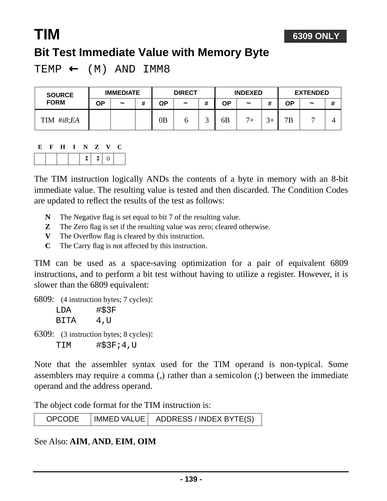## **TIM Bit Test Immediate Value with Memory Byte**

TEMP  $\leftarrow$  (M) AND IMM8

| <b>SOURCE</b> | <b>IMMEDIATE</b> |                       |   | <b>DIRECT</b> |            |   | <b>INDEXED</b> |                       |                | <b>EXTENDED</b> |                       |   |
|---------------|------------------|-----------------------|---|---------------|------------|---|----------------|-----------------------|----------------|-----------------|-----------------------|---|
| <b>FORM</b>   | ΟP               | $\tilde{\phantom{a}}$ | # | ΟP            | $\tilde{}$ | # | ΟP             | $\tilde{\phantom{a}}$ |                | ΟP              | $\tilde{\phantom{a}}$ | # |
| #i8;EA<br>TIM |                  |                       |   | 0B            |            |   | 6B             | $7+$                  | $\overline{2}$ | 7B              |                       |   |

**6309 ONLY**

#### **E F H I N Z V C**

|--|

The TIM instruction logically ANDs the contents of a byte in memory with an 8-bit immediate value. The resulting value is tested and then discarded. The Condition Codes are updated to reflect the results of the test as follows:

- **N** The Negative flag is set equal to bit 7 of the resulting value.
- **Z** The Zero flag is set if the resulting value was zero; cleared otherwise.
- **V** The Overflow flag is cleared by this instruction.
- **C** The Carry flag is not affected by this instruction.

TIM can be used as a space-saving optimization for a pair of equivalent 6809 instructions, and to perform a bit test without having to utilize a register. However, it is slower than the 6809 equivalent:

6809: (4 instruction bytes; 7 cycles):

| LDA  | #\$3F |
|------|-------|
| BITA | 4,U   |

6309: (3 instruction bytes; 8 cycles): TIM #\$3F;4,U

Note that the assembler syntax used for the TIM operand is non-typical. Some assemblers may require a comma (,) rather than a semicolon (;) between the immediate operand and the address operand.

The object code format for the TIM instruction is:

| <b>OPCODE</b> | IMMED VALUE   ADDRESS / INDEX BYTE(S) |
|---------------|---------------------------------------|
|---------------|---------------------------------------|

See Also: **AIM**, **AND**, **EIM**, **OIM**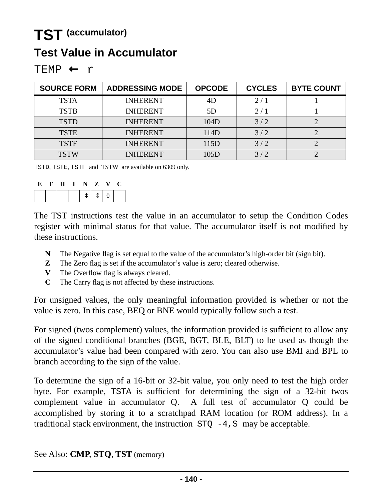## **TST (accumulator)**

### **Test Value in Accumulator**

| EMP |  |  |
|-----|--|--|
|-----|--|--|

| <b>SOURCE FORM</b> | <b>ADDRESSING MODE</b> | <b>OPCODE</b> | <b>CYCLES</b> | <b>BYTE COUNT</b> |
|--------------------|------------------------|---------------|---------------|-------------------|
| <b>TSTA</b>        | <b>INHERENT</b>        | 4D            | 2/1           |                   |
| <b>TSTB</b>        | <b>INHERENT</b>        | 5D            | 2/1           |                   |
| <b>TSTD</b>        | <b>INHERENT</b>        | 104D          | 3/2           |                   |
| <b>TSTE</b>        | <b>INHERENT</b>        | 114D          | 3/2           |                   |
| <b>TSTF</b>        | <b>INHERENT</b>        | 115D          | 3/2           |                   |
| <b>TSTW</b>        | <b>INHERENT</b>        | 105D          | 3/2           |                   |

TSTD, TSTE, TSTF and TSTW are available on 6309 only.

| E | H | N | Z | $\mathbf{v}$      |  |
|---|---|---|---|-------------------|--|
|   |   |   |   | $\mathbf{\Omega}$ |  |

The TST instructions test the value in an accumulator to setup the Condition Codes register with minimal status for that value. The accumulator itself is not modified by these instructions.

- **N** The Negative flag is set equal to the value of the accumulator's high-order bit (sign bit).
- **Z** The Zero flag is set if the accumulator's value is zero; cleared otherwise.
- **V** The Overflow flag is always cleared.
- **C** The Carry flag is not affected by these instructions.

For unsigned values, the only meaningful information provided is whether or not the value is zero. In this case, BEQ or BNE would typically follow such a test.

For signed (twos complement) values, the information provided is sufficient to allow any of the signed conditional branches (BGE, BGT, BLE, BLT) to be used as though the accumulator's value had been compared with zero. You can also use BMI and BPL to branch according to the sign of the value.

To determine the sign of a 16-bit or 32-bit value, you only need to test the high order byte. For example, TSTA is sufficient for determining the sign of a 32-bit twos complement value in accumulator Q. A full test of accumulator Q could be accomplished by storing it to a scratchpad RAM location (or ROM address). In a traditional stack environment, the instruction  $STQ -4$ , S may be acceptable.

See Also: **CMP**, **STQ**, **TST** (memory)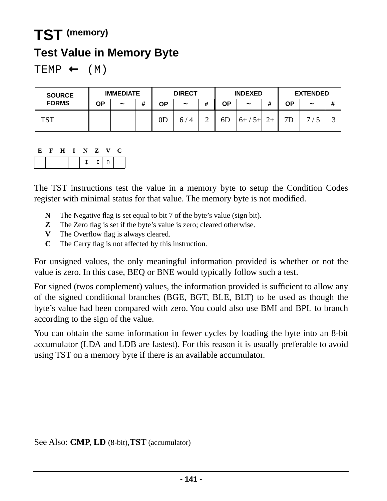## **TST (memory)**

### **Test Value in Memory Byte**

 $TEMP \leftarrow (M)$ 

| <b>SOURCE</b> | <b>IMMEDIATE</b> |            | <b>DIRECT</b> |               | <b>INDEXED</b> |             | <b>EXTENDED</b> |                       |               |    |                       |   |
|---------------|------------------|------------|---------------|---------------|----------------|-------------|-----------------|-----------------------|---------------|----|-----------------------|---|
| <b>FORMS</b>  | ΟP               | $\tilde{}$ | #             | OΡ            | $\tilde{}$     | #           | ΟP              | $\tilde{\phantom{a}}$ | 4             | ΟP | $\tilde{\phantom{a}}$ | # |
| TCT           |                  |            |               | $0\mathrm{D}$ | $\Delta$<br>h, | $\sim$<br>↩ | 6 <sub>D</sub>  | $/5+$<br>$6+$         | $\mathcal{L}$ | 7D | −                     | ت |

#### **E F H I N Z V C**

The TST instructions test the value in a memory byte to setup the Condition Codes register with minimal status for that value. The memory byte is not modified.

- **N** The Negative flag is set equal to bit 7 of the byte's value (sign bit).
- **Z** The Zero flag is set if the byte's value is zero; cleared otherwise.
- **V** The Overflow flag is always cleared.
- **C** The Carry flag is not affected by this instruction.

For unsigned values, the only meaningful information provided is whether or not the value is zero. In this case, BEQ or BNE would typically follow such a test.

For signed (twos complement) values, the information provided is sufficient to allow any of the signed conditional branches (BGE, BGT, BLE, BLT) to be used as though the byte's value had been compared with zero. You could also use BMI and BPL to branch according to the sign of the value.

You can obtain the same information in fewer cycles by loading the byte into an 8-bit accumulator (LDA and LDB are fastest). For this reason it is usually preferable to avoid using TST on a memory byte if there is an available accumulator.

See Also: **CMP**, **LD** (8-bit),**TST** (accumulator)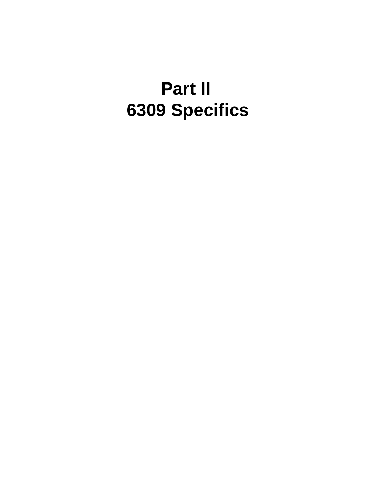# **Part II 6309 Specifics**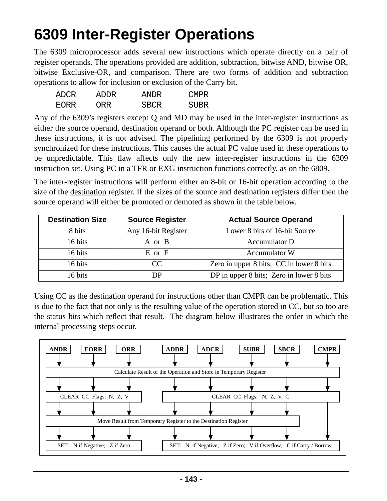## <span id="page-142-0"></span>**6309 Inter-Register Operations**

The 6309 microprocessor adds several new instructions which operate directly on a pair of register operands. The operations provided are addition, subtraction, bitwise AND, bitwise OR, bitwise Exclusive-OR, and comparison. There are two forms of addition and subtraction operations to allow for inclusion or exclusion of the Carry bit.

| ADCR  | ADDR. | ANDR | <b>CMPR</b> |
|-------|-------|------|-------------|
| EORR. | ORR   | SBCR | SUBR        |

Any of the 6309's registers except Q and MD may be used in the inter-register instructions as either the source operand, destination operand or both. Although the PC register can be used in these instructions, it is not advised. The pipelining performed by the 6309 is not properly synchronized for these instructions. This causes the actual PC value used in these operations to be unpredictable. This flaw affects only the new inter-register instructions in the 6309 instruction set. Using PC in a TFR or EXG instruction functions correctly, as on the 6809.

The inter-register instructions will perform either an 8-bit or 16-bit operation according to the size of the destination register. If the sizes of the source and destination registers differ then the source operand will either be promoted or demoted as shown in the table below.

| <b>Destination Size</b> | <b>Source Register</b> | <b>Actual Source Operand</b>             |
|-------------------------|------------------------|------------------------------------------|
| 8 bits                  | Any 16-bit Register    | Lower 8 bits of 16-bit Source            |
| 16 bits                 | A or B                 | <b>Accumulator D</b>                     |
| 16 bits                 | E or F                 | Accumulator W                            |
| 16 bits                 | CC                     | Zero in upper 8 bits; CC in lower 8 bits |
| 16 bits                 | DР                     | DP in upper 8 bits; Zero in lower 8 bits |

Using CC as the destination operand for instructions other than CMPR can be problematic. This is due to the fact that not only is the resulting value of the operation stored in CC, but so too are the status bits which reflect that result. The diagram below illustrates the order in which the internal processing steps occur.

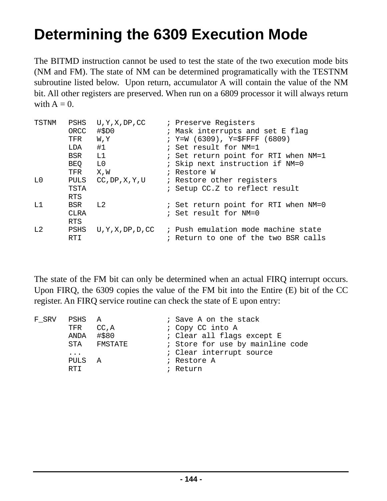## <span id="page-143-0"></span>**Determining the 6309 Execution Mode**

The BITMD instruction cannot be used to test the state of the two execution mode bits (NM and FM). The state of NM can be determined programatically with the TESTNM subroutine listed below. Upon return, accumulator A will contain the value of the NM bit. All other registers are preserved. When run on a 6809 processor it will always return with  $A = 0$ .

| TSTNM | PSHS        | U, Y, X, DP, CC    | ; Preserve Reqisters                 |
|-------|-------------|--------------------|--------------------------------------|
|       | ORCC        | #SDO               | ; Mask interrupts and set E flag     |
|       | TFR         | <b>W, Y</b>        | ; $Y=W(6309)$ , $Y=\$FFFF(6809)$     |
|       | LDA         | #1                 | ; Set result for NM=1                |
|       | BSR         | L1                 | ; Set return point for RTI when NM=1 |
|       | BEQ         | L0                 | ; Skip next instruction if NM=0      |
|       | TFR         | X, W               | ; Restore W                          |
| L0    | PULS        | CC, DP, X, Y, U    | ; Restore other registers            |
|       | <b>TSTA</b> |                    | ; Setup CC.Z to reflect result       |
|       | <b>RTS</b>  |                    |                                      |
| T.1   | BSR         | L2                 | ; Set return point for RTI when NM=0 |
|       | <b>CLRA</b> |                    | ; Set result for NM=0                |
|       | <b>RTS</b>  |                    |                                      |
| L2    | PSHS        | U, Y, X, DP, D, CC | ; Push emulation mode machine state  |
|       | RTI         |                    | ; Return to one of the two BSR calls |

The state of the FM bit can only be determined when an actual FIRQ interrupt occurs. Upon FIRQ, the 6309 copies the value of the FM bit into the Entire (E) bit of the CC register. An FIRQ service routine can check the state of E upon entry:

|           |     |                                                    | ; Save A on the stack            |
|-----------|-----|----------------------------------------------------|----------------------------------|
|           |     |                                                    | ; Copy CC into A                 |
|           |     |                                                    | ; Clear all flags except E       |
| STA       |     |                                                    | ; Store for use by mainline code |
| $\ddotsc$ |     |                                                    | : Clear interrupt source         |
|           |     |                                                    | ; Restore A                      |
| RTT       |     |                                                    | ; Return                         |
|           | TFR | PSHS A<br>CC, A<br>ANDA #\$80<br>FMSTATE<br>PULS A |                                  |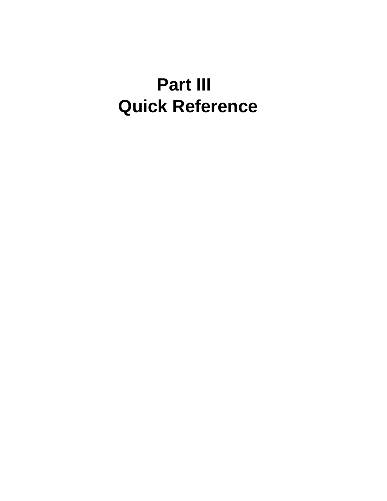# **Part III Quick Reference**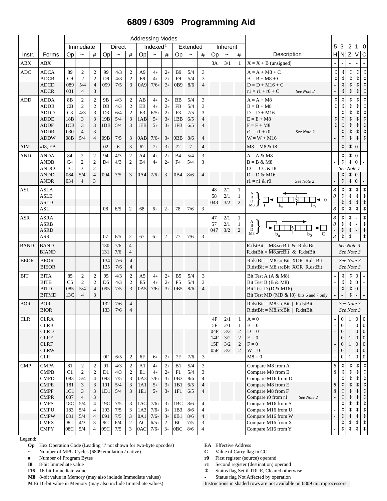# **6809 / 6309 Programming Aid**

|              |                                                                                                       |                                                                                |                                                                        |                                                                                                                  |                                                               |                                        |                                                                                          |                                         | <b>Addressing Modes</b>                          |                                              |                                     |                                        |                                                                   |                                                 |                                              |                                                                                                  |                                                                                                                                                |                |                                                                                                                |                                                                      |                                                                                                                        |                                                                                                                             |
|--------------|-------------------------------------------------------------------------------------------------------|--------------------------------------------------------------------------------|------------------------------------------------------------------------|------------------------------------------------------------------------------------------------------------------|---------------------------------------------------------------|----------------------------------------|------------------------------------------------------------------------------------------|-----------------------------------------|--------------------------------------------------|----------------------------------------------|-------------------------------------|----------------------------------------|-------------------------------------------------------------------|-------------------------------------------------|----------------------------------------------|--------------------------------------------------------------------------------------------------|------------------------------------------------------------------------------------------------------------------------------------------------|----------------|----------------------------------------------------------------------------------------------------------------|----------------------------------------------------------------------|------------------------------------------------------------------------------------------------------------------------|-----------------------------------------------------------------------------------------------------------------------------|
|              |                                                                                                       |                                                                                | Immediate                                                              |                                                                                                                  |                                                               | <b>Direct</b>                          |                                                                                          |                                         | Indexed $1$                                      |                                              |                                     | Extended                               |                                                                   |                                                 |                                              | Inherent<br>$\#$<br>Description<br>$\tilde{ }$                                                   |                                                                                                                                                | 5              | 3                                                                                                              | 2                                                                    | 1 0                                                                                                                    |                                                                                                                             |
| Instr.       | Forms                                                                                                 | Op                                                                             | $\tilde{}$                                                             | #                                                                                                                | Op                                                            | $\overline{\phantom{0}}$               | $\#$                                                                                     | Op                                      | $\tilde{\phantom{a}}$                            | $\#$                                         | Op                                  | $\tilde{}$                             | #                                                                 | <b>Op</b>                                       |                                              |                                                                                                  |                                                                                                                                                |                | H N Z                                                                                                          |                                                                      | $\vee$                                                                                                                 | $\overline{C}$                                                                                                              |
| <b>ABX</b>   | ABX                                                                                                   |                                                                                |                                                                        |                                                                                                                  |                                                               |                                        |                                                                                          |                                         |                                                  |                                              |                                     |                                        |                                                                   | 3A                                              | 3/1                                          | $\mathbf{1}$                                                                                     | $X = X + B$ (unsigned)                                                                                                                         |                |                                                                                                                |                                                                      |                                                                                                                        |                                                                                                                             |
| <b>ADC</b>   | <b>ADCA</b><br><b>ADCB</b><br><b>ADCD</b><br><b>ADCR</b>                                              | 89<br>C9<br>089<br>031                                                         | $\overline{2}$<br>2<br>5/4<br>$\overline{4}$                           | $\overline{c}$<br>$\mathfrak{2}$<br>$\overline{4}$<br>3                                                          | 99<br>D <sub>9</sub><br>099                                   | 4/3<br>4/3<br>7/5                      | $\overline{c}$<br>$\sqrt{2}$<br>3                                                        | A <sub>9</sub><br>E <sub>9</sub><br>0A9 | $4+$<br>$4+$<br>$7/6+$                           | $2+$<br>$2+$<br>$3+$                         | <b>B</b> 9<br>F <sub>9</sub><br>0B9 | 5/4<br>5/4<br>8/6                      | 3<br>3<br>$\overline{4}$                                          |                                                 |                                              |                                                                                                  | $A = A + M8 + C$<br>$B = B + M8 + C$<br>$D = D + M16 + C$<br>$r1 = r1 + r0 + C$<br>See Note 2                                                  |                |                                                                                                                | ↥                                                                    | ⇕<br>$\updownarrow$                                                                                                    | ↨<br>$\updownarrow$<br>$\updownarrow$                                                                                       |
| ADD          | <b>ADDA</b><br><b>ADDB</b><br><b>ADDD</b><br><b>ADDE</b><br><b>ADDF</b><br><b>ADDR</b><br><b>ADDW</b> | 8 <sub>B</sub><br>CB<br>C <sub>3</sub><br>18 <sub>B</sub><br>1CB<br>030<br>08B | $\sqrt{2}$<br>$\overline{2}$<br>4/3<br>3<br>3<br>$\overline{4}$<br>5/4 | $\sqrt{2}$<br>$\sqrt{2}$<br>3<br>$\mathfrak{Z}$<br>$\mathfrak{Z}$<br>3<br>$\overline{4}$                         | 9Β<br>$DB$<br>D <sub>3</sub><br>19 <sub>B</sub><br>1DB<br>09B | 4/3<br>4/3<br>6/4<br>5/4<br>5/4<br>7/5 | $\sqrt{2}$<br>$\overline{c}$<br>$\sqrt{2}$<br>$\mathfrak{Z}$<br>3<br>3                   | AB<br>EB<br>E3<br>1AB<br>1EB<br>0AB     | $4+$<br>$4+$<br>$6/5+$<br>$5+$<br>$5+$<br>$7/6+$ | $2+$<br>$2+$<br>$2+$<br>$3+$<br>$3+$<br>$3+$ | BB<br>FB<br>F3<br>1BB<br>1FB<br>0BB | 5/4<br>5/4<br>7/5<br>6/5<br>6/5<br>8/6 | 3<br>3<br>3<br>$\overline{4}$<br>$\overline{4}$<br>$\overline{4}$ |                                                 |                                              |                                                                                                  | $A = A + M8$<br>$B = B + M8$<br>$D = D + M16$<br>$E = E + M8$<br>$F = F + M8$<br>$r1 = r1 + r0$<br>See Note 2<br>$W = W + M16$                 | $\updownarrow$ |                                                                                                                |                                                                      | ⇕<br>↨                                                                                                                 | ↨<br>$\updownarrow$<br>$\updownarrow$<br>$\updownarrow$<br>$\updownarrow$<br>$\updownarrow$<br>$\updownarrow$               |
| AIM          | #I8, EA                                                                                               |                                                                                |                                                                        |                                                                                                                  | 02                                                            | 6                                      | 3                                                                                        | 62                                      | $7+$                                             | $3+$                                         | 72                                  | $\overline{7}$                         | $\overline{4}$                                                    |                                                 |                                              |                                                                                                  | $M8 = M8 & 18$                                                                                                                                 |                | $\updownarrow$                                                                                                 |                                                                      | $\Omega$                                                                                                               |                                                                                                                             |
| <b>AND</b>   | <b>ANDA</b><br><b>ANDB</b><br><b>ANDCC</b><br><b>ANDD</b><br><b>ANDR</b>                              | 84<br>C <sub>4</sub><br>1 <sup>C</sup><br>084<br>034                           | $\mathbf{2}$<br>$\mathfrak{2}$<br>3<br>5/4<br>$\overline{4}$           | $\boldsymbol{2}$<br>$\mathfrak{2}$<br>$\sqrt{2}$<br>$\overline{4}$<br>3                                          | 94<br>D <sub>4</sub><br>094                                   | 4/3<br>4/3<br>7/5                      | $\sqrt{2}$<br>$\mathfrak{2}$<br>3                                                        | A <sub>4</sub><br>E4<br>0A4             | $4+$<br>$4+$<br>$7/6+$                           | $2+$<br>$2+$<br>$3+$                         | <b>B4</b><br>F4<br>0B4              | 5/4<br>5/4<br>8/6                      | 3<br>3<br>$\overline{4}$                                          |                                                 |                                              |                                                                                                  | $A = A & M8$<br>$B = B & M8$<br>$CC = CC & 18$<br>$D = D & M16$<br>$r1 = r1 & r0$<br>See Note 2                                                |                | ↨<br>⇕<br>↨                                                                                                    | ↨<br>See Note 7<br>↨                                                 | $\Omega$<br>$\Omega$<br>$\mathbf{0}$<br>$\overline{0}$                                                                 |                                                                                                                             |
| <b>ASL</b>   | <b>ASLA</b><br><b>ASLB</b><br><b>ASLD</b><br>ASL                                                      |                                                                                |                                                                        |                                                                                                                  | 08                                                            | 6/5                                    | 2                                                                                        | 68                                      | $6+$                                             | $2^{+}$                                      | 78                                  | 7/6                                    | 3                                                                 | 48<br>58<br>048                                 | 2/1<br>2/1<br>3/2                            | $\mathbf{1}$<br>$\mathbf{1}$<br>$\sqrt{2}$                                                       | $_{\rm D}^{\rm B}$                                                                                                                             | 8<br>8         | ↨<br>$\updownarrow$                                                                                            | $\updownarrow$<br>$\updownarrow$                                     | $\updownarrow$                                                                                                         | $\updownarrow$                                                                                                              |
| <b>ASR</b>   | <b>ASRA</b><br><b>ASRB</b><br><b>ASRD</b><br>ASR                                                      |                                                                                |                                                                        |                                                                                                                  | 07                                                            | 6/5                                    | $\overline{c}$                                                                           | 67                                      | $6+$                                             | $2+$                                         | 77                                  | 7/6                                    | 3                                                                 | 47<br>57<br>047                                 | 2/1<br>2/1<br>3/2                            | $\mathbf{1}$<br>$\mathbf{1}$<br>$\overline{c}$                                                   | A<br>B<br>D<br>M8                                                                                                                              | 8<br>8<br>8    | ↨<br>$\updownarrow$                                                                                            | ⇕<br>⇕<br>$\updownarrow$<br>$\updownarrow$                           |                                                                                                                        | $\updownarrow$<br>$\updownarrow$<br>$\updownarrow$                                                                          |
| <b>BAND</b>  | <b>BAND</b><br><b>BIAND</b>                                                                           |                                                                                |                                                                        |                                                                                                                  | 130<br>131                                                    | 7/6<br>7/6                             | $\overline{4}$<br>$\overline{4}$                                                         |                                         |                                                  |                                              |                                     |                                        |                                                                   |                                                 |                                              |                                                                                                  | $R.dstBit = M8.srcBit \& R.dstBit$<br>R.dstBit = $\overline{M8}$ .srcBit & R.dstBit                                                            |                |                                                                                                                | See Note 3<br>See Note 3                                             |                                                                                                                        |                                                                                                                             |
| <b>BEOR</b>  | <b>BEOR</b><br><b>BIEOR</b>                                                                           |                                                                                |                                                                        |                                                                                                                  | 134<br>135                                                    | 7/6<br>7/6                             | $\overline{4}$<br>$\overline{4}$                                                         |                                         |                                                  |                                              |                                     |                                        |                                                                   |                                                 |                                              |                                                                                                  | $R.dstBit = M8.srcBit XOR R.dstBit$<br>$R.dstBit = M8.srcBit XOR R.dstBit$                                                                     |                |                                                                                                                | See Note 3<br>See Note 3                                             |                                                                                                                        |                                                                                                                             |
| BIT          | <b>BITA</b><br><b>BITB</b><br><b>BITD</b><br><b>BITMD</b>                                             | 85<br>C <sub>5</sub><br>085<br>13C                                             | 2<br>$\overline{2}$<br>5/4<br>$\overline{4}$                           | $\sqrt{2}$<br>$\sqrt{2}$<br>$\overline{4}$<br>3                                                                  | 95<br>D <sub>5</sub><br>095                                   | 4/3<br>4/3<br>7/5                      | $\overline{c}$<br>$\sqrt{2}$<br>3                                                        | A <sub>5</sub><br>E <sub>5</sub><br>0A5 | $4+$<br>$4+$<br>$7/6+$                           | $2+$<br>$2+$<br>$3+$                         | B5<br>F <sub>5</sub><br>0B5         | 5/4<br>5/4<br>8/6                      | 3<br>3<br>$\overline{4}$                                          |                                                 |                                              |                                                                                                  | Bit Test A $(A & M8)$<br>Bit Test B $(B & M8)$<br>Bit Test $D$ ( $D$ & M16)<br>Bit Test MD (MD $\&$ I8) bits 6 and 7 only                      |                | ⇕<br>⇕<br>$\updownarrow$                                                                                       | ⇕<br>⇕<br>↥                                                          | $\overline{0}$<br>$\overline{0}$<br>$\overline{0}$                                                                     |                                                                                                                             |
| <b>BOR</b>   | <b>BOR</b><br><b>BIOR</b>                                                                             |                                                                                |                                                                        |                                                                                                                  | 132<br>133                                                    | 7/6<br>7/6                             | $\overline{4}$<br>$\overline{4}$                                                         |                                         |                                                  |                                              |                                     |                                        |                                                                   |                                                 |                                              |                                                                                                  | $R. dstBit = M8.srcBit$   $R. dstBit$<br>$R. dstBit = \overline{M8.srcBit}$   R.dstBit                                                         |                |                                                                                                                | See Note 3<br>See Note 3                                             |                                                                                                                        |                                                                                                                             |
| <b>CLR</b>   | $\rm CLRA$<br>CLRB<br><b>CLRD</b><br>${\rm CLRE}$<br>${\rm CLRF}$<br><b>CLRW</b><br>CLR               |                                                                                |                                                                        |                                                                                                                  | 0F                                                            | 6/5                                    | $\overline{c}$                                                                           | 6F                                      | $6+$                                             | $2+$                                         | $7\mathrm{F}$                       | 7/6                                    | 3                                                                 | $4\mathrm{F}$<br>5F<br>04F<br>14F<br>15F<br>05F | 2/1<br>2/1<br>$3/2$<br>$3/2$<br>$3/2$<br>3/2 | $\mathbf{1}$<br>$\mathbf{1}$<br>$\sqrt{2}$<br>$\mathfrak{2}$<br>$\mathfrak{2}$<br>$\overline{c}$ | $\mathbf{A}=\mathbf{0}$<br>$\mathbf{B}=\mathbf{0}$<br>$\mathbf{D}=\mathbf{0}$<br>${\bf E}=0$<br>$\mathbf{F}=\mathbf{0}$<br>$W = 0$<br>$M8 = 0$ |                | $\boldsymbol{0}$<br>$\boldsymbol{0}$<br>$\boldsymbol{0}$<br>$\mathbf{0}$<br>$\overline{0}$<br>$\boldsymbol{0}$ | $0 \mid 1 \mid$<br>$\mathbf{1}$<br>$\mathbf{1}$<br>$\mathbf{1}$<br>1 | $\mathbf{0}$<br>$\mathbf{0}$<br>$\overline{0}$<br>$\overline{0}$<br>$\overline{0}$<br>$\overline{0}$<br>$\overline{0}$ | $\vert 0 \vert$<br>$\boldsymbol{0}$<br>$\mathbf{0}$<br>$\overline{0}$<br>$\overline{0}$<br>$\overline{0}$<br>$\overline{0}$ |
| $\text{CMP}$ | <b>CMPA</b><br><b>CMPB</b><br>$\text{CMD}$<br><b>CMPE</b>                                             | 81<br>C1<br>083<br>181                                                         | $\mathbf{2}$<br>$\overline{2}$<br>5/4<br>3                             | $\sqrt{2}$<br>$\sqrt{2}$<br>$\overline{4}$<br>$\ensuremath{\mathfrak{Z}}$                                        | 91<br>D <sub>1</sub><br>093<br>191                            | 4/3<br>4/3<br>$7/5$<br>$5/4$           | $\sqrt{2}$<br>$\overline{c}$<br>$\ensuremath{\mathbf{3}}$<br>$\ensuremath{\mathfrak{Z}}$ | A1<br>E1<br>0A3<br>1A1                  | $4+$<br>$4+$<br>$7/6+$<br>$5+$                   | $2+$<br>$2+$<br>$3+$<br>$3+$                 | B1<br>F1<br>0B3<br>1B1              | 5/4<br>5/4<br>8/6<br>6/5               | 3<br>3<br>$\overline{4}$<br>$\overline{4}$                        |                                                 |                                              |                                                                                                  | Compare M8 from A<br>Compare M8 from B<br>Compare M16 from D<br>Compare M8 from E                                                              | 8<br>8<br>8    | $\updownarrow$                                                                                                 | ↥                                                                    | $\updownarrow$<br>$\updownarrow$                                                                                       | $\updownarrow$<br>$\begin{array}{c}\updownarrow\\ \updownarrow\\ \downarrow \end{array}$                                    |
|              | <b>CMPF</b><br><b>CMPR</b><br><b>CMPS</b><br><b>CMPU</b><br><b>CMPW</b>                               | 1C1<br>037<br>18C<br>183<br>081                                                | 3<br>$\overline{4}$<br>5/4<br>5/4<br>5/4                               | $\ensuremath{\mathfrak{Z}}$<br>$\ensuremath{\mathfrak{Z}}$<br>$\overline{4}$<br>$\overline{4}$<br>$\overline{4}$ | 1D1<br>19C<br>193<br>091                                      | 5/4<br>7/5<br>7/5<br>$7/5$             | $\mathfrak{Z}$<br>3<br>3<br>$\ensuremath{\mathfrak{Z}}$                                  | $1E1$<br>1AC<br>1A3<br>0A1              | $5+$<br>$7/6+$<br>$7/6+$<br>$7/6+$               | $3+$<br>$3+$<br>$3+$<br>$3+$                 | 1F1<br>1BC<br>1B3<br>OB1            | 6/5<br>8/6<br>8/6<br>8/6               | $\overline{4}$<br>4<br>$\overline{4}$<br>$\overline{4}$           |                                                 |                                              |                                                                                                  | Compare M8 from F<br>Compare r0 from r1<br>See Note 2<br>Compare M16 from S<br>Compare M16 from U<br>Compare M16 from W                        | 8              | $\updownarrow$<br>↨                                                                                            |                                                                      | $\updownarrow$                                                                                                         | $\begin{array}{c}\n\updownarrow \\ \updownarrow \\ \updownarrow \\ \updownarrow\n\end{array}$<br>$\downarrow$               |
|              | $\sf CMPX$<br><b>CMPY</b>                                                                             | 8 <sup>C</sup><br>08C                                                          | 4/3<br>$5/4$                                                           | $\mathfrak{Z}$<br>$\overline{4}$                                                                                 | 9C<br>09C                                                     | 6/4<br>$7/5$                           | $\sqrt{2}$<br>3                                                                          | AC<br>0AC                               | $6/5+$<br>$7/6+$                                 | $2+$<br>$3+$                                 | $\rm BC$<br>0BC                     | 7/5<br>8/6                             | 3<br>$\overline{4}$                                               |                                                 |                                              |                                                                                                  | Compare M16 from X<br>Compare M16 from Y                                                                                                       |                | ⇕                                                                                                              |                                                                      | $\updownarrow$<br>$\uparrow$                                                                                           | $\downarrow$                                                                                                                |

Legend:

**Op** Hex Operation Code (Leading '1' not shown for two-byte opcodes) **EA** Effective Address

**~** Number of MPU Cycles (6809 emulation / native) **C** Value of Carry flag in CC

**M8** 8-bit value in Memory (may also include Immediate values) **-** Status flag Not Affected by operation

**M16** 16-bit value in Memory (may also include Immediate values) Instructions in shaded rows are not available on 6809 microprocessors

**10** Number of Program Bytes **r0** First register (source) operand

**I8** 8-bit Immediate value **r1** Second register (destination) operand

**I16** 16-bit Immediate value ↓ Status flag Set if TRUE, Cleared otherwise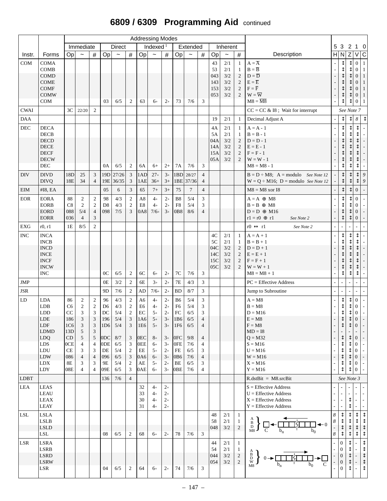# **6809 / 6309 Programming Aid** continued

|             |                                                                                                                                                   |                                                                                                      |                                                                                                                       |                                                                                                                                                                                    |                                                                                  |                                                                             |                                                                                                                                                   |                                                                                                                               | <b>Addressing Modes</b>                                                              |                                                                                      |                                                                                                |                                                                           |                                                                                                                                                |                                      |                                        |                                                                                                |                                                                                                                                                                  |                       |                                                                                      |                                                                                                                         |                                                                                                                                                                                                      |                                                                                                                                           |
|-------------|---------------------------------------------------------------------------------------------------------------------------------------------------|------------------------------------------------------------------------------------------------------|-----------------------------------------------------------------------------------------------------------------------|------------------------------------------------------------------------------------------------------------------------------------------------------------------------------------|----------------------------------------------------------------------------------|-----------------------------------------------------------------------------|---------------------------------------------------------------------------------------------------------------------------------------------------|-------------------------------------------------------------------------------------------------------------------------------|--------------------------------------------------------------------------------------|--------------------------------------------------------------------------------------|------------------------------------------------------------------------------------------------|---------------------------------------------------------------------------|------------------------------------------------------------------------------------------------------------------------------------------------|--------------------------------------|----------------------------------------|------------------------------------------------------------------------------------------------|------------------------------------------------------------------------------------------------------------------------------------------------------------------|-----------------------|--------------------------------------------------------------------------------------|-------------------------------------------------------------------------------------------------------------------------|------------------------------------------------------------------------------------------------------------------------------------------------------------------------------------------------------|-------------------------------------------------------------------------------------------------------------------------------------------|
|             |                                                                                                                                                   |                                                                                                      | Immediate                                                                                                             |                                                                                                                                                                                    |                                                                                  | <b>Direct</b>                                                               |                                                                                                                                                   |                                                                                                                               | Indexed $1$                                                                          |                                                                                      |                                                                                                | Extended                                                                  |                                                                                                                                                |                                      | Inherent                               |                                                                                                |                                                                                                                                                                  |                       | 5 3 2                                                                                |                                                                                                                         |                                                                                                                                                                                                      | $1\quad 0$                                                                                                                                |
| Instr.      | Forms                                                                                                                                             | Op                                                                                                   | $\tilde{\phantom{a}}$                                                                                                 | $\#$                                                                                                                                                                               | Op                                                                               | $\tilde{}$                                                                  | $\#$                                                                                                                                              | Op                                                                                                                            | $\tilde{}$                                                                           | $\#$                                                                                 | Op                                                                                             | $\widetilde{\phantom{m}}$                                                 | #                                                                                                                                              | Op                                   | $\tilde{}$                             | $\#$                                                                                           | Description                                                                                                                                                      | H                     | $\vert N \vert$                                                                      | $\overline{z}$                                                                                                          | V                                                                                                                                                                                                    | $\overline{C}$                                                                                                                            |
| <b>COM</b>  | <b>COMA</b><br><b>COMB</b><br>COMD<br><b>COME</b><br><b>COMF</b><br><b>COMW</b>                                                                   |                                                                                                      |                                                                                                                       |                                                                                                                                                                                    |                                                                                  |                                                                             |                                                                                                                                                   |                                                                                                                               |                                                                                      |                                                                                      |                                                                                                |                                                                           |                                                                                                                                                | 43<br>53<br>043<br>143<br>153<br>053 | 2/1<br>2/1<br>3/2<br>3/2<br>3/2<br>3/2 | $\mathbf{1}$<br>$\mathbf{1}$<br>$\mathbf{2}$<br>$\mathbf{2}$<br>$\mathbf{2}$<br>$\overline{2}$ | $A = \overline{A}$<br>$B = \overline{B}$<br>$D = \overline{D}$<br>$\mathbf{E}=\overline{\mathbf{E}}$<br>$F = \overline{F}$<br>$\mathbf{W}=\overline{\mathbf{W}}$ |                       | ⇕<br>⇕<br>⇕<br>↨<br>$\updownarrow$                                                   |                                                                                                                         | $\mathbf{0}$<br>$\overline{0}$<br>$\overline{0}$<br>0<br>$\overline{0}$<br>$\mathbf{0}$                                                                                                              | $\mathbf{1}$<br>$\mathbf{1}$<br>$\mathbf{1}$<br>$\mathbf{1}$<br>$\mathbf{1}$<br>$\mathbf{1}$                                              |
|             | <b>COM</b>                                                                                                                                        |                                                                                                      |                                                                                                                       |                                                                                                                                                                                    | 03                                                                               | 6/5                                                                         | 2                                                                                                                                                 | 63                                                                                                                            | $6+$                                                                                 | $2+$                                                                                 | 73                                                                                             | 7/6                                                                       | 3                                                                                                                                              |                                      |                                        |                                                                                                | $M8 = \overline{M8}$                                                                                                                                             |                       | ↥                                                                                    |                                                                                                                         | 0                                                                                                                                                                                                    | 1                                                                                                                                         |
| <b>CWAI</b> |                                                                                                                                                   | 3C                                                                                                   | 22/20                                                                                                                 | 2                                                                                                                                                                                  |                                                                                  |                                                                             |                                                                                                                                                   |                                                                                                                               |                                                                                      |                                                                                      |                                                                                                |                                                                           |                                                                                                                                                |                                      |                                        |                                                                                                | $CC = CC & 18$ ; Wait for interrupt                                                                                                                              |                       | See Note 7                                                                           |                                                                                                                         |                                                                                                                                                                                                      |                                                                                                                                           |
| <b>DAA</b>  |                                                                                                                                                   |                                                                                                      |                                                                                                                       |                                                                                                                                                                                    |                                                                                  |                                                                             |                                                                                                                                                   |                                                                                                                               |                                                                                      |                                                                                      |                                                                                                |                                                                           |                                                                                                                                                | 19                                   | 2/1                                    | -1                                                                                             | Decimal Adjust A                                                                                                                                                 | $\overline{a}$        | ⇕                                                                                    | ↨                                                                                                                       | $\boldsymbol{8}$                                                                                                                                                                                     | $\updownarrow$                                                                                                                            |
| DEC         | <b>DECA</b><br><b>DECB</b><br><b>DECD</b><br><b>DECE</b><br><b>DECF</b><br><b>DECW</b><br>DEC                                                     |                                                                                                      |                                                                                                                       |                                                                                                                                                                                    | 0A                                                                               | 6/5                                                                         | $\overline{c}$                                                                                                                                    | 6A                                                                                                                            | $6+$                                                                                 | $2+$                                                                                 | 7A                                                                                             | 7/6                                                                       | 3                                                                                                                                              | 4A<br>5A<br>04A<br>14A<br>15A<br>05A | 2/1<br>2/1<br>3/2<br>3/2<br>3/2<br>3/2 | $\mathbf{1}$<br>$\mathbf{1}$<br>$\mathfrak{2}$<br>$\mathbf{2}$<br>$\mathbf{2}$<br>2            | $A = A - 1$<br>$B = B - 1$<br>$D = D - 1$<br>$E = E - 1$<br>$F = F - 1$<br>$W = W - 1$<br>$M8 = M8 - 1$                                                          |                       | $\updownarrow$<br>⇕<br>↨<br>⇕                                                        | ⇕                                                                                                                       | $\updownarrow$<br>⇕<br>⇕<br>⇕                                                                                                                                                                        |                                                                                                                                           |
| <b>DIV</b>  | <b>DIVD</b><br><b>DIVQ</b>                                                                                                                        | 18D<br>18E                                                                                           | 25<br>34                                                                                                              | 3<br>$\overline{4}$                                                                                                                                                                | 19E                                                                              | 19D 27/26<br>36/35                                                          | $\mathbf{3}$<br>3                                                                                                                                 | 1AD<br>1AE                                                                                                                    | $27+$<br>$36+$                                                                       | $3+$<br>$3+$                                                                         | 1BD                                                                                            | 28/27<br>1BE 37/36                                                        | $\overline{4}$<br>$\overline{4}$                                                                                                               |                                      |                                        |                                                                                                | $B = D \div M8$ ; $A = modulo$ See Note 12<br>$W = Q \div M16$ ; $D =$ modulo <i>See Note 12</i>                                                                 |                       | $\updownarrow$<br>$\updownarrow$                                                     | $\updownarrow$                                                                                                          | $\updownarrow$                                                                                                                                                                                       | 9<br>$\boldsymbol{9}$                                                                                                                     |
| <b>EIM</b>  | #I8, EA                                                                                                                                           |                                                                                                      |                                                                                                                       |                                                                                                                                                                                    | 05                                                                               | 6                                                                           | 3                                                                                                                                                 | 65                                                                                                                            | $7+$                                                                                 | $3+$                                                                                 | 75                                                                                             | $\tau$                                                                    | $\overline{4}$                                                                                                                                 |                                      |                                        | $M8 = M8$ xor I8                                                                               |                                                                                                                                                                  |                       | $\updownarrow$                                                                       | ↨                                                                                                                       | $\Omega$                                                                                                                                                                                             |                                                                                                                                           |
| <b>EOR</b>  | <b>EORA</b><br><b>EORB</b><br><b>EORD</b><br><b>EORR</b>                                                                                          | 88<br>C8<br>088<br>036                                                                               | $\boldsymbol{2}$<br>$\mathbf{2}$<br>5/4<br>$\overline{4}$                                                             | $\sqrt{2}$<br>$\overline{2}$<br>$\overline{4}$<br>$\mathfrak{Z}$                                                                                                                   | 98<br>D <sub>8</sub><br>098                                                      | 4/3<br>4/3<br>7/5                                                           | $\sqrt{2}$<br>$\boldsymbol{2}$<br>3                                                                                                               | A8<br>E8<br>0A8                                                                                                               | $4+$<br>$4+$<br>$7/6+$                                                               | $2+$<br>$2+$<br>$3+$                                                                 | B <sub>8</sub><br>F8<br>0 <sub>B</sub> 8                                                       | 5/4<br>5/4<br>8/6                                                         | $\mathfrak{Z}$<br>3<br>$\overline{4}$                                                                                                          |                                      |                                        |                                                                                                | $A = A \oplus M8$<br>$B = B \oplus M8$<br>$D = D \oplus M16$<br>$r1 = r0 \oplus r1$<br>See Note 2                                                                |                       | $\updownarrow$<br>⇕<br>$\updownarrow$<br>⇕                                           | ⇕<br>↨                                                                                                                  | $\overline{0}$<br>$\Omega$<br>$\mathbf{0}$<br>$\mathbf{0}$                                                                                                                                           |                                                                                                                                           |
| ${\rm EXG}$ | r0, r1                                                                                                                                            | 1E                                                                                                   | 8/5                                                                                                                   | $\sqrt{2}$                                                                                                                                                                         |                                                                                  |                                                                             |                                                                                                                                                   |                                                                                                                               |                                                                                      |                                                                                      |                                                                                                |                                                                           |                                                                                                                                                |                                      |                                        |                                                                                                | $r0 \leftrightarrow r1$<br>See Note 2                                                                                                                            |                       |                                                                                      |                                                                                                                         |                                                                                                                                                                                                      |                                                                                                                                           |
| <b>INC</b>  | <b>INCA</b><br><b>INCB</b><br><b>INCD</b><br><b>INCE</b><br><b>INCF</b><br><b>INCW</b><br>$\sf{INC}$                                              |                                                                                                      |                                                                                                                       |                                                                                                                                                                                    | 0 <sup>C</sup>                                                                   | 6/5                                                                         | $\overline{c}$                                                                                                                                    | 6C                                                                                                                            | $6+$                                                                                 | $2+$                                                                                 | $7\mathrm{C}$                                                                                  | 7/6                                                                       | 3                                                                                                                                              | 4C<br>5C<br>04C<br>14C<br>15C<br>05C | 2/1<br>2/1<br>3/2<br>3/2<br>3/2<br>3/2 | 1<br>1<br>$\overline{2}$<br>$\mathfrak{2}$<br>$\mathfrak{2}$<br>$\overline{2}$                 | $A = A + 1$<br>$B = B + 1$<br>$D = D + 1$<br>$E = E + 1$<br>$F = F + 1$<br>$W = W + 1$<br>$M8 = M8 + 1$                                                          | $\overline{a}$        | ⇕<br>⇕<br>↨<br>⇕<br>↨<br>↨<br>⇕                                                      | ⇕                                                                                                                       | $\updownarrow$<br>$\updownarrow$                                                                                                                                                                     |                                                                                                                                           |
| JMP         |                                                                                                                                                   |                                                                                                      |                                                                                                                       |                                                                                                                                                                                    | 0E                                                                               | 3/2                                                                         | $\boldsymbol{2}$                                                                                                                                  | 6E                                                                                                                            | $3+$                                                                                 | $2+$                                                                                 | $7\mathrm{E}$                                                                                  | 4/3                                                                       | $\mathfrak{Z}$                                                                                                                                 |                                      |                                        |                                                                                                | $PC =$ Effective Address                                                                                                                                         |                       |                                                                                      |                                                                                                                         |                                                                                                                                                                                                      |                                                                                                                                           |
| <b>JSR</b>  |                                                                                                                                                   |                                                                                                      |                                                                                                                       |                                                                                                                                                                                    | 9 <sub>D</sub>                                                                   | 7/6                                                                         | $\overline{2}$                                                                                                                                    | AD                                                                                                                            | $7/6+$                                                                               | $2+$                                                                                 | <b>BD</b>                                                                                      | 8/7                                                                       | 3                                                                                                                                              |                                      |                                        |                                                                                                | Jump to Subroutine                                                                                                                                               |                       |                                                                                      |                                                                                                                         |                                                                                                                                                                                                      |                                                                                                                                           |
| LD          | <b>LDA</b><br><b>LDB</b><br><b>LDD</b><br>LDE<br>LDF<br><b>LDMD</b><br><b>LDQ</b><br><b>LDS</b><br>${\rm LDU}$<br>LDW<br><b>LDX</b><br><b>LDY</b> | 86<br>C <sub>6</sub><br>CC<br>186<br>1C <sub>6</sub><br>13D<br>CD<br>0CE<br>CE<br>086<br>$8E$<br>08E | 2<br>$\overline{2}$<br>3<br>$\mathfrak{Z}$<br>3<br>5<br>$\sqrt{5}$<br>4<br>3<br>$\overline{4}$<br>3<br>$\overline{4}$ | $\overline{2}$<br>$\sqrt{2}$<br>3<br>$\mathfrak{Z}$<br>$\mathfrak{Z}$<br>$\mathfrak{Z}$<br>$\sqrt{5}$<br>$\overline{4}$<br>$\mathfrak{Z}$<br>$\overline{4}$<br>3<br>$\overline{4}$ | 96<br>D <sub>6</sub><br>DC<br>196<br>1D6<br>0DC<br>0DE<br>DE<br>096<br>9Ε<br>09E | 4/3<br>4/3<br>5/4<br>5/4<br>5/4<br>8/7<br>6/5<br>5/4<br>$6/5$<br>5/4<br>6/5 | $\boldsymbol{2}$<br>$\sqrt{2}$<br>$\overline{c}$<br>$\mathfrak{Z}$<br>3<br>3<br>3<br>$\sqrt{2}$<br>$\ensuremath{\mathfrak{Z}}$<br>$\sqrt{2}$<br>3 | A <sub>6</sub><br>E <sub>6</sub><br>EC<br>1A6<br>1E6<br>0EC<br><b>OEE</b><br>$\rm EE$<br>0A6<br>$\mathbf{A}\mathbf{E}$<br>0AE | $4+$<br>$4+$<br>$5+$<br>$5+$<br>$5+$<br>$8+$<br>$6+$<br>$5+$<br>$6+$<br>$5+$<br>$6+$ | $2+$<br>$2+$<br>$2+$<br>$3+$<br>$3+$<br>$3+$<br>$3+$<br>$2+$<br>$3+$<br>$2+$<br>$3+$ | B6<br>F6<br>FC<br> 1B6 <br>1F6<br>0 <sub>FC</sub><br>0FE<br>FE<br>0 <sub>B6</sub><br>BE<br>0BE | 5/4<br>5/4<br>6/5<br>6/5<br>6/5<br>9/8<br>7/6<br>6/5<br>7/6<br>6/5<br>7/6 | $\mathfrak{Z}$<br>3<br>$\mathfrak{Z}$<br>4<br>$\overline{4}$<br>$\overline{4}$<br>$\overline{4}$<br>3<br>$\overline{4}$<br>3<br>$\overline{4}$ |                                      |                                        |                                                                                                | $A = M8$<br>$B = M8$<br>$D = M16$<br>$E = M8$<br>$F = M8$<br>$MD = I8$<br>$Q = M32$<br>$S = M16$<br>$U = M16$<br>$W = M16$<br>$X = M16$<br>$Y = M16$             | $\overline{a}$        | ⇕<br>⇕<br>⇕<br>↨<br>⇕<br>↨<br>⇕<br>↨<br>⇕                                            | $\updownarrow$<br>$\updownarrow$<br>↡<br>$\updownarrow$<br>$\updownarrow$<br>⇕<br>$\updownarrow$<br>⇕<br>$\updownarrow$ | $\theta$<br>$\boldsymbol{0}$<br>$\boldsymbol{0}$<br>$\theta$<br>$\boldsymbol{0}$<br>$\boldsymbol{0}$<br>$\mathbf{0}$<br>$\boldsymbol{0}$<br>$\boldsymbol{0}$<br>$\boldsymbol{0}$<br>$\boldsymbol{0}$ | $\overline{\phantom{a}}$<br>$\Box$<br>$\overline{\phantom{a}}$<br>$\overline{\phantom{a}}$<br>$\overline{\phantom{a}}$<br>$\frac{1}{\pi}$ |
| LDBT        |                                                                                                                                                   |                                                                                                      |                                                                                                                       |                                                                                                                                                                                    | 136                                                                              | 7/6                                                                         | $\overline{4}$                                                                                                                                    |                                                                                                                               |                                                                                      |                                                                                      |                                                                                                |                                                                           |                                                                                                                                                |                                      |                                        |                                                                                                | $R.dstBit = M8.srcBit$                                                                                                                                           |                       | See Note 3                                                                           |                                                                                                                         |                                                                                                                                                                                                      |                                                                                                                                           |
| <b>LEA</b>  | LEAS<br><b>LEAU</b><br>LEAX<br>LEAY                                                                                                               |                                                                                                      |                                                                                                                       |                                                                                                                                                                                    |                                                                                  |                                                                             |                                                                                                                                                   | 32<br>33<br>30<br>31                                                                                                          | $4+$<br>$4+$<br>$4+$<br>$4+$                                                         | $2^{+}$<br>$2+$<br>$2+$<br>$2+$                                                      |                                                                                                |                                                                           |                                                                                                                                                |                                      |                                        |                                                                                                | $S =$ Effective Address<br>$U =$ Effective Address<br>$X =$ Effective Address<br>$Y =$ Effective Address                                                         |                       |                                                                                      | ⇕<br>⇕                                                                                                                  |                                                                                                                                                                                                      | $\overline{\phantom{a}}$                                                                                                                  |
| <b>LSL</b>  | <b>LSLA</b><br>LSLB<br><b>LSLD</b><br>$\operatorname{LSL}$                                                                                        |                                                                                                      |                                                                                                                       |                                                                                                                                                                                    | 08                                                                               | 6/5                                                                         | 2                                                                                                                                                 | 68                                                                                                                            | $6+$                                                                                 | $2+$                                                                                 | 78                                                                                             | 7/6                                                                       | 3                                                                                                                                              | 48<br>58<br>048                      | 2/1<br>2/1<br>3/2                      | $\mathbf{1}$<br>1<br>$\sqrt{2}$                                                                | B<br>D<br>$M8$ J                                                                                                                                                 | 8<br>$\boldsymbol{8}$ | ⇕<br>↨                                                                               | ⇕<br>⇕                                                                                                                  | $\updownarrow$<br>$\updownarrow$                                                                                                                                                                     | ⇕<br>$\updownarrow$ $\updownarrow$ $\updownarrow$                                                                                         |
| LSR         | <b>LSRA</b><br>LSRB<br><b>LSRD</b><br><b>LSRW</b><br><b>LSR</b>                                                                                   |                                                                                                      |                                                                                                                       |                                                                                                                                                                                    | 04                                                                               | 6/5                                                                         | $\overline{2}$                                                                                                                                    | 64                                                                                                                            | $6+$                                                                                 | $2+$                                                                                 | 74                                                                                             | 7/6                                                                       | 3                                                                                                                                              | 44<br>54<br>044<br>054               | 2/1<br>2/1<br>3/2<br>3/2               | $\mathbf{1}$<br>1<br>$\sqrt{2}$<br>$\sqrt{2}$                                                  | $\mathbf D$<br>W<br>M8                                                                                                                                           |                       | $\overline{0}$<br>$\Omega$<br>$\overline{0}$<br>$\boldsymbol{0}$<br>$\boldsymbol{0}$ | ⇕<br>⇕<br>$\updownarrow$<br>$\updownarrow$                                                                              | $\overline{\phantom{a}}$                                                                                                                                                                             | $\updownarrow$<br>$\updownarrow$<br>$\begin{array}{c}\n\updownarrow \\ \updownarrow \\ \updownarrow \\ \updownarrow\n\end{array}$         |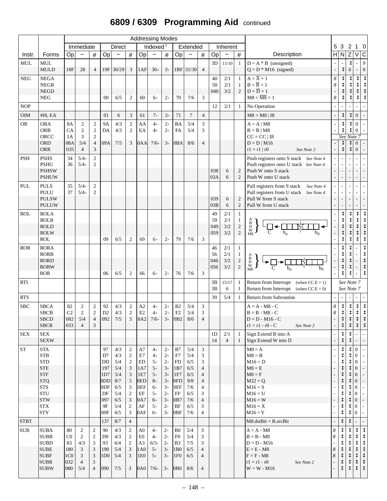# **6809 / 6309 Programming Aid** continued

|             |                                                                                                                                                                     |                                                                 |                                                                              |                                                                                                                             |                                                                      |                                                                                     |                                                                                                                                                                                                     |                                                                                                               | <b>Addressing Modes</b>                                                              |                                                                                      |                                                                                                 |                                                                           |                                                                                                                      |                        |                              |                                                              |                                                                                                                                         |                  |                                                                   |                                       |                                                                                                                                                                                  |                                                                                                                                                        |
|-------------|---------------------------------------------------------------------------------------------------------------------------------------------------------------------|-----------------------------------------------------------------|------------------------------------------------------------------------------|-----------------------------------------------------------------------------------------------------------------------------|----------------------------------------------------------------------|-------------------------------------------------------------------------------------|-----------------------------------------------------------------------------------------------------------------------------------------------------------------------------------------------------|---------------------------------------------------------------------------------------------------------------|--------------------------------------------------------------------------------------|--------------------------------------------------------------------------------------|-------------------------------------------------------------------------------------------------|---------------------------------------------------------------------------|----------------------------------------------------------------------------------------------------------------------|------------------------|------------------------------|--------------------------------------------------------------|-----------------------------------------------------------------------------------------------------------------------------------------|------------------|-------------------------------------------------------------------|---------------------------------------|----------------------------------------------------------------------------------------------------------------------------------------------------------------------------------|--------------------------------------------------------------------------------------------------------------------------------------------------------|
|             |                                                                                                                                                                     |                                                                 | Immediate                                                                    |                                                                                                                             |                                                                      | <b>Direct</b>                                                                       |                                                                                                                                                                                                     |                                                                                                               | Indexed $1$                                                                          |                                                                                      |                                                                                                 | Extended                                                                  |                                                                                                                      |                        | Inherent                     |                                                              |                                                                                                                                         |                  | 5 3                                                               | $\overline{2}$                        | $1\quad 0$                                                                                                                                                                       |                                                                                                                                                        |
| Instr.      | Forms                                                                                                                                                               | Op                                                              | $\tilde{}$                                                                   | $\#$                                                                                                                        | Op                                                                   | $\tilde{}$                                                                          | $\#$                                                                                                                                                                                                | Op                                                                                                            | $\tilde{}$                                                                           | $\#$                                                                                 | Op                                                                                              | $\tilde{}$                                                                | #                                                                                                                    | Op                     | $\tilde{}$                   | $\#$                                                         | Description                                                                                                                             | H                | N                                                                 | Z                                     | V                                                                                                                                                                                | $\overline{c}$                                                                                                                                         |
| <b>MUL</b>  | $\mbox{MUL}$<br><b>MULD</b>                                                                                                                                         | 18F                                                             | 28                                                                           | $\overline{4}$                                                                                                              |                                                                      | 19F 30/29                                                                           | $\mathbf{3}$                                                                                                                                                                                        | 1AF                                                                                                           | $30+$                                                                                | $3+$                                                                                 |                                                                                                 | $1BF$ 31/30                                                               | $\overline{4}$                                                                                                       | 3D                     | 11/10                        | $\mathbf{1}$                                                 | $D = A * B$ (unsigned)<br>$Q = D * M16$ (signed)                                                                                        |                  | $\updownarrow$                                                    | ↨<br>6                                | $\overline{\phantom{a}}$                                                                                                                                                         | 9<br>$\boldsymbol{0}$                                                                                                                                  |
| <b>NEG</b>  | ${\rm NEG} {\rm A}$<br><b>NEGB</b><br>${\rm NEGD}$                                                                                                                  |                                                                 |                                                                              |                                                                                                                             |                                                                      |                                                                                     |                                                                                                                                                                                                     |                                                                                                               |                                                                                      |                                                                                      |                                                                                                 |                                                                           |                                                                                                                      | 40<br>50<br>040        | 2/1<br>2/1<br>3/2            | $\mathbf{1}$<br>$\mathbf{1}$<br>$\overline{2}$               | $A = \overline{A} + 1$<br>$B = \overline{B} + 1$<br>$D = \overline{D} + 1$                                                              | 8<br>8           | $\updownarrow$                                                    | ⇕<br>$\updownarrow$<br>$\updownarrow$ | ⇕<br>$\updownarrow$<br>$\updownarrow$                                                                                                                                            | $\updownarrow$<br>$\updownarrow$<br>$\updownarrow$                                                                                                     |
| <b>NOP</b>  | <b>NEG</b>                                                                                                                                                          |                                                                 |                                                                              |                                                                                                                             | 00                                                                   | 6/5                                                                                 | $\overline{c}$                                                                                                                                                                                      | 60                                                                                                            | $6+$                                                                                 | $2+$                                                                                 | 70                                                                                              | 7/6                                                                       | 3                                                                                                                    | 12                     | 2/1                          | 1                                                            | $M8 = \overline{M8} + 1$<br>No Operation                                                                                                | $\boldsymbol{8}$ |                                                                   |                                       | ⇕                                                                                                                                                                                |                                                                                                                                                        |
| <b>OIM</b>  | #I8, EA                                                                                                                                                             |                                                                 |                                                                              |                                                                                                                             | 01                                                                   | 6                                                                                   | $\mathfrak{Z}$                                                                                                                                                                                      | 61                                                                                                            | $7+$                                                                                 | $3+$                                                                                 | 71                                                                                              | $\overline{7}$                                                            | $\overline{4}$                                                                                                       |                        |                              |                                                              | $M8 = M8   I8$                                                                                                                          |                  | $\updownarrow$                                                    | $\updownarrow$                        | $\overline{0}$                                                                                                                                                                   | $\mathbb{L}$                                                                                                                                           |
| <b>OR</b>   | <b>ORA</b>                                                                                                                                                          | <b>8A</b>                                                       | 2                                                                            | $\sqrt{2}$                                                                                                                  | <b>9A</b>                                                            | 4/3                                                                                 | $\sqrt{2}$                                                                                                                                                                                          | AA                                                                                                            | $4+$                                                                                 | $2+$                                                                                 | <b>BA</b>                                                                                       | 5/4                                                                       | 3                                                                                                                    |                        |                              |                                                              | $A = A \mid M8$                                                                                                                         |                  | $\updownarrow$                                                    | $\updownarrow$                        | $\mathbf{0}$                                                                                                                                                                     |                                                                                                                                                        |
|             | <b>ORB</b><br>ORCC<br><b>ORD</b>                                                                                                                                    | <b>CA</b><br>1A<br>08A                                          | $\overline{2}$<br>3<br>5/4                                                   | $\sqrt{2}$<br>$\sqrt{2}$<br>$\overline{4}$                                                                                  | DA<br>09A                                                            | 4/3<br>7/5                                                                          | $\sqrt{2}$<br>3                                                                                                                                                                                     | EA<br>0AA                                                                                                     | $4+$<br>$7/6+$                                                                       | $2+$<br>$3+$                                                                         | FA<br>0BA                                                                                       | 5/4<br>8/6                                                                | 3<br>$\overline{4}$                                                                                                  |                        |                              |                                                              | $B = B \mid M8$<br>$CC = CC$   I8<br>$D = D   M16$                                                                                      |                  | ⇕<br>See Note 7<br>$\updownarrow$                                 | $\updownarrow$<br>⇕                   | $\theta$<br>$\mathbf{0}$                                                                                                                                                         | $\overline{\phantom{a}}$                                                                                                                               |
|             | <b>ORR</b>                                                                                                                                                          | 035                                                             | $\overline{4}$                                                               | 3                                                                                                                           |                                                                      |                                                                                     |                                                                                                                                                                                                     |                                                                                                               |                                                                                      |                                                                                      |                                                                                                 |                                                                           |                                                                                                                      |                        |                              |                                                              | $r1 = r1   r0$<br>See Note 2                                                                                                            |                  | $\updownarrow$                                                    | $\updownarrow$                        | $\mathbf{0}$                                                                                                                                                                     | $\overline{\phantom{a}}$                                                                                                                               |
| <b>PSH</b>  | <b>PSHS</b><br><b>PSHU</b><br><b>PSHSW</b><br><b>PSHUW</b>                                                                                                          | 34<br>36                                                        | $5/4+$<br>$5/4+$                                                             | $\overline{2}$<br>$\mathbf{2}$                                                                                              |                                                                      |                                                                                     |                                                                                                                                                                                                     |                                                                                                               |                                                                                      |                                                                                      |                                                                                                 |                                                                           |                                                                                                                      | 038<br>03A             | 6<br>6                       | $\overline{2}$<br>$\overline{2}$                             | Push registers onto S stack See Note 4<br>Push registers onto U stack See Note 4<br>Push W onto S stack<br>Push W onto U stack          |                  |                                                                   |                                       |                                                                                                                                                                                  | $\overline{\phantom{a}}$<br>$\Box$<br>$\overline{\phantom{a}}$                                                                                         |
| PUL         | <b>PULS</b><br>PULU<br><b>PULSW</b><br><b>PULUW</b>                                                                                                                 | 35<br>37                                                        | $5/4+$<br>$5/4+$                                                             | $\boldsymbol{2}$<br>$\mathfrak{2}$                                                                                          |                                                                      |                                                                                     |                                                                                                                                                                                                     |                                                                                                               |                                                                                      |                                                                                      |                                                                                                 |                                                                           |                                                                                                                      | 039<br>03B             | 6<br>6                       | $\overline{2}$<br>$\overline{2}$                             | Pull registers from S stack<br>See Note 4<br>Pull registers from U stack See Note 4<br>Pull W from S stack<br>Pull W from U stack       |                  |                                                                   |                                       |                                                                                                                                                                                  | $\overline{\phantom{a}}$                                                                                                                               |
| <b>ROL</b>  | <b>ROLA</b><br><b>ROLB</b><br><b>ROLD</b><br><b>ROLW</b><br><b>ROL</b>                                                                                              |                                                                 |                                                                              |                                                                                                                             | 09                                                                   | 6/5                                                                                 | $\overline{c}$                                                                                                                                                                                      | 69                                                                                                            | $6+$                                                                                 | $2+$                                                                                 | 79                                                                                              | 7/6                                                                       | 3                                                                                                                    | 49<br>59<br>049<br>059 | 2/1<br>2/1<br>3/2<br>3/2     | $\mathbf{1}$<br>$\mathbf{1}$<br>$\sqrt{2}$<br>$\overline{c}$ | $\overrightarrow{B}$<br>$\overrightarrow{D}$<br>$\Box \leftarrow \Box \overline{C}$                                                     |                  | $\updownarrow$                                                    | ↨                                     | $\updownarrow$                                                                                                                                                                   | $\updownarrow$<br>$\updownarrow$<br>$\updownarrow$<br>$\updownarrow$<br>$\updownarrow$                                                                 |
| <b>ROR</b>  | <b>RORA</b><br><b>RORB</b><br><b>RORD</b><br><b>RORW</b><br><b>ROR</b>                                                                                              |                                                                 |                                                                              |                                                                                                                             | 06                                                                   | 6/5                                                                                 | 2                                                                                                                                                                                                   | 66                                                                                                            | $6+$                                                                                 | $2+$                                                                                 | 76                                                                                              | 7/6                                                                       | 3                                                                                                                    | 46<br>56<br>046<br>056 | 2/1<br>$2/1$<br>$3/2$<br>3/2 | $\mathbf{1}$<br>$\mathbf{1}$<br>$\sqrt{2}$<br>$\overline{c}$ | $_{\rm D}^{\rm B}$<br>W<br>$b_0$<br>M8                                                                                                  |                  | $\updownarrow$                                                    | $\updownarrow$                        |                                                                                                                                                                                  | $\updownarrow$<br>$\updownarrow$<br>$\updownarrow$<br>$\updownarrow$<br>$\updownarrow$                                                                 |
| <b>RTI</b>  |                                                                                                                                                                     |                                                                 |                                                                              |                                                                                                                             |                                                                      |                                                                                     |                                                                                                                                                                                                     |                                                                                                               |                                                                                      |                                                                                      |                                                                                                 |                                                                           |                                                                                                                      | 3B<br>3B               | 15/17<br>6                   | $\mathbf{1}$<br>1                                            | Return from Interrupt (when $CC.E = 1$ )<br>Return from Interrupt (when $CC.E = 0$ )                                                    |                  | See Note 7<br>See Note 7                                          |                                       |                                                                                                                                                                                  |                                                                                                                                                        |
| <b>RTS</b>  |                                                                                                                                                                     |                                                                 |                                                                              |                                                                                                                             |                                                                      |                                                                                     |                                                                                                                                                                                                     |                                                                                                               |                                                                                      |                                                                                      |                                                                                                 |                                                                           |                                                                                                                      | 39                     | 5/4                          | $\mathbf{1}$                                                 | Return from Subroutine                                                                                                                  |                  |                                                                   |                                       |                                                                                                                                                                                  |                                                                                                                                                        |
| ${\rm SBC}$ | <b>SBCA</b><br><b>SBCB</b><br><b>SBCD</b><br><b>SBCR</b>                                                                                                            | 82<br>C <sub>2</sub><br>082<br>033                              | $\mathbf{2}$<br>$\mathbf{2}$<br>5/4<br>$\overline{4}$                        | $\sqrt{2}$<br>$\sqrt{2}$<br>$\overline{4}$<br>3                                                                             | 92<br>D2                                                             | 4/3<br>4/3<br> 092 7/5                                                              | $\sqrt{2}$<br>$\sqrt{2}$<br>$\overline{3}$                                                                                                                                                          | A2<br>$\mathop{\rm E{2}}$                                                                                     | $4_{+}$<br>$4+$<br>$0A2$ 7/6+                                                        | $2+$<br>$2+$                                                                         | B <sub>2</sub><br>F2                                                                            | 5/4<br>5/4<br>$3+$ 0B2 8/6                                                | 3<br>3<br>$\overline{4}$                                                                                             |                        |                              |                                                              | $A = A - M8 - C$<br>$B = B - M8 - C$<br>$D = D - M16 - C$<br>$r1 = r1 - r0 - C$<br>See Note 2                                           | 8<br>8           | $\updownarrow$<br>$\updownarrow$<br>$\ddotmark$<br>$\updownarrow$ | $\downarrow$<br>$\downarrow$          | $\begin{array}{c}\n\updownarrow \\ \updownarrow \\ \updownarrow \\ \updownarrow\n\end{array}$                                                                                    | $\updownarrow$<br>$\leftrightarrow \leftrightarrow \leftrightarrow$                                                                                    |
| <b>SEX</b>  | <b>SEX</b><br><b>SEXW</b>                                                                                                                                           |                                                                 |                                                                              |                                                                                                                             |                                                                      |                                                                                     |                                                                                                                                                                                                     |                                                                                                               |                                                                                      |                                                                                      |                                                                                                 |                                                                           |                                                                                                                      | 1D<br>14               | 2/1<br>$\overline{4}$        | 1<br>$\mathbf{1}$                                            | Sign Extend B into A<br>Sign Extend W into D                                                                                            |                  | $\updownarrow$                                                    | $\updownarrow$                        |                                                                                                                                                                                  | $\sim$<br>$\mathbb{Z}^d$                                                                                                                               |
| ST          | <b>STA</b><br><b>STB</b><br>STD<br><b>STE</b><br>$\operatorname{STF}$<br><b>STQ</b><br><b>STS</b><br>$\operatorname{STU}$<br><b>STW</b><br><b>STX</b><br><b>STY</b> |                                                                 |                                                                              |                                                                                                                             | 97<br>D7<br>DD<br>197<br>1D7<br>0DD<br>0DF<br>DF<br>097<br>9F<br>09F | 4/3<br>4/3<br>5/4<br>$5/4$<br>5/4<br>$8/7$<br>$6/5$<br>$5/4$<br>$6/5$<br>5/4<br>6/5 | $\overline{c}$<br>$\sqrt{2}$<br>$\sqrt{2}$<br>$\ensuremath{\mathfrak{Z}}$<br>$\ensuremath{\mathfrak{Z}}$<br>3<br>3<br>$\sqrt{2}$<br>$\ensuremath{\mathfrak{Z}}$<br>$\overline{2}$<br>$\mathfrak{Z}$ | A7<br>$\mathbf{E}7$<br>$\mathop{\rm ED}\nolimits$<br>1A7<br>1E7<br>0ED<br>0EF<br>$\rm EF$<br>0A7<br>AF<br>0AF | $4+$<br>$4+$<br>$5+$<br>$5+$<br>$5+$<br>$8+$<br>$6+$<br>$5+$<br>$6+$<br>$5+$<br>$6+$ | $2+$<br>$2+$<br>$2+$<br>$3+$<br>$3+$<br>$3+$<br>$3+$<br>$2+$<br>$3+$<br>$2+$<br>$3+$ | B7<br>F7<br><b>FD</b><br>1B7<br>1F7<br>0FD<br>0FF<br>$\rm FF$<br>0B7<br>BF<br>0BF               | 5/4<br>5/4<br>6/5<br>6/5<br>6/5<br>9/8<br>7/6<br>6/5<br>7/6<br>6/5<br>7/6 | 3<br>3<br>3<br>$\overline{4}$<br>4<br>$\overline{4}$<br>$\overline{4}$<br>3<br>$\overline{4}$<br>3<br>$\overline{4}$ |                        |                              |                                                              | $M8 = A$<br>$M8 = B$<br>$M16 = D$<br>$M8 = E$<br>$M8 = F$<br>$M32 = Q$<br>$M16 = S$<br>$M16 = U$<br>$M16 = W$<br>$M16 = X$<br>$M16 = Y$ |                  | $\updownarrow$<br>$\downarrow$                                    |                                       | $\overline{0}$<br>$\Omega$<br>$\Omega$<br>$\overline{0}$<br>$\overline{0}$<br>$\overline{0}$<br>$\overline{0}$<br>$\Omega$<br>$\overline{0}$<br>$\overline{0}$<br>$\overline{0}$ | $\overline{\phantom{a}}$<br>$\mathbb{Z}^2$<br>$\mathbb{R}^2$<br>$\omega$<br>$\overline{\phantom{a}}$<br>$\frac{1}{\sqrt{2}}$<br>$\sim$<br>$\mathbb{L}$ |
| <b>STBT</b> |                                                                                                                                                                     |                                                                 |                                                                              |                                                                                                                             | 137                                                                  | 8/7                                                                                 | $\overline{4}$                                                                                                                                                                                      |                                                                                                               |                                                                                      |                                                                                      |                                                                                                 |                                                                           |                                                                                                                      |                        |                              |                                                              | $M8.$ dst $Bit = R.srcBit$                                                                                                              |                  | $\updownarrow$                                                    |                                       |                                                                                                                                                                                  | $\overline{\phantom{a}}$                                                                                                                               |
| <b>SUB</b>  | <b>SUBA</b><br><b>SUBB</b><br><b>SUBD</b><br><b>SUBE</b><br>${\large\bf SUBF}$<br><b>SUBR</b><br><b>SUBW</b>                                                        | 80<br>$_{\rm C0}$<br>83<br>180<br>1 <sub>CO</sub><br>032<br>080 | $\overline{c}$<br>2<br>4/3<br>$\overline{3}$<br>3<br>$\overline{4}$<br>$5/4$ | $\overline{2}$<br>$\sqrt{2}$<br>$\mathfrak{Z}$<br>$\sqrt{3}$<br>$\sqrt{3}$<br>$\ensuremath{\mathfrak{Z}}$<br>$\overline{4}$ | 90<br>D <sub>0</sub><br>93<br>190<br>1D <sub>0</sub><br>090          | 4/3<br>4/3<br>6/4<br>$5/4$<br>5/4<br>7/5                                            | $\mathbf{2}$<br>$\overline{2}$<br>$\sqrt{2}$<br>$\ensuremath{\mathfrak{Z}}$<br>3<br>3                                                                                                               | A <sub>0</sub><br>${\rm E0}$<br>A3<br>1A0<br>$1E0$<br>0A0                                                     | $4+$<br>$4+$<br>$6/5+$<br>$5+$<br>$5+$<br>$7/6+$                                     | $2+$<br>$2+$<br>$2+$<br>$3+$<br>$3+$<br>$3+$                                         | B <sub>0</sub><br>F <sub>0</sub><br>B <sub>3</sub><br>1B0<br>1F <sub>0</sub><br>0B <sub>0</sub> | 5/4<br>5/4<br>7/5<br>6/5<br>6/5<br>8/6                                    | $\mathfrak{Z}$<br>3<br>3<br>$\overline{4}$<br>$\overline{4}$<br>$\overline{4}$                                       |                        |                              |                                                              | $A = A - M8$<br>$B = B - M8$<br>$D = D - M16$<br>$E = E - M8$<br>$F = F - M8$<br>$r1 = r1 - r0$<br>See Note 2<br>$W = W - M16$          | 8<br>8<br>8<br>8 | ⇕<br>⇕<br>⇕<br>↨                                                  | $\updownarrow$                        | $\updownarrow$<br>$\updownarrow$<br>$\updownarrow$<br>$\updownarrow$<br>$\updownarrow$<br>$\updownarrow$                                                                         |                                                                                                                                                        |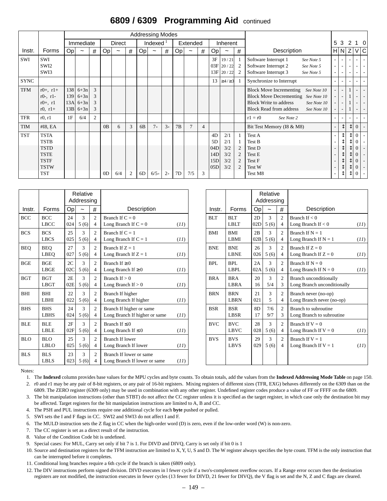### **6809 / 6309 Programming Aid** continued

|             |                                                                                                      |                          |                                      |                              |                |               |      |                | <b>Addressing Modes</b> |      |    |                |                |                                      |                                         |                               |                                                                                                                                                                                                 |                          |                                                                                                              |                                              |                                                                             |                                                                                                                                          |
|-------------|------------------------------------------------------------------------------------------------------|--------------------------|--------------------------------------|------------------------------|----------------|---------------|------|----------------|-------------------------|------|----|----------------|----------------|--------------------------------------|-----------------------------------------|-------------------------------|-------------------------------------------------------------------------------------------------------------------------------------------------------------------------------------------------|--------------------------|--------------------------------------------------------------------------------------------------------------|----------------------------------------------|-----------------------------------------------------------------------------|------------------------------------------------------------------------------------------------------------------------------------------|
|             |                                                                                                      |                          | Immediate                            |                              |                | <b>Direct</b> |      |                | Indexed $1$             |      |    | Extended       |                |                                      | Inherent                                |                               |                                                                                                                                                                                                 |                          | 5 3                                                                                                          | 2                                            |                                                                             | 10                                                                                                                                       |
| Instr.      | Forms                                                                                                | Op                       | $\tilde{}$                           | $\#$                         | Op             | $\tilde{}$    | $\#$ | Op             | $\tilde{}$              | #    | Op | $\tilde{}$     | #              | Op                                   | $\tilde{}$                              | #                             | Description                                                                                                                                                                                     |                          | $H\vert N \vert$                                                                                             | Z                                            | V                                                                           | C                                                                                                                                        |
| SWI         | SWI<br>SWI <sub>2</sub><br>SWI3                                                                      |                          |                                      |                              |                |               |      |                |                         |      |    |                |                | 3F                                   | 19/21<br>$03F$ 20 / 22<br>$13F$ 20 / 22 | -1<br>2<br>$\overline{2}$     | Software Interrupt 1<br>See Note 5<br>Software Interrupt 2<br>See Note 5<br>Software Interrupt 3<br>See Note 5                                                                                  | $\sim$                   | $\overline{\phantom{a}}$<br>$\overline{\phantom{a}}$                                                         |                                              |                                                                             | $\sim$<br>$\overline{\phantom{a}}$                                                                                                       |
| <b>SYNC</b> |                                                                                                      |                          |                                      |                              |                |               |      |                |                         |      |    |                |                |                                      | 13 $\geq 4/23$                          |                               | Synchronize to Interrupt                                                                                                                                                                        |                          |                                                                                                              |                                              |                                                                             |                                                                                                                                          |
| <b>TFM</b>  | $r0+, r1+$<br>$r0-$ , $r1-$<br>$r0+, r1$<br>$r0, r1+$                                                | 138<br>139<br>13A<br>13B | $6+3n$<br>$6+3n$<br>$6+3n$<br>$6+3n$ | $\mathcal{E}$<br>3<br>3<br>3 |                |               |      |                |                         |      |    |                |                |                                      |                                         |                               | <b>Block Move Incrementing</b><br>See Note 10<br><b>Block Move Decrementing</b><br>See Note 10<br><b>Block Write to address</b><br>See Note 10<br><b>Block Read from address</b><br>See Note 10 | $\overline{\phantom{0}}$ | $\overline{\phantom{a}}$<br>$\overline{\phantom{a}}$<br>$\overline{\phantom{a}}$<br>$\overline{\phantom{a}}$ |                                              | ٠                                                                           | $\overline{\phantom{a}}$<br>$\overline{\phantom{a}}$<br>$\sim$<br>$\overline{\phantom{a}}$                                               |
| <b>TFR</b>  | r0, r1                                                                                               | 1F                       | 6/4                                  | 2                            |                |               |      |                |                         |      |    |                |                |                                      |                                         |                               | $r1 = r0$<br>See Note 2                                                                                                                                                                         |                          | $\overline{\phantom{a}}$                                                                                     |                                              |                                                                             | $\overline{\phantom{a}}$                                                                                                                 |
| <b>TIM</b>  | #I8, EA                                                                                              |                          |                                      |                              | 0B             | 6             | 3    | 6 <sub>B</sub> | $7+$                    | $3+$ | 7B | $\overline{7}$ | $\overline{4}$ |                                      |                                         |                               | Bit Test Memory (I8 & M8)                                                                                                                                                                       | $\overline{\phantom{a}}$ | $\updownarrow$                                                                                               | $\updownarrow$                               | $\mathbf{0}$                                                                | $\overline{\phantom{a}}$                                                                                                                 |
| <b>TST</b>  | <b>TSTA</b><br><b>TSTB</b><br><b>TSTD</b><br><b>TSTE</b><br><b>TSTF</b><br><b>TSTW</b><br><b>TST</b> |                          |                                      |                              | 0 <sub>D</sub> | 6/4           | 2    | 6D             | $6/5+$                  | $2+$ | 7D | 7/5            | 3              | 4D<br>5D<br>04D<br>14D<br>15D<br>05D | 2/1<br>2/1<br>3/2<br>3/2<br>3/2<br>3/2  | $\overline{c}$<br>2<br>2<br>2 | Test A<br>Test B<br>Test D<br>Test E<br>Test F<br>Test W<br>Test M8                                                                                                                             |                          | $\uparrow$<br>⇕<br>$\blacktriangle$<br>↡<br>у<br>↓                                                           | ⇕<br>⇕<br>⇕<br>↨<br>↨<br>$\updownarrow$<br>⇕ | $\mathbf{0}$<br>0<br>$\overline{0}$<br>0<br>$\overline{0}$<br>0<br>$\Omega$ | $\overline{\phantom{a}}$<br>$\overline{\phantom{a}}$<br>$\overline{\phantom{a}}$<br>$\overline{\phantom{a}}$<br>$\overline{\phantom{a}}$ |

|            |                           |           | Relative<br>Addressing |                                  |                                                           |      |            |                           |                      | Relative<br>Addressing |                                  |                                                              |
|------------|---------------------------|-----------|------------------------|----------------------------------|-----------------------------------------------------------|------|------------|---------------------------|----------------------|------------------------|----------------------------------|--------------------------------------------------------------|
| Instr.     | Forms                     | Op        | $\tilde{}$             | #                                | Description                                               |      | Instr.     | Forms                     | Op                   | $\tilde{}$             | $\#$                             | Description                                                  |
| <b>BCC</b> | <b>BCC</b><br><b>LBCC</b> | 24<br>024 | $\mathcal{R}$<br>5(6)  | $\overline{2}$<br>$\overline{4}$ | Branch If $C = 0$<br>Long Branch If $C = 0$               | (11) | <b>BLT</b> | <b>BLT</b><br><b>LBLT</b> | 2D<br>02D            | 3<br>5(6)              | $\overline{2}$<br>$\overline{4}$ | Branch If $< 0$<br>Long Branch If $< 0$                      |
| <b>BCS</b> | <b>BCS</b><br><b>LBCS</b> | 25<br>025 | 3<br>5(6)              | $\overline{2}$<br>$\overline{4}$ | Branch If $C = 1$<br>Long Branch If $C = 1$               | (11) | <b>BMI</b> | <b>BMI</b><br><b>LBMI</b> | 2B<br>02B            | 3<br>5(6)              | $\overline{c}$<br>$\overline{4}$ | Branch If $N = 1$<br>Long Branch If $N = 1$                  |
| <b>BEQ</b> | <b>BEO</b><br>LBEQ        | 27<br>027 | 3<br>5(6)              | 2<br>$\overline{4}$              | Branch If $Z = 1$<br>Long Branch If $Z = 1$               | (11) | <b>BNE</b> | <b>BNE</b><br><b>LBNE</b> | 26<br>026            | 3<br>5(6)              | $\overline{c}$<br>$\overline{4}$ | Branch If $Z = 0$<br>Long Branch If $Z = 0$                  |
| <b>BGE</b> | <b>BGE</b><br>LBGE        | 2C<br>02C | $\mathcal{F}$<br>5(6)  | 2<br>$\overline{4}$              | Branch If $\geq 0$<br>Long Branch If $\geq 0$             | (11) | BPL        | BPL<br><b>LBPL</b>        | 2A<br>02A            | $\mathcal{F}$<br>5(6)  | $\overline{c}$<br>$\overline{4}$ | Branch If $N = 0$<br>Long Branch If $N = 0$                  |
| <b>BGT</b> | <b>BGT</b><br><b>LBGT</b> | 2E<br>02E | 3<br>5(6)              | $\overline{c}$<br>$\overline{4}$ | Branch If $> 0$<br>Long Branch If $> 0$                   | (11) | <b>BRA</b> | <b>BRA</b><br><b>LBRA</b> | 20<br>16             | 3<br>5/4               | $\overline{2}$<br>3              | <b>Branch unconditionally</b><br>Long Branch unconditionally |
| BHI        | <b>BHI</b><br>LBHI        | 22<br>022 | 3<br>5(6)              | $\overline{2}$<br>$\overline{4}$ | Branch If higher<br>Long Branch If higher                 | (11) | <b>BRN</b> | <b>BRN</b><br><b>LBRN</b> | 21<br>021            | 3<br>5                 | $\overline{2}$<br>$\overline{4}$ | Branch never (no-op)<br>Long Branch never (no-op)            |
| <b>BHS</b> | <b>BHS</b><br><b>LBHS</b> | 24<br>024 | 3<br>5(6)              | $\overline{c}$<br>$\overline{4}$ | Branch If higher or same<br>Long Branch If higher or same | (11) | <b>BSR</b> | <b>BSR</b><br><b>LBSR</b> | 8 <sub>D</sub><br>17 | 7/6<br>9/7             | $\overline{c}$<br>3              | Branch to subroutine<br>Long Branch to subroutine            |
| <b>BLE</b> | <b>BLE</b><br><b>LBLE</b> | 2F<br>02F | $\mathbf{3}$<br>5(6)   | 2<br>$\overline{4}$              | Branch If $\leq 0$<br>Long Branch If $\leq 0$             | (11) | <b>BVC</b> | <b>BVC</b><br><b>LBVC</b> | 28<br>028            | 3<br>5(6)              | $\overline{c}$<br>$\overline{4}$ | Branch If $V = 0$<br>Long Branch If $V = 0$                  |
| <b>BLO</b> | <b>BLO</b><br><b>LBLO</b> | 25<br>025 | 3<br>5(6)              | $\overline{c}$<br>$\overline{4}$ | <b>Branch If lower</b><br>Long Branch If lower            | (11) | <b>BVS</b> | <b>BVS</b><br><b>LBVS</b> | 29<br>029            | 3<br>5(6)              | $\overline{2}$<br>$\overline{4}$ | Branch If $V = 1$<br>Long Branch If $V = 1$                  |
| <b>BLS</b> | <b>BLS</b><br><b>LBLS</b> | 23<br>023 | $\mathcal{R}$<br>5(6)  | 2<br>$\overline{4}$              | Branch If lower or same<br>Long Branch If lower or same   | (11) |            |                           |                      |                        |                                  |                                                              |

|                    |           | Relative<br>Addressing |                                  |                                                           |      |            |                           |           | Relative<br>Addressing |                                  |                                                              |      |
|--------------------|-----------|------------------------|----------------------------------|-----------------------------------------------------------|------|------------|---------------------------|-----------|------------------------|----------------------------------|--------------------------------------------------------------|------|
| Forms              | Op        | $\tilde{}$             | #                                | Description                                               |      | Instr.     | Forms                     | Оp        | $\tilde{}$             | #                                | Description                                                  |      |
| <b>BCC</b><br>LBCC | 24<br>024 | 3<br>5(6)              | $\overline{c}$<br>$\overline{4}$ | Branch If $C = 0$<br>Long Branch If $C = 0$               | (11) | <b>BLT</b> | <b>BLT</b><br><b>LBLT</b> | 2D<br>02D | 3<br>5(6)              | 2<br>4                           | Branch If $< 0$<br>Long Branch If $< 0$                      | (11) |
| <b>BCS</b><br>LBCS | 25<br>025 | $\mathcal{F}$<br>5(6)  | $\overline{c}$<br>$\overline{4}$ | Branch If $C = 1$<br>Long Branch If $C = 1$               | (11) | <b>BMI</b> | <b>BMI</b><br>LBMI        | 2B<br>02B | 3<br>5(6)              | 2<br>4                           | Branch If $N = 1$<br>Long Branch If $N = 1$                  | (11) |
| BEO<br>LBEO        | 27<br>027 | $\mathcal{F}$<br>5(6)  | $\overline{c}$<br>$\overline{4}$ | Branch If $Z = 1$<br>Long Branch If $Z = 1$               | (11) | <b>BNE</b> | <b>BNE</b><br><b>LBNE</b> | 26<br>026 | 3<br>5(6)              | 2<br>4                           | Branch If $Z = 0$<br>Long Branch If $Z = 0$                  | (11) |
| <b>BGE</b><br>LBGE | 2C<br>02C | 3<br>5(6)              | $\overline{2}$<br>$\overline{4}$ | Branch If $\geq 0$<br>Long Branch If $\geq 0$             | (11) | <b>BPL</b> | BPL<br><b>LBPL</b>        | 2A<br>02A | 3<br>5(6)              | $\overline{2}$<br>$\overline{4}$ | Branch If $N = 0$<br>Long Branch If $N = 0$                  | (11) |
| <b>BGT</b><br>LBGT | 2E<br>02E | $\mathcal{L}$<br>5(6)  | $\overline{2}$<br>$\overline{4}$ | Branch If $> 0$<br>Long Branch If $> 0$                   | (11) | <b>BRA</b> | <b>BRA</b><br><b>LBRA</b> | 20<br>16  | 3<br>5/4               | $\overline{c}$<br>3              | <b>Branch unconditionally</b><br>Long Branch unconditionally |      |
| BHI<br>LBHI        | 22<br>022 | 3<br>5(6)              | $\overline{c}$<br>$\overline{4}$ | Branch If higher<br>Long Branch If higher                 | (11) | <b>BRN</b> | <b>BRN</b><br><b>LBRN</b> | 21<br>021 | 3<br>5                 | $\overline{2}$<br>4              | Branch never (no-op)<br>Long Branch never (no-op)            |      |
| <b>BHS</b><br>LBHS | 24<br>024 | 3<br>5(6)              | $\overline{c}$<br>$\overline{4}$ | Branch If higher or same<br>Long Branch If higher or same | (11) | <b>BSR</b> | <b>BSR</b><br><b>LBSR</b> | 8D<br>17  | 7/6<br>9/7             | $\overline{2}$<br>3              | Branch to subroutine<br>Long Branch to subroutine            |      |
| <b>BLE</b><br>LBLE | 2F<br>02F | 3<br>5(6)              | $\overline{c}$<br>$\overline{4}$ | Branch If $\leq 0$<br>Long Branch If $\leq 0$             | (11) | <b>BVC</b> | <b>BVC</b><br><b>LBVC</b> | 28<br>028 | 3<br>5(6)              | 2<br>$\overline{4}$              | Branch If $V = 0$<br>Long Branch If $V = 0$                  | (11) |
| <b>BLO</b><br>LBLO | 25<br>025 | 3<br>5(6)              | $\overline{2}$<br>$\overline{4}$ | <b>Branch If lower</b><br>Long Branch If lower            | (11) | <b>BVS</b> | <b>BVS</b><br><b>LBVS</b> | 29<br>029 | 3<br>5(6)              | $\overline{c}$<br>4              | Branch If $V = 1$<br>Long Branch If $V = 1$                  | (11) |
| <b>BLS</b><br>LBLS | 23<br>023 | 3<br>5(6)              | 2<br>4                           | Branch If lower or same<br>Long Branch If lower or same   | (11) |            |                           |           |                        |                                  |                                                              |      |

Notes:

1. The **Indexed** column provides base values for the MPU cycles and byte counts. To obtain totals, add the values from the **Indexed Addressing Mode Table** on [page 150](#page-149-0).

2. r0 and r1 may be any pair of 8-bit registers, or any pair of 16-bit registers. Mixing registers of different sizes (TFR, EXG) behaves differently on the 6309 than on the 6809. The ZERO register (6309 only) may be used in combination with any other register. Undefined register codes produce a value of FF or FFFF on the 6809.

3. The bit manipulation instructions (other than STBT) do not affect the CC register unless it is specified as the target register, in which case only the destination bit may be affected. Target registers for the bit manipulation instructions are limited to A, B and CC.

4. The PSH and PUL instructions require one additional cycle for each **byte** pushed or pulled.

5. SWI sets the I and F flags in CC. SWI2 and SWI3 do not affect I and F.

6. The MULD instruction sets the Z flag in CC when the high-order word (D) is zero, even if the low-order word (W) is non-zero.

7. The CC register is set as a direct result of the instruction.

8. Value of the Condition Code bit is undefined.

9. Special cases: For MUL, Carry set only if bit 7 is 1. For DIVD and DIVQ, Carry is set only if bit 0 is 1

10. Source and destination registers for the TFM instruction are limited to X, Y, U, S and D. The W register always specifies the byte count. TFM is the only instruction that can be interrupted before it completes.

11. Conditional long branches require a 6th cycle if the branch is taken (6809 only).

12. The DIV instructions perform signed division. DIVD executes in l fewer cycle if a two's-complement overflow occurs. If a Range error occurs then the destination registers are not modified, the instruction executes in fewer cycles (13 fewer for DIVD, 21 fewer for DIVQ), the V flag is set and the N, Z and C flags are cleared.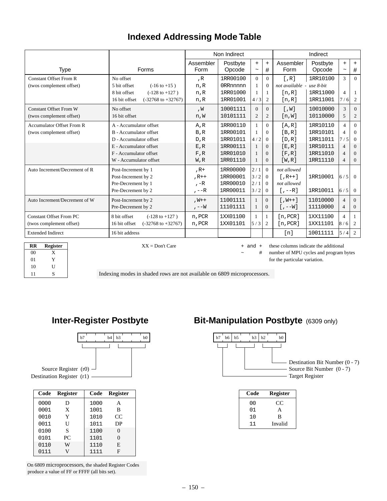# **Indexed Addressing Mode Table**

|                                  |                                                |                   | Non Indirect       |                   |                |                           | Indirect           |                                  |                |
|----------------------------------|------------------------------------------------|-------------------|--------------------|-------------------|----------------|---------------------------|--------------------|----------------------------------|----------------|
| <b>Type</b>                      | Forms                                          | Assembler<br>Form | Postbyte<br>Opcode | $+$<br>$\tilde{}$ | $\ddot{}$<br># | Assembler<br>Form         | Postbyte<br>Opcode | $+$<br>$\widetilde{\phantom{m}}$ | $+$<br>#       |
| <b>Constant Offset From R</b>    | No offset                                      | R                 | 1RR00100           | $\Omega$          | $\Omega$       | $\lceil$ , R $\rceil$     | 1RR10100           | $\mathcal{F}$                    | $\Omega$       |
| (twos complement offset)         | 5 bit offset<br>$(-16 \text{ to } +15)$        | n,R               | 0RRnnnnn           |                   | $\Omega$       | not available - use 8-bit |                    |                                  |                |
|                                  | 8 bit offset<br>$(-128 \text{ to } +127)$      | n,R               | 1RR01000           |                   |                | [n,R]                     | 1RR11000           | $\overline{4}$                   |                |
|                                  | 16 bit offset<br>$(-32768 \text{ to } +32767)$ | n,R               | 1RR01001           | 4/3               | 2              | [n,R]                     | 1RR11001           | 7/6                              | 2              |
| <b>Constant Offset From W</b>    | No offset                                      | , W               | 10001111           | $\Omega$          | $\Omega$       | [M, 1]                    | 10010000           | 3                                | $\Omega$       |
| (twos complement offset)         | 16 bit offset                                  | n,W               | 10101111           | $\overline{2}$    | 2              | [n,W]                     | 10110000           | 5                                | 2              |
| <b>Accumulator Offset From R</b> | A - Accumulator offset                         | A,R               | 1RR00110           |                   | $\Omega$       | [A,R]                     | 1RR10110           | $\overline{4}$                   | $\Omega$       |
| (twos complement offset)         | B - Accumulator offset                         | B, R              | 1RR00101           |                   | $\Omega$       | [B,R]                     | 1RR10101           | $\overline{\mathcal{A}}$         | $\Omega$       |
|                                  | D - Accumulator offset                         | D, R              | 1RR01011           | 4/2               | $\Omega$       | [D,R]                     | 1RR11011           | 7/5                              | $\theta$       |
|                                  | E - Accumulator offset                         | E, R              | 1RR00111           |                   | $\Omega$       | [E,R]                     | 1RR10111           | $\overline{4}$                   | $\Omega$       |
|                                  | F - Accumulator offset                         | F, R              | 1RR01010           |                   | $\Omega$       | [F, R]                    | 1RR11010           | $\overline{4}$                   | $\Omega$       |
|                                  | W - Accumulator offset                         | W, R              | 1RR01110           |                   | $\Omega$       | [W,R]                     | 1RR11110           | $\overline{4}$                   | $\theta$       |
| Auto Increment/Decrement of R    | Post-Increment by 1                            | $, R+$            | 1RR00000           | 2/1               | $\Omega$       | not allowed               |                    |                                  |                |
|                                  | Post-Increment by 2                            | $, R++$           | 1RR00001           | 3/2               | $\theta$       | $[$ , R++]                | 1RR10001           | $\frac{6}{5}$                    | $\overline{0}$ |
|                                  | Pre-Decrement by 1                             | $, -R$            | 1RR00010           | 2/1               | $\Omega$       | not allowed               |                    |                                  |                |
|                                  | Pre-Decrement by 2                             | $, -R$            | 1RR00011           | 3/2               | $\Omega$       | $[- -R]$                  | 1RR10011           | 6/5                              | $\Omega$       |
| Auto Increment/Decrement of W    | Post-Increment by 2                            | $,W++$            | 11001111           |                   | $\Omega$       | $[M++]$                   | 11010000           | $\overline{4}$                   | $\Omega$       |
|                                  | Pre-Decrement by 2                             | $, --W$           | 11101111           | 1                 | $\Omega$       | $[-,-W]$                  | 11110000           | $\overline{4}$                   | $\Omega$       |
| <b>Constant Offset From PC</b>   | 8 bit offset<br>$(-128 \text{ to } +127)$      | n, PCR            | 1XX01100           |                   | 1              | [n, PCR]                  | 1XX11100           | $\overline{4}$                   |                |
| (twos complement offset)         | 16 bit offset<br>$(-32768 \text{ to } +32767)$ | n, PCR            | 1XX01101           | $\frac{5}{3}$     | 2              | [n, PCR]                  | 1XX11101           | $\frac{8}{6}$                    | 2              |
| <b>Extended Indirect</b>         | 16 bit address                                 |                   |                    |                   |                | $\lceil n \rceil$         | 10011111           | 5/4                              | $\overline{2}$ |

| <b>RR</b> | <b>Register</b> |
|-----------|-----------------|
| $^{00}$   | X               |
| $_{01}$   | Y               |
| 10        | U               |
| 11        | S               |

 $\overline{XX}$  = Don't Care  $+$  and  $+$  these columns indicate the additional

# number of MPU cycles and program bytes

for the particular variation.

Indexing modes in shaded rows are not available on 6809 microprocessors.



| Code | <b>Register</b> | Code | <b>Register</b> |
|------|-----------------|------|-----------------|
| 0000 | D               | 1000 | А               |
| 0001 | X               | 1001 | B               |
| 0010 | Y               | 1010 | CC              |
| 0011 | U               | 1011 | DP              |
| 0100 | S               | 1100 | $\theta$        |
| 0101 | PC              | 1101 | $\overline{0}$  |
| 0110 | W               | 1110 | E               |
| 0111 | V               | 1111 | F               |

<span id="page-149-0"></span>On 6809 microprocessors, the shaded Register Codes produce a value of FF or FFFF (all bits set).

## **Inter-Register Postbyte Bit-Manipulation Postbyte** (6309 only)



Source Bit Number (0 - 7) - Destination Bit Number (0 - 7) Target Register

| Code | <b>Register</b> |
|------|-----------------|
| 00   | CC              |
| 01   | A               |
| 10   | B               |
| 11   | Invalid         |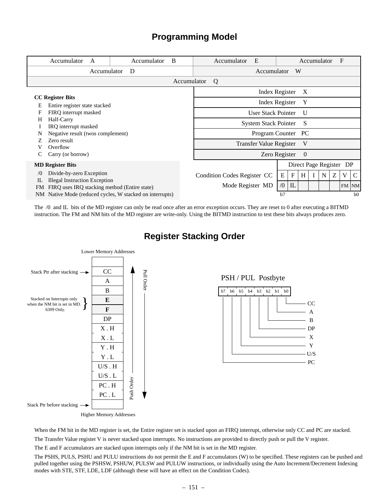### **Programming Model**

| Accumulator<br>A                                         | Accumulator | B           | E<br>Accumulator            |            |             | Accumulator             |   |   | F       |                |
|----------------------------------------------------------|-------------|-------------|-----------------------------|------------|-------------|-------------------------|---|---|---------|----------------|
| Accumulator                                              | D           |             | Accumulator                 |            | W           |                         |   |   |         |                |
|                                                          |             | Accumulator | Q                           |            |             |                         |   |   |         |                |
|                                                          |             |             | Index Register              |            |             | X                       |   |   |         |                |
| <b>CC</b> Register Bits                                  |             |             | <b>Index Register</b>       |            |             | Y                       |   |   |         |                |
| Entire register state stacked<br>Е                       |             |             |                             |            |             |                         |   |   |         |                |
| FIRQ interrupt masked<br>F                               |             |             | <b>User Stack Pointer</b>   |            |             | U                       |   |   |         |                |
| Half-Carry<br>H                                          |             |             | <b>System Stack Pointer</b> |            |             | S                       |   |   |         |                |
| IRQ interrupt masked                                     |             |             |                             |            |             |                         |   |   |         |                |
| Negative result (twos complement)                        |             |             | Program Counter PC          |            |             |                         |   |   |         |                |
| Zero result                                              |             |             | Transfer Value Register     |            |             | V                       |   |   |         |                |
| Overflow                                                 |             |             |                             |            |             |                         |   |   |         |                |
| Carry (or borrow)                                        |             |             | Zero Register               |            |             | $\theta$                |   |   |         |                |
| <b>MD Register Bits</b>                                  |             |             |                             |            |             | Direct Page Register DP |   |   |         |                |
| Divide-by-zero Exception<br>$\sqrt{0}$                   |             |             | Condition Codes Register CC | E          | $\mathbf F$ | H                       | N | Ζ | V       | C              |
| <b>Illegal Instruction Exception</b><br>IL               |             |             |                             |            |             |                         |   |   |         |                |
| FIRQ uses IRQ stacking method (Entire state)<br>FM.      |             |             | Mode Register MD            | $\sqrt{0}$ | IL          |                         |   |   | $FM$ NM |                |
| NM Native Mode (reduced cycles, W stacked on interrupts) |             |             |                             | b7         |             |                         |   |   |         | b <sub>0</sub> |

The /0 and IL bits of the MD register can only be read once after an error exception occurs. They are reset to 0 after executing a BITMD instruction. The FM and NM bits of the MD register are write-only. Using the BITMD instruction to test these bits always produces zero.



**Register Stacking Order**

CC A B DP X Y U/S - PC

When the FM bit in the MD register is set, the Entire register set is stacked upon an FIRQ interrupt, otherwise only CC and PC are stacked. The Transfer Value register V is never stacked upon interrupts. No instructions are provided to directly push or pull the V register.

The E and F accumulators are stacked upon interrupts only if the NM bit is set in the MD register.

The PSHS, PULS, PSHU and PULU instructions do not permit the E and F accumulators (W) to be specified. These registers can be pushed and pulled together using the PSHSW, PSHUW, PULSW and PULUW instructions, or individually using the Auto Increment/Decrement Indexing modes with STE, STF, LDE, LDF (although these will have an effect on the Condition Codes).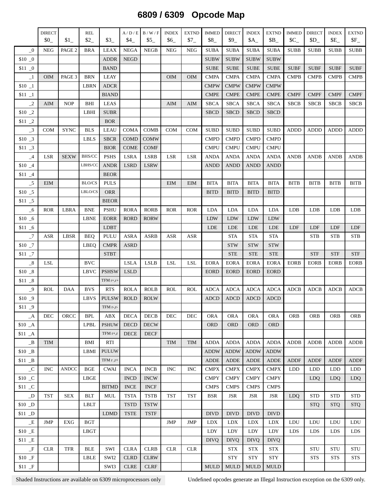# **6809 / 6309 Opcode Map**

|                            | <b>DIRECT</b><br>$$0_$ | \$1          | <b>REL</b><br>\$2 | $$3_$          | A/D/E<br>\$4               | B/W/F<br>\$5               | <b>INDEX</b><br>\$6 | <b>EXTND</b><br>$$7_{-}$ | <b>IMMED</b><br>$$8_$      | <b>DIRECT</b><br>$$9$ <sub>-</sub> | <b>INDEX</b><br>$A_$       | <b>EXTND</b><br>$$B_$      | <b>IMMED</b><br>$C_{-}$ | <b>DIRECT</b><br>$SD_$ | <b>INDEX</b><br>$E_$ | <b>EXTND</b><br>$F_{-}$ |
|----------------------------|------------------------|--------------|-------------------|----------------|----------------------------|----------------------------|---------------------|--------------------------|----------------------------|------------------------------------|----------------------------|----------------------------|-------------------------|------------------------|----------------------|-------------------------|
| $\_0$                      | <b>NEG</b>             | PAGE 2       | <b>BRA</b>        | <b>LEAX</b>    | <b>NEGA</b>                | <b>NEGB</b>                | <b>NEG</b>          | <b>NEG</b>               | <b>SUBA</b>                | <b>SUBA</b>                        | <b>SUBA</b>                | <b>SUBA</b>                | <b>SUBB</b>             | <b>SUBB</b>            | <b>SUBB</b>          | <b>SUBB</b>             |
| $$10$ $\_0$                |                        |              |                   | <b>ADDR</b>    | <b>NEGD</b>                |                            |                     |                          | <b>SUBW</b>                | <b>SUBW</b>                        | <b>SUBW</b>                | <b>SUBW</b>                |                         |                        |                      |                         |
| $$11\_0$                   |                        |              |                   | <b>BAND</b>    |                            |                            |                     |                          | <b>SUBE</b>                | <b>SUBE</b>                        | <b>SUBE</b>                | <b>SUBE</b>                | <b>SUBF</b>             | <b>SUBF</b>            | <b>SUBF</b>          | <b>SUBF</b>             |
| $\mathbf{-1}$              | <b>OIM</b>             | PAGE 3       | <b>BRN</b>        | LEAY           |                            |                            | OIM                 | <b>OIM</b>               | <b>CMPA</b>                | <b>CMPA</b>                        | <b>CMPA</b>                | <b>CMPA</b>                | <b>CMPB</b>             | <b>CMPB</b>            | <b>CMPB</b>          | <b>CMPB</b>             |
| $$10$ $\_1$                |                        |              | <b>LBRN</b>       | ADCR           |                            |                            |                     |                          | <b>CMPW</b>                | <b>CMPW</b>                        | <b>CMPW</b>                | <b>CMPW</b>                |                         |                        |                      |                         |
| $$11 -1$                   |                        |              |                   | <b>BIAND</b>   |                            |                            |                     |                          | <b>CMPE</b>                | <b>CMPE</b>                        | <b>CMPE</b>                | <b>CMPE</b>                | <b>CMPF</b>             | <b>CMPF</b>            | <b>CMPF</b>          | <b>CMPF</b>             |
| $\_2$                      | AIM                    | <b>NOP</b>   | BHI               | LEAS           |                            |                            | AIM                 | <b>AIM</b>               | <b>SBCA</b>                | <b>SBCA</b>                        | <b>SBCA</b>                | <b>SBCA</b>                | <b>SBCB</b>             | <b>SBCB</b>            | <b>SBCB</b>          | <b>SBCB</b>             |
| $$10$ $\_2$                |                        |              | LBHI              | <b>SUBR</b>    |                            |                            |                     |                          | <b>SBCD</b>                | <b>SBCD</b>                        | <b>SBCD</b>                | <b>SBCD</b>                |                         |                        |                      |                         |
| $$11$ $\_2$                |                        |              |                   | <b>BOR</b>     |                            |                            |                     |                          |                            |                                    |                            |                            |                         |                        |                      |                         |
| $\overline{\phantom{0}}^3$ | <b>COM</b>             | <b>SYNC</b>  | <b>BLS</b>        | <b>LEAU</b>    | <b>COMA</b>                | <b>COMB</b>                | <b>COM</b>          | <b>COM</b>               | <b>SUBD</b>                | <b>SUBD</b>                        | <b>SUBD</b>                | <b>SUBD</b>                | <b>ADDD</b>             | <b>ADDD</b>            | <b>ADDD</b>          | <b>ADDD</b>             |
| $$10$ $\_3$                |                        |              | <b>LBLS</b>       | <b>SBCR</b>    | <b>COMD</b>                | <b>COMW</b>                |                     |                          | <b>CMPD</b>                | <b>CMPD</b>                        | <b>CMPD</b>                | <b>CMPD</b>                |                         |                        |                      |                         |
| $$11$ $\_3$                |                        |              |                   | <b>BIOR</b>    | <b>COME</b>                | <b>COMF</b>                |                     |                          | <b>CMPU</b>                | <b>CMPU</b>                        | <b>CMPU</b>                | <b>CMPU</b>                |                         |                        |                      |                         |
| $\_4$                      | LSR                    | <b>SEXW</b>  | <b>BHS/CC</b>     | <b>PSHS</b>    | <b>LSRA</b>                | LSRB                       | <b>LSR</b>          | <b>LSR</b>               | <b>ANDA</b>                | <b>ANDA</b>                        | <b>ANDA</b>                | <b>ANDA</b>                | <b>ANDB</b>             | <b>ANDB</b>            | <b>ANDB</b>          | <b>ANDB</b>             |
| $$10$ $\_4$                |                        |              | LBHS/CC           | <b>ANDR</b>    | <b>LSRD</b>                | <b>LSRW</b>                |                     |                          | <b>ANDD</b>                | <b>ANDD</b>                        | <b>ANDD</b>                | <b>ANDD</b>                |                         |                        |                      |                         |
| $$11 - 4$                  |                        |              |                   | <b>BEOR</b>    |                            |                            |                     |                          |                            |                                    |                            |                            |                         |                        |                      |                         |
| $-5$                       | <b>EIM</b>             |              | <b>BLO/CS</b>     | <b>PULS</b>    |                            |                            | <b>EIM</b>          | <b>EIM</b>               | <b>BITA</b>                | <b>BITA</b>                        | <b>BITA</b>                | <b>BITA</b>                | <b>BITB</b>             | <b>BITB</b>            | <b>BITB</b>          | <b>BITB</b>             |
| $$10$ _5                   |                        |              | LBLO/CS           | ORR            |                            |                            |                     |                          | <b>BITD</b>                | <b>BITD</b>                        | <b>BITD</b>                | <b>BITD</b>                |                         |                        |                      |                         |
| $$11\_5$                   |                        |              |                   | <b>BIEOR</b>   |                            |                            |                     |                          |                            |                                    |                            |                            |                         |                        |                      |                         |
| $-6$                       | <b>ROR</b>             | LBRA         | <b>BNE</b>        | <b>PSHU</b>    | <b>RORA</b>                | <b>RORB</b>                | <b>ROR</b>          | <b>ROR</b>               | LDA                        | LDA                                | LDA                        | LDA                        | <b>LDB</b>              | LDB                    | LDB                  | LDB                     |
| $$10\_6$                   |                        |              | <b>LBNE</b>       | <b>EORR</b>    | <b>RORD</b>                | <b>RORW</b>                |                     |                          | LDW                        | LDW                                | LDW                        | <b>LDW</b>                 |                         |                        |                      |                         |
| $$11\_6$                   |                        |              |                   | LDBT           |                            |                            |                     |                          | LDE                        | LDE                                | LDE                        | LDE                        | LDF                     | LDF                    | LDF                  | LDF                     |
| $\_7$                      | ASR                    | LBSR         | <b>BEQ</b>        | PULU           | <b>ASRA</b>                | <b>ASRB</b>                | ASR                 | <b>ASR</b>               |                            | <b>STA</b>                         | <b>STA</b>                 | $\operatorname{STA}$       |                         | <b>STB</b>             | <b>STB</b>           | <b>STB</b>              |
| $$10$ $\_7$                |                        |              | LBEQ              | <b>CMPR</b>    | <b>ASRD</b>                |                            |                     |                          |                            | <b>STW</b>                         | <b>STW</b>                 | <b>STW</b>                 |                         |                        |                      |                         |
| $$11 - 7$                  |                        |              |                   | <b>STBT</b>    |                            |                            |                     |                          |                            | <b>STE</b>                         | <b>STE</b>                 | <b>STE</b>                 |                         | <b>STF</b>             | <b>STF</b>           | <b>STF</b>              |
| $\_8$                      | LSL                    |              | <b>BVC</b>        |                | <b>LSLA</b>                | <b>LSLB</b>                | <b>LSL</b>          | <b>LSL</b>               | <b>EORA</b>                | <b>EORA</b>                        | <b>EORA</b>                | <b>EORA</b>                | <b>EORB</b>             | <b>EORB</b>            | <b>EORB</b>          | <b>EORB</b>             |
| $$10$ $\_8$                |                        |              | <b>LBVC</b>       | <b>PSHSW</b>   | <b>LSLD</b>                |                            |                     |                          | <b>EORD</b>                | <b>EORD</b>                        | <b>EORD</b>                | <b>EORD</b>                |                         |                        |                      |                         |
| $$11 \_8$                  |                        |              |                   | $TFM r+,r+$    |                            |                            |                     |                          |                            |                                    |                            |                            |                         |                        |                      |                         |
| $-9$                       | <b>ROL</b>             | <b>DAA</b>   | <b>BVS</b>        | <b>RTS</b>     | <b>ROLA</b>                | <b>ROLB</b>                | <b>ROL</b>          | <b>ROL</b>               | <b>ADCA</b>                | <b>ADCA</b>                        | <b>ADCA</b>                | <b>ADCA</b>                | <b>ADCB</b>             | <b>ADCB</b>            | <b>ADCB</b>          | <b>ADCB</b>             |
| $$10$ $\_9$                |                        |              | <b>LBVS</b>       | <b>PULSW</b>   | <b>ROLD</b>                | <b>ROLW</b>                |                     |                          | <b>ADCD</b>                | <b>ADCD</b>                        | <b>ADCD</b>                | <b>ADCD</b>                |                         |                        |                      |                         |
| $$11$ $\_9$                |                        |              |                   | TFM r-,r-      |                            |                            |                     |                          |                            |                                    |                            |                            |                         |                        |                      |                         |
| $\_A$                      | DEC                    | ORCC         | <b>BPL</b>        | ABX            | <b>DECA</b>                | <b>DECB</b>                | <b>DEC</b>          | <b>DEC</b>               | <b>ORA</b>                 | <b>ORA</b>                         | <b>ORA</b>                 | <b>ORA</b>                 | <b>ORB</b>              | <b>ORB</b>             | <b>ORB</b>           | <b>ORB</b>              |
| $$10_A$                    |                        |              | <b>LPBL</b>       | <b>PSHUW</b>   | <b>DECD</b>                | <b>DECW</b>                |                     |                          | <b>ORD</b>                 | <b>ORD</b>                         | <b>ORD</b>                 | <b>ORD</b>                 |                         |                        |                      |                         |
| $$11_A$                    |                        |              |                   | $TFM r+, r$    | <b>DECE</b>                | <b>DECF</b>                |                     |                          |                            |                                    |                            |                            |                         |                        |                      |                         |
| $\_B$                      | <b>TIM</b>             |              | BMI               | RTI            |                            |                            | <b>TIM</b>          | <b>TIM</b>               | <b>ADDA</b>                | <b>ADDA</b>                        | <b>ADDA</b>                | <b>ADDA</b>                | <b>ADDB</b>             | <b>ADDB</b>            | <b>ADDB</b>          | <b>ADDB</b>             |
| $$10$ $\_B$                |                        |              | LBMI              | <b>PULUW</b>   |                            |                            |                     |                          | <b>ADDW</b>                | <b>ADDW</b>                        | <b>ADDW</b>                | <b>ADDW</b>                |                         |                        |                      |                         |
| $$11$ B                    |                        |              |                   | TFM $r$ , $r+$ |                            |                            |                     |                          | <b>ADDE</b>                | <b>ADDE</b>                        | <b>ADDE</b>                | ADDE                       | <b>ADDF</b>             | <b>ADDF</b>            | <b>ADDF</b>          | <b>ADDF</b>             |
| $\_ \mathbf C$             | <b>INC</b>             | <b>ANDCC</b> | <b>BGE</b>        | <b>CWAI</b>    | <b>INCA</b>                | <b>INCB</b>                | <b>INC</b>          | <b>INC</b>               | <b>CMPX</b>                | <b>CMPX</b>                        | <b>CMPX</b>                | <b>CMPX</b>                | <b>LDD</b>              | <b>LDD</b>             | <b>LDD</b>           | <b>LDD</b>              |
| $$10_C$<br>$$11_C$         |                        |              | LBGE              | <b>BITMD</b>   | <b>INCD</b>                | <b>INCW</b><br><b>INCF</b> |                     |                          | <b>CMPY</b><br><b>CMPS</b> | <b>CMPY</b>                        | <b>CMPY</b><br><b>CMPS</b> | <b>CMPY</b><br><b>CMPS</b> |                         | <b>LDQ</b>             | <b>LDQ</b>           | <b>LDQ</b>              |
|                            | TST                    | <b>SEX</b>   | <b>BLT</b>        |                | <b>INCE</b><br><b>TSTA</b> | <b>TSTB</b>                | <b>TST</b>          | <b>TST</b>               | <b>BSR</b>                 | <b>CMPS</b><br><b>JSR</b>          | <b>JSR</b>                 | <b>JSR</b>                 |                         | <b>STD</b>             | <b>STD</b>           | <b>STD</b>              |
| $\_D$<br>$$10$ $\_D$       |                        |              | LBLT              | MUL            | <b>TSTD</b>                | <b>TSTW</b>                |                     |                          |                            |                                    |                            |                            | LDQ.                    | <b>STQ</b>             | <b>STQ</b>           | <b>STQ</b>              |
| $$11$ $\_D$                |                        |              |                   | <b>LDMD</b>    | <b>TSTE</b>                | <b>TSTF</b>                |                     |                          | <b>DIVD</b>                | <b>DIVD</b>                        | <b>DIVD</b>                | <b>DIVD</b>                |                         |                        |                      |                         |
| $\_ \! {\cal E}$           | JMP                    | EXG          | <b>BGT</b>        |                |                            |                            | JMP                 | <b>JMP</b>               | <b>LDX</b>                 | <b>LDX</b>                         | <b>LDX</b>                 | <b>LDX</b>                 | LDU                     | LDU                    | LDU                  | LDU                     |
| \$10 _E                    |                        |              | <b>LBGT</b>       |                |                            |                            |                     |                          | LDY                        | <b>LDY</b>                         | LDY                        | LDY                        | LDS                     | <b>LDS</b>             | <b>LDS</b>           | LDS                     |
| $$11$ $E$                  |                        |              |                   |                |                            |                            |                     |                          | <b>DIVQ</b>                | <b>DIVQ</b>                        | <b>DIVQ</b>                | <b>DIVQ</b>                |                         |                        |                      |                         |
| $\_ \! {\cal F}$           | <b>CLR</b>             | <b>TFR</b>   | <b>BLE</b>        | SWI            | <b>CLRA</b>                | <b>CLRB</b>                | <b>CLR</b>          | <b>CLR</b>               |                            | <b>STX</b>                         | <b>STX</b>                 | <b>STX</b>                 |                         | <b>STU</b>             | <b>STU</b>           | <b>STU</b>              |
| $$10$ F                    |                        |              | <b>LBLE</b>       | SWI2           | <b>CLRD</b>                | <b>CLRW</b>                |                     |                          |                            | <b>STY</b>                         | <b>STY</b>                 | <b>STY</b>                 |                         | <b>STS</b>             | <b>STS</b>           | <b>STS</b>              |
| $$11$ $-F$                 |                        |              |                   | SWI3           | <b>CLRE</b>                | <b>CLRF</b>                |                     |                          | <b>MULD</b>                | <b>MULD</b>                        | <b>MULD</b>                | <b>MULD</b>                |                         |                        |                      |                         |
|                            |                        |              |                   |                |                            |                            |                     |                          |                            |                                    |                            |                            |                         |                        |                      |                         |

Shaded Instructions are available on 6309 microprocessors only Undefined opcodes generate an Illegal Instruction exception on the 6309 only.